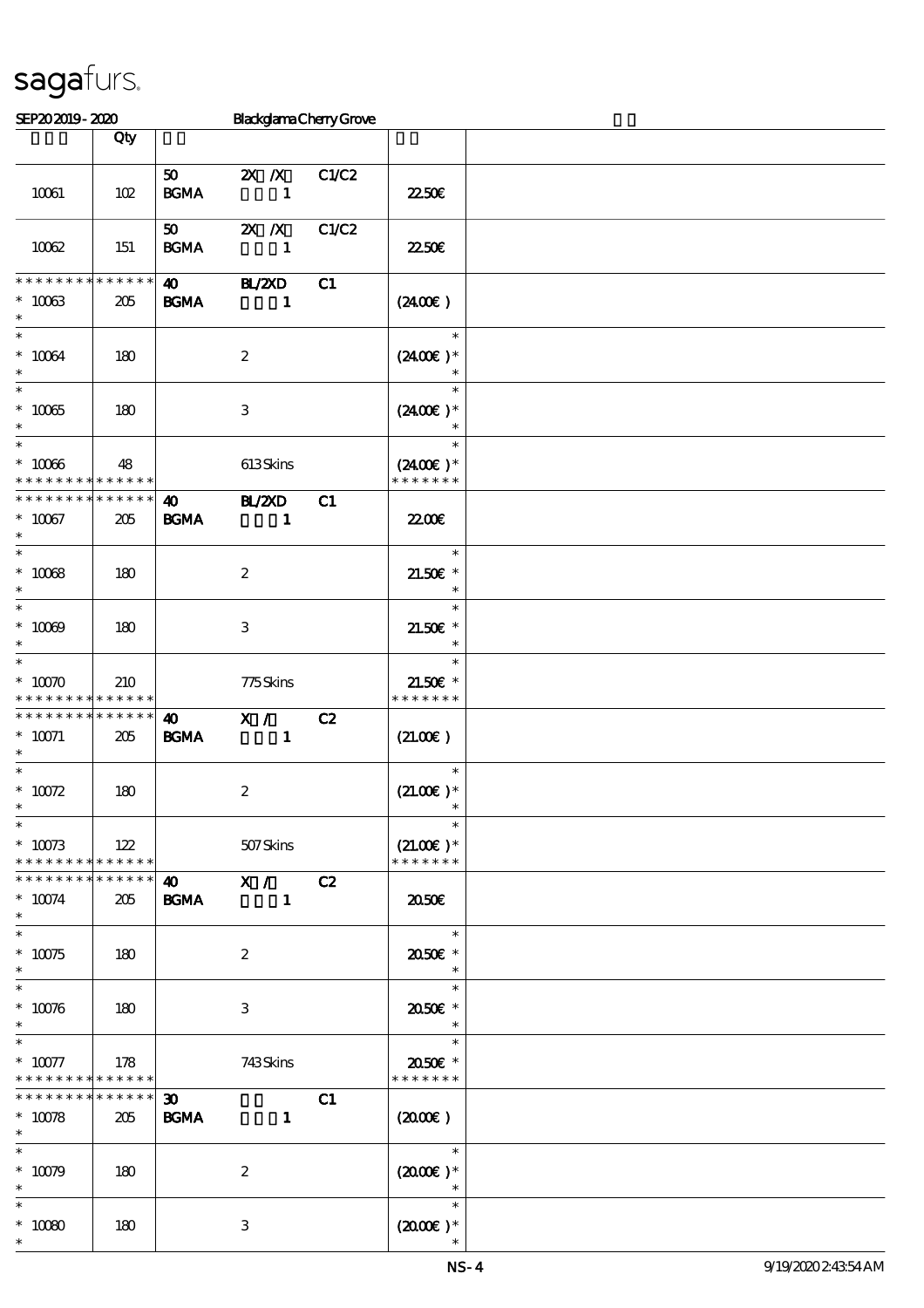\*

| SEP202019-2020                                                  |                        |                                            | <b>BlackglamaChenyGrove</b>   |       |                                                                |  |
|-----------------------------------------------------------------|------------------------|--------------------------------------------|-------------------------------|-------|----------------------------------------------------------------|--|
|                                                                 | Qty                    |                                            |                               |       |                                                                |  |
|                                                                 |                        | 50                                         | $X \, X$                      | C1/C2 |                                                                |  |
| 10061                                                           | 102                    | $\mathbf{B G MA}$                          | $\mathbf{1}$                  |       | 2250E                                                          |  |
| 10062                                                           | 151                    | 50<br><b>BGMA</b>                          | $X$ $X$<br>$\mathbf{1}$       | C1/C2 | 2250E                                                          |  |
| * * * * * * * *<br>$* 10063$<br>$\ast$                          | * * * * * *<br>205     | $\boldsymbol{\omega}$<br><b>BGMA</b>       | <b>H_/2XD</b><br>$\mathbf{1}$ | C1    | (240E)                                                         |  |
| $\ast$<br>$^*$ 10064 $\,$<br>$\ast$                             | 180                    |                                            | $\boldsymbol{2}$              |       | $\ast$<br>$(2400)$ *                                           |  |
| $\overline{\ast}$<br>$^\ast$ 10065<br>$\ast$                    | 180                    |                                            | $\ensuremath{\mathsf{3}}$     |       | $\ast$<br>$(2400E)*$                                           |  |
| $^\ast$ 10066<br>* * * * * * * *                                | 48<br>* * * * * *      |                                            | $613$ Skins                   |       | $\ast$<br>$(2400\varepsilon)*$<br>* * * * * * *                |  |
| * * * * * * * *<br>$^*$ 10067<br>$\ast$                         | * * * * * *<br>205     | $\boldsymbol{\omega}$<br>$\mathbf{B G MA}$ | B ZCD<br>$\sim$ 1             | C1    | <b>2200</b> €                                                  |  |
| $\overline{\phantom{0}}$<br>$^\ast$ 10068<br>$\ast$             | 180                    |                                            | $\boldsymbol{2}$              |       | $\ast$<br>$21.50E$ *<br>$\ast$                                 |  |
| $*$<br>$* 10009$<br>$\ast$                                      | 180                    |                                            | 3                             |       | $\ast$<br>$21.50E$ *<br>$\ast$                                 |  |
| $\ast$<br>$*$ 10070<br>* * * * * * * *                          | 210<br>* * * * * *     |                                            | 775Skins                      |       | $\ast$<br>$21.50E$ *<br>* * * * * * *                          |  |
| * * * * * * * *<br>$*$ 10071<br>$\ast$                          | * * * * * *<br>205     | $\boldsymbol{\omega}$<br><b>BGMA</b>       | X /<br>$\mathbf{1}$           | C2    | (21.00)                                                        |  |
| $\ast$<br>$^*$ 10072<br>$\ast$                                  | 180                    |                                            | $\boldsymbol{2}$              |       | $\ast$<br>$(21.00)$ *                                          |  |
| $\overline{\ast}$<br>$* 10073$<br>* * * * * * * * * * * * * * * | 122                    |                                            | 507 Skins                     |       | $\ast$<br>$(21.00)$ *<br>* * * * * * *                         |  |
| * * * * * * * *<br>$* 10074$<br>$\ast$                          | $* * * * * * *$<br>205 | <b>BGMA</b>                                | $\frac{40}{10}$ X /           | C2    | 2050E                                                          |  |
| $\ast$<br>$* 10075$<br>$*$                                      | 180                    |                                            | $\boldsymbol{2}$              |       | $\begin{array}{c c}\n\hline\n\end{array}$<br>2050E *<br>$\ast$ |  |
| $* 10076$<br>$\ast$                                             | 180                    |                                            | 3                             |       | $\ast$<br>2050E *                                              |  |
| $\ast$<br>$* 10077$<br>* * * * * * * *                          | 178<br>$* * * * * * *$ |                                            | 743Skins                      |       | $\ast$<br>2050E *<br>* * * * * * *                             |  |
| * * * * * * * *<br>$* 10078$<br>$*$                             | $******$<br>205        | $\boldsymbol{\mathfrak{D}}$<br><b>BGMA</b> | $\mathbf{1}$                  | C1    | $(2000\varepsilon)$                                            |  |
| $\ast$<br>$* 10079$<br>$\ast$                                   | 180                    |                                            | $\boldsymbol{z}$              |       | $\ast$<br>$(2000E)*$<br>$\ast$                                 |  |
| $\ast$<br>$^\ast$ 10080<br>$\ast$                               | 180                    |                                            | 3                             |       | $\ast$<br>$(2000\varepsilon)*$                                 |  |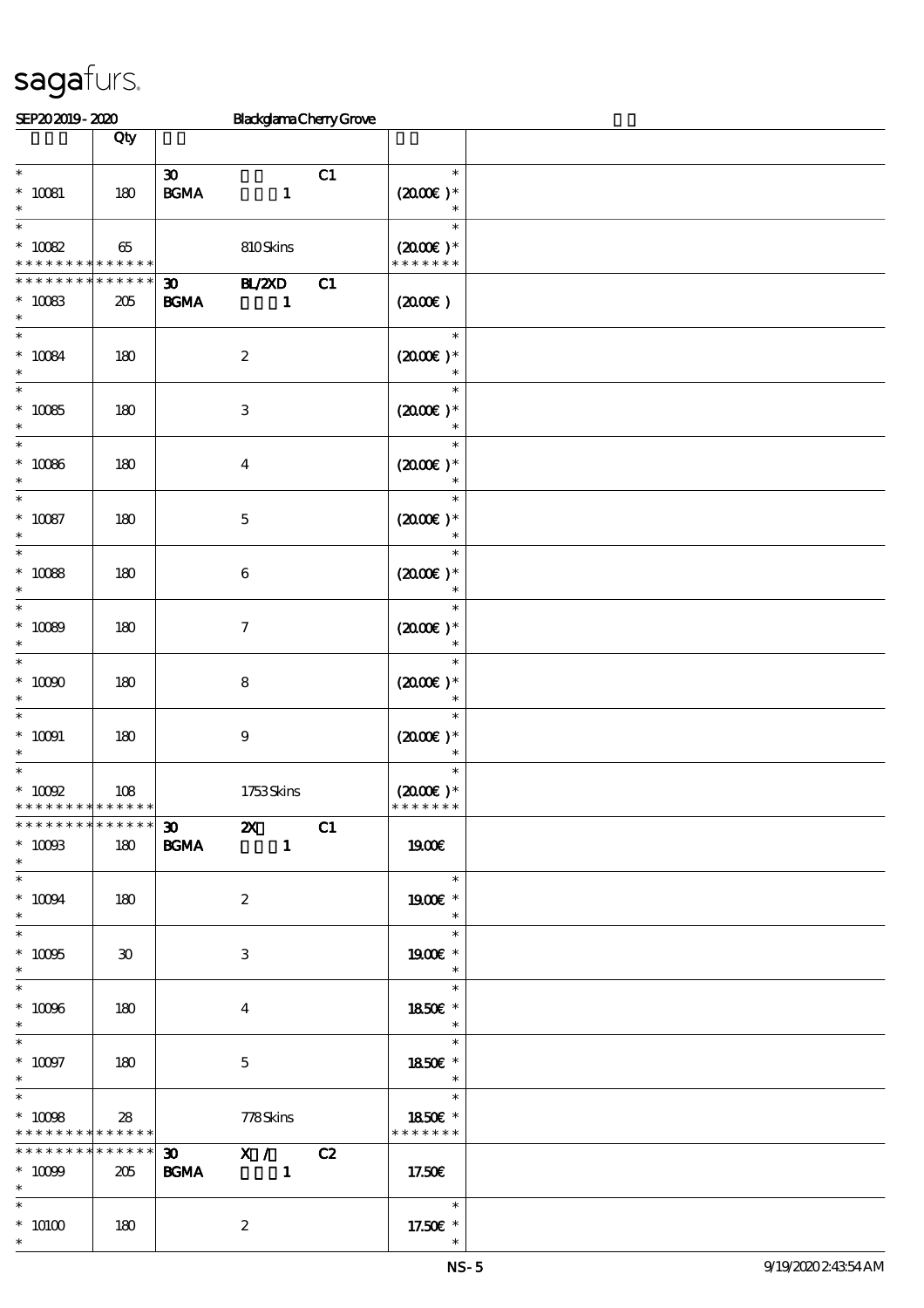| SEP202019-2020                                              |              |                             |                           | <b>BlackglamaChenyGrove</b> |                                    |  |
|-------------------------------------------------------------|--------------|-----------------------------|---------------------------|-----------------------------|------------------------------------|--|
|                                                             | Qty          |                             |                           |                             |                                    |  |
|                                                             |              |                             |                           |                             |                                    |  |
| $\ast$                                                      |              | $\boldsymbol{\mathfrak{D}}$ |                           | C1                          | $\ast$                             |  |
| $^\ast$ 10081                                               | 180          | $\mathbf{B G MA}$           | $\mathbf{1}$              |                             | $(2000\varepsilon)*$               |  |
| $\ast$                                                      |              |                             |                           |                             | $\ast$                             |  |
| $\ast$                                                      |              |                             |                           |                             | $\ast$                             |  |
| $^*$ 10082 $\,$                                             | 65           |                             | 810Skins                  |                             | $(2000\varepsilon)*$               |  |
| * * * * * * *                                               | * * * * * *  |                             |                           |                             | * * * * * * *                      |  |
| * * * * * * *                                               | * * * * * *  | $\boldsymbol{\mathfrak{D}}$ | $\mathbf{H}$ /2XD         | C1                          |                                    |  |
| $* 10083$                                                   | 205          | <b>BGMA</b>                 | 1                         |                             | (200E)                             |  |
| $\ast$                                                      |              |                             |                           |                             |                                    |  |
| $\ast$                                                      |              |                             |                           |                             | $\ast$                             |  |
| $* 10084$                                                   | 180          |                             | $\boldsymbol{2}$          |                             | $(2000)$ *                         |  |
| $\ast$                                                      |              |                             |                           |                             |                                    |  |
| $\ast$                                                      |              |                             |                           |                             | $\ast$                             |  |
| $* 10085$                                                   | 180          |                             | $\ensuremath{\mathsf{3}}$ |                             | $(2000E)*$                         |  |
| $\ast$                                                      |              |                             |                           |                             |                                    |  |
| $\ast$                                                      |              |                             |                           |                             | $\ast$                             |  |
| $^\ast$ 10086                                               | 180          |                             | $\boldsymbol{4}$          |                             | $(2000\varepsilon)*$               |  |
| $\ast$                                                      |              |                             |                           |                             | $\ast$                             |  |
| $\ast$                                                      |              |                             |                           |                             | $\ast$                             |  |
| $^\ast$ 10087                                               | 180          |                             | $\mathbf 5$               |                             | $(2000)$ *                         |  |
| $\ast$                                                      |              |                             |                           |                             | $\ast$                             |  |
| $\ast$                                                      |              |                             |                           |                             | $\ast$                             |  |
| $^\ast$ 10088                                               | 180          |                             | $\,6\,$                   |                             | $(2000)$ *                         |  |
| $\ast$                                                      |              |                             |                           |                             | $\ast$                             |  |
| $\ast$                                                      |              |                             |                           |                             | $\ast$                             |  |
| $^\ast$ 10089                                               | 180          |                             | $\boldsymbol{7}$          |                             | $(2000)$ *                         |  |
| $\ast$                                                      |              |                             |                           |                             | $\ast$                             |  |
| $\ast$                                                      |              |                             |                           |                             | $\ast$                             |  |
| $^*$ 10090 $\,$                                             | 180          |                             |                           |                             | $(2000)$ *                         |  |
| $\ast$                                                      |              |                             | $\bf 8$                   |                             |                                    |  |
| $\ast$                                                      |              |                             |                           |                             | $\ast$                             |  |
| $^*$ 10091 $\,$                                             |              |                             |                           |                             | $(2000\varepsilon)*$               |  |
| $\ast$                                                      | 180          |                             | $\boldsymbol{9}$          |                             |                                    |  |
| $\ast$                                                      |              |                             |                           |                             | $\ast$                             |  |
| $^*$ 10092 $\,$                                             | 108          |                             | 1753Skins                 |                             | $(2000)$ *                         |  |
| * * * * * * * *                                             | * * * * * *  |                             |                           |                             | * * * * * * *                      |  |
| * * * * * * * * * * * * * * *                               |              | $\overline{\mathbf{z}}$     |                           | C1                          |                                    |  |
| $^*$ 10093                                                  | 180          | <b>BGMA</b>                 | $\blacksquare$            |                             | 1900E                              |  |
| $*$                                                         |              |                             |                           |                             |                                    |  |
| $\ast$                                                      |              |                             |                           |                             | $\overline{\phantom{a}}$<br>$\ast$ |  |
|                                                             |              |                             |                           |                             |                                    |  |
| $^*$ 10094 $\,$<br>$\ast$                                   | 180          |                             | $\boldsymbol{2}$          |                             | 1900E *<br>$\ast$                  |  |
| $\ast$                                                      |              |                             |                           |                             | $\ast$                             |  |
|                                                             |              |                             |                           |                             |                                    |  |
| $^\ast$ 10095<br>$\ast$                                     | $30^{\circ}$ |                             | 3                         |                             | 1900E *                            |  |
| $\overline{\phantom{0}}$                                    |              |                             |                           |                             | $\ast$<br>$\ast$                   |  |
|                                                             |              |                             |                           |                             |                                    |  |
| $^\ast$ 10096<br>$\ast$                                     | 180          |                             | 4                         |                             | 1850€ *                            |  |
|                                                             |              |                             |                           |                             | $\ast$<br>$*$                      |  |
|                                                             |              |                             |                           |                             |                                    |  |
| $^*$ 10097                                                  | 180          |                             | $\mathbf{5}$              |                             | 1850E *                            |  |
| $*$<br>$\ast$                                               |              |                             |                           |                             | $\overline{\phantom{a}}$<br>$\ast$ |  |
|                                                             |              |                             |                           |                             | an an                              |  |
| $^*$ 10098 $\,$                                             | 28           |                             | 778Skins                  |                             | 1850E *<br>* * * * * * *           |  |
| * * * * * * * * <mark>* * * * * *</mark><br>* * * * * * * * | ******       |                             |                           |                             |                                    |  |
|                                                             |              |                             | 30 X / C2                 |                             |                                    |  |
| $* 10009$                                                   | 205          | <b>BGMA</b>                 |                           |                             | 17.50€                             |  |
| $*$ $*$                                                     |              |                             |                           |                             | $\overline{\mathbf{r}}$            |  |
| $\ast$                                                      |              |                             |                           |                             |                                    |  |
| $^*$ $\,$ $10100$                                           | 180          |                             | $\boldsymbol{z}$          |                             | 17.50€ *                           |  |
| $\ast$                                                      |              |                             |                           |                             |                                    |  |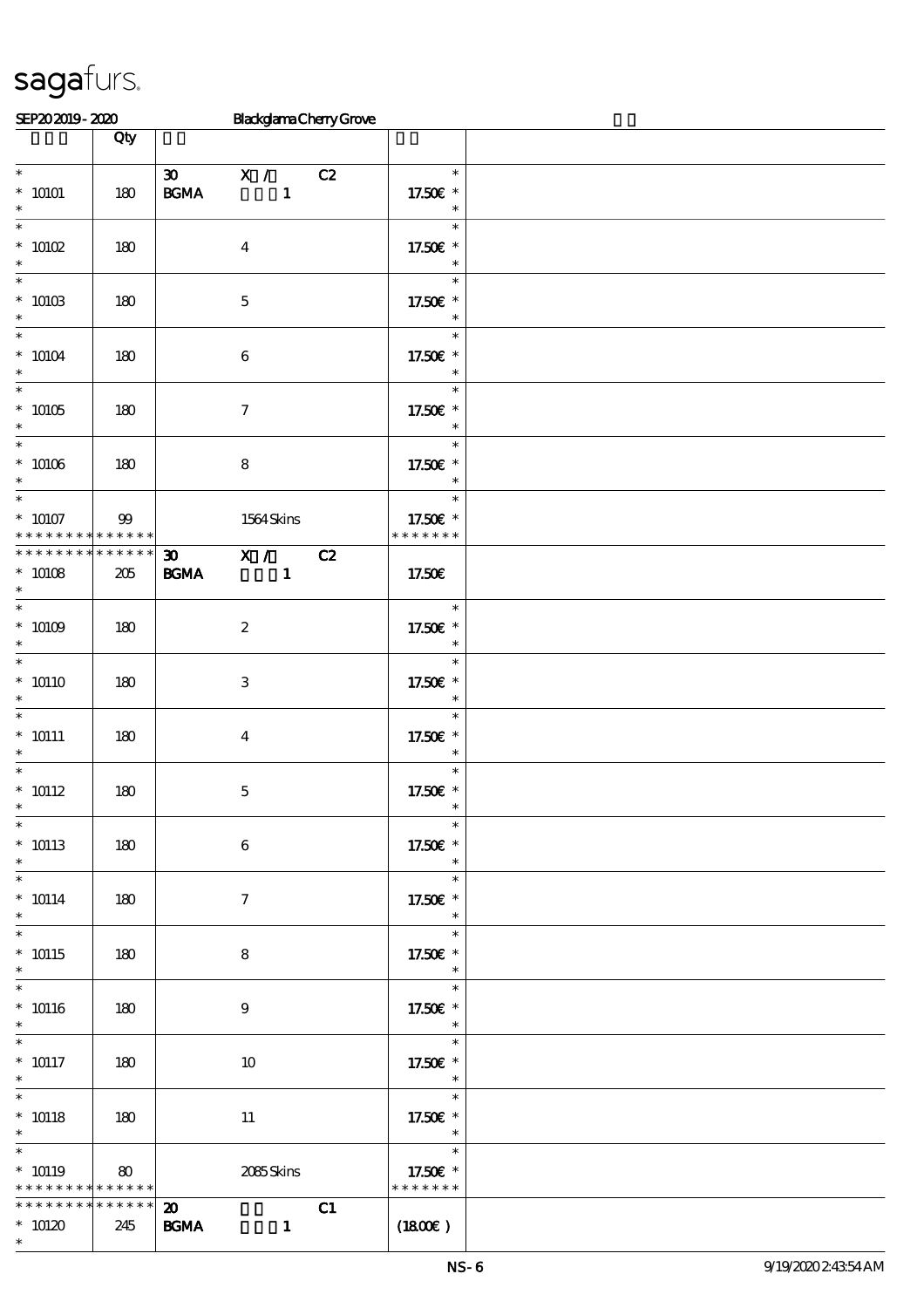| SEP202019-2020                                                    |                    |                                                  |                                | <b>BlackglamaCherryGrove</b> |                                                                  |  |
|-------------------------------------------------------------------|--------------------|--------------------------------------------------|--------------------------------|------------------------------|------------------------------------------------------------------|--|
|                                                                   | Qty                |                                                  |                                |                              |                                                                  |  |
| $\ast$<br>$*$ 10101<br>$\ast$                                     | 180                | $\boldsymbol{\mathfrak{D}}$<br>$\mathbf{B G MA}$ | X /<br>$\mathbf{1}$            | C2                           | $\ast$<br>17.50€ *<br>$\ast$                                     |  |
| $\ast$<br>$^*$ 10102 $\,$<br>$\ast$                               | 180                | $\boldsymbol{4}$                                 |                                |                              | $\ast$<br>17.50€ *<br>$\ast$                                     |  |
| $\ast$<br>$^*$ 10103 $\,$<br>$\ast$                               | 180                | $\mathbf 5$                                      |                                |                              | $\ast$<br>17.50€ *<br>$\ast$                                     |  |
| $\ast$<br>$*10104$<br>$\ast$                                      | 180                | $\,6\,$                                          |                                |                              | $\ast$<br>17.50€ *<br>$\ast$                                     |  |
| $\overline{\phantom{a}^*}$<br>$* 10105$<br>$\ast$                 | 180                | $\boldsymbol{\tau}$                              |                                |                              | $\ast$<br>17.50€ *<br>$\ast$                                     |  |
| $\overline{\phantom{0}}$<br>$^*$ 10106 $\,$<br>$\ast$             | 180                | $\bf 8$                                          |                                |                              | $\ast$<br>17.50€ *<br>$\ast$                                     |  |
| $\ast$<br>$* 10107$<br>* * * * * * * * <mark>* * * * * * *</mark> | $99$               |                                                  | 1564Skins                      |                              | $\ast$<br>17.50€ *<br>* * * * * * *                              |  |
| * * * * * * * *<br>$* 10108$<br>$\ast$                            | * * * * * *<br>205 | $\boldsymbol{\mathfrak{D}}$<br><b>BGMA</b>       | $\mathbf{X}$ /<br>$\mathbf{1}$ | C2                           | 17.50€                                                           |  |
| $\ast$<br>$*$ 10109 $\,$<br>$\ast$                                | 180                | $\boldsymbol{2}$                                 |                                |                              | $\ast$<br>17.50€ *<br>$\ast$                                     |  |
| $\ast$<br>$* 10110$<br>$\ast$                                     | 180                | $\,3$                                            |                                |                              | $\ast$<br>17.50€ *<br>$\ast$                                     |  |
| $\ast$<br>$* 10111$<br>$\ast$                                     | 180                | $\boldsymbol{4}$                                 |                                |                              | $\ast$<br>17.50€ *<br>$\ast$                                     |  |
| $\ast$<br>$^*$ 10112<br>$*$                                       | 180                | $\mathbf 5$                                      |                                |                              | $\ast$<br>17.50€ *<br>$\ast$                                     |  |
| $\ast$<br>$* 10113$<br>$\ast$                                     | 180                | $\,6\,$                                          |                                |                              | $\ast$<br>17.50€ *<br>$\ast$                                     |  |
| $\ast$<br>$* 10114$<br>$\ast$                                     | 180                | $\tau$                                           |                                |                              | $\ast$<br>17.50€ *<br>$\ast$                                     |  |
| $\ast$<br>$* 10115$<br>$\ast$                                     | 180                | 8                                                |                                |                              | $\ast$<br>17.50€ *<br>$\overline{\mathbf{r}}$                    |  |
| $\ast$<br>$^*$ 10116<br>$\ast$                                    | 180                | 9                                                |                                |                              | $\overline{\phantom{0}}$<br>17.50£ *<br>$\ast$                   |  |
| $\ast$<br>$^*$ 10117<br>$*$                                       | 180                | 10                                               |                                |                              | $\ast$<br>17.50 £*<br>$\overline{\phantom{a}}$                   |  |
| $\overline{\ast}$<br>$^*$ 10118<br>$*$ $*$                        | 180                | $11\,$                                           |                                |                              | $\overline{\phantom{a}}$<br>17.50€ *<br>$\overline{\phantom{a}}$ |  |
| $\ast$<br>$* 10119$<br>* * * * * * * * * * * * * *                | 80                 |                                                  | 2085Skins                      |                              | $\overline{\phantom{0}}$<br>$\ast$<br>17.50€ *<br>* * * * * * *  |  |
| * * * * * * * *<br>$*10120$<br>$\ast$                             | * * * * * *<br>245 | $\boldsymbol{\mathsf{20}}$<br><b>BGMA</b>        | $\mathbf{1}$                   | C1                           | (1800)                                                           |  |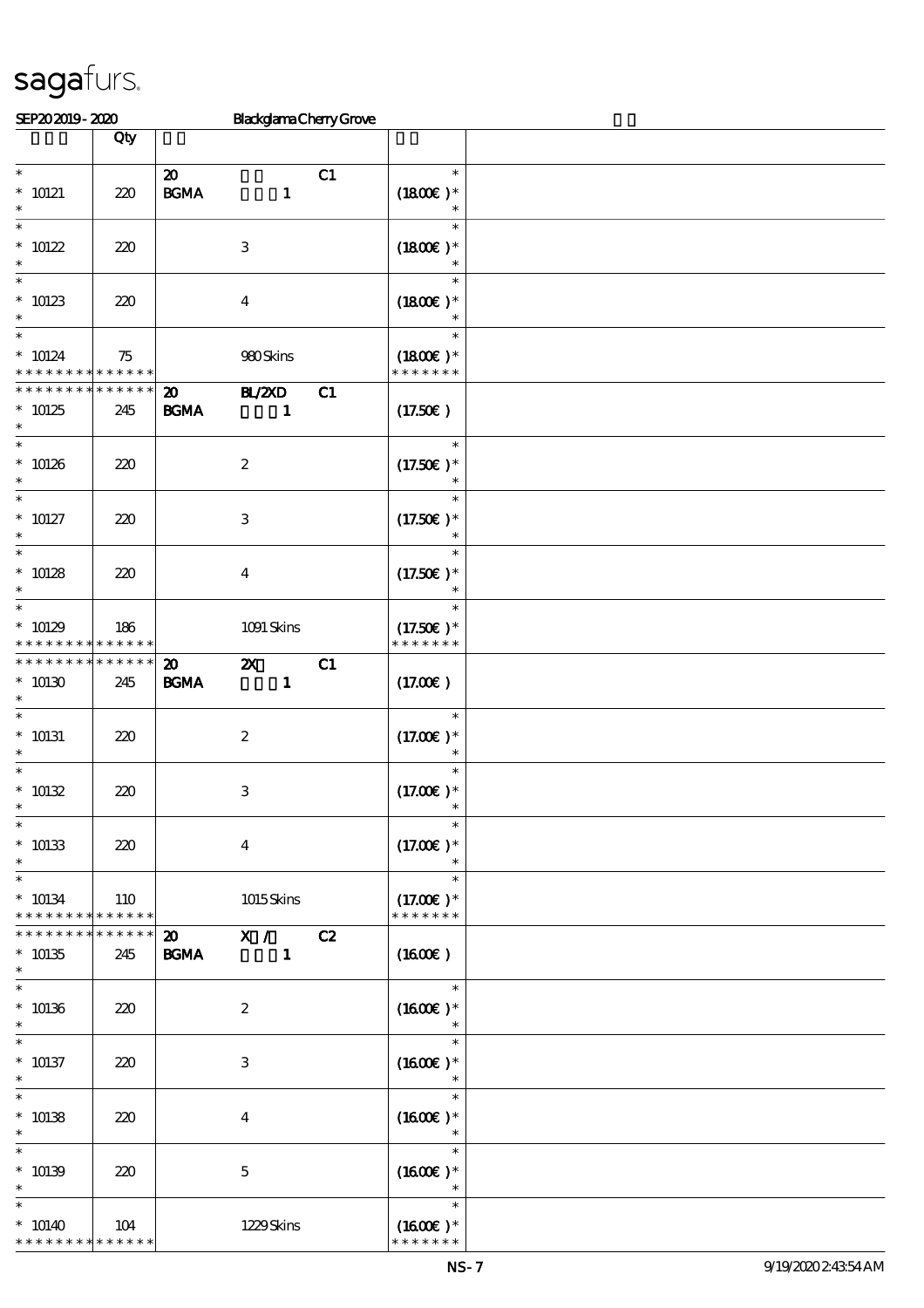| SEP202019-2020                                                |                    |                                                | <b>BlackglamaChenyGrove</b>               |    |                                           |  |
|---------------------------------------------------------------|--------------------|------------------------------------------------|-------------------------------------------|----|-------------------------------------------|--|
|                                                               | Qty                |                                                |                                           |    |                                           |  |
| $\ast$<br>$* 10121$<br>$\ast$                                 | 220                | $\boldsymbol{\mathbf{z}}$<br>$\mathbf{B G MA}$ | $\mathbf{1}$                              | C1 | $\ast$<br>$(1800)$ *<br>$\ast$            |  |
| $\ast$<br>$* 10122$<br>$\ast$                                 | 220                |                                                | $\,3$                                     |    | $\ast$<br>$(1800E)*$<br>$\ast$            |  |
| $\ast$<br>$* 10123$<br>$\ast$<br>$\ast$                       | 220                |                                                | $\boldsymbol{4}$                          |    | $\ast$<br>$(1800E)*$<br>$\ast$            |  |
| $* 10124$<br>* * * * * * * * <mark>* * * * * *</mark>         | 75                 |                                                | 980Skins                                  |    | $\ast$<br>$(1800)$ *<br>* * * * * * *     |  |
| * * * * * * * *<br>$*10125$<br>$\ast$                         | * * * * * *<br>245 | $\boldsymbol{\mathfrak{D}}$<br><b>BGMA</b>     | <b>H_/2XD</b><br>$\mathbf{1}$             | C1 | (17.50E)                                  |  |
| $\overline{\ast}$<br>$* 10126$<br>$\ast$<br>$\overline{\ast}$ | 220                |                                                | $\boldsymbol{2}$                          |    | $\ast$<br>$(17.50)$ *<br>$\ast$<br>$\ast$ |  |
| $* 10127$<br>$\ast$                                           | 220                |                                                | $\,3\,$                                   |    | $(17.50)$ *<br>$\ast$                     |  |
| $\ast$<br>$* 10128$<br>$\ast$                                 | 220                |                                                | $\boldsymbol{4}$                          |    | $\ast$<br>$(17.50)$ *<br>$\ast$           |  |
| $\ast$<br>$*10129$<br>* * * * * * * *                         | 186<br>* * * * * * |                                                | 1091 Skins                                |    | $\ast$<br>$(17.50)$ *<br>* * * * * * *    |  |
| * * * * * * * *<br>$*10130$<br>$\ast$                         | * * * * * *<br>245 | $\boldsymbol{\mathfrak{D}}$<br><b>BGMA</b>     | $\boldsymbol{\mathsf{z}}$<br>$\mathbf{1}$ | C1 | (17.00)                                   |  |
| $\ast$<br>$* 10131$<br>$\ast$                                 | 220                |                                                | $\boldsymbol{2}$                          |    | $\ast$<br>$(17.00)$ *                     |  |
| $\ast$<br>$* 10132$                                           | 220                |                                                | $\,3\,$                                   |    | $\ast$<br>$(17.00)$ *                     |  |
| $\ast$<br>$* 10133$<br>$\ast$                                 | 220                |                                                | $\boldsymbol{4}$                          |    | $\ast$<br>$(17.00)$ *<br>$\ast$           |  |
| $\ast$<br>$* 10134$<br>* * * * * * * * * * * * * *            | 110<br>* * * * * * |                                                | 1015Skins                                 |    | $\ast$<br>$(17.00)$ *<br>* * * * * * *    |  |
| * * * * * * * *<br>$* 10135$<br>$\ast$<br>$\ast$              | 245                | $\boldsymbol{\mathsf{20}}$<br><b>BGMA</b>      | $\mathbf{X}$ /<br>$\mathbf{1}$            | C2 | $(1600\varepsilon)$<br>$\ast$             |  |
| $* 10136$<br>$\ast$                                           | 220                |                                                | $\boldsymbol{2}$                          |    | $(1600E)*$                                |  |
| $\ast$<br>$* 10137$<br>$\ast$<br>$\ast$                       | 220                |                                                | 3                                         |    | $\ast$<br>$(1600E)*$<br>$\ast$            |  |
| $* 10138$<br>$\ast$<br>$\ast$                                 | 220                |                                                | $\bf{4}$                                  |    | $(1600E)*$<br>$\ast$<br>$\ast$            |  |
| $* 10139$<br>$\ast$                                           | 220                |                                                | $\mathbf 5$                               |    | $(1600E)*$<br>$\ast$                      |  |
| $\ast$<br>$* 10140$<br>* * * * * * * * * * * * * *            | 104                |                                                | 1229Skins                                 |    | $\ast$<br>$(1600E)*$<br>* * * * * * *     |  |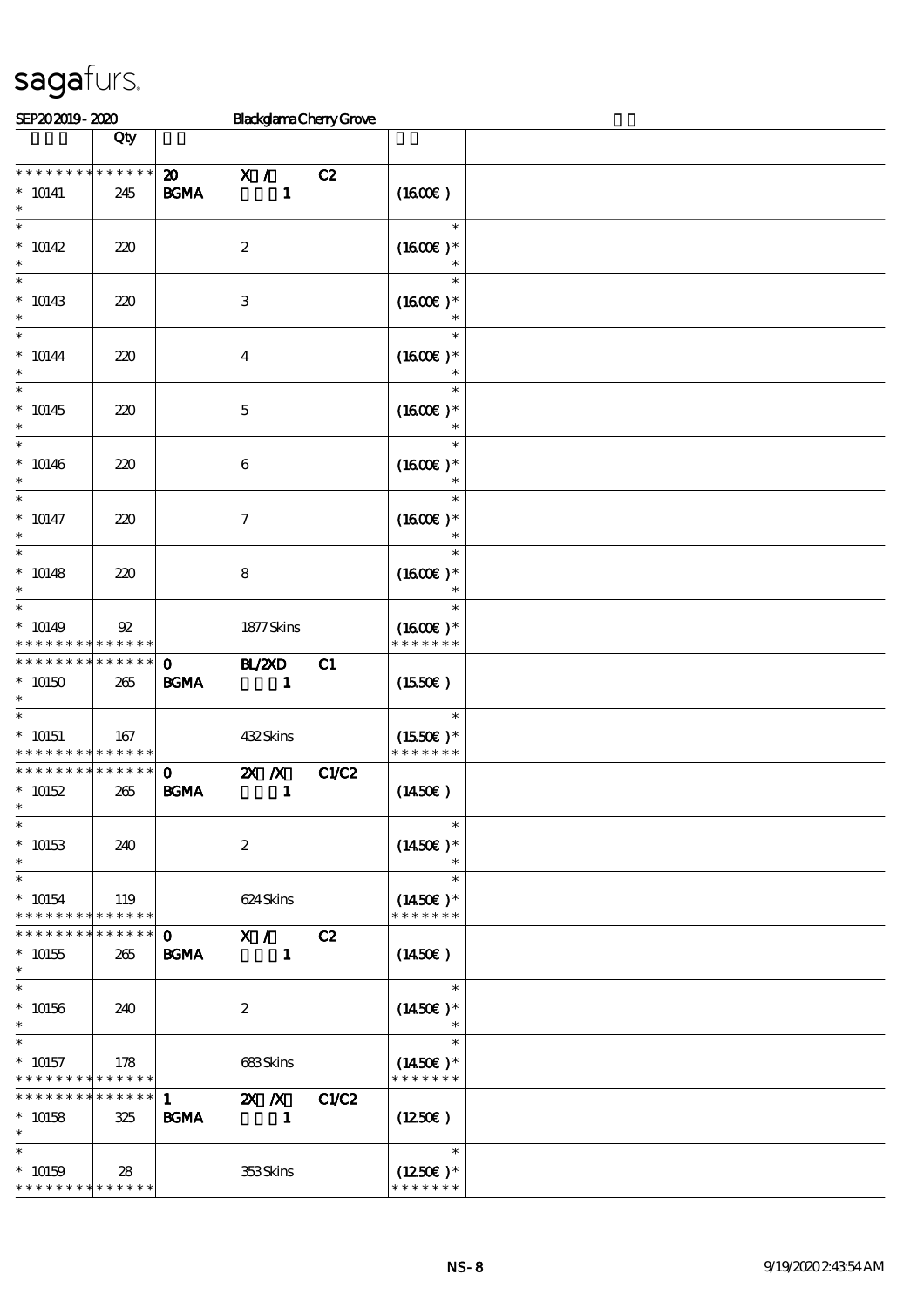| SEP202019-2020                                     |                               |                                                  | <b>BlackglamaChenyGrove</b>                 |              |                                                 |  |
|----------------------------------------------------|-------------------------------|--------------------------------------------------|---------------------------------------------|--------------|-------------------------------------------------|--|
|                                                    | Qty                           |                                                  |                                             |              |                                                 |  |
| * * * * * * * *<br>$* 10141$<br>$\ast$             | * * * * * *<br>245            | $\boldsymbol{\mathfrak{D}}$<br>$\mathbf{B G MA}$ | X /<br>$\mathbf{1}$                         | C2           | (1600)                                          |  |
| $\ast$<br>$* 10142$<br>$\ast$                      | 220                           |                                                  | $\boldsymbol{2}$                            |              | $\ast$<br>$(1600E)*$<br>$\ast$                  |  |
| $\ast$<br>$* 10143$<br>$\ast$                      | 220                           |                                                  | $\,3$                                       |              | $\ast$<br>$(1600E)*$<br>$\ast$                  |  |
| $\ast$<br>$* 10144$<br>$\ast$                      | 220                           |                                                  | $\boldsymbol{4}$                            |              | $\ast$<br>$(1600E)*$                            |  |
| $\overline{\ast}$<br>$* 10145$<br>$\ast$           | 220                           |                                                  | $\mathbf 5$                                 |              | $\ast$<br>$(1600E)*$<br>$\ast$                  |  |
| $\ast$<br>$* 10146$<br>$\ast$                      | 220                           |                                                  | $\boldsymbol{6}$                            |              | $\ast$<br>$(1600E)*$<br>$\ast$                  |  |
| $\ast$<br>$* 10147$<br>$\ast$                      | 220                           |                                                  | $\boldsymbol{7}$                            |              | $\ast$<br>$(1600E)*$<br>$\ast$                  |  |
| $\ast$<br>$* 10148$<br>$\ast$                      | 220                           |                                                  | 8                                           |              | $\ast$<br>$(1600E)*$<br>$\ast$                  |  |
| $\ast$<br>$* 10149$<br>* * * * * * * *             | $\mathfrak{B}$<br>* * * * * * |                                                  | 1877Skins                                   |              | $\ast$<br>$(1600E)*$<br>* * * * * * *           |  |
| * * * * * * * *<br>$*10150$<br>$\ast$              | * * * * * *<br>265            | $\mathbf 0$<br><b>BGMA</b>                       | <b>H_/2XD</b><br>$\mathbf{1}$               | C1           | (1550E)                                         |  |
| $\ast$<br>$^*$ 10151<br>* * * * * * * *            | 167<br>******                 |                                                  | 432Skins                                    |              | $\ast$<br>$(1550E)*$<br>* * * * * * *           |  |
| * * * * * * * *<br>$* 10152$<br>$*$                | $******$<br>265               | $\mathbf{o}$<br><b>BGMA</b>                      | $X$ $N$<br>$\mathbf{1}$                     | <b>C1/C2</b> | $(1450\epsilon)$                                |  |
| $\ast$<br>$* 10153$<br>$\ast$                      | 240                           |                                                  | $\boldsymbol{2}$                            |              | $\ast$<br>$(1450E)^*$<br>$\ast$                 |  |
| $\ast$<br>$* 10154$<br>* * * * * * * *             | 119<br>* * * * * *            |                                                  | 624 Skins                                   |              | $\ast$<br>$(1450\varepsilon)*$<br>* * * * * * * |  |
| * * * * * * *<br>$* 10155$<br>$\ast$               | * * * * * *<br>265            | $\mathbf{o}$<br><b>BGMA</b>                      | X /<br>$\blacksquare$                       | C2           | $(1450\epsilon)$                                |  |
| $\ast$<br>$* 10156$<br>$\ast$                      | 240                           |                                                  | $\boldsymbol{z}$                            |              | $\ast$<br>$(1450E)*$                            |  |
| $\ast$<br>$* 10157$<br>* * * * * * * *             | 178<br>* * * * * *            |                                                  | 683Skins                                    |              | $\ast$<br>$(1450\text{E})*$<br>* * * * * * *    |  |
| * * * * * * *<br>$* 10158$<br>$\ast$               | * * * * * *<br>325            | $1 \quad$<br><b>BGMA</b>                         | $\mathbf{X}$ $\mathbf{X}$<br>$\blacksquare$ | C1/C2        | $(1250\epsilon)$                                |  |
| $\ast$<br>$* 10159$<br>* * * * * * * * * * * * * * | 28                            |                                                  | 353Skins                                    |              | $\ast$<br>$(1250E)*$<br>* * * * * * *           |  |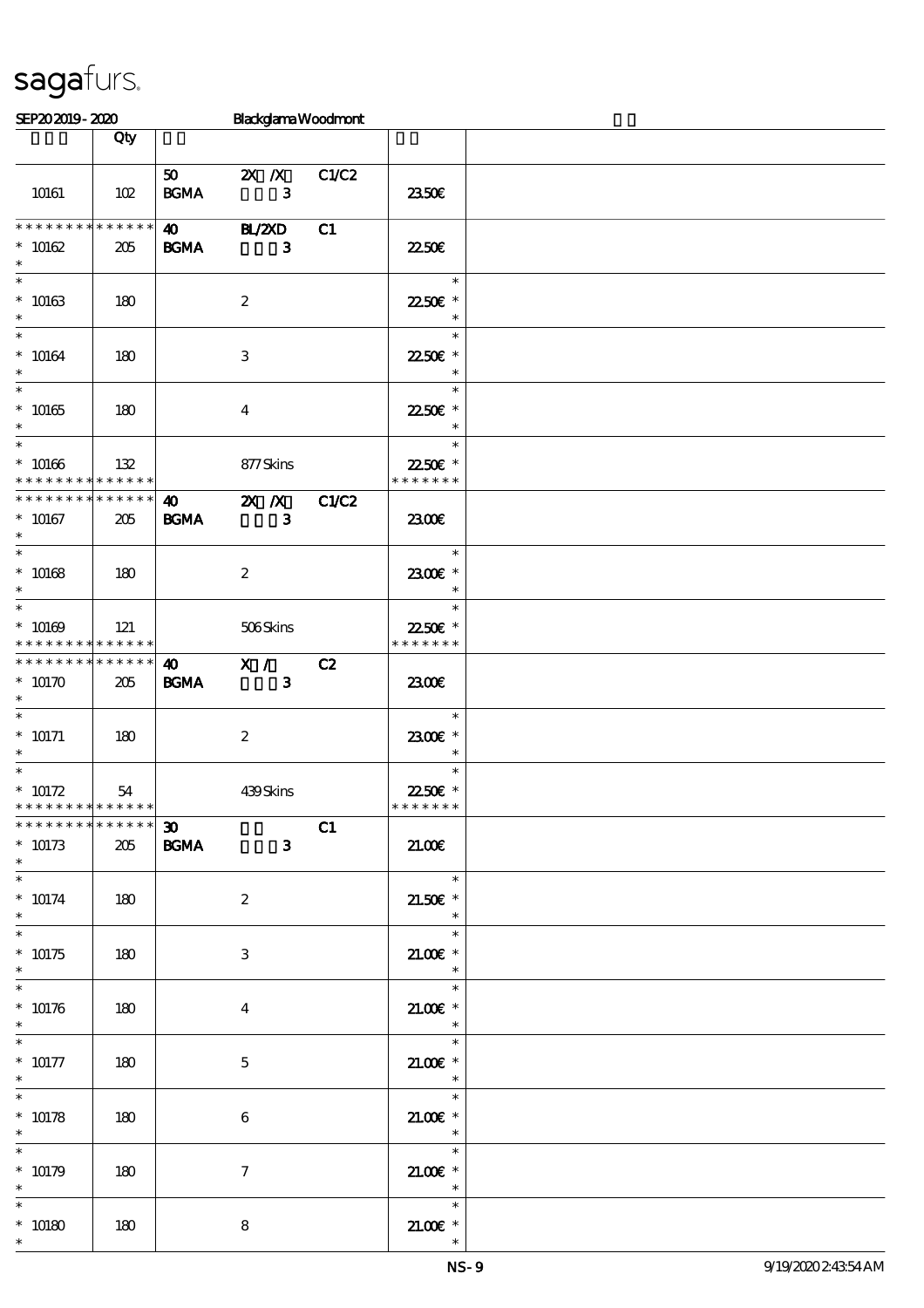#### SEP20 2019 - 2020 Blackglama Woodmont

|                                                                      | Qty         |                                            |                                                                                  |    |                                                                |  |
|----------------------------------------------------------------------|-------------|--------------------------------------------|----------------------------------------------------------------------------------|----|----------------------------------------------------------------|--|
| 10161                                                                | 102         | <b>BGMA</b>                                | 50 2X X C1/C2<br>$\mathbf{3}$                                                    |    | 2350E                                                          |  |
| * * * * * * * * * * * * * *<br>$* 10162$<br>$\ast$                   | 205         | <b>BGMA</b>                                | 40 BL/2XD<br>$\overline{\phantom{a}}$ 3                                          | C1 | <b>2250€</b>                                                   |  |
| $\overline{\phantom{0}}$<br>$^*$ 10163 $\,$<br>$*$                   | 180         |                                            | $\boldsymbol{2}$                                                                 |    | $\overline{\mathbf{r}}$<br>2250E *<br>$\overline{\phantom{a}}$ |  |
| $*$<br>$^*$ 10164 $\,$<br>$\ast$                                     | 180         |                                            | 3                                                                                |    | $\ast$<br>22.50€ *<br>$\overline{\phantom{a}}$                 |  |
| $\ast$<br>$^*$ 10165                                                 | 180         |                                            | $\overline{\mathbf{4}}$                                                          |    | $\ast$<br>22.50€ *<br>$\ast$                                   |  |
| $\overline{\phantom{0}}$<br>$* 10166$<br>* * * * * * * * * * * * * * | $\vert$ 132 |                                            | 877 Skins                                                                        |    | $\ast$<br>22.50€*<br>* * * * * * *                             |  |
| **************<br>$* 10167$<br>$\ast$                                | 205         | <b>BGMA</b>                                | $\overline{40}$ $\overline{2X}$ $\overline{X}$ $\overline{C1}C2$<br>$\mathbf{3}$ |    | 2300                                                           |  |
| $\ast$<br>$* 10168$<br>$\ast$                                        | $\vert$ 180 |                                            | $\boldsymbol{2}$                                                                 |    | $\overline{\phantom{0}}$<br>2300€ *<br>$\ast$                  |  |
| $^*$ 10169 $\,$<br>* * * * * * * * * * * * * *                       | 121         |                                            | 506Skins                                                                         |    | $\ast$<br>22.50€ *<br>* * * * * * *                            |  |
| * * * * * * * * * * * * * *<br>$*10170$<br>$\ast$                    | 205         | <b>BGMA</b>                                | $\sqrt{40}$ X /<br>$\overline{\phantom{a}}$ 3                                    | C2 | 2300                                                           |  |
| $\ast$<br>$^*$ 10171<br>$\ast$                                       | 180         |                                            | $\boldsymbol{2}$                                                                 |    | $\ast$<br>2300€ *<br>$\ast$                                    |  |
| $\ast$<br>$* 10172$<br>* * * * * * * * * * * * * *                   | 54          |                                            | 439Skins                                                                         |    | $\ast$<br>22.50€ *<br>* * * * * * *                            |  |
| * * * * * * * * <mark>* * * * * *</mark><br>$* 10173$<br>$\ast$      | 205         | $\boldsymbol{\mathfrak{D}}$<br><b>BGMA</b> | $\mathbf{3}$                                                                     | C1 | 21.00E                                                         |  |
| $\ast$<br>$* 10174$<br>$\ast$<br>$\overline{\ast}$                   | 180         |                                            | $\boldsymbol{2}$                                                                 |    | $\ast$<br>$21.50E$ *<br>$\ast$                                 |  |
| $* 10175$<br>$\ast$<br>$\overline{\phantom{0}}$                      | 180         |                                            | $\,3$                                                                            |    | $\ast$<br>$21.005*$<br>$\ast$                                  |  |
| $* 10176$<br>$\ast$                                                  | 180         |                                            | $\bf{4}$                                                                         |    | $\ast$<br>$21.00E$ *<br>$\ast$                                 |  |
| $\ast$<br>$* 10177$<br>$\ast$                                        | 180         |                                            | $\mathbf 5$                                                                      |    | $\ast$<br>$21.005*$<br>$\ast$                                  |  |
| $\ast$<br>$* 10178$<br>$\ast$                                        | 180         |                                            | $\boldsymbol{6}$                                                                 |    | $\ast$<br>$21.00$ $\epsilon$ *<br>$\ast$                       |  |
| $\overline{\ast}$<br>$* 10179$<br>$\ast$                             | 180         |                                            | $\tau$                                                                           |    | $\ast$<br>$21.005*$<br>$\ast$                                  |  |
| $\ast$<br>$* 10180$<br>$\ast$                                        | $180\,$     |                                            | 8                                                                                |    | $\ast$<br>$21.005*$<br>$\ast$                                  |  |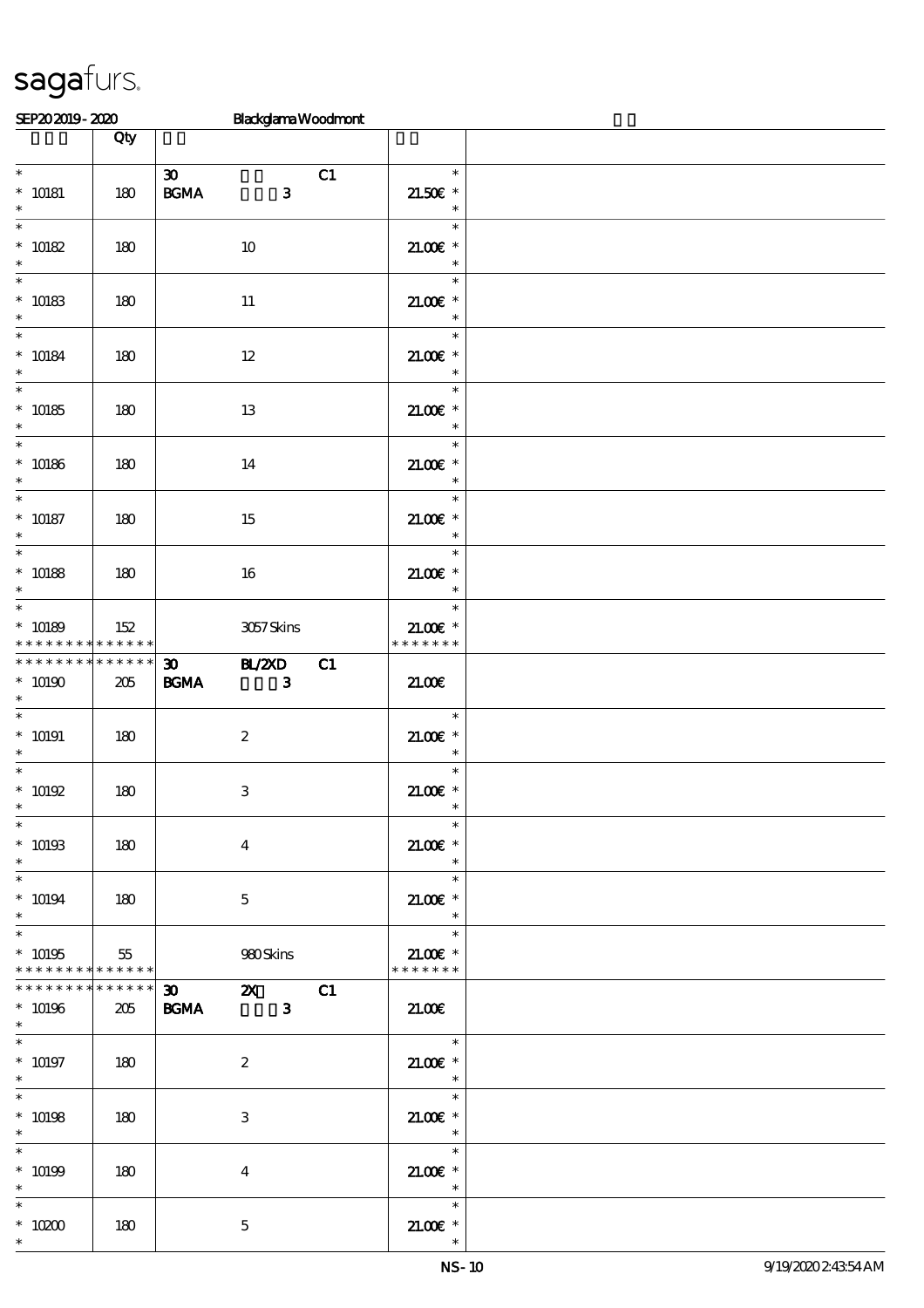| SEP202019-2020                                       |                    |                                                                           | <b>Blackglama Woodmont</b>   |    |                                                  |  |
|------------------------------------------------------|--------------------|---------------------------------------------------------------------------|------------------------------|----|--------------------------------------------------|--|
|                                                      | Qty                |                                                                           |                              |    |                                                  |  |
| $\ast$<br>$* 10181$<br>$\ast$                        | 180                | $\boldsymbol{\mathfrak{D}}$<br>$\mathbf{B}\mathbf{G}\mathbf{M}\mathbf{A}$ | $\mathbf{3}$                 | C1 | $\ast$<br>$21.50E$ *<br>$\ast$                   |  |
| $\ast$<br>$* 10182$<br>$\ast$                        | 180                |                                                                           | $10\,$                       |    | $\ast$<br>$21.00E$ *<br>$\ast$                   |  |
| $\ast$<br>$* 10183$<br>$\ast$                        | 180                |                                                                           | $11\,$                       |    | $\ast$<br>$21.005*$<br>$\ast$                    |  |
| $\ast$<br>$* 10184$<br>$\ast$                        | 180                |                                                                           | $12\,$                       |    | $\ast$<br>$21.005*$<br>$\ast$                    |  |
| $\ast$<br>$* 10185$<br>$\ast$                        | 180                |                                                                           | 13                           |    | $\ast$<br>$21.00E$ *<br>$\ast$                   |  |
| $\ast$<br>$* 10186$<br>$\ast$                        | 180                |                                                                           | 14                           |    | $\ast$<br>$21.005*$<br>$\ast$                    |  |
| $\overline{\ast}$<br>$* 10187$<br>$\ast$             | 180                |                                                                           | 15                           |    | $\ast$<br>$21.005*$<br>$\ast$                    |  |
| $\ast$<br>$* 10188$<br>$\ast$                        | 180                |                                                                           | 16                           |    | $\ast$<br>$21.00E$ *<br>$\ast$                   |  |
| $\ast$<br>$* 10189$<br>* * * * * * * *               | 152<br>$******$    |                                                                           | 3057Skins                    |    | $\ast$<br>$21.005*$<br>* * * * * * *             |  |
| * * * * * * * *<br>$*$ 10190 $\,$<br>$\ast$          | * * * * * *<br>205 | $\boldsymbol{\mathfrak{D}}$<br>$\mathbf{B G MA}$                          | H/ZCD<br>$\mathbf{3}$        | C1 | 21.00                                            |  |
| $\ast$<br>$* 10191$<br>$\ast$                        | 180                |                                                                           | $\boldsymbol{2}$             |    | $\ast$<br>$21.005*$<br>$\ast$                    |  |
| $\ast$<br>$*$ 10192<br>∗                             | 180                |                                                                           | $\ensuremath{\mathbf{3}}$    |    | $\ast$<br>$21.00$ $\epsilon$ *                   |  |
| $\ast$<br>$^*$ 10193<br>$\ast$                       | 180                |                                                                           | $\boldsymbol{4}$             |    | $\ast$<br>$21.00E$ *<br>$\ast$                   |  |
| $\overline{\ast}$<br>$^*$ 10194 $\,$<br>$\ast$       | 180                |                                                                           | $\mathbf{5}$                 |    | $\ast$<br>$21.005$ *<br>$\ast$                   |  |
| $\ast$<br>$* 10195$<br>* * * * * * * * * * * * * * * | 55                 |                                                                           | 980Skins                     |    | $\ast$<br>$21.005*$<br>* * * * * * *             |  |
| * * * * * * * * * * * * * *<br>$* 10196$<br>$\ast$   | 205                | $\overline{\mathbf{30}}$<br><b>BGMA</b>                                   | <b>2X</b> C1<br>$\mathbf{3}$ |    | 21.00E                                           |  |
| $\ast$<br>$^*$ 10197<br>$\ast$                       | 180                |                                                                           | $\boldsymbol{2}$             |    | $\ast$<br>$21.005*$<br>$\ast$                    |  |
| $\ast$<br>$* 10198$<br>$\ast$                        | 180                |                                                                           | 3                            |    | $\ast$<br>$21.005*$<br>$\ast$                    |  |
| $* 10199$<br>$\ast$                                  | 180                |                                                                           | $\overline{4}$               |    | $\ast$<br>$21.00E$ *<br>$\overline{\phantom{a}}$ |  |
| $\ast$<br>$^*$ 10200 $\,$<br>$\ast$                  | 180                |                                                                           | $\mathbf 5$                  |    | $\ast$<br>$21.005*$<br>$\ast$                    |  |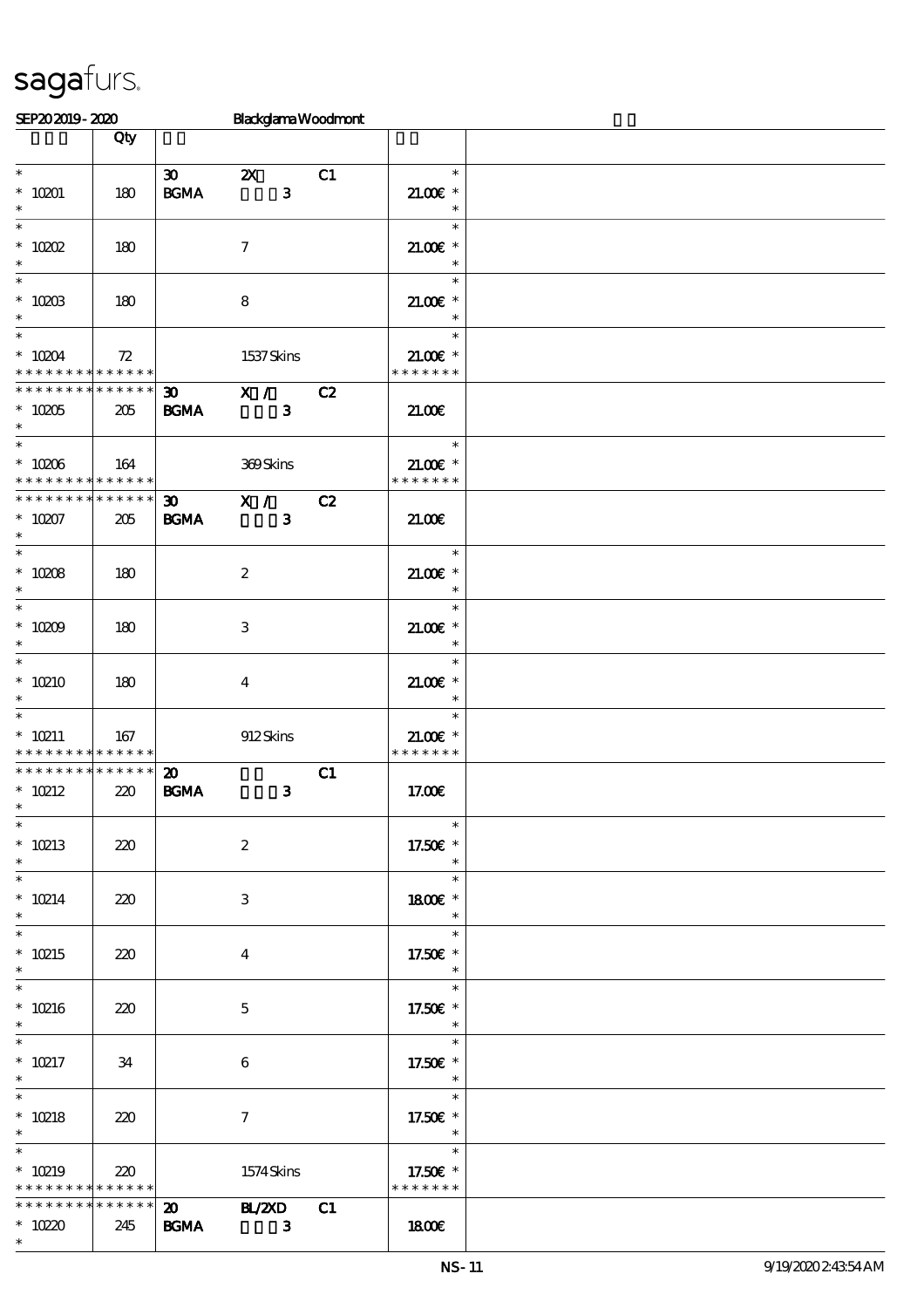| SEP202019-2020                             |                            |                             | <b>Blackglama Woodmont</b> |    |                                      |  |
|--------------------------------------------|----------------------------|-----------------------------|----------------------------|----|--------------------------------------|--|
|                                            | Qty                        |                             |                            |    |                                      |  |
|                                            |                            |                             |                            |    |                                      |  |
| $*$                                        |                            | $\boldsymbol{\mathfrak{D}}$ | $\boldsymbol{\mathsf{Z}}$  | C1 | $\ast$                               |  |
| $*$ 10201                                  | 180                        | <b>BGMA</b>                 | $\mathbf{3}$               |    | $21.00$ $*$                          |  |
| $\ast$                                     |                            |                             |                            |    | $\ast$                               |  |
| $\overline{\ast}$                          |                            |                             |                            |    | $\ast$                               |  |
| $*$ 10202                                  | 180                        |                             | $\tau$                     |    | $21.00E$ *                           |  |
| $\ast$                                     |                            |                             |                            |    | $\ast$                               |  |
|                                            |                            |                             |                            |    | $\ast$                               |  |
| $^*$ 10203                                 | 180                        |                             | 8                          |    | $21.005*$                            |  |
| $\ast$                                     |                            |                             |                            |    | $\ast$                               |  |
| $\overline{\ast}$                          |                            |                             |                            |    | $\ast$                               |  |
| $*10004$                                   | 72                         |                             | 1537Skins                  |    | $21.00E$ *                           |  |
| * * * * * * * * * * * * * *                |                            |                             |                            |    | * * * * * * *                        |  |
| * * * * * * * * * * * * * *                |                            | $\boldsymbol{\mathfrak{D}}$ | X /                        | C2 |                                      |  |
| $*10005$                                   | 205                        | <b>BGMA</b>                 | $\mathbf{3}$               |    | 21.00E                               |  |
| $\ast$                                     |                            |                             |                            |    |                                      |  |
|                                            |                            |                             |                            |    | $\mathcal{L}(\mathcal{L})$<br>$\ast$ |  |
| $^*$ 10206 $\,$                            | 164                        |                             | 369Skins                   |    | $21.005*$                            |  |
| * * * * * * * *                            | $\ast\ast\ast\ast\ast\ast$ |                             |                            |    | * * * * * * *                        |  |
| * * * * * * * *                            | $\ast\ast\ast\ast\ast\ast$ | 30 <sub>o</sub>             | X /                        | C2 |                                      |  |
| $* 10207$                                  | 205                        | <b>BGMA</b>                 | $\mathbf{3}$               |    | 21.00E                               |  |
| $\ast$                                     |                            |                             |                            |    |                                      |  |
| $\overline{\ast}$                          |                            |                             |                            |    | $\ast$                               |  |
| $* 10008$                                  | 180                        |                             | $\boldsymbol{z}$           |    | $21.00$ $*$                          |  |
| $\ast$                                     |                            |                             |                            |    | $\ast$                               |  |
|                                            |                            |                             |                            |    | $\ast$                               |  |
| $* 10009$                                  | 180                        |                             | 3                          |    | $21.00$ $*$                          |  |
| $\ast$                                     |                            |                             |                            |    | $\ast$                               |  |
| $\overline{\ast}$                          |                            |                             |                            |    | $\ast$                               |  |
| $*10210$                                   | 180                        |                             | $\bf{4}$                   |    | $21.005*$                            |  |
| $\ast$                                     |                            |                             |                            |    | $\ast$                               |  |
| $\overline{\phantom{0}}$                   |                            |                             |                            |    | $\ast$                               |  |
| $*$ 10211                                  | 167                        |                             | 912Skins                   |    | $21.00E$ *                           |  |
| * * * * * * * * <mark>* * * * * * *</mark> |                            |                             |                            |    | * * * * * * *                        |  |
| * * * * * * * * * * * * * *                |                            | $\boldsymbol{\mathbf{z}}$   |                            | C1 |                                      |  |
| $* 10212$                                  | 220                        | <b>BGMA</b>                 | $\mathbf{3}$               |    | 17.00E                               |  |
| $*$                                        |                            |                             |                            |    |                                      |  |
| $\ast$                                     |                            |                             |                            |    | $\ast$                               |  |
| $* 10213$                                  | 220                        |                             | $\boldsymbol{2}$           |    | 17.50€ *                             |  |
| $\ast$                                     |                            |                             |                            |    | $\ast$                               |  |
| $\ast$                                     |                            |                             |                            |    | $\ast$                               |  |
| $*10214$                                   | 220                        |                             | 3                          |    | 1800 £*                              |  |
| $\ast$                                     |                            |                             |                            |    | $\ast$                               |  |
| $\overline{\ast}$                          |                            |                             |                            |    | $\ast$                               |  |
| $* 10215$                                  | 220                        |                             | $\bf{4}$                   |    | 17.50€ *                             |  |
| $\ast$                                     |                            |                             |                            |    | $\ast$                               |  |
| $\ast$                                     |                            |                             |                            |    | $\ast$                               |  |
| $*10216$                                   | 220                        |                             | $\overline{5}$             |    | 17.50£ *                             |  |
| $\ast$                                     |                            |                             |                            |    | $\ast$                               |  |
| $\ast$                                     |                            |                             |                            |    | $\ast$                               |  |
| $* 10217$                                  | 34                         |                             | $\boldsymbol{6}$           |    | 17.50€ *                             |  |
| $\ast$                                     |                            |                             |                            |    | $\ast$                               |  |
| $\ast$                                     |                            |                             |                            |    | $\ast$                               |  |
| $* 10218$                                  | 220                        |                             | $\boldsymbol{\tau}$        |    | 17.50 $\varepsilon$ *                |  |
| $\ast$                                     |                            |                             |                            |    | $\ast$                               |  |
| $\ast$                                     |                            |                             |                            |    | $\ast$                               |  |
| $*10219$                                   | 220                        |                             | 1574Skins                  |    | 17.50€ *                             |  |
| * * * * * * * *                            | $* * * * * * *$            |                             |                            |    | * * * * * * *                        |  |
| * * * * * * * *                            | * * * * * *                |                             | 20 BL/2XD                  | C1 |                                      |  |
| $*10220$                                   | 245                        | <b>BGMA</b>                 | $\mathbf{3}$               |    | 1800E                                |  |
| $\ast$                                     |                            |                             |                            |    |                                      |  |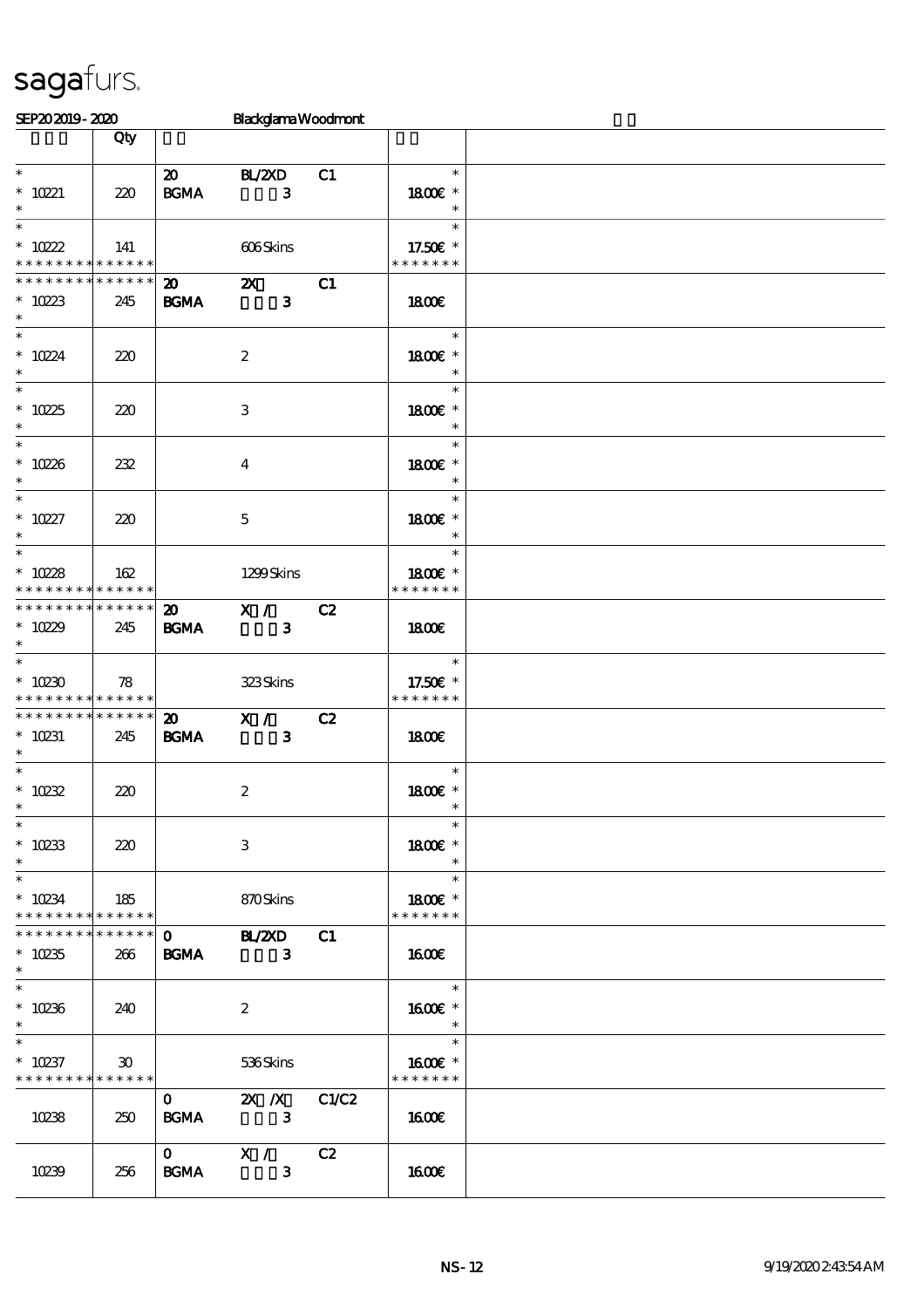| SEP202019-2020                             |                 |                            | <b>BlackglamaWoodmont</b>  |    |                          |  |
|--------------------------------------------|-----------------|----------------------------|----------------------------|----|--------------------------|--|
|                                            | Qty             |                            |                            |    |                          |  |
|                                            |                 |                            |                            |    |                          |  |
| $\ast$                                     |                 | $\boldsymbol{\mathsf{20}}$ | <b>BL/2XD</b>              | C1 | $\ast$                   |  |
| * $10221$                                  | 220             | <b>BGMA</b>                | 3                          |    | 1800E *                  |  |
|                                            |                 |                            |                            |    | $\ast$                   |  |
|                                            |                 |                            |                            |    | $\ast$                   |  |
| * $10222$                                  | 141             |                            | 606Skins                   |    | 17.50 $\varepsilon$ *    |  |
| * * * * * * * * <mark>* * * * * * *</mark> |                 |                            |                            |    | * * * * * * *            |  |
| * * * * * * * *                            |                 |                            |                            |    |                          |  |
|                                            | ******          |                            | $\mathbf{z}$ $\mathbf{z}$  | C1 |                          |  |
| * $1023$                                   | 245             | <b>BGMA</b>                | $\mathbf{3}$               |    | 1800E                    |  |
| $\ast$                                     |                 |                            |                            |    |                          |  |
| $\ast$                                     |                 |                            |                            |    | $\ast$                   |  |
| * $1024$                                   | 220             |                            | $\boldsymbol{2}$           |    | 1800 £*                  |  |
| $\ast$                                     |                 |                            |                            |    | $\ast$                   |  |
|                                            |                 |                            |                            |    | $\ast$                   |  |
| * $1025$                                   | 220             |                            | 3                          |    | 1800 £*                  |  |
| $*$                                        |                 |                            |                            |    | $\ast$                   |  |
| $\overline{\phantom{0}}$                   |                 |                            |                            |    | $\ast$                   |  |
| * $10226$                                  | 232             |                            |                            |    | 1800 £*                  |  |
| $\ast$                                     |                 |                            | 4                          |    | $\ast$                   |  |
| $\overline{\mathbf{r}}$                    |                 |                            |                            |    | $\ast$                   |  |
|                                            |                 |                            |                            |    |                          |  |
| $* 10227$                                  | 220             |                            | $\mathbf{5}$               |    | 1800 £*                  |  |
| $\ast$                                     |                 |                            |                            |    | $\ast$                   |  |
|                                            |                 |                            |                            |    | $\ast$                   |  |
| * $1028$                                   | 162             |                            | 1299Skins                  |    | 1800€ *                  |  |
| * * * * * * * *                            | ******          |                            |                            |    | * * * * * * *            |  |
| * * * * * * * * <mark>* * * * * * *</mark> |                 |                            | 20 X / C2                  |    |                          |  |
| * $1029$                                   | 245             | <b>BGMA</b>                | $\overline{\phantom{a}}$ 3 |    | 1800€                    |  |
| $\ast$                                     |                 |                            |                            |    |                          |  |
| $\overline{\phantom{0}}$                   |                 |                            |                            |    | $\ast$                   |  |
| $*10230$                                   | 78              |                            | 323Skins                   |    | 17.50€ *                 |  |
| * * * * * * * * <mark>* * * * * *</mark>   |                 |                            |                            |    | * * * * * * *            |  |
| ___<br>* * * * * * * * * * * * * *         |                 |                            |                            |    |                          |  |
|                                            |                 | $\boldsymbol{\mathsf{20}}$ | X / C2                     |    |                          |  |
| $* 10231$                                  | 245             | <b>BGMA</b>                | $\overline{\mathbf{3}}$    |    | 1800                     |  |
| $\ast$                                     |                 |                            |                            |    |                          |  |
| $*$                                        |                 |                            |                            |    | $\ast$                   |  |
| * $10232$                                  | 220             |                            | $\boldsymbol{2}$           |    | 1800E *                  |  |
| $\ast$                                     |                 |                            |                            |    | $\overline{\phantom{a}}$ |  |
| $\ast$                                     |                 |                            |                            |    | $\ast$                   |  |
| * $10233$                                  | 220             |                            | 3                          |    | 1800€ *                  |  |
| $\ast$                                     |                 |                            |                            |    | $\ast$                   |  |
| $\ast$                                     |                 |                            |                            |    | $\ast$                   |  |
| $* 10234$                                  | 185             |                            | 870Skins                   |    | 1800E *                  |  |
| * * * * * * * *                            | * * * * * *     |                            |                            |    | * * * * * * *            |  |
| * * * * * * * *                            |                 |                            | ******   0 BL/2XD C1       |    |                          |  |
| $*10235$                                   | 266             |                            | <b>BGMA</b> 3              |    | 1600€                    |  |
| $\ast$                                     |                 |                            |                            |    |                          |  |
| $\ast$                                     |                 |                            |                            |    | $\overline{\phantom{a}}$ |  |
|                                            |                 |                            |                            |    |                          |  |
| $* 10236$                                  | 240             |                            | $\boldsymbol{2}$           |    | 1600€ *                  |  |
| $\ast$                                     |                 |                            |                            |    | $\overline{\phantom{a}}$ |  |
|                                            |                 |                            |                            |    | $\ast$                   |  |
| $* 10237$                                  | 30 <sup>°</sup> |                            | 536Skins                   |    | 1600€ *                  |  |
| * * * * * * * * <mark>* * * * * * *</mark> |                 |                            |                            |    | * * * * * * *            |  |
|                                            |                 | $\mathbf{O}$               | $2X \quad X \quad C1C2$    |    |                          |  |
| 10238                                      | 250             | <b>BGMA</b>                | $\overline{\phantom{a}}$ 3 |    | 1600€                    |  |
|                                            |                 |                            |                            |    |                          |  |
|                                            |                 |                            | $\overline{0}$ X / C2      |    |                          |  |
| 10239                                      | 256             | <b>BGMA</b>                | $\overline{\mathbf{3}}$    |    | 1600E                    |  |
|                                            |                 |                            |                            |    |                          |  |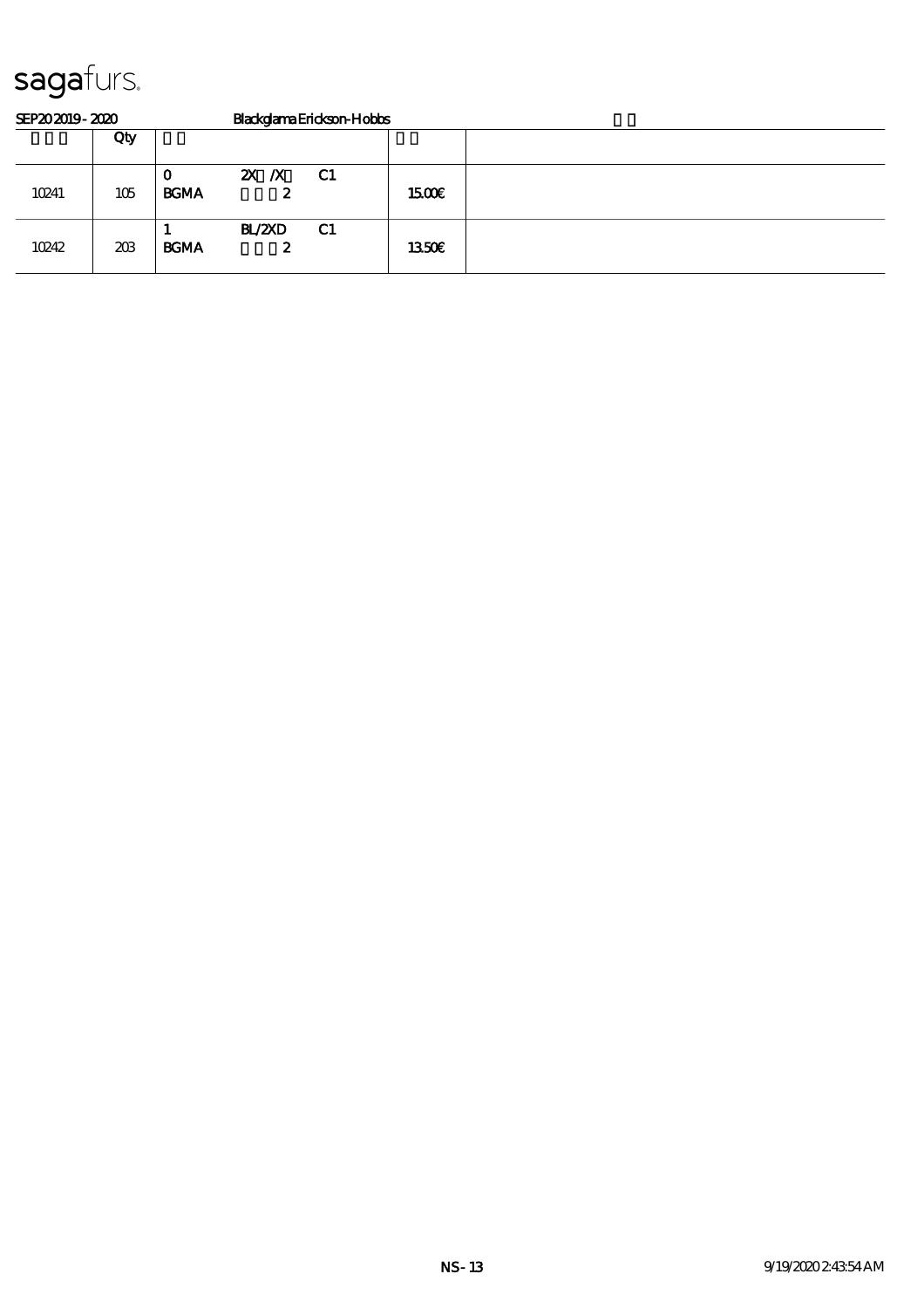| SEP202019-2020 |     |                  | BlackglamaErickson-Hobbs |    |       |  |  |  |  |
|----------------|-----|------------------|--------------------------|----|-------|--|--|--|--|
|                | Qty |                  |                          |    |       |  |  |  |  |
| 10241          | 105 | O<br><b>BGMA</b> | $X \, X$<br>2            | C1 | 1500E |  |  |  |  |
| 10242          | 203 | <b>BGMA</b>      | <b>BL/2XD</b><br>2       | C1 | 1350E |  |  |  |  |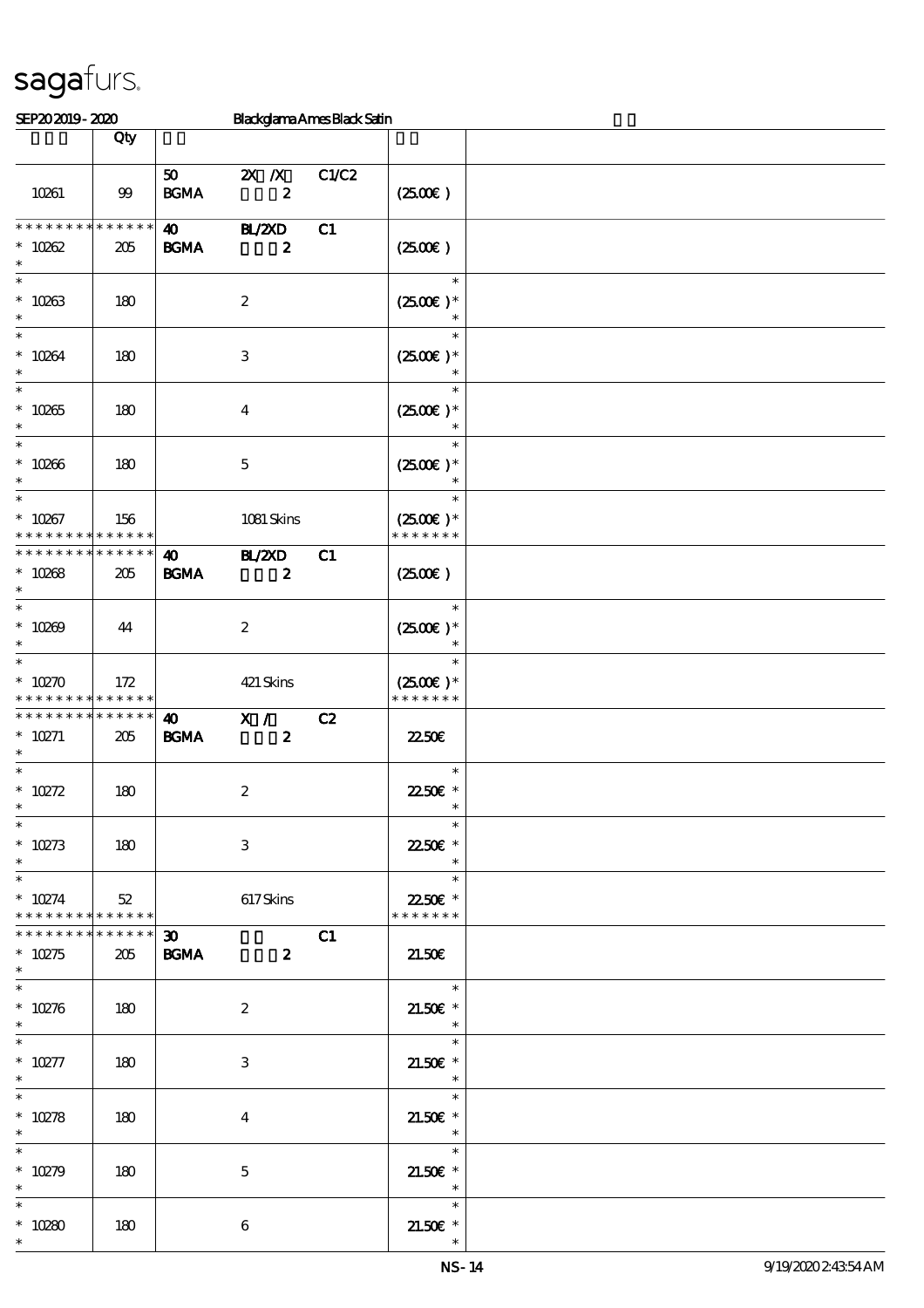| SEP202019-2020                                                |                    |                                            | <b>Blackglama Ames Black Satin</b> |       |                                                                  |  |
|---------------------------------------------------------------|--------------------|--------------------------------------------|------------------------------------|-------|------------------------------------------------------------------|--|
|                                                               | Qty                |                                            |                                    |       |                                                                  |  |
| 10261                                                         | $99$               | 50 <sub>1</sub><br>$\mathbf{B G MA}$       | $X$ $N$<br>$\pmb{2}$               | C1/C2 | (250E)                                                           |  |
| * * * * * * * *                                               | $******$           | $\boldsymbol{\omega}$                      | <b>H_/2XD</b>                      | C1    |                                                                  |  |
| $* 10062$<br>$\ast$<br>$\ast$                                 | 205                | <b>BGMA</b>                                | $\boldsymbol{z}$                   |       | (250)<br>$\ast$                                                  |  |
| $* 10263$<br>$\ast$<br>$\ast$                                 | 180                |                                            | $\boldsymbol{z}$                   |       | $(2500E)*$<br>$\ast$                                             |  |
| $* 10264$<br>$\ast$                                           | 180                |                                            | 3                                  |       | $(2500)$ *                                                       |  |
| $\ast$<br>$* 10265$<br>$\ast$                                 | 180                |                                            | $\bf{4}$                           |       | $\ast$<br>$(2500E)*$<br>$\ast$                                   |  |
| $\ast$<br>$* 10266$<br>$\ast$                                 | 180                |                                            | $\mathbf 5$                        |       | $\ast$<br>$(2500\varepsilon)*$<br>$\ast$                         |  |
| $\ast$<br>$* 10267$<br>* * * * * * * *                        | 156<br>* * * * * * |                                            | 1081 Skins                         |       | $\ast$<br>$(2500)$ *<br>* * * * * * *                            |  |
| * * * * * * * *<br>$* 10268$<br>$\ast$<br>$\ast$              | * * * * * *<br>205 | $\boldsymbol{\omega}$<br><b>BGMA</b>       | <b>HZZD</b><br>$\boldsymbol{z}$    | C1    | (250)<br>$\ast$                                                  |  |
| $* 10269$<br>$\ast$<br>$\ast$                                 | 44                 |                                            | $\boldsymbol{2}$                   |       | $(2500)$ *<br>$\ast$                                             |  |
| $*10270$<br>* * * * * * * *                                   | 172<br>* * * * * * |                                            | 421 Skins                          |       | $(2500)$ *<br>* * * * * * *                                      |  |
| * * * * * * * *<br>$* 10271$<br>$\ast$<br>$\ast$              | * * * * * *<br>205 | $\boldsymbol{\omega}$<br>$\mathbf{B G MA}$ | X /<br>$\boldsymbol{z}$            | C2    | 2250E<br>$\ast$                                                  |  |
| $* 10272$<br>$*$<br>$\ast$                                    | 180                |                                            | $\boldsymbol{2}$                   |       | 22.50€ *<br>$\ast$<br>$\ast$                                     |  |
| $* 10273$<br>$\ast$<br>$\ast$                                 | 180                |                                            | 3                                  |       | 2250E *<br>$\ast$<br>$\ast$                                      |  |
| $* 10274$<br>* * * * * * * * * * * * * * *<br>* * * * * * * * | 52<br>* * * * * *  |                                            | 617Skins                           |       | 22.50€ *<br>* * * * * * *                                        |  |
| $* 10275$<br>$\ast$<br>$\overline{\phantom{0}}$               | 205                | $\boldsymbol{\mathfrak{D}}$<br><b>BGMA</b> | $\overline{\mathbf{z}}$            | C1    | 21.50E<br>$\overline{\phantom{0}}$                               |  |
| $* 10276$<br>$\ast$<br>$\ast$                                 | 180                |                                            | $\boldsymbol{2}$                   |       | 21.50€ *<br>$\overline{\phantom{a}}$<br>$\overline{\phantom{a}}$ |  |
| $^*$ 10277<br>$\ast$<br>$\overline{\ast}$                     | 180                |                                            | 3                                  |       | $21.50E$ *<br>$\overline{\phantom{a}}$<br>$\ast$                 |  |
| $* 10278$<br>$\ast$<br>$\ast$                                 | 180                |                                            | $\bf{4}$                           |       | $21.50E$ *<br>$\overline{\phantom{a}}$<br>$\ast$                 |  |
| $* 10279$<br>$\ast$                                           | 180                |                                            | $\mathbf{5}$                       |       | $21.50E$ *<br>$\overline{\phantom{a}}$                           |  |
| $\ast$<br>$*10280$<br>$\ast$                                  | 180                |                                            | $\boldsymbol{6}$                   |       | $\ast$<br>$21.50E$ *                                             |  |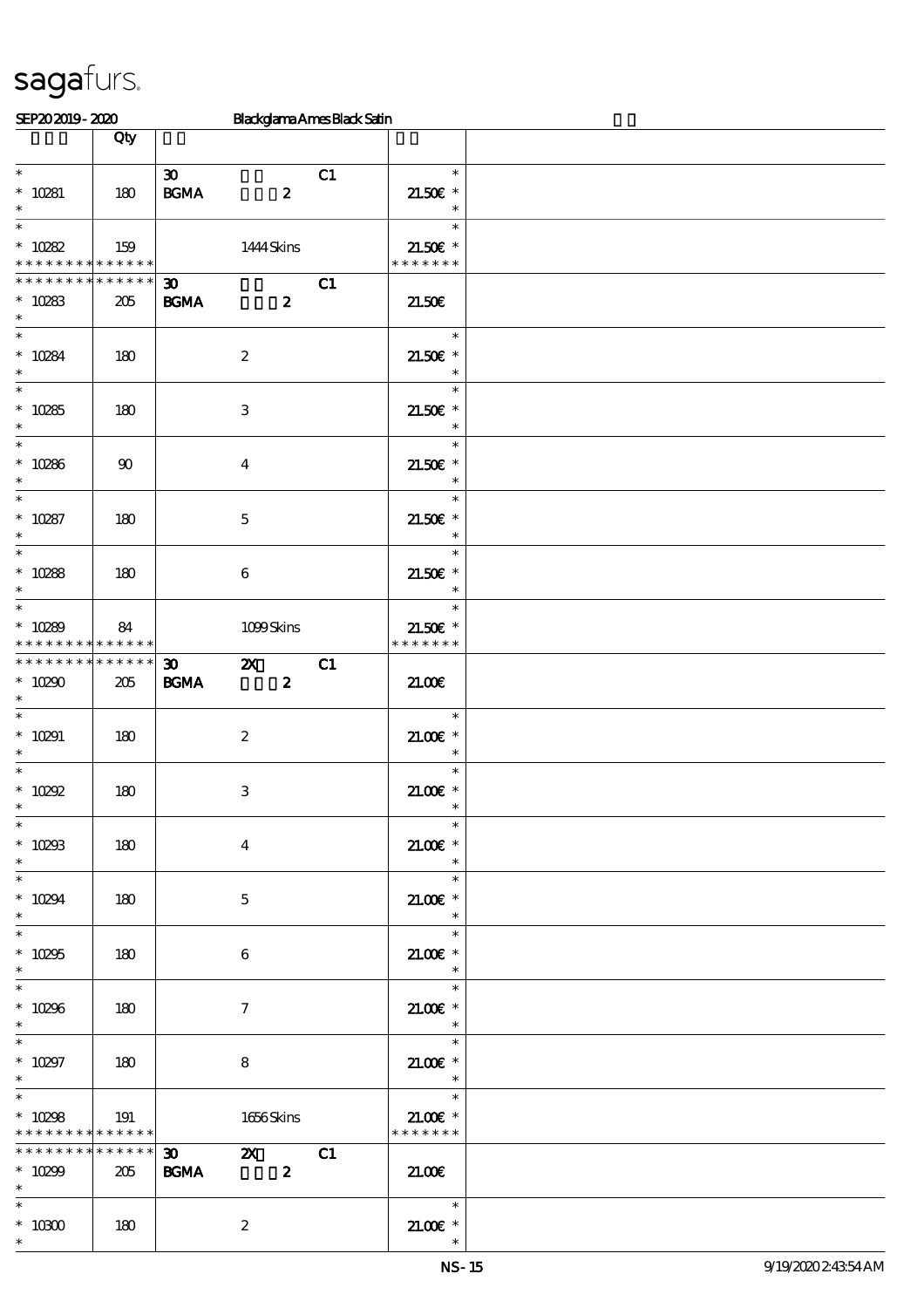| SEP202019-2020                                                     |                        |                                                                         | Blackglama Ames Black Satin |                                                                   |  |
|--------------------------------------------------------------------|------------------------|-------------------------------------------------------------------------|-----------------------------|-------------------------------------------------------------------|--|
|                                                                    | Qty                    |                                                                         |                             |                                                                   |  |
| $\overline{\ast}$<br>$* 10281$<br>$\ast$                           | 180                    | $\boldsymbol{\mathfrak{D}}$<br>$\mathbf{B G MA}$                        | C1<br>$\boldsymbol{z}$      | $\ast$<br>$21.50E$ *<br>$\ast$                                    |  |
| $\ast$<br>$^*$ 10282<br>* * * * * * * * <mark>* * * * * * *</mark> | 159                    | 1444 Skins                                                              |                             | $\ast$<br>21.50€ *<br>* * * * * * *                               |  |
| * * * * * * * *<br>$* 10283$<br>$\ast$                             | ******<br>205          | 30 <sub>o</sub><br><b>BGMA</b>                                          | C1<br>$\boldsymbol{z}$      | 21.50E                                                            |  |
| $\overline{\ast}$<br>$* 10284$<br>$\ast$                           | 180                    | $\boldsymbol{2}$                                                        |                             | $\ast$<br>$21.50E$ *<br>$\ast$                                    |  |
| $\overline{\ast}$<br>$* 10285$<br>$\ast$                           | 180                    | $\,3\,$                                                                 |                             | $\ast$<br>$21.50E$ *<br>$\ast$                                    |  |
| $\overline{\ast}$<br>$* 10286$<br>$\ast$<br>$\overline{\ast}$      | $90\,$                 | $\bf{4}$                                                                |                             | $\ast$<br>$21.50E$ *<br>$\ast$                                    |  |
| $* 10287$<br>$\ast$<br>$\overline{\ast}$                           | 180                    | $\mathbf 5$                                                             |                             | $\ast$<br>$21.50E$ *<br>$\ast$                                    |  |
| $* 10288$<br>$\ast$                                                | 180                    | 6                                                                       |                             | $\ast$<br>$21.50E$ *<br>$\ast$                                    |  |
| $\ast$<br>$* 10289$<br>* * * * * * * *                             | 84<br>* * * * * *      | 1099Skins                                                               |                             | $\ast$<br>$21.50E$ *<br>* * * * * * *                             |  |
| * * * * * * * *<br>$* 10290$<br>$\ast$                             | $* * * * * * *$<br>205 | $\boldsymbol{\mathsf{z}}$<br>$\boldsymbol{\mathfrak{D}}$<br><b>BGMA</b> | C1<br>$\boldsymbol{z}$      | 21.00                                                             |  |
| $\ast$<br>$* 10291$<br>$\ast$<br>$\ast$                            | 180                    | $\boldsymbol{2}$                                                        |                             | $\ast$<br>$21.00E$ *<br>$\ast$<br>$\ast$                          |  |
| $* 10292$<br>$\overline{\ast}$                                     | 180                    | $\,3$                                                                   |                             | $21.005*$<br>$\ast$                                               |  |
| $* 10293$<br>$*$                                                   | 180                    | $\boldsymbol{4}$                                                        |                             | $21.00E$ *<br>$\ast$<br>$\ast$                                    |  |
| $* 10294$<br>$\ast$<br>$\ast$                                      | 180                    | $\mathbf{5}$                                                            |                             | $21.005*$<br>$\overline{\phantom{a}}$<br>$\ast$                   |  |
| $* 10295$<br>$\ast$<br>$\overline{\phantom{0}}$                    | 180                    | 6                                                                       |                             | $21.005$ *<br>$\ast$                                              |  |
| $^\ast$ 10296<br>$\ast$<br>$*$                                     | 180                    | $\tau$                                                                  |                             | $\ast$<br>$21.00E$ *<br>$\ast$                                    |  |
| $* 10297$<br>$\ast$                                                | 180                    | 8                                                                       |                             | $\overline{\phantom{a}}$<br>$21.005*$<br>$\overline{\phantom{a}}$ |  |
| $\ast$<br>$* 10298$<br>* * * * * * * * <mark>* * * * * * *</mark>  | 191                    | 1656Skins                                                               |                             | $\overline{\phantom{0}}$<br>$21.00E$ *<br>* * * * * * *           |  |
| * * * * * * * *<br>$* 10299$<br>$*$ $*$                            | ******<br>205          | $\infty$ $\infty$<br><b>BGMA</b><br>$\overline{\mathbf{z}}$             | C1                          | 21.00                                                             |  |
| $\ast$<br>$^\ast$ 10300<br>$\ast$                                  | 180                    | $\boldsymbol{2}$                                                        |                             | $21.005*$<br>$\ast$                                               |  |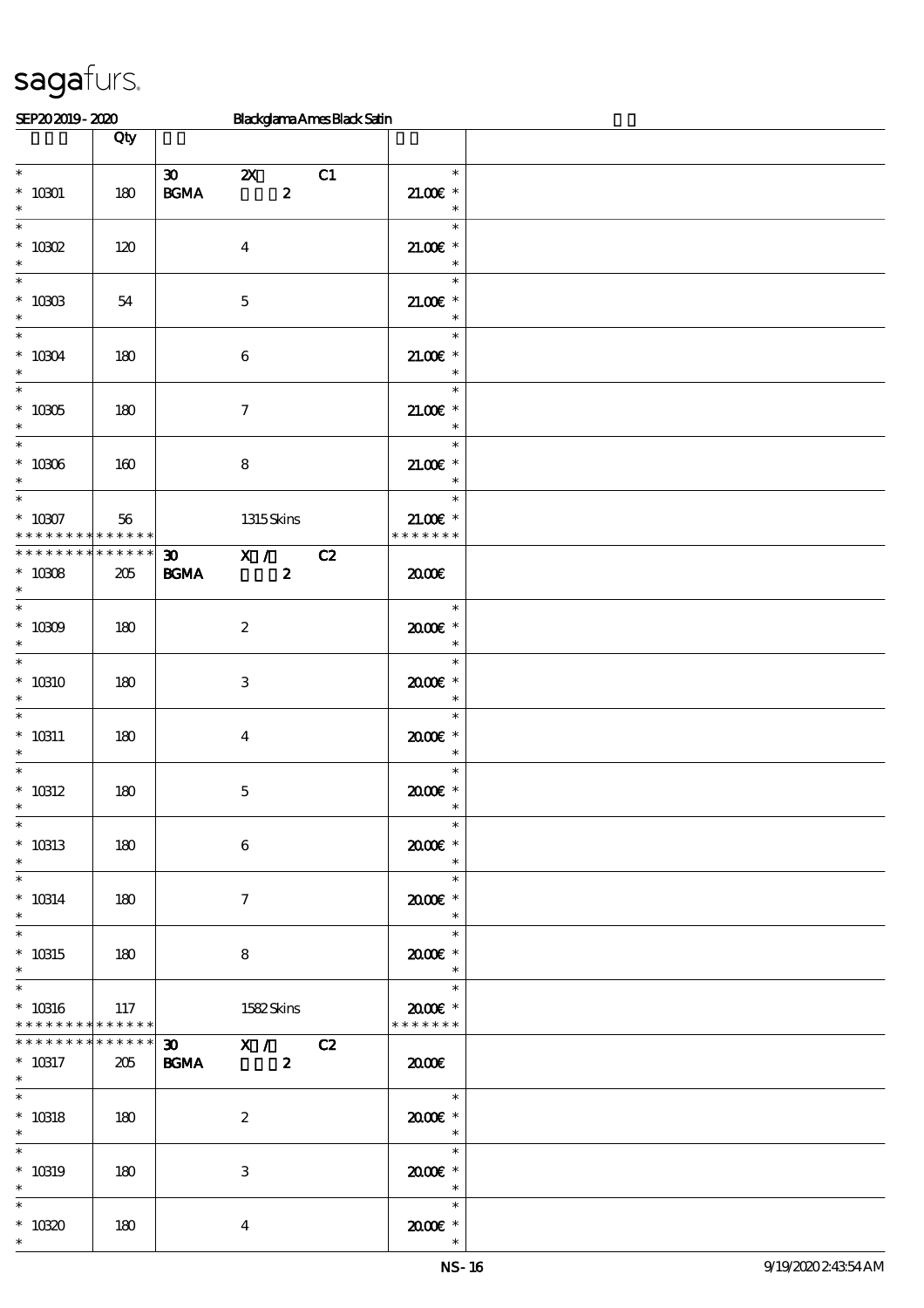| SEP202019-2020                                        |                    |                                                  |                                               | <b>Blackglama Ames Black Satin</b> |                                                                |  |
|-------------------------------------------------------|--------------------|--------------------------------------------------|-----------------------------------------------|------------------------------------|----------------------------------------------------------------|--|
|                                                       | Qty                |                                                  |                                               |                                    |                                                                |  |
| $\overline{\phantom{0}}$<br>$^*$ 10301 $\,$<br>$\ast$ | 180                | $\boldsymbol{\mathfrak{D}}$<br>$\mathbf{B G MA}$ | $\boldsymbol{\mathsf{Z}}$<br>$\boldsymbol{z}$ | C1                                 | $\ast$<br>$21.005*$<br>$\ast$                                  |  |
| $\ast$<br>$^*$ 10302<br>$\ast$                        | 120                |                                                  | $\boldsymbol{4}$                              |                                    | $\ast$<br>$21.00E$ *<br>$\ast$                                 |  |
| $\ast$<br>$^*$ 10303<br>$\ast$                        | 54                 |                                                  | $\mathbf 5$                                   |                                    | $\ast$<br>$21.005*$<br>$\ast$                                  |  |
| $\ast$<br>$^*$ 10304 $\,$<br>$\ast$                   | 180                |                                                  | $\,6\,$                                       |                                    | $\ast$<br>$21.005*$<br>$\ast$                                  |  |
| $\ast$<br>$*$ 10305<br>$\ast$                         | 180                |                                                  | $\boldsymbol{7}$                              |                                    | $\ast$<br>$21.00E$ *<br>$\ast$                                 |  |
| $\ast$<br>$^*$ 10306 $\,$<br>$\ast$                   | 160                |                                                  | $\bf 8$                                       |                                    | $\ast$<br>$21.00E$ *<br>$\ast$                                 |  |
| $\overline{\ast}$<br>$* 10007$<br>* * * * * * * *     | 56<br>* * * * * *  |                                                  | 1315Skins                                     |                                    | $\ast$<br>$21.00E$ *<br>* * * * * * *                          |  |
| * * * * * * * *<br>$* 10008$<br>$\ast$                | * * * * * *<br>205 | $\boldsymbol{\mathfrak{D}}$<br>$\mathbf{B G MA}$ | $\overline{\mathbf{x}}$ /<br>$\boldsymbol{z}$ | C2                                 | 2000                                                           |  |
| $\ast$<br>$^*$ 10309 $\,$<br>$\ast$                   | 180                |                                                  | $\boldsymbol{2}$                              |                                    | $\ast$<br>$2000$ $\epsilon$ *<br>$\ast$                        |  |
| $\ast$<br>$*$ 10310<br>$\ast$                         | 180                |                                                  | 3                                             |                                    | $\ast$<br>2000E*<br>$\ast$                                     |  |
| $\ast$<br>$*$ 10311<br>$\ast$                         | 180                |                                                  | $\bf{4}$                                      |                                    | $\ast$<br>$2000$ $*$<br>$\ast$                                 |  |
| $\ast$<br>$^*$ 10312                                  | 180                |                                                  | $\mathbf 5$                                   |                                    | $\ast$<br>$2000$ $\epsilon$ *                                  |  |
| $\overline{\phantom{0}}$<br>$* 10313$<br>$\ast$       | 180                |                                                  | $\bf 6$                                       |                                    | $\ast$<br>$2000$ $*$<br>$\ast$                                 |  |
| $\ast$<br>$*$ 10314<br>$\ast$                         | 180                |                                                  | $\tau$                                        |                                    | $\ast$<br>$2000$ $*$<br>$\ast$                                 |  |
| $\ast$<br>$* 10315$<br>$\ast$                         | 180                |                                                  | 8                                             |                                    | $\ast$<br>$2000$ $*$<br>$\ast$                                 |  |
| $\ast$<br>$* 10316$<br>* * * * * * * *                | 117<br>******      |                                                  | 1582Skins                                     |                                    | $\ast$<br>$2000$ $*$<br>* * * * * * *                          |  |
| * * * * * * * *<br>$* 10317$<br>$\ast$                | $******$<br>205    | 30 X / C2<br><b>BGMA</b>                         | $\mathbf{2}$                                  |                                    | 2000                                                           |  |
| $\ast$<br>$^*$ 10318<br>$\ast$                        | 180                |                                                  | $\boldsymbol{2}$                              |                                    | $\begin{array}{c c}\n\hline\n\end{array}$<br>2000E*<br>$\star$ |  |
| $\ast$<br>$* 10319$<br>$\ast$                         | 180                |                                                  | 3                                             |                                    | 2000E *<br>$\overline{\phantom{a}}$                            |  |
| $\ast$<br>$^*$ 10320 $\,$<br>$\ast$                   | 180                |                                                  | $\overline{\mathbf{4}}$                       |                                    | $\ast$<br>$2000$ $*$<br>$\ast$                                 |  |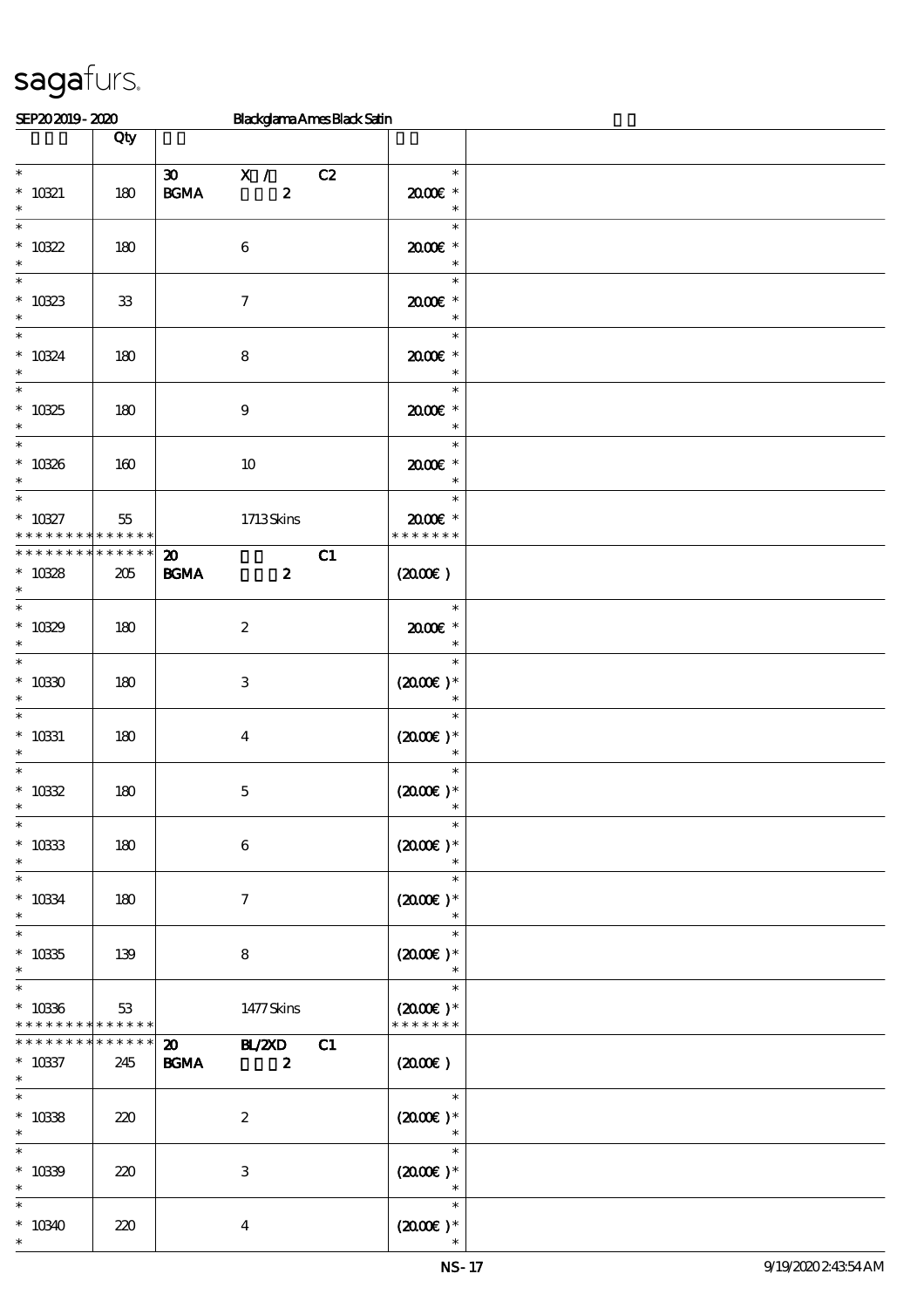| SEP202019-2020                                   |                    |                                                  |                                      | <b>Blackglama Ames Black Satin</b> |                                                            |  |
|--------------------------------------------------|--------------------|--------------------------------------------------|--------------------------------------|------------------------------------|------------------------------------------------------------|--|
|                                                  | Qty                |                                                  |                                      |                                    |                                                            |  |
| $\overline{\phantom{0}}$<br>$^*$ 10321<br>$\ast$ | 180                | $\boldsymbol{\mathfrak{D}}$<br>$\mathbf{B G MA}$ | X / C2<br>$\boldsymbol{z}$           |                                    | $\ast$<br>$2000$ $*$<br>$\ast$                             |  |
| $\ast$<br>$* 10322$<br>$\ast$                    | 180                |                                                  | $\,6\,$                              |                                    | $\ast$<br>2000E*<br>$\ast$                                 |  |
| $\ast$<br>$* 10323$<br>$\ast$                    | ${\bf 33}$         |                                                  | $\boldsymbol{7}$                     |                                    | $\ast$<br>2000E *<br>$\ast$                                |  |
| $\ast$<br>$* 10324$<br>$\ast$                    | 180                |                                                  | $\bf 8$                              |                                    | $\ast$<br>2000E*<br>$\ast$                                 |  |
| $\ast$<br>$* 10325$<br>$\ast$                    | 180                |                                                  | $\boldsymbol{9}$                     |                                    | $\ast$<br>2000E *<br>$\ast$                                |  |
| $\ast$<br>$* 10326$<br>$\ast$                    | 160                |                                                  | $10\,$                               |                                    | $\ast$<br>$2000$ $*$<br>$\ast$                             |  |
| $\overline{\ast}$<br>$* 10327$<br>* * *          | 55<br>* * * * * *  |                                                  | $1713$ Skins                         |                                    | $\ast$<br>2000E*<br>* * * * * * *                          |  |
| * * * * * * * *<br>$* 10328$<br>$\ast$           | * * * * * *<br>205 | $\boldsymbol{\mathbf{z}}$<br><b>BGMA</b>         | $\boldsymbol{z}$                     | C1                                 | $(2000\varepsilon)$                                        |  |
| $\ast$<br>$* 10329$<br>$\ast$                    | 180                |                                                  | $\boldsymbol{2}$                     |                                    | $\ast$<br>$2000$ $*$<br>$\ast$                             |  |
| $\ast$<br>$* 10330$<br>$\ast$                    | 180                |                                                  | 3                                    |                                    | $\ast$<br>$(2000E)*$<br>$\ast$                             |  |
| $\ast$<br>$^*$ 10331<br>$\ast$                   | 180                |                                                  | $\boldsymbol{4}$                     |                                    | $\ast$<br>$(2000)$ *<br>$\ast$                             |  |
| $\ast$<br>$* 10332$                              | 180                |                                                  | $\mathbf 5$                          |                                    | $\ast$<br>$(2000\varepsilon)*$                             |  |
| $\overline{\phantom{0}}$<br>$^*$ 10333<br>$\ast$ | 180                |                                                  | $\bf 6$                              |                                    | $\ast$<br>$(2000\varepsilon)*$<br>$\ast$                   |  |
| $\ast$<br>$^\ast$ 10334<br>$\ast$                | 180                |                                                  | $\tau$                               |                                    | $\ast$<br>$(2000\varepsilon)*$<br>$\ast$                   |  |
| $\ast$<br>$^\ast$ 10335<br>$\ast$                | 139                |                                                  | 8                                    |                                    | $\ast$<br>$(2000\varepsilon)*$<br>$\ast$                   |  |
| $\ast$<br>$* 10336$<br>* * * * * * * *           | 53<br>* * * * * *  |                                                  | 1477Skins                            |                                    | $\ast$<br>$(2000\varepsilon)*$<br>* * * * * * *            |  |
| * * * * * * * *<br>$* 10337$<br>$\ast$           | $******$<br>245    | <b>BGMA</b>                                      | 20 BL/2XD<br>$\overline{\mathbf{z}}$ | C1                                 | $(2000\varepsilon)$                                        |  |
| $\ast$<br>$* 10338$<br>$\ast$                    | 220                |                                                  | $\boldsymbol{2}$                     |                                    | $\ast$<br>$(2000\varepsilon)*$<br>$*$                      |  |
| $\ast$<br>$* 1039$<br>$\ast$                     | 220                |                                                  | 3                                    |                                    | $\ast$<br>$(2000\varepsilon)*$<br>$\overline{\phantom{a}}$ |  |
| $\ast$<br>$*10340$<br>$\ast$                     | 220                |                                                  | $\overline{\mathbf{4}}$              |                                    | $\ast$<br>$(2000\varepsilon)*$<br>$\ast$                   |  |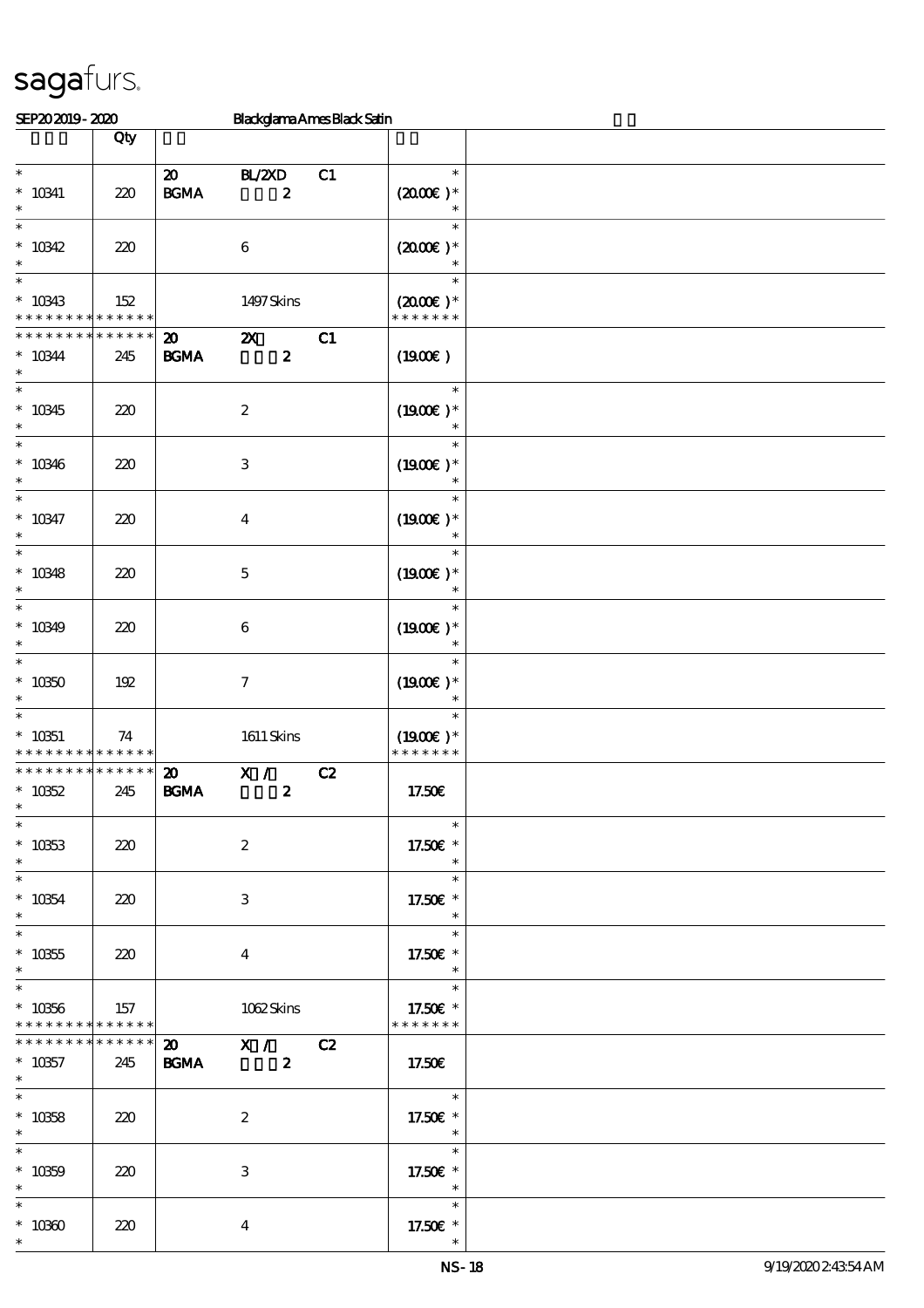| SEP202019-2020                                                  |                    |                                                  | <b>Blackglama Ames Black Satin</b>            |    |                                                                  |  |
|-----------------------------------------------------------------|--------------------|--------------------------------------------------|-----------------------------------------------|----|------------------------------------------------------------------|--|
|                                                                 | Qty                |                                                  |                                               |    |                                                                  |  |
| $\ast$<br>$^*$ 10341<br>$\ast$                                  | 220                | $\boldsymbol{\mathfrak{D}}$<br>$\mathbf{B G MA}$ | BL/2XD<br>$\boldsymbol{z}$                    | C1 | $\ast$<br>$(2000)$ *<br>$\ast$                                   |  |
| $\ast$<br>$* 10342$<br>$\ast$                                   | 220                |                                                  | $\bf 6$                                       |    | $\ast$<br>$(2000)$ *<br>$\ast$                                   |  |
| $\ast$<br>$* 10343$<br>* * * * * * * * <mark>* * * * * *</mark> | 152                |                                                  | 1497Skins                                     |    | $\ast$<br>$(2000\varepsilon)*$<br>* * * * * * *                  |  |
| * * * * * * * *<br>$* 10344$<br>$\ast$                          | * * * * * *<br>245 | $\boldsymbol{\mathfrak{D}}$<br>$\mathbf{B G MA}$ | $\boldsymbol{\mathsf{z}}$<br>$\boldsymbol{z}$ | C1 | (1900)                                                           |  |
| $\ast$<br>$*10345$<br>$\ast$                                    | 220                |                                                  | $\boldsymbol{2}$                              |    | $\ast$<br>$(1900E)*$                                             |  |
| $\ast$<br>$* 10346$<br>$\ast$<br>$\overline{\ast}$              | 220                |                                                  | $\,3$                                         |    | $\ast$<br>$(1900)$ *                                             |  |
| $* 10347$<br>$\ast$                                             | 220                |                                                  | $\boldsymbol{4}$                              |    | $\ast$<br>$(1900E)*$<br>$\ast$                                   |  |
| $\ast$<br>$* 10348$<br>$\ast$                                   | 220                |                                                  | $\mathbf 5$                                   |    | $\ast$<br>$(1900E)*$<br>$\ast$                                   |  |
| $\ast$<br>$* 10349$<br>$\ast$                                   | 220                |                                                  | $\boldsymbol{6}$                              |    | $\ast$<br>$(1900E)*$<br>$\ast$                                   |  |
| $\ast$<br>$* 10350$<br>$\ast$                                   | 192                |                                                  | $\boldsymbol{7}$                              |    | $\ast$<br>$(1900E)*$<br>$\ast$                                   |  |
| $\ast$<br>$* 10351$<br>* * * * * * * *                          | 74<br>* * * * * *  |                                                  | $1611$ Skins                                  |    | $\ast$<br>$(1900E)*$<br>* * * * * * *                            |  |
| * * * * * * * *<br>$* 10352$<br>$\overline{\ast}$               | * * * * * *<br>245 | $\boldsymbol{\mathfrak{D}}$<br>$\mathbf{B G MA}$ | X /<br>$\boldsymbol{z}$                       | C2 | 17.50€                                                           |  |
| $* 10353$<br>$\ast$<br>$\overline{\ast}$                        | 220                |                                                  | $\boldsymbol{2}$                              |    | $\ast$<br>17.50€ *<br>$\ast$<br>$\sim$                           |  |
| $^\ast$ 10354<br>$\ast$<br>$\ast$                               | 220                |                                                  | 3                                             |    | $\ast$<br>17.50€ *<br>$\ast$                                     |  |
| $^\ast$ 10355<br>$\ast$<br>$\ast$                               | 220                |                                                  | $\overline{4}$                                |    | $\ast$<br>17.50€ *<br>$\ast$                                     |  |
| $* 10356$<br>* * * * * * * * <mark>* * * * * * *</mark>         | 157                |                                                  | 1062Skins                                     |    | $\overline{\phantom{a}}$<br>17.50€ *<br>* * * * * * *            |  |
| * * * * * * * *<br>$* 10357$<br>$\ast$                          | $******$<br>245    |                                                  | 20 X / C2<br><b>BGMA</b> 2                    |    | 17.50€                                                           |  |
| $\ast$<br>$* 10358$<br>$\ast$                                   | 220                |                                                  | $\boldsymbol{2}$                              |    | $\overline{\phantom{0}}$<br>17.50€ *<br>$\overline{\phantom{a}}$ |  |
| $\overline{\ast}$<br>$* 10359$<br>$\ast$                        | 220                |                                                  | 3                                             |    | $\overline{\mathbf{r}}$<br>17.50£ *<br>$\overline{\phantom{a}}$  |  |
| $\ast$<br>$^*$ 10360 $\,$<br>$\ast$                             | 220                |                                                  | $\overline{\mathbf{4}}$                       |    | $*$<br>17.50€ *                                                  |  |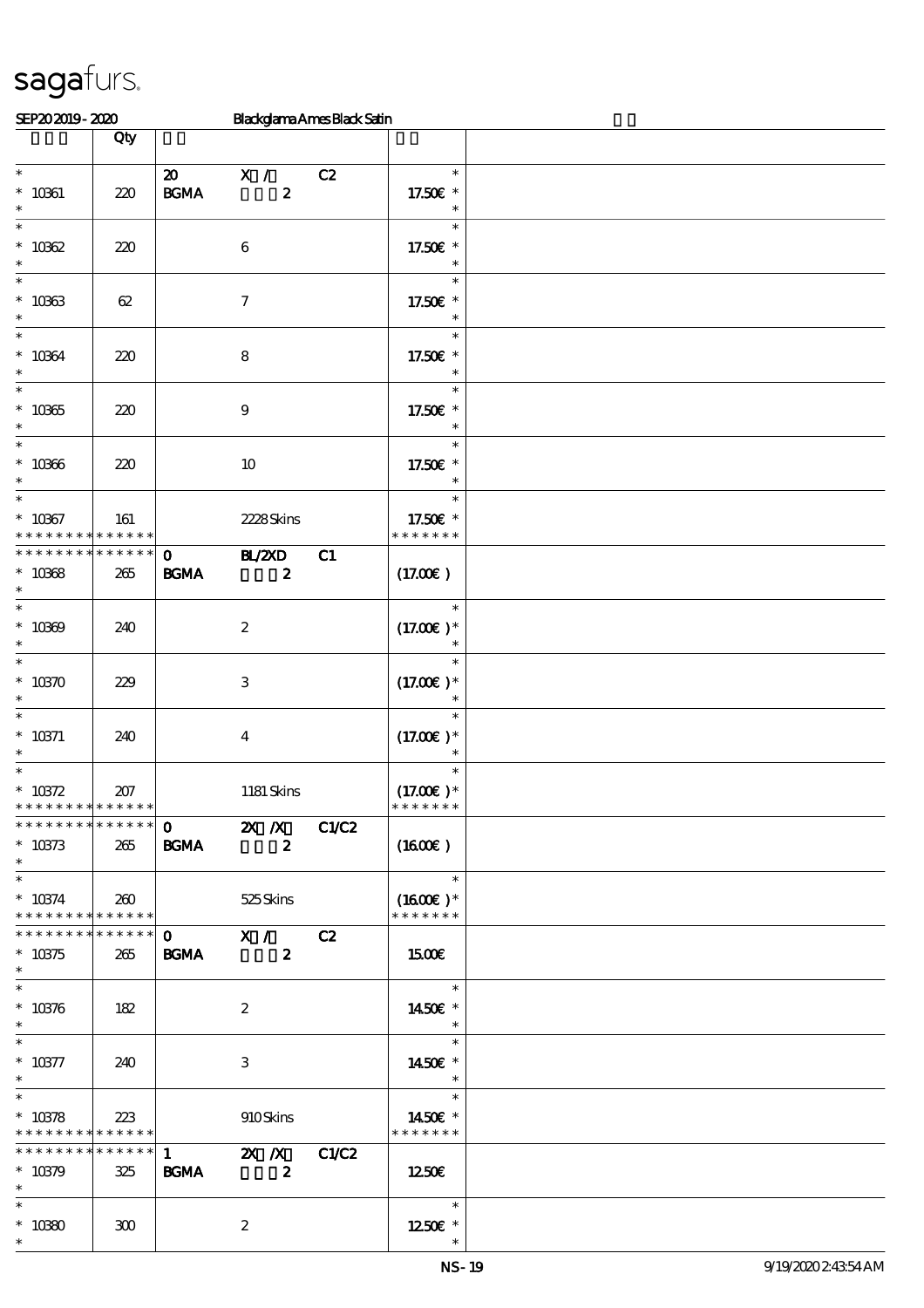| SEP202019-2020                                                  |                    |                                            | <b>Blackglama Ames Black Satin</b>                                               |    |                                                                          |  |
|-----------------------------------------------------------------|--------------------|--------------------------------------------|----------------------------------------------------------------------------------|----|--------------------------------------------------------------------------|--|
|                                                                 | Qty                |                                            |                                                                                  |    |                                                                          |  |
| $\ast$<br>$* 10061$<br>$\ast$                                   | 220                | $\boldsymbol{\omega}$<br>$\mathbf{B G MA}$ | X /<br>$\pmb{2}$                                                                 | C2 | $\ast$<br>17.50€ *<br>$\ast$                                             |  |
| $\ast$<br>$* 10062$<br>$\ast$                                   | 220                |                                            | $\bf 6$                                                                          |    | $\ast$<br>17.50€ *<br>$\ast$                                             |  |
| $\ast$<br>$^\ast$ 10363<br>$\ast$                               | 62                 |                                            | $\mathcal I$                                                                     |    | $\ast$<br>17.50€ *<br>$\ast$                                             |  |
| $\ast$<br>$* 10364$<br>$\ast$                                   | 220                |                                            | $\bf 8$                                                                          |    | $\ast$<br>17.50€ *<br>$\ast$                                             |  |
| $\ast$<br>$* 10365$<br>$\ast$                                   | 220                |                                            | $\boldsymbol{9}$                                                                 |    | $\ast$<br>17.50€ *<br>$\ast$                                             |  |
| $\ast$<br>$^\ast$ 10366<br>$\ast$                               | 220                |                                            | $10\,$                                                                           |    | $\ast$<br>17.50€ *<br>$\ast$                                             |  |
| $\ast$<br>$* 10067$<br>* * * * * * * *                          | 161<br>* * * * * * |                                            | 2228Skins                                                                        |    | $\ast$<br>17.50€ *<br>* * * * * * *                                      |  |
| * * * * * * * *<br>$* 10368$<br>$\ast$                          | * * * * * *<br>265 | $\mathbf{o}$<br><b>BGMA</b>                | <b>HZZD</b><br>$\boldsymbol{z}$                                                  | C1 | (17.00)                                                                  |  |
| $\ast$<br>$* 10000$<br>$\ast$                                   | 240                |                                            | $\boldsymbol{2}$                                                                 |    | $\ast$<br>$(17.00)$ *                                                    |  |
| $\ast$<br>$* 10370$<br>$\ast$                                   | 229                |                                            | $\,3$                                                                            |    | $\ast$<br>$(17.00)$ *<br>$\ast$                                          |  |
| $\ast$<br>$* 10371$<br>$\ast$                                   | 240                |                                            | $\boldsymbol{4}$                                                                 |    | $(17.00)$ *                                                              |  |
| $\ast$<br>$^\ast$ 10372<br>* * * * * * * * * * * * * *          | 207                |                                            | 1181 Skins                                                                       |    | $\ast$<br>$(17.00)$ *<br>* * * * * * *                                   |  |
| ******** <mark>******</mark><br>$* 10373$<br>$\ast$             | 265                | <b>BGMA</b>                                | $\overline{0}$ $\overline{2X}$ $\overline{X}$ $C1/C2$<br>$\overline{\mathbf{z}}$ |    | (1600E)                                                                  |  |
| $\ast$<br>* $10374$   260<br>* * * * * * * * * * * * * * *      |                    |                                            | 525 Skins                                                                        |    | $\begin{array}{c c}\n\hline\n\end{array}$<br>$(1600E)*$<br>* * * * * * * |  |
| $* 10375$<br>$\ast$                                             | 265                | <b>BGMA</b>                                | $\overline{\mathbf{z}}$                                                          |    | 1500                                                                     |  |
| $\ast$<br>$* 10376$<br>$\ast$                                   | 182                |                                            | $\boldsymbol{2}$                                                                 |    | $\overline{\mathbf{r}}$<br>1450E *<br>$\ast$                             |  |
| $\ast$<br>$^\ast$ 10377<br>$*$                                  | 240                |                                            | 3                                                                                |    | $\ast$<br>1450€ *<br>$\star$                                             |  |
| $\overline{\ast}$<br>$* 10378$<br>* * * * * * * * * * * * * * * | 223                |                                            | 910Skins                                                                         |    | $\overline{\phantom{a}}$<br>1450€ *<br>* * * * * * *                     |  |
| ******** <mark>*******</mark><br>$* 10379$<br>$\ast$            | 325                | <b>BGMA</b>                                | $\overline{1}$ $\overline{2}$ X $\overline{2}$ C1/C2<br>$\overline{\mathbf{z}}$  |    | 1250€                                                                    |  |
| $\ast$<br>$^\ast$ 10380<br>$\ast$                               | 300                |                                            | $\boldsymbol{2}$                                                                 |    | $\overline{\mathbf{r}}$<br>1250E *                                       |  |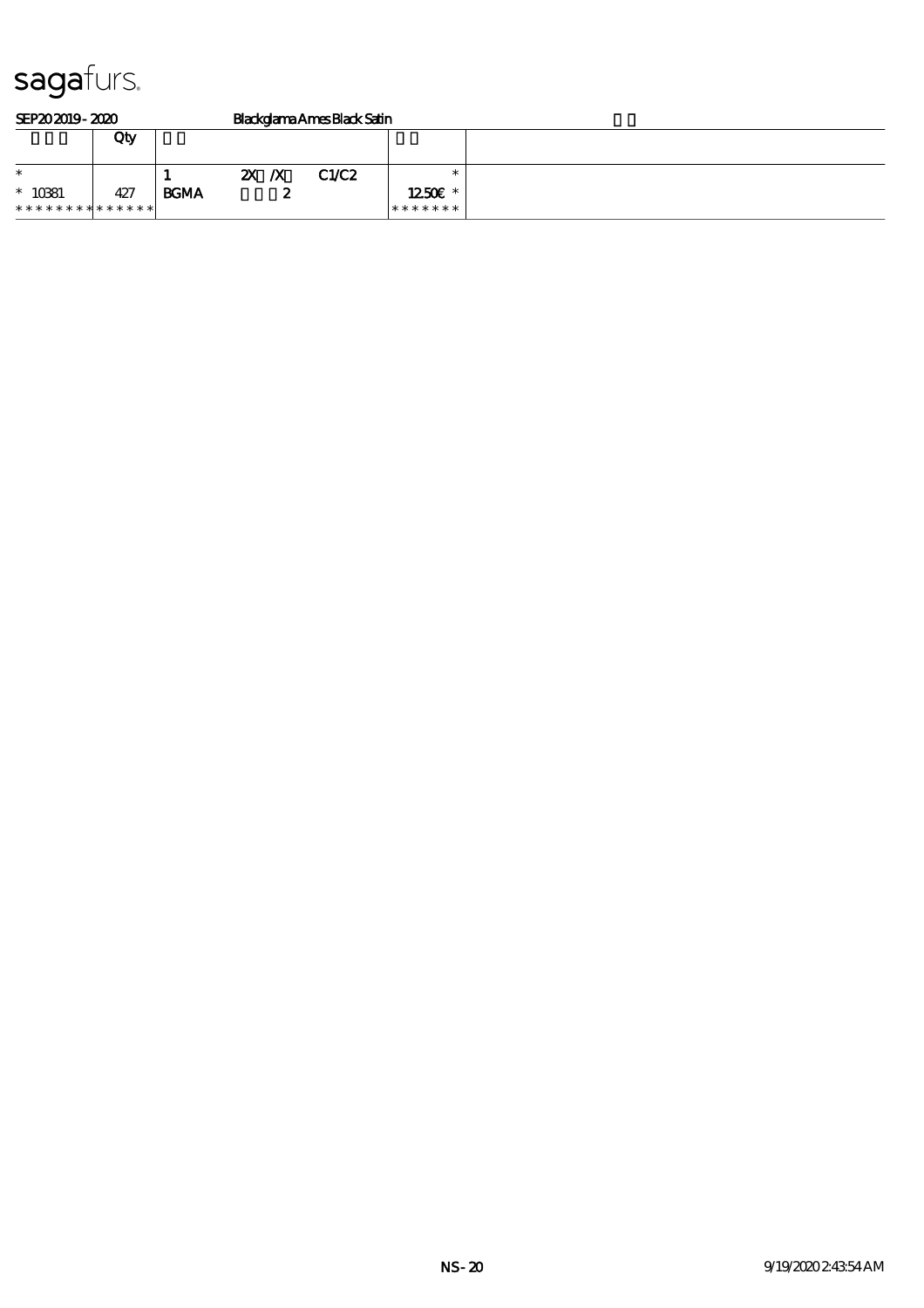| SEP202019-2020                           |     |             | Blackglama Ames Black Satin |  |       |                                   |  |  |
|------------------------------------------|-----|-------------|-----------------------------|--|-------|-----------------------------------|--|--|
|                                          | Qty |             |                             |  |       |                                   |  |  |
| $\ast$                                   |     |             | $\mathbf{X} \times$         |  | C1/C2 |                                   |  |  |
| $* 10381$<br>* * * * * * * * * * * * * * | 427 | <b>BGMA</b> |                             |  |       | $1250$ $\varepsilon$ *<br>******* |  |  |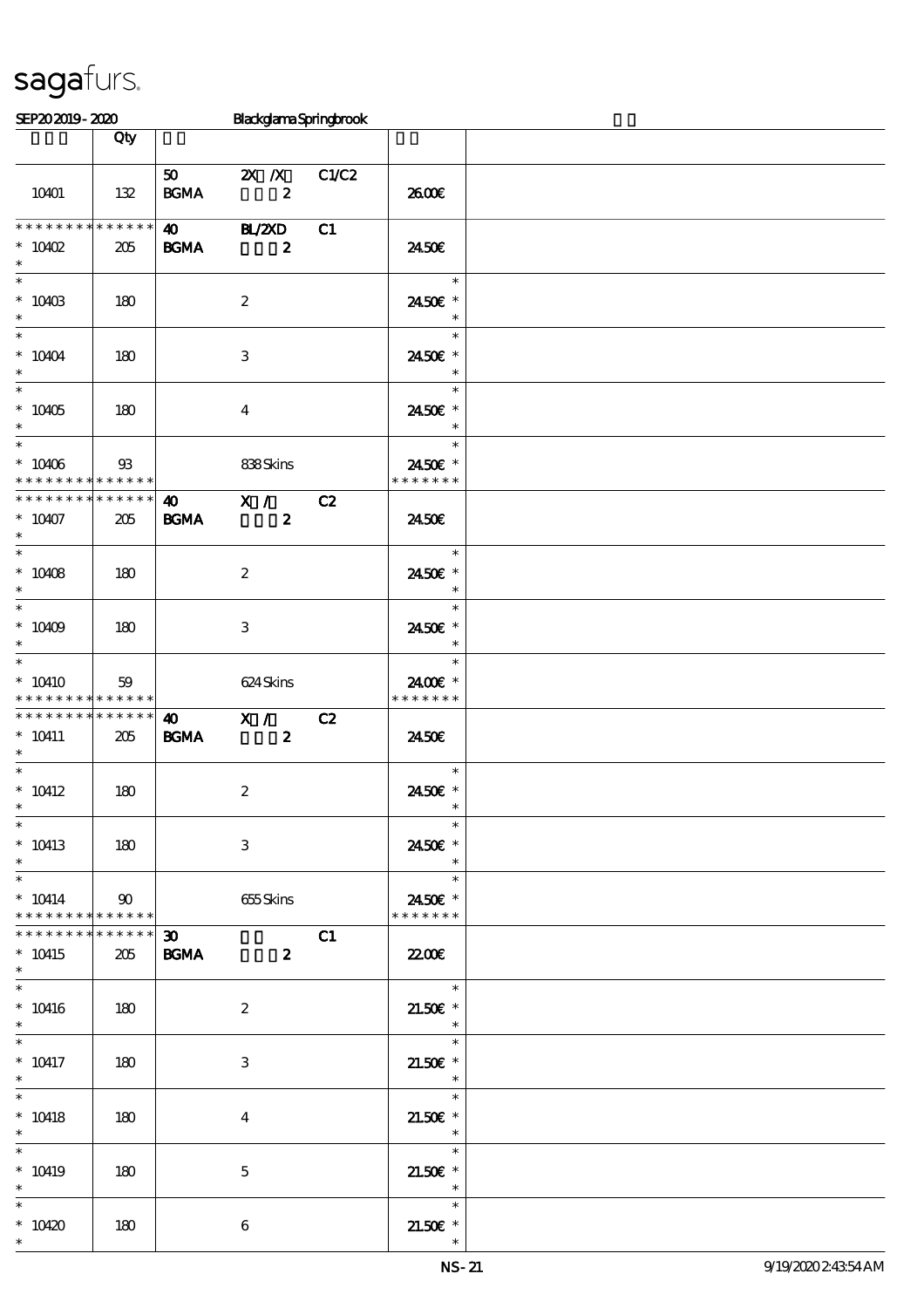\*

| SEP202019-2020                                                              |                 |                                      | BlackglamaSpringbrook                   |       |                                                                                             |  |
|-----------------------------------------------------------------------------|-----------------|--------------------------------------|-----------------------------------------|-------|---------------------------------------------------------------------------------------------|--|
|                                                                             | Qty             |                                      |                                         |       |                                                                                             |  |
| 10401                                                                       | 132             | 50<br><b>BGMA</b>                    | $2X$ $\overline{X}$<br>$\boldsymbol{z}$ | C1/C2 | 2600E                                                                                       |  |
| * * * * * * * * *<br>$*$ 10402<br>$\ast$                                    | $******$<br>205 | $\boldsymbol{\omega}$<br><b>BGMA</b> | <b>HL/ZXD</b><br>$\boldsymbol{z}$       | C1    | 2450E                                                                                       |  |
| $* 10403$<br>$\ast$                                                         | 180             |                                      | $\boldsymbol{2}$                        |       | $\ast$<br>2450 €*<br>$\overline{\phantom{a}}$                                               |  |
| $\ddot{x}$<br>$* 10404$<br>$\ast$                                           | 180             |                                      | 3                                       |       | $\ast$<br>2450€ *<br>$\ast$                                                                 |  |
| $\overline{\ast}$<br>$* 10405$<br>$\ast$                                    | 180             |                                      | $\overline{4}$                          |       | $\ast$<br>2450€ *<br>$\overline{\phantom{a}}$                                               |  |
| $*$<br>$* 10406$<br>* * * * * * * * <mark>* * * * * *</mark>                | $\mathfrak{B}$  |                                      | 838Skins                                |       | $\ast$<br>24.50€ *<br>* * * * * * *                                                         |  |
| * * * * * * * * * * * * * *  <br>$* 10407$<br>$\ast$                        | 205             | $\boldsymbol{40}$<br><b>BGMA</b>     | X /<br>$\boldsymbol{z}$                 | C2    | 24.50E                                                                                      |  |
| $* 10408$<br>$\ast$                                                         | 180             |                                      | $\boldsymbol{2}$                        |       | $\ast$<br>2450 €*<br>$\ast$                                                                 |  |
| $\overline{\phantom{0}}$<br>* $10409$<br>$\ast$<br>$\overline{\phantom{0}}$ | 180             |                                      | 3                                       |       | $\ast$<br>24.50€ *<br>$\overline{\phantom{a}}$                                              |  |
| $*10410$<br>* * * * * * * * <mark>* * * * * *</mark>                        | 59              |                                      | 624 Skins                               |       | $\ast$<br>2400€ *<br>* * * * * * *                                                          |  |
| * * * * * * * * <mark>* * * * * * *</mark><br>$* 10411$<br>$\ast$           | 205             | $\boldsymbol{\omega}$<br><b>BGMA</b> | X /<br>$\mathbf{2}$                     | C2    | 2450E                                                                                       |  |
| $\ast$<br>$* 10412$<br>$\ast$                                               | 180             |                                      | $\boldsymbol{2}$                        |       | $\ast$<br>2450€ *<br>$\overline{\phantom{a}}$                                               |  |
| $\ast$<br>$* 10413$<br>$\ast$                                               | 180             |                                      | 3                                       |       | $\ast$<br>2450€ *<br>$\overline{\phantom{a}}$                                               |  |
| $\ast$<br>$* 10414$<br>* * * * * * * * <mark>* * * * * *</mark>             | $\infty$        |                                      | 655 Skins                               |       | 2450E *<br>* * * * * * *                                                                    |  |
| * * * * * * * * * * * * * * *<br>$* 10415$<br>$\ast$                        | 205             | $\infty$                             | <b>BGMA</b> 2                           | C1    | 2200                                                                                        |  |
| $\ast$<br>$* 10416$<br>$\ast$                                               | 180             |                                      | $\boldsymbol{2}$                        |       | $\overline{\phantom{0}}$<br>$21.50E$ *<br>$\begin{array}{c c}\n\ast \\ \ast \\ \end{array}$ |  |
| $\ast$<br>$* 10417$<br>$\ast$                                               | 180             |                                      | 3                                       |       | $21.50E$ *<br>$\overline{\phantom{a}}$                                                      |  |
| $\ast$<br>$* 10418$                                                         | 180             |                                      | 4                                       |       | $\begin{array}{c c}\n\hline\n\end{array}$<br>$21.50E$ *<br>$\overline{\phantom{a}}$         |  |
| $* 10419$<br>$\ast$                                                         | 180             |                                      | $5\phantom{.0}$                         |       | $21.50E$ *<br>$\overline{\phantom{a}}$                                                      |  |
| $\ast$<br>$*10420$                                                          | 180             |                                      | $\boldsymbol{6}$                        |       | $21.50E$ *                                                                                  |  |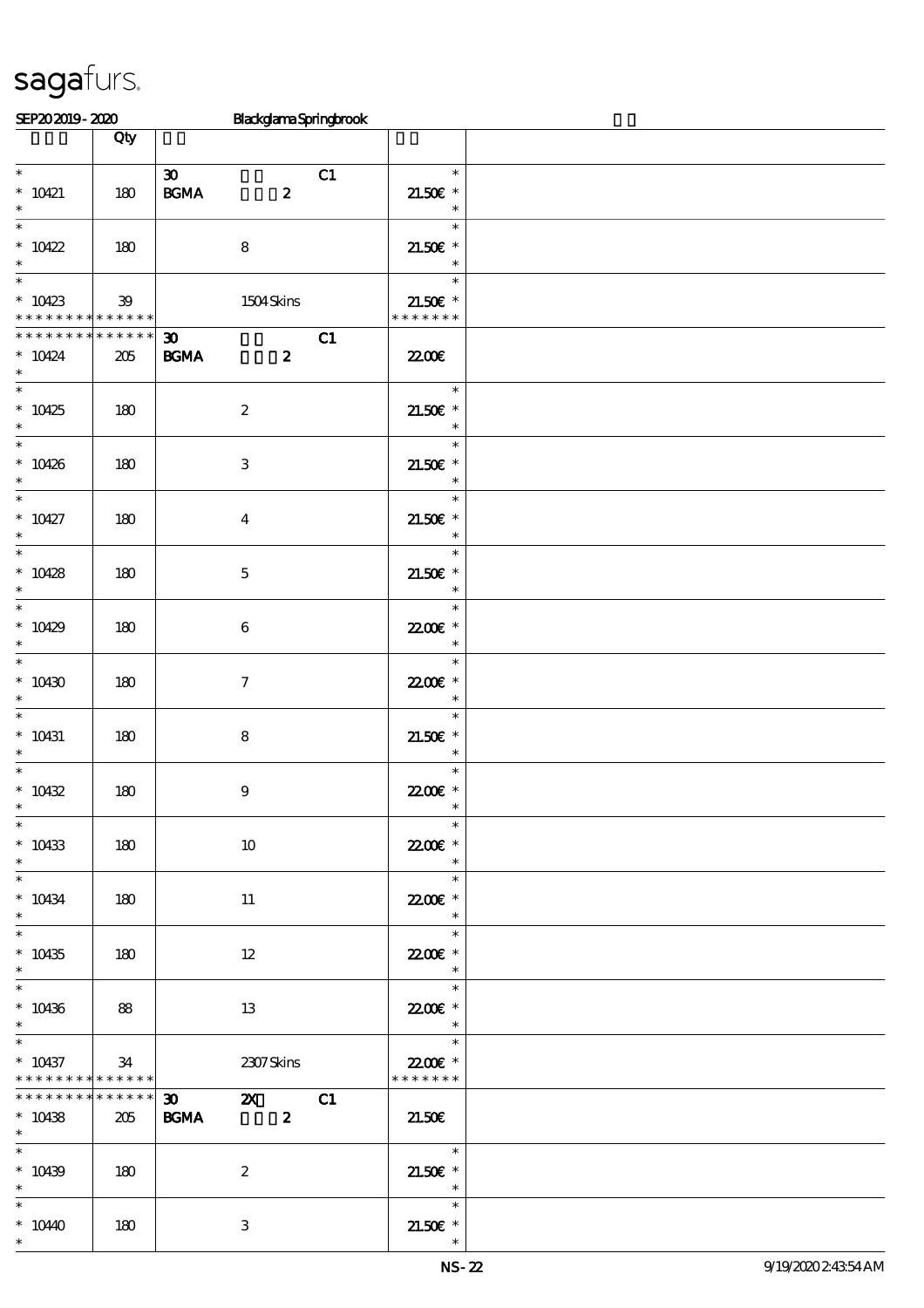| SEP202019-2020                                                             |                | <b>BlackglamaSpringbrook</b>                                               |                                                       |  |
|----------------------------------------------------------------------------|----------------|----------------------------------------------------------------------------|-------------------------------------------------------|--|
|                                                                            | Qty            |                                                                            |                                                       |  |
| $\overline{\phantom{0}}$<br>$* 10421$<br>$\ast$                            | 180            | $\boldsymbol{\mathfrak{D}}$<br>C1<br>$\mathbf{B G MA}$<br>$\boldsymbol{z}$ | $\ast$<br>$21.50E$ *<br>$\overline{\phantom{a}}$      |  |
| $\ast$<br>$* 10422$<br>$\ast$                                              | 180            | $\bf8$                                                                     | $\ast$<br>$21.50E$ *<br>$\overline{\phantom{a}}$      |  |
| $\ast$<br>$*10423$<br>* * * * * * * * <mark>* * * * * *</mark>             | 39             | 1504Skins                                                                  | $\ast$<br>$21.50E$ *<br>* * * * * * *                 |  |
| * * * * * * * * * * * * * * *<br>$* 10424$<br>$\ast$                       | 205            | C1<br>30<br><b>BGMA</b><br>$\boldsymbol{z}$                                | 2200                                                  |  |
| $*$<br>$*10425$<br>$\ast$                                                  | 180            | $\boldsymbol{z}$                                                           | $\overline{\phantom{a}}$<br>$21.50E$ *<br>$\ast$      |  |
| $\overline{\ast}$<br>$*10426$<br>$\ast$<br>$\overline{\ast}$               | 180            | $\,3$                                                                      | $\ast$<br>$21.50E$ *<br>$\ast$                        |  |
| $* 10427$<br>$\ast$<br>$\overline{\ast}$                                   | 180            | $\boldsymbol{4}$                                                           | $\ast$<br>$21.50E$ *<br>$\ast$                        |  |
| $* 10428$<br>$\ast$                                                        | 180            | $\mathbf 5$                                                                | $\ast$<br>$21.50E$ *<br>$\overline{\phantom{a}}$      |  |
| $\ast$<br>$*10429$<br>$\ast$<br>$\overline{\ast}$                          | 180            | 6                                                                          | $\ast$<br>22.00€ *<br>$\ast$                          |  |
| $*10430$<br>$\ast$                                                         | 180            | $\tau$                                                                     | $\ast$<br>22.00 £*<br>$\ast$                          |  |
| $\ast$<br>$* 10431$<br>$\ast$<br>$\ast$                                    | 180            | 8                                                                          | $\ast$<br>$21.50E$ *<br>$\ast$                        |  |
| $* 10432$<br>$\overline{\phantom{0}}$                                      | 180            | $\bf{9}$                                                                   | $\ast$<br>22.00 £*<br>$\ast$                          |  |
| $* 10433$<br>$*$ $*$                                                       | 180            | $10\,$                                                                     | 22.00€ *<br>$\overline{\phantom{a}}$<br>$\ast$        |  |
| $* 10434$<br>$*$<br>$\overline{\ast}$                                      | 180            | 11                                                                         | 22.00E *<br>$\ast$<br>$\ast$                          |  |
| $* 10435$<br>$\ast$<br>$\overline{\phantom{0}}$                            | 180            | 12                                                                         | 22.00E *<br>$\ast$<br>$\ast$                          |  |
| $* 10436$<br>$\ast$<br>$\overline{\ast}$                                   | 88             | 13                                                                         | 22.00 £*<br>$\overline{\phantom{a}}$                  |  |
| $* 10437$<br>* * * * * * * * <mark>* * * * * * *</mark><br>* * * * * * * * | 34<br>$******$ | 2307Skins                                                                  | $\overline{\phantom{a}}$<br>22.00€ *<br>* * * * * * * |  |
| $* 10438$<br>$*$ $*$<br>$\overline{\phantom{0}}$                           | 205            | <b>BGMA</b><br>$\overline{\mathbf{2}}$                                     | 21.50E                                                |  |
| $* 10439$<br>$*$ and $*$                                                   | 180            | $\boldsymbol{z}$                                                           | $21.50E$ *<br>$\overline{\phantom{a}}$                |  |
| $\ast$<br>$*1040$<br>$\ast$                                                | 180            | 3                                                                          | $21.50E$ *<br>$\ast$                                  |  |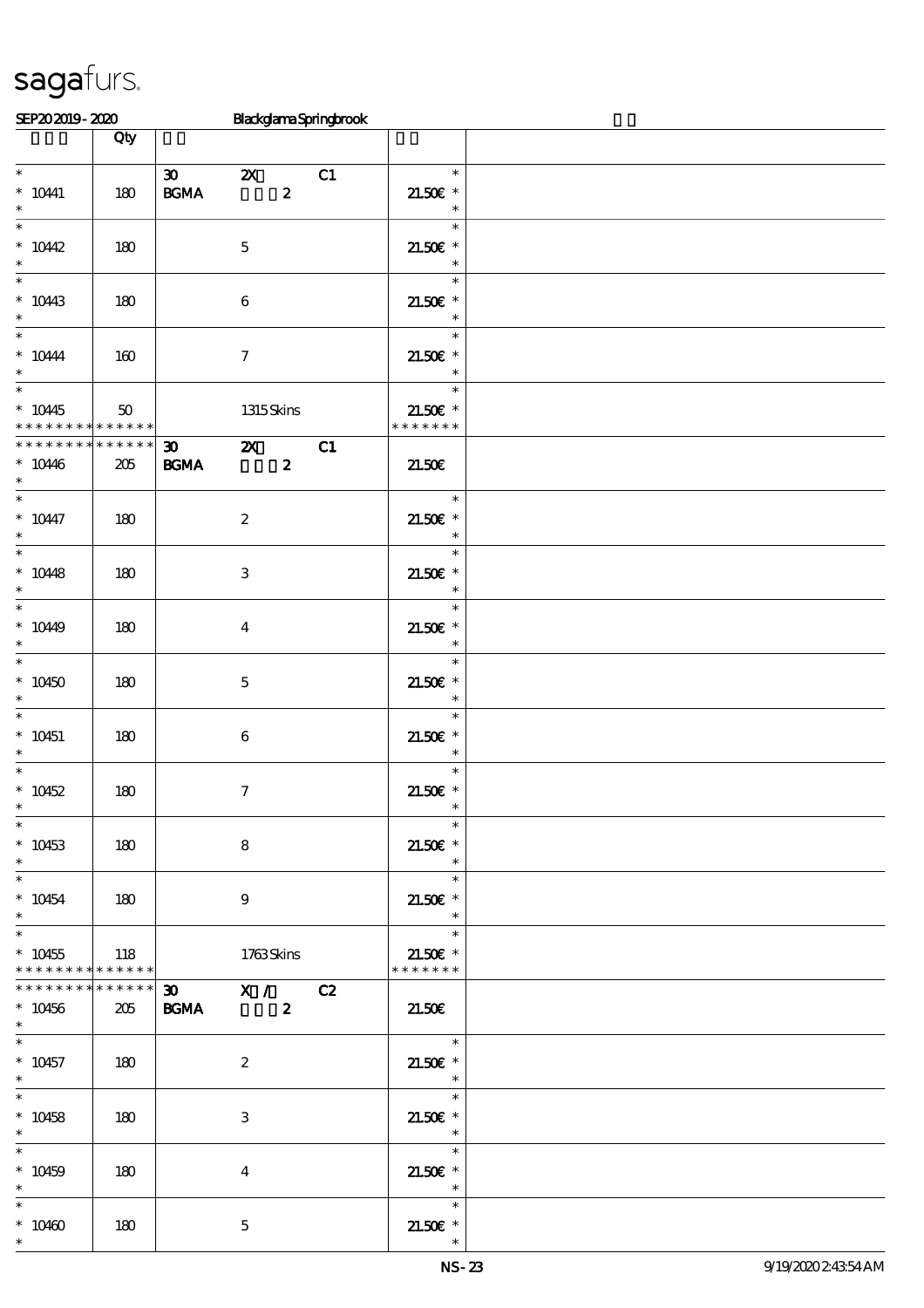| SEP202019-2020                                                                     |                      |                                                                |                           |                  | <b>BlackglamaSpringbrook</b> |                                                  |  |
|------------------------------------------------------------------------------------|----------------------|----------------------------------------------------------------|---------------------------|------------------|------------------------------|--------------------------------------------------|--|
|                                                                                    | Qty                  |                                                                |                           |                  |                              |                                                  |  |
|                                                                                    |                      |                                                                |                           |                  |                              |                                                  |  |
| $\ast$<br>$^*$ 10441<br>$\ast$                                                     | 180                  | $\infty$<br>BGMA                                               | $\mathbf{X}$              | $\boldsymbol{z}$ | C1                           | $\ast$<br>$21.50E$ *<br>$\ast$                   |  |
| $\overline{\phantom{0}}$<br>$*10442$<br>$\ast$                                     | 180                  |                                                                | $\mathbf 5$               |                  |                              | $\ast$<br>$21.50E$ *<br>$\ast$                   |  |
| $\overline{\phantom{0}}$<br>$* 1043$<br>$\ast$                                     | 180                  |                                                                | $\boldsymbol{6}$          |                  |                              | $\ast$<br>$21.50E$ *<br>$\overline{\phantom{a}}$ |  |
| $\ast$<br>$^*$ 10444 $\,$<br>$\ast$                                                | 160                  |                                                                | $\boldsymbol{7}$          |                  |                              | $\ast$<br>$21.50E$ *<br>$\ast$                   |  |
| $\overline{\phantom{0}}$<br>$*10445$<br>* * * * * * * * <mark>* * * * * * *</mark> | 50                   |                                                                | 1315Skins                 |                  |                              | $\ast$<br>$21.50E$ *<br>* * * * * * *            |  |
| * * * * * * * *<br>$*10446$<br>$\ast$                                              | * * * * * *<br>205   | $30 -$<br><b>BGMA</b>                                          | $\mathbf{z}$              | $\boldsymbol{z}$ | C1                           | 21.50E                                           |  |
| $\ast$<br>$* 10447$<br>$\ast$                                                      | 180                  |                                                                | $\boldsymbol{2}$          |                  |                              | $\ast$<br>$21.50E$ *<br>$\ast$                   |  |
| $\overline{\phantom{a}}$<br>$* 10448$<br>$\ast$                                    | 180                  |                                                                | $\ensuremath{\mathbf{3}}$ |                  |                              | $\ast$<br>$21.50E$ *<br>$\ast$                   |  |
| $*$<br>$*1049$<br>$\ast$                                                           | 180                  |                                                                | $\boldsymbol{4}$          |                  |                              | $\ast$<br>$21.50E$ *<br>$\overline{\phantom{a}}$ |  |
| $\ast$<br>$*10450$<br>$\ast$                                                       | 180                  |                                                                | $\mathbf 5$               |                  |                              | $\ast$<br>$21.50E$ *<br>$\ast$                   |  |
| $\ast$<br>$* 10451$<br>$\ast$                                                      | 180                  |                                                                | $\boldsymbol{6}$          |                  |                              | $\ast$<br>$21.50E$ *<br>$\ast$                   |  |
| $\ast$<br>$*10452$<br>$\ast$                                                       | 180                  |                                                                | $\tau$                    |                  |                              | $\ast$<br>$21.50E$ *                             |  |
| $\overline{\ast}$<br>$* 10453$<br>$\ast$                                           | 180                  |                                                                | $\bf8$                    |                  |                              | $\ast$<br>$21.50E$ *<br>$\ast$                   |  |
| $\overline{\phantom{0}}$<br>$* 10454$<br>$*$                                       | 180                  |                                                                | $\boldsymbol{9}$          |                  |                              | $\ast$<br>$21.50E$ *<br>$\ast$                   |  |
| $\overline{\ast}$<br>$* 10455$<br>* * * * * * * * * * * * * *                      | 118                  |                                                                | 1763Skins                 |                  |                              | $\ast$<br>an an<br>$21.50E$ *<br>* * * * * * *   |  |
| * * * * * * * *<br>$* 10456$<br>$\ast$                                             | $***$ * * * *<br>205 | $\overline{30}$ $\overline{X}$ / $\overline{C}$<br><b>BGMA</b> |                           | $\boldsymbol{2}$ |                              | 21.50E                                           |  |
| $\ast$<br>$* 10457$<br>$\ast$                                                      | 180                  |                                                                | $\boldsymbol{2}$          |                  |                              | $*$<br>$21.50E$ *<br>$\rightarrow$               |  |
| $\overline{\ast}$<br>$* 10458$<br>$\ast$                                           | 180                  |                                                                | 3                         |                  |                              | $\ast$<br>$21.50E$ *<br>$\overline{\phantom{a}}$ |  |
| $\ast$<br>$* 10459$<br>$\ast$                                                      | 180                  |                                                                | $\overline{4}$            |                  |                              | $\ast$<br>$21.50E$ *<br>$\overline{\phantom{a}}$ |  |
| $\ast$<br>$* 10460$<br>$\ast$                                                      | 180                  |                                                                | $\mathbf{5}$              |                  |                              | $\ast$<br>$21.50E$ *                             |  |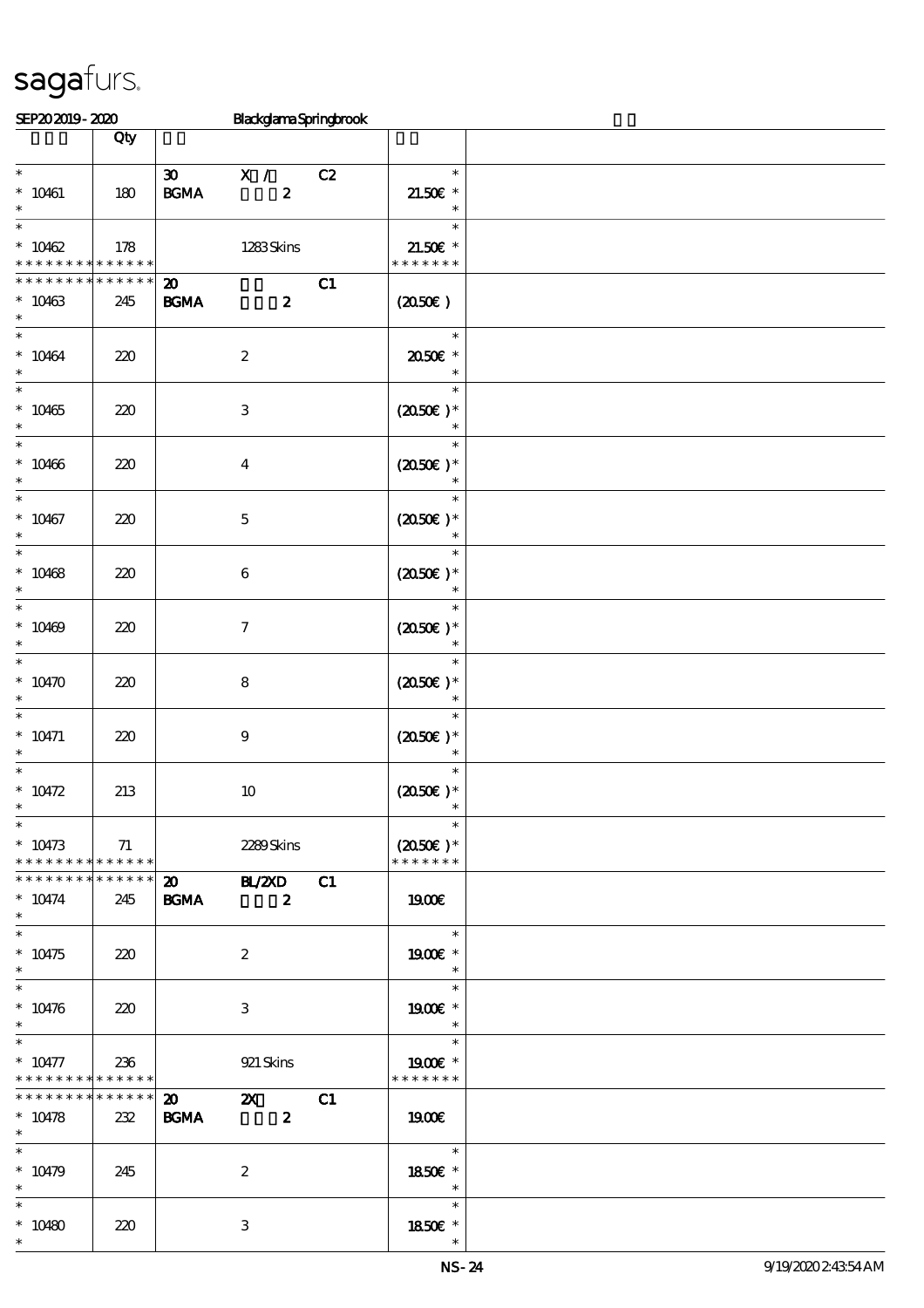| SEP202019-2020                |             |                             | BlackglamaSpringbrook                  |    |                          |  |  |  |  |
|-------------------------------|-------------|-----------------------------|----------------------------------------|----|--------------------------|--|--|--|--|
|                               | Qty         |                             |                                        |    |                          |  |  |  |  |
|                               |             |                             |                                        |    |                          |  |  |  |  |
| $\overline{\phantom{0}}$      |             | $\boldsymbol{\mathfrak{D}}$ | X /                                    | C2 | $\ast$                   |  |  |  |  |
| $* 10461$                     | 180         | $\mathbf{B G MA}$           | $\boldsymbol{z}$                       |    | $21.50E$ *               |  |  |  |  |
| $\ast$                        |             |                             |                                        |    | $\ast$                   |  |  |  |  |
| $\ast$                        |             |                             |                                        |    | $\ast$                   |  |  |  |  |
| $* 10462$                     | 178         |                             | 1283Skins                              |    | 21.50€ *                 |  |  |  |  |
| * * * * * * * *               | * * * * * * |                             |                                        |    | * * * * * * *            |  |  |  |  |
| * * * * * * *                 | * * * * * * | $\boldsymbol{\mathfrak{D}}$ |                                        | C1 |                          |  |  |  |  |
| $* 10463$                     | 245         | <b>BGMA</b>                 | $\boldsymbol{z}$                       |    | (2050)                   |  |  |  |  |
| $\ast$                        |             |                             |                                        |    |                          |  |  |  |  |
| $\ast$                        |             |                             |                                        |    | $\ast$                   |  |  |  |  |
| $* 10464$                     | 220         |                             | $\boldsymbol{2}$                       |    | 2050E *                  |  |  |  |  |
| $\ast$                        |             |                             |                                        |    | $\ast$                   |  |  |  |  |
| $\overline{\ast}$             |             |                             |                                        |    | $\ast$                   |  |  |  |  |
| $* 10465$                     | 220         |                             | $\,3\,$                                |    | $(2050)$ *               |  |  |  |  |
| $\ast$                        |             |                             |                                        |    |                          |  |  |  |  |
| $\ast$                        |             |                             |                                        |    | $\ast$                   |  |  |  |  |
| $* 10466$                     | 220         |                             | $\bf{4}$                               |    | $(2050)$ *               |  |  |  |  |
| $\ast$                        |             |                             |                                        |    |                          |  |  |  |  |
| $\ast$                        |             |                             |                                        |    | $\ast$                   |  |  |  |  |
| $* 10467$                     | 220         |                             | $\mathbf 5$                            |    | $(2050\text{E})$ *       |  |  |  |  |
| $\ast$                        |             |                             |                                        |    | $\ast$                   |  |  |  |  |
| $\ast$                        |             |                             |                                        |    | $\ast$                   |  |  |  |  |
| $* 10468$                     | 220         |                             | $\,6\,$                                |    | $(2050)$ *               |  |  |  |  |
| $\ast$                        |             |                             |                                        |    | $\ast$                   |  |  |  |  |
| $\ast$                        |             |                             |                                        |    | $\ast$                   |  |  |  |  |
| $* 10469$                     | 220         |                             | $\boldsymbol{\tau}$                    |    | $(2050)$ *               |  |  |  |  |
| $\ast$                        |             |                             |                                        |    | $\ast$                   |  |  |  |  |
| $\ast$                        |             |                             |                                        |    | $\ast$                   |  |  |  |  |
| $*10470$                      | 220         |                             | $\bf 8$                                |    | $(2050\text{E})*$        |  |  |  |  |
| $\ast$                        |             |                             |                                        |    | $\ast$                   |  |  |  |  |
| $\ast$                        |             |                             |                                        |    | $\ast$                   |  |  |  |  |
| $* 10471$                     | 220         |                             | $\boldsymbol{9}$                       |    | $(2050)$ *               |  |  |  |  |
| $\ast$                        |             |                             |                                        |    | $\ast$                   |  |  |  |  |
| $\ast$                        |             |                             |                                        |    | $\ast$                   |  |  |  |  |
| $* 10472$                     | 213         |                             | $10\,$                                 |    | $(2050)$ *               |  |  |  |  |
| ∗                             |             |                             |                                        |    |                          |  |  |  |  |
| $\overline{\phantom{0}}$      |             |                             |                                        |    | $\ast$                   |  |  |  |  |
| $* 10473$                     | 71          |                             | 2289Skins                              |    | $(2050)$ *               |  |  |  |  |
| ******** <mark>******</mark>  |             |                             |                                        |    | * * * * * * *            |  |  |  |  |
| * * * * * * * * * * * * * * * |             |                             | $\overline{\text{B} \times \text{B}}$  | C1 |                          |  |  |  |  |
| $* 10474$                     | 245         | <b>BGMA</b>                 | $\overline{\mathbf{z}}$                |    | 1900E                    |  |  |  |  |
| $*$                           |             |                             |                                        |    |                          |  |  |  |  |
| $*$                           |             |                             |                                        |    | $\overline{\phantom{a}}$ |  |  |  |  |
| $* 10475$                     | 220         |                             | $\boldsymbol{2}$                       |    | 1900E *                  |  |  |  |  |
| $\ast$                        |             |                             |                                        |    | $\overline{\phantom{a}}$ |  |  |  |  |
| $\ast$                        |             |                             |                                        |    | $\ast$                   |  |  |  |  |
| $* 10476$                     | 220         |                             | 3                                      |    | $1900E$ *                |  |  |  |  |
| $\ast$                        |             |                             |                                        |    | $\overline{\mathbf{r}}$  |  |  |  |  |
| $\overline{\phantom{0}}$      |             |                             |                                        |    | $\ast$                   |  |  |  |  |
| $* 10477$                     | 236         |                             | 921 Skins                              |    | 1900E *                  |  |  |  |  |
| ******** <mark>******</mark>  |             |                             |                                        |    | * * * * * * *            |  |  |  |  |
| * * * * * * * * * * * * * * * |             |                             | $\mathbf{z}$ $\mathbf{z}$ $\mathbf{z}$ | C1 |                          |  |  |  |  |
| $* 10478$                     | 232         | <b>BGMA</b>                 | $\sim$ 2                               |    | <b>1900€</b>             |  |  |  |  |
| $*$                           |             |                             |                                        |    |                          |  |  |  |  |
| $\ast$                        |             |                             |                                        |    | $\overline{\mathbf{r}}$  |  |  |  |  |
| $* 10479$                     | 245         |                             | $\boldsymbol{2}$                       |    | 1850E *                  |  |  |  |  |
| $\ast$                        |             |                             |                                        |    | $\overline{\phantom{a}}$ |  |  |  |  |
| $\ast$                        |             |                             |                                        |    | $\ast$                   |  |  |  |  |
| $* 10480$                     | 220         |                             | $\,3\,$                                |    | 1850E *                  |  |  |  |  |
| $\ast$                        |             |                             |                                        |    | $\ast$                   |  |  |  |  |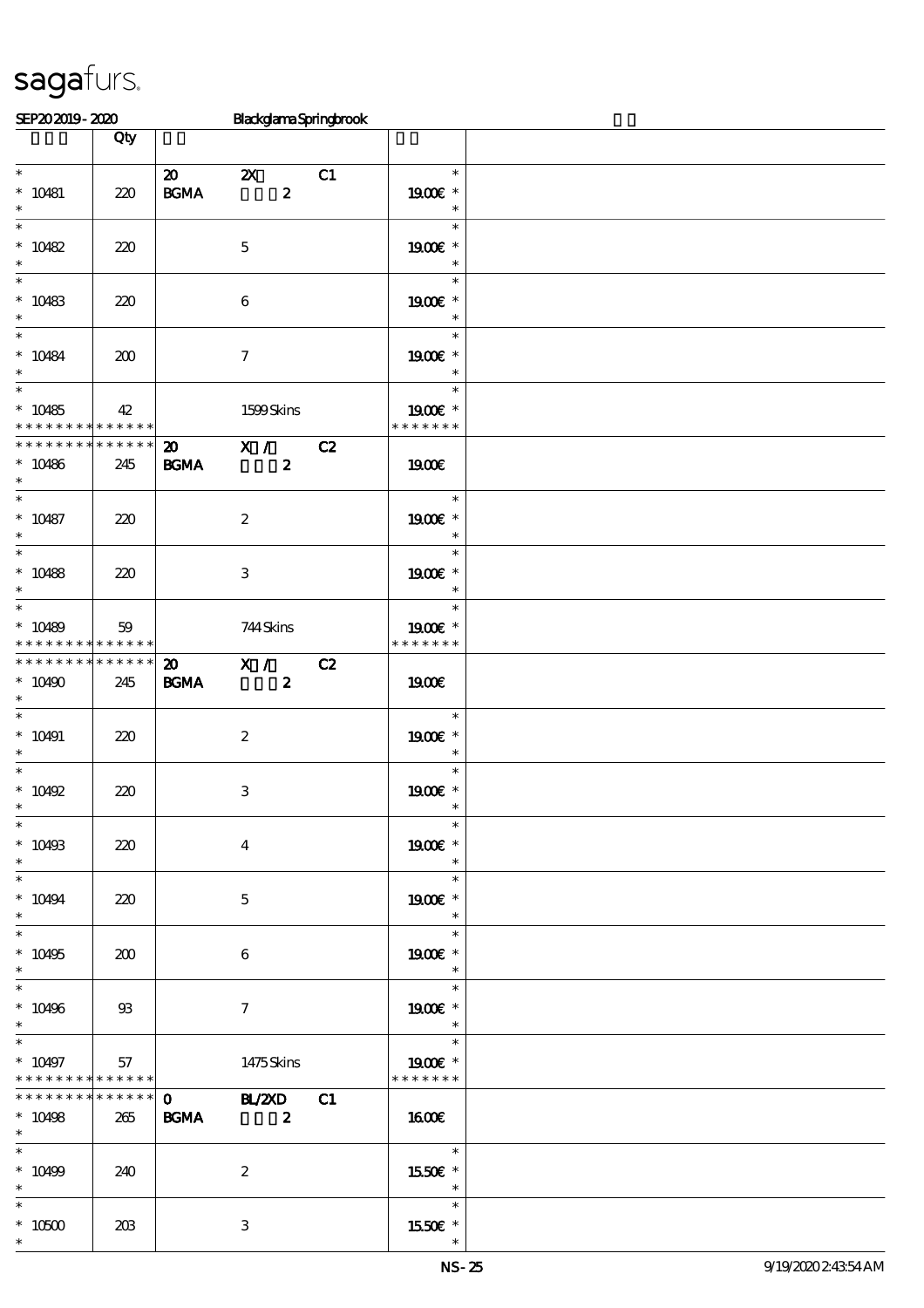| SEP202019-2020                                                               |                    |                                                 | BlackglamaSpringbrook                         |    |                                                       |  |
|------------------------------------------------------------------------------|--------------------|-------------------------------------------------|-----------------------------------------------|----|-------------------------------------------------------|--|
|                                                                              | Qty                |                                                 |                                               |    |                                                       |  |
| $\ast$<br>$* 10481$<br>$\ast$                                                | 220                | $\boldsymbol{\mathsf{20}}$<br>$\mathbf{B G MA}$ | $\mathbf{x}$<br>$\boldsymbol{z}$              | C1 | $\ast$<br>1900E *<br>$\ast$                           |  |
| $\overline{\phantom{0}}$<br>$* 10482$<br>$\ast$                              | 220                |                                                 | $\mathbf 5$                                   |    | $\ast$<br>$1900E$ *<br>$\ast$                         |  |
| $\ast$<br>$* 10483$<br>$\ast$                                                | 220                |                                                 | $\boldsymbol{6}$                              |    | $\ast$<br>1900E *<br>$\ast$                           |  |
| $\ast$<br>$^*$ 10484 $\,$<br>$\ast$<br>$\overline{\phantom{0}}$              | 200                |                                                 | $\tau$                                        |    | $\ast$<br>1900E *<br>$\ast$                           |  |
| $* 10485$<br>* * * * * * * * <mark>* * * * * * *</mark>                      | 42                 |                                                 | 1599Skins                                     |    | $\ast$<br>1900E *<br>* * * * * * *                    |  |
| * * * * * * * *<br>$*10486$<br>$\ast$                                        | * * * * * *<br>245 | $\boldsymbol{\mathsf{20}}$<br><b>BGMA</b>       | X / C2<br>$\boldsymbol{z}$                    |    | 1900E                                                 |  |
| $\ast$<br>$* 10487$<br>$\ast$                                                | 220                |                                                 | $\boldsymbol{2}$                              |    | $\ast$<br>1900€ *<br>$\ast$                           |  |
| $\overline{\phantom{a}}$<br>$* 10488$<br>$\ast$                              | 220                |                                                 | $\ensuremath{\mathbf{3}}$                     |    | $\ast$<br>1900E *<br>$\ast$                           |  |
| $\overline{\ast}$<br>$* 10489$<br>* * * * * * * * <mark>* * * * * * *</mark> | 59                 |                                                 | 744Skins                                      |    | $\ast$<br>1900€ *<br>* * * * * * *                    |  |
| * * * * * * * * * * * * * *<br>$*10490$<br>$\ast$                            | 245                | $\boldsymbol{\mathfrak{D}}$<br><b>BGMA</b>      | $\overline{\mathbf{X}}$ /<br>$\boldsymbol{z}$ | C2 | <b>1900€</b>                                          |  |
| $\ast$<br>$* 10491$<br>$\ast$                                                | 220                |                                                 | $\boldsymbol{z}$                              |    | $\ast$<br>1900€ *<br>$\ast$                           |  |
| $\ast$<br>$*$ 10492<br>$\ast$                                                | 220                |                                                 | $\,3$                                         |    | $\ast$<br>1900E *                                     |  |
| $\ast$<br>$* 10493$<br>$\ast$<br>$\overline{\phantom{0}}$                    | 220                |                                                 | $\boldsymbol{4}$                              |    | $\ast$<br>1900E *<br>$\ast$                           |  |
| $* 10494$<br>$\ast$<br>$\overline{\ast}$                                     | 220                |                                                 | $\mathbf 5$                                   |    | $\ast$<br>1900 £*<br>$\ast$<br>$\ast$                 |  |
| $* 10495$<br>$\ast$<br>$\ast$                                                | 200                |                                                 | $\boldsymbol{6}$                              |    | 1900E *<br>$\ast$<br>$\ast$                           |  |
| $* 10496$<br>$\ast$                                                          | $\mathfrak{B}$     |                                                 | $\tau$                                        |    | 1900E *<br>$\ast$                                     |  |
| $\ast$<br>$* 10497$<br>* * * * * * * * <mark>* * * * * * *</mark>            | 57                 |                                                 | 1475Skins                                     |    | $\ast$<br>1900E *<br>* * * * * * *                    |  |
| * * * * * * * *<br>$* 10498$<br>$\ast$                                       | * * * * * *<br>265 | <b>BGMA</b>                                     | 0 BL/2XD C1<br>$\overline{\mathbf{z}}$        |    | <b>1600€</b>                                          |  |
| $\ast$<br>$* 10499$<br>$\ast$                                                | 240                |                                                 | $\boldsymbol{2}$                              |    | ri T<br>$\ast$<br>1550€ *<br>$\overline{\phantom{a}}$ |  |
| $^\ast$ 10500<br>$\ast$                                                      | 203                |                                                 | 3                                             |    | $\ast$<br>1550E *                                     |  |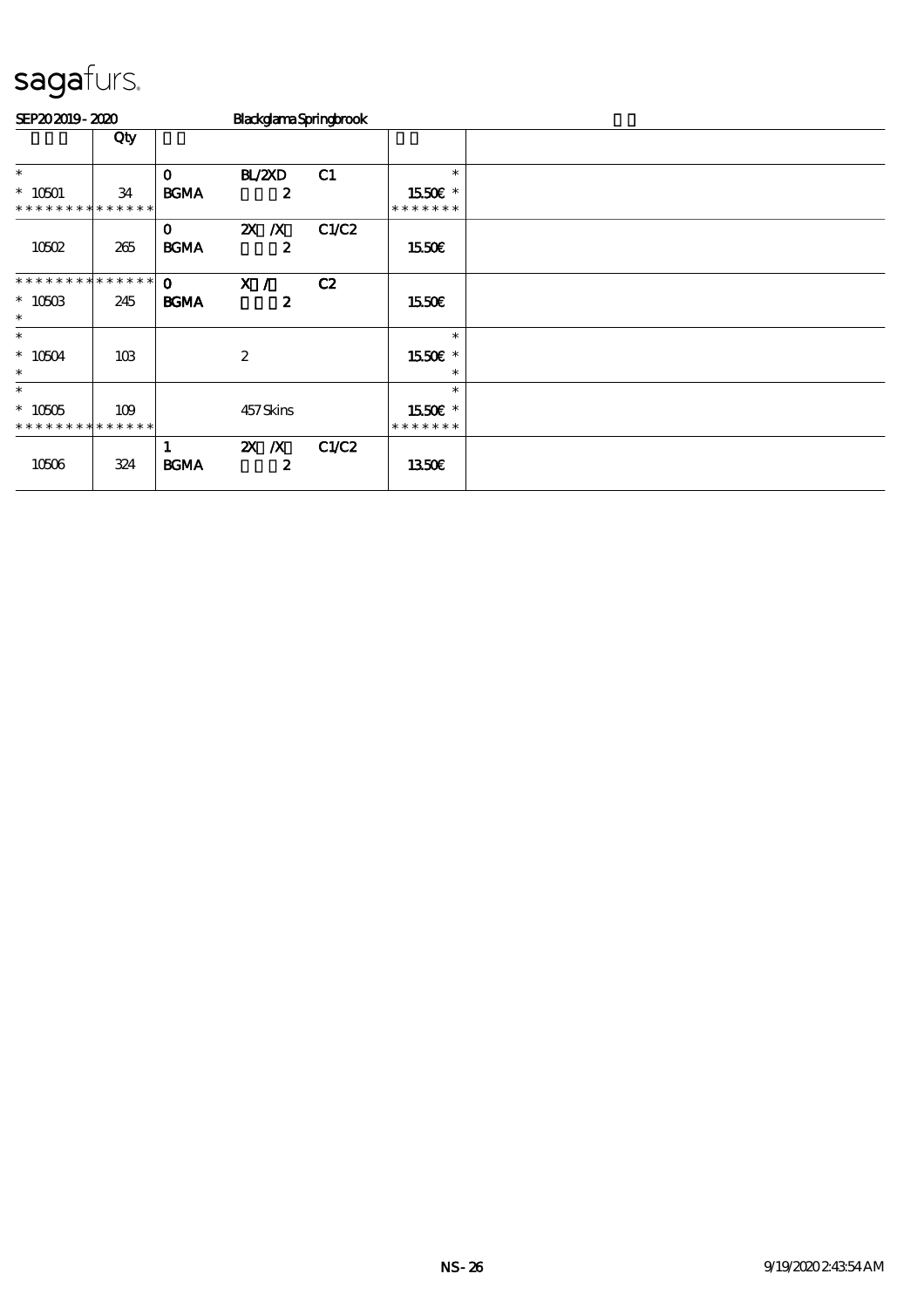| SEP202019-2020               |                    |                             | BlackglamaSpringbrook          |       |                          |  |  |  |  |
|------------------------------|--------------------|-----------------------------|--------------------------------|-------|--------------------------|--|--|--|--|
|                              | Qty                |                             |                                |       |                          |  |  |  |  |
| $\ast$                       |                    | $\mathbf{o}$                | BL/2XD                         | C1    | $\ast$                   |  |  |  |  |
| $* 10501$<br>* * * * * * * * | 34<br>* * * * * *  | <b>BGMA</b>                 | $\boldsymbol{z}$               |       | 1550€ *<br>* * * * * * * |  |  |  |  |
| 10502                        | 265                | $\mathbf{o}$<br><b>BGMA</b> | $ZX$ $/ X$<br>$\boldsymbol{z}$ | C1/C2 | 1550€                    |  |  |  |  |
| * * * * * * * * * * * * * *  |                    | $\mathbf{o}$                | X /                            | C2    |                          |  |  |  |  |
| $*1050B$<br>$\ast$           | 245                | <b>BGMA</b>                 | $\boldsymbol{z}$               |       | 1550€                    |  |  |  |  |
| $\ast$                       |                    |                             |                                |       | $\ast$                   |  |  |  |  |
| $*10504$<br>$\ast$           | 10 <sub>B</sub>    |                             | $\boldsymbol{2}$               |       | 1550E *<br>$\ast$        |  |  |  |  |
| $\ast$                       |                    |                             |                                |       | $\ast$                   |  |  |  |  |
| $* 10505$<br>* * * * * * * * | 109<br>* * * * * * |                             | 457Skins                       |       | 1550E *<br>* * * * * * * |  |  |  |  |
| 10506                        | 324                | 1<br><b>BGMA</b>            | $X$ $X$<br>$\boldsymbol{z}$    | C1/C2 | 1350E                    |  |  |  |  |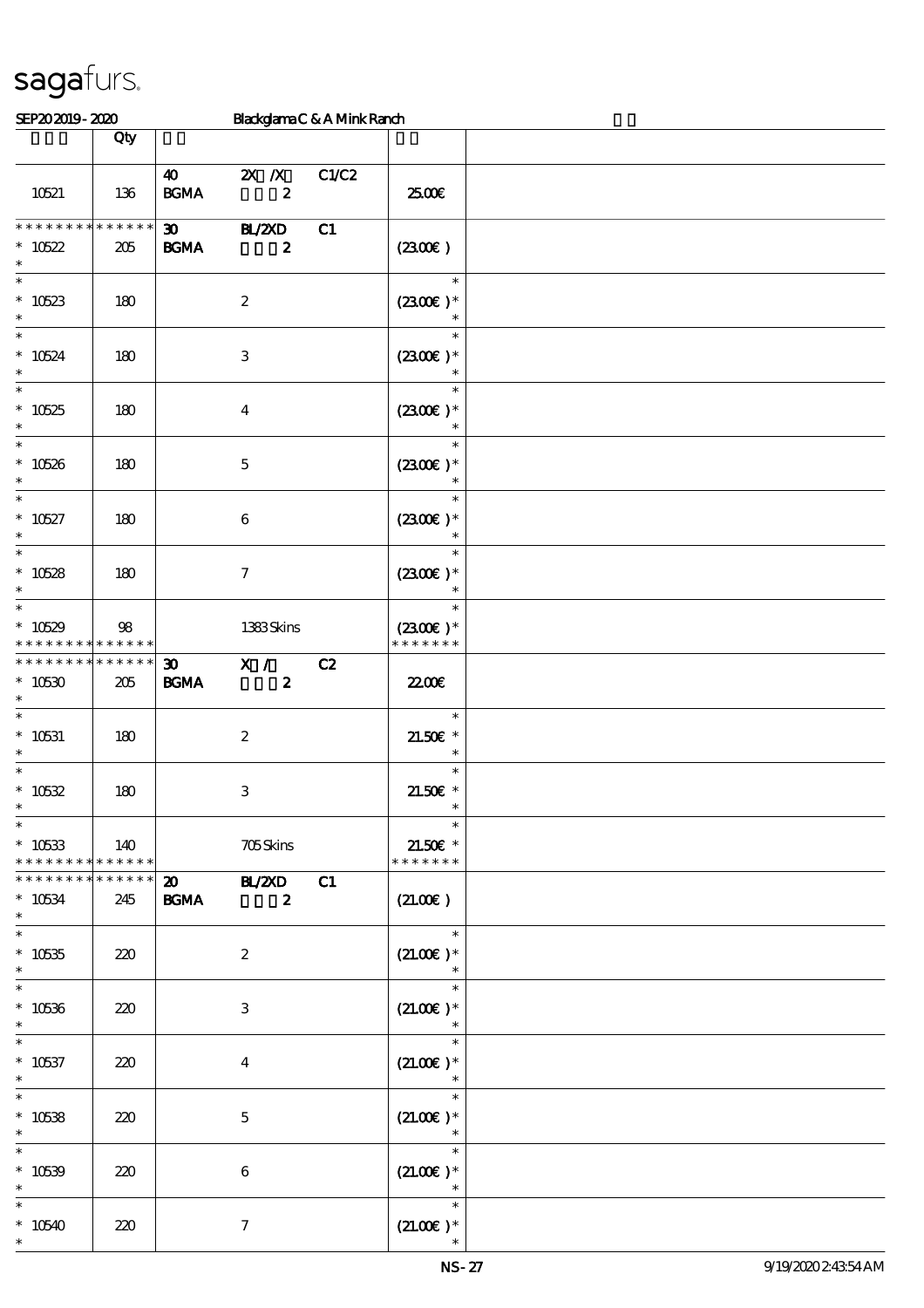#### $SPP202019 - 2020$  Blackglama C & A Mink Ranch

| --------                                            |                    |                                                 |                                                                                      | <b>THURSDAIL</b> CONTINUES AND |                                                  |  |
|-----------------------------------------------------|--------------------|-------------------------------------------------|--------------------------------------------------------------------------------------|--------------------------------|--------------------------------------------------|--|
|                                                     | Qty                |                                                 |                                                                                      |                                |                                                  |  |
| 10521                                               | 136                | <b>BGMA</b>                                     | 40 2X X C1/C2<br>$\overline{\mathbf{z}}$                                             |                                | 2500€                                            |  |
| * * * * * * * *<br>$*10522$<br>$\ast$               | * * * * * *<br>205 | <b>BGMA</b>                                     | $30$ $\overline{B}$ $\overline{Z}$ $\overline{Z}$ $\overline{D}$<br>$\boldsymbol{2}$ | C1                             | (2300)                                           |  |
| $\ast$<br>$*10523$<br>$\ast$                        | 180                |                                                 | $\boldsymbol{2}$                                                                     |                                | $\ast$<br>$(2300E)*$                             |  |
| $\overline{\ast}$<br>$* 10524$                      | 180                |                                                 | 3                                                                                    |                                | $\ast$<br>$(2300)$ *<br>$\ast$                   |  |
| $\overline{\phantom{1}}$<br>$* 10525$<br>$\ast$     | 180                |                                                 | $\bf{4}$                                                                             |                                | $\ast$<br>$(2300)$ *<br>$\overline{\phantom{a}}$ |  |
| $\ast$<br>$* 10526$<br>$\ast$                       | 180                |                                                 | $\mathbf 5$                                                                          |                                | $\ast$<br>$(2300)$ *<br>$\ast$                   |  |
| $\ast$<br>$* 10527$<br>$\ast$<br>$\overline{\ast}$  | 180                |                                                 | $\boldsymbol{6}$                                                                     |                                | $\ast$<br>$(2300E)^*$<br>$\ast$                  |  |
| $*10528$<br>$\ast$<br>$\overline{\ast}$             | 180                |                                                 | $\tau$                                                                               |                                | $\ast$<br>$(2300)$ *                             |  |
| $*10529$<br>* * * * * * *                           | 98<br>* * * * * *  |                                                 | 1383Skins                                                                            |                                | $\ast$<br>$(2300)$ *<br>* * * * * * *            |  |
| * * * * * * * *<br>$*10530$<br>$\ast$               | * * * * * *<br>205 | $30 - 1$<br>$\mathbf{B G MA}$                   | X / C2<br>$\overline{\mathbf{z}}$                                                    |                                | 2200                                             |  |
| $\overline{\ast}$<br>$^*$ 10531<br>$\ast$<br>$\ast$ | 180                |                                                 | $\boldsymbol{2}$                                                                     |                                | an T<br>$\ast$<br>$21.50E$ *<br>$\ast$           |  |
| $* 10532$<br>$\ast$<br>$\ast$                       | 180                |                                                 | $\,3\,$                                                                              |                                | $\ast$<br>$21.50E$ *<br>$\ast$                   |  |
| $* 10533$<br>* * * * * * * *                        | 140<br>* * * * * * |                                                 | <b>705Skins</b>                                                                      |                                | $\ast$<br>$21.50E$ *<br>* * * * * * *            |  |
| * * * * * * *<br>$* 10534$<br>$\ast$                | * * * * * *<br>245 | $\boldsymbol{\mathsf{20}}$<br>$\mathbf{B G MA}$ | <b>BL/ZXD</b><br>$\boldsymbol{z}$                                                    | C1                             | (21.00)                                          |  |
| $\ast$<br>$*10535$<br>$\ast$                        | 220                |                                                 | $\boldsymbol{2}$                                                                     |                                | $\ast$<br>$(21.00)$ *                            |  |
| $\ast$<br>$* 10536$<br>$\ast$                       | 220                |                                                 | $\,3\,$                                                                              |                                | $\ast$<br>$(21.00)$ *<br>$\ast$                  |  |
| $\ast$<br>$* 10537$<br>$\ast$                       | 220                |                                                 | $\overline{\mathbf{4}}$                                                              |                                | $\ast$<br>$(21.00)$ *<br>$\ast$                  |  |
| $\ast$<br>$* 10538$<br>$\ast$                       | 220                |                                                 | $\mathbf 5$                                                                          |                                | $\ast$<br>$(21.00)$ *<br>$\ast$                  |  |
| $\ast$<br>$* 10539$<br>$\ast$                       | 220                |                                                 | 6                                                                                    |                                | $\ast$<br>$(21.00)$ *<br>$\ast$                  |  |
| $\ast$<br>$*10540$<br>$\ast$                        | 220                |                                                 | $\tau$                                                                               |                                | $\ast$<br>$(21.00)$ *                            |  |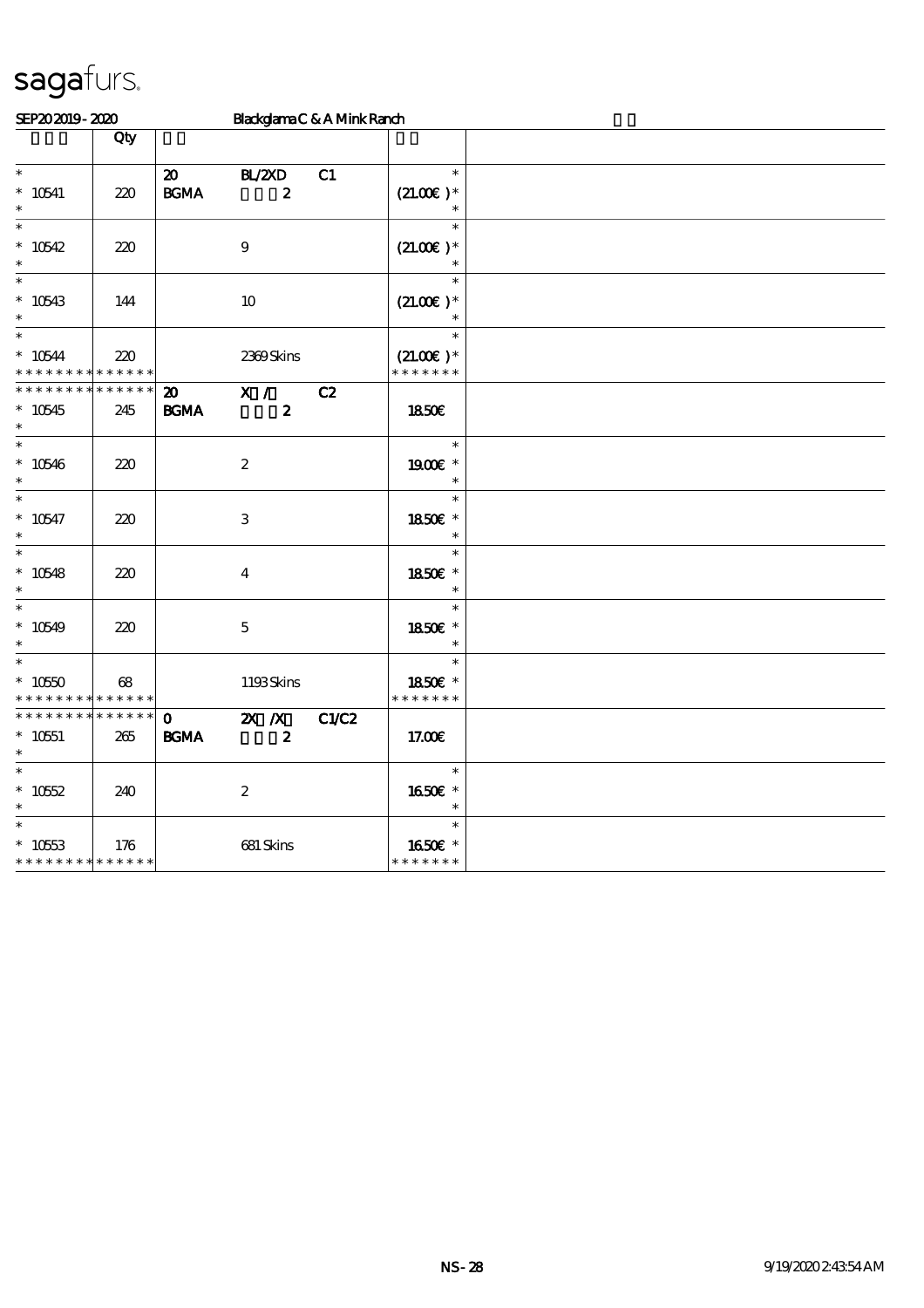| SEP202019-2020                                                    |                                   |                                                  |                             | BlackglamaC & A Mink Ranch |                                        |  |
|-------------------------------------------------------------------|-----------------------------------|--------------------------------------------------|-----------------------------|----------------------------|----------------------------------------|--|
|                                                                   | Qty                               |                                                  |                             |                            |                                        |  |
| $\ast$<br>$* 10541$<br>$\ast$                                     | 220                               | $\boldsymbol{\mathfrak{D}}$<br>$\mathbf{B G MA}$ | BL/ZAD<br>$\boldsymbol{z}$  | C1                         | $\ast$<br>$(21.00)$ *                  |  |
| $\ast$<br>$*10542$<br>$\ast$                                      | 220                               |                                                  | $\boldsymbol{9}$            |                            | $\ast$<br>$(21.00)$ *<br>$\ast$        |  |
| $\ast$<br>$* 10543$<br>$\ast$                                     | 144                               |                                                  | $10\,$                      |                            | $\ast$<br>$(21.00)$ *<br>$\ast$        |  |
| $\ast$<br>$* 10544$<br>* * * * * * * *                            | 220<br>* * * * * *                |                                                  | 2369Skins                   |                            | $\ast$<br>$(21.00)$ *<br>* * * * * * * |  |
| * * * * * * * *<br>$*10545$                                       | $\ast\ast\ast\ast\ast\ast$<br>245 | $\boldsymbol{\mathfrak{D}}$<br>$\mathbf{B G MA}$ | X /<br>$\boldsymbol{z}$     | C2                         | 1850E                                  |  |
| $\ast$                                                            |                                   |                                                  |                             |                            |                                        |  |
| $\ast$<br>$* 10546$<br>$\ast$                                     | 220                               |                                                  | $\boldsymbol{2}$            |                            | $\ast$<br>1900E *<br>$\ast$            |  |
| $\ast$<br>$* 10547$                                               | 220                               |                                                  | $\,3$                       |                            | $\ast$<br>1850€ *<br>$\ast$            |  |
| $\ast$<br>$* 10548$<br>$\ast$                                     | 220                               |                                                  | $\boldsymbol{4}$            |                            | $\ast$<br>1850E *<br>$\ast$            |  |
| $\ast$<br>$*10549$<br>$\ast$                                      | 220                               |                                                  | $\mathbf 5$                 |                            | $\ast$<br>1850E *<br>$\ast$            |  |
| $\ast$<br>$*1050$<br>* * * * * * * *                              | $68$<br>* * * * * *               |                                                  | 1193Skins                   |                            | $\ast$<br>1850€ *<br>* * * * * * *     |  |
| * * * * * * * *<br>$^*$ 10551 $\,$<br>$\ast$                      | $* * * * * * *$<br>265            | $\mathbf{O}$<br><b>BGMA</b>                      | $X$ $N$<br>$\boldsymbol{z}$ | C1/C2                      | 17.00E                                 |  |
| $\ast$<br>$* 10552$<br>$\ast$                                     | 240                               |                                                  | $\boldsymbol{2}$            |                            | $\ast$<br>1650E *<br>$\ast$            |  |
| $\ast$<br>$* 10553$<br>* * * * * * * * <mark>* * * * * * *</mark> | 176                               |                                                  | 681 Skins                   |                            | $\ast$<br>1650€ *<br>* * * * * * *     |  |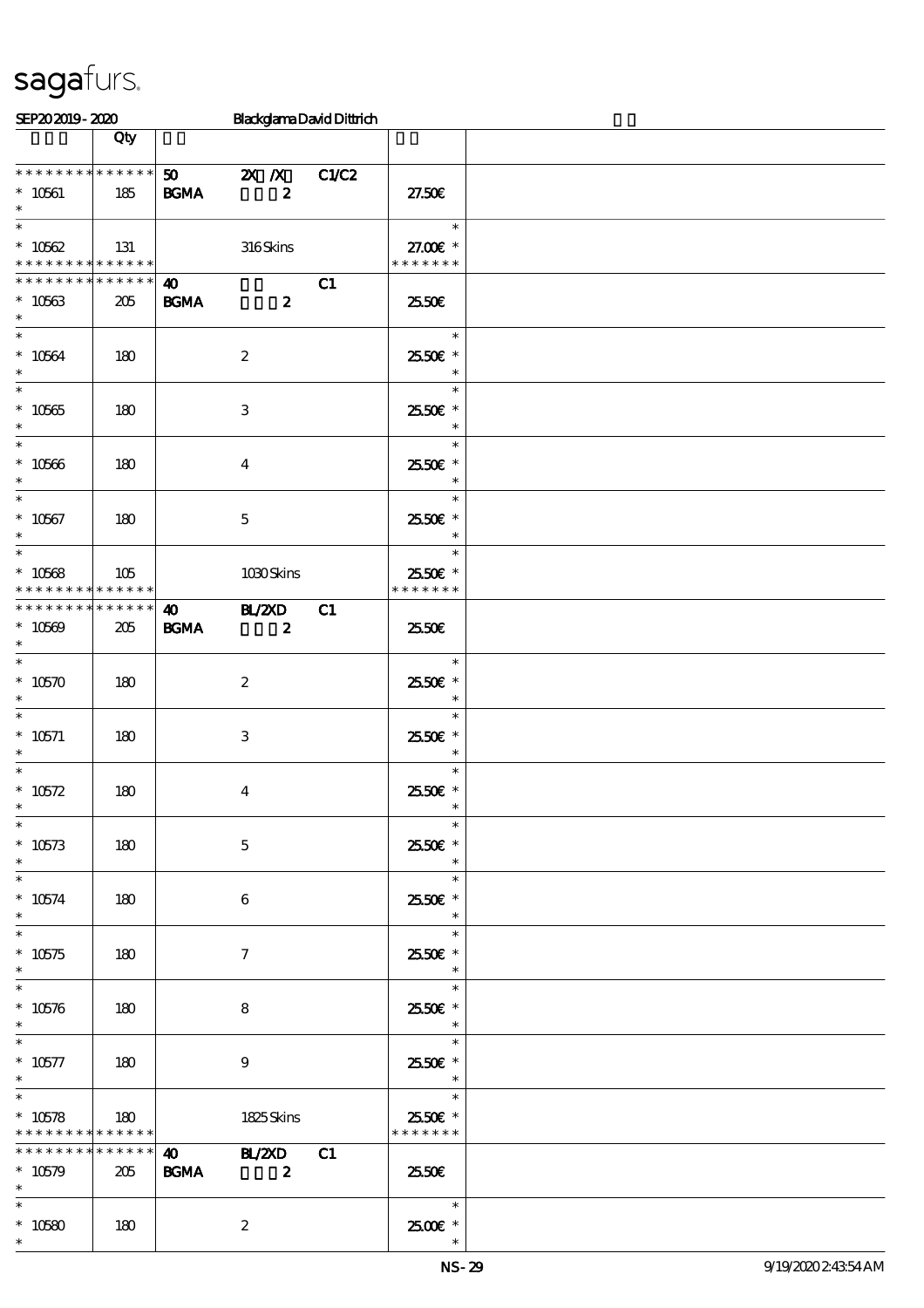| SEP202019-2020                                                                       |                        |                                      | <b>BlackglamaDavidDittrich</b>                |       |                                                                 |  |
|--------------------------------------------------------------------------------------|------------------------|--------------------------------------|-----------------------------------------------|-------|-----------------------------------------------------------------|--|
|                                                                                      | Qty                    |                                      |                                               |       |                                                                 |  |
| * * * * * * * * * * * * * *<br>$^*$ 10561 $\,$<br>$\ast$                             | 185                    | 50<br><b>BGMA</b>                    | $\mathbf{X}$ $\mathbf{X}$<br>$\boldsymbol{z}$ | C1/C2 | 27.50E                                                          |  |
| $\ast$<br>$* 10562$<br>* * * * * * * * <mark>* * * * * * *</mark><br>* * * * * * * * | 131                    |                                      | 316Skins                                      |       | $\ast$<br>27.00€ *<br>* * * * * * *                             |  |
| $* 10563$<br>$\ast$                                                                  | $* * * * * * *$<br>205 | $\boldsymbol{\omega}$<br><b>BGMA</b> | $\boldsymbol{z}$                              | C1    | 2550E                                                           |  |
| $\overline{\ast}$<br>$* 10564$<br>$\ast$                                             | 180                    |                                      | $\boldsymbol{2}$                              |       | $\ast$<br>25.50€ *<br>$\ast$                                    |  |
| $\overline{\phantom{0}}$<br>$^*$ 10565 $\,$<br>$\ast$                                | 180                    |                                      | 3                                             |       | $\ast$<br>2550€ *<br>$\ast$                                     |  |
| $\ast$<br>$^\ast$ 10566<br>$\ast$                                                    | 180                    |                                      | $\boldsymbol{4}$                              |       | $\ast$<br>2550€ *<br>$\ast$                                     |  |
| $\ast$<br>$* 10567$<br>$\ast$                                                        | 180                    |                                      | $\mathbf 5$                                   |       | $\ast$<br>25.50€ *<br>$\ast$                                    |  |
| $\ast$<br>$* 10568$<br>* * * * * * * * <mark>* * * * * *</mark>                      | 105                    |                                      | 1030Skins                                     |       | $\ast$<br>2550€ *<br>* * * * * * *                              |  |
| * * * * * * * * * * * * * * *<br>$* 10569$<br>$\ast$                                 | 205                    | $\boldsymbol{\omega}$<br><b>BGMA</b> | <b>BL/2XD</b><br>$\overline{\mathbf{z}}$      | C1    | 2550E                                                           |  |
| $\ast$<br>$* 10570$<br>$\ast$                                                        | 180                    |                                      | $\boldsymbol{2}$                              |       | $\ast$<br>2550€ *<br>$\ast$                                     |  |
| $\ast$<br>$^\ast$ 10571<br>$\ast$                                                    | 180                    |                                      | 3                                             |       | $\ast$<br>2550€ *<br>$\ast$                                     |  |
| $\ast$<br>$* 10572$<br>$*$                                                           | 180                    |                                      | $\boldsymbol{4}$                              |       | $\ast$<br>2550€ *<br>$\overline{\phantom{a}}$                   |  |
| $\ast$<br>$* 10573$<br>$\ast$                                                        | 180                    |                                      | $\mathbf{5}$                                  |       | $\ast$<br>25.50€ *<br>$\ast$                                    |  |
| $\ast$<br>$* 10574$<br>$\ast$                                                        | 180                    |                                      | 6                                             |       | $\ast$<br>2550€ *<br>$\ast$                                     |  |
| $\ast$<br>$* 10575$<br>$\ast$                                                        | 180                    |                                      | $\tau$                                        |       | $\ast$<br>25.50€ *<br>$\ast$                                    |  |
| $\ast$<br>$* 10576$<br>$\ast$                                                        | 180                    |                                      | 8                                             |       | $\ast$<br>25.50€ *<br>$\star$                                   |  |
| $^\ast$ 10577<br>$\ast$                                                              | 180                    |                                      | $\boldsymbol{9}$                              |       | $\ast$<br>2550€ *<br>$\overline{\phantom{a}}$                   |  |
| $\ast$<br>$*10578$<br>* * * * * * * * <mark>* * * * * * *</mark>                     | 180                    |                                      | 1825Skins                                     |       | $\overline{\phantom{a}}$<br>$\ast$<br>25.50€ *<br>* * * * * * * |  |
| * * * * * * * *<br>$* 10579$<br>$\ast$                                               | * * * * * *<br>205     | $\boldsymbol{\omega}$<br><b>BGMA</b> | <b>BL/2XD</b><br>$\boldsymbol{z}$             | C1    | 25.50E                                                          |  |
| $\ast$<br>$* 10580$<br>$\ast$                                                        | 180                    |                                      | $\boldsymbol{z}$                              |       | $\overline{\phantom{a}}$<br>$2500$ $\epsilon$ *                 |  |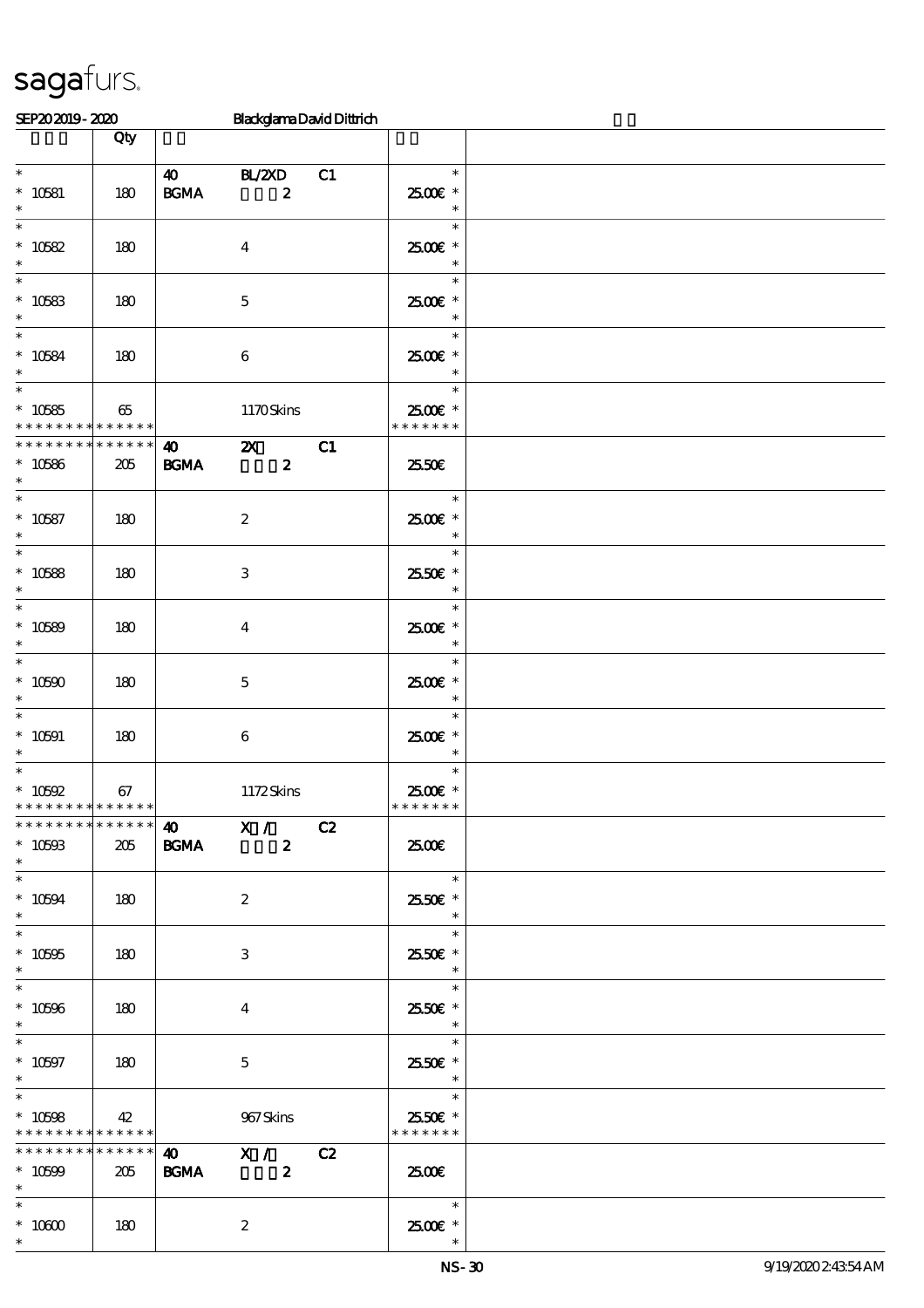| SEP202019-2020                             |             |                       | <b>BlackglamaDavidDittrich</b> |    |                          |  |
|--------------------------------------------|-------------|-----------------------|--------------------------------|----|--------------------------|--|
|                                            | Qty         |                       |                                |    |                          |  |
|                                            |             |                       |                                |    |                          |  |
| $\ast$                                     |             | $\boldsymbol{\omega}$ | BL/2XD                         | C1 | $\ast$                   |  |
| $^*$ 10581 $\,$                            | 180         | $\mathbf{B G MA}$     | $\boldsymbol{z}$               |    | 2500€ *                  |  |
| $\ast$                                     |             |                       |                                |    | $\ast$                   |  |
| $\ast$                                     |             |                       |                                |    | $\ast$                   |  |
| $* 10582$                                  | 180         |                       | $\boldsymbol{4}$               |    | 2500€ *                  |  |
| $\ast$                                     |             |                       |                                |    | $\ast$                   |  |
| $\ast$                                     |             |                       |                                |    | $\ast$                   |  |
| $^\ast$ 10583 $^\ast$                      | 180         |                       | $\mathbf 5$                    |    | 2500€ *                  |  |
|                                            |             |                       |                                |    | $\ast$                   |  |
| $\ast$                                     |             |                       |                                |    | $\ast$                   |  |
| $* 10584$                                  | 180         |                       | $\bf 6$                        |    | 2500€ *                  |  |
| $\ast$                                     |             |                       |                                |    | $\ast$                   |  |
| $\ast$                                     |             |                       |                                |    | $\ast$                   |  |
| $* 10585$                                  | 65          |                       | 1170Skins                      |    | 2500€ *                  |  |
| * * * * * * * * <mark>* * * * * *</mark>   | * * * * * * |                       |                                |    | * * * * * * *            |  |
| * * * * * * * *                            |             | $\boldsymbol{\omega}$ | $\boldsymbol{\mathsf{Z}}$      | C1 |                          |  |
| $* 10586$<br>$\ast$                        | 205         | BGMA                  | $\boldsymbol{z}$               |    | 2550€                    |  |
| $\overline{\ast}$                          |             |                       |                                |    | $\ast$                   |  |
|                                            |             |                       |                                |    |                          |  |
| $* 10587$<br>$\ast$                        | 180         |                       | $\boldsymbol{2}$               |    | 2500€ *<br>$\ast$        |  |
| $\ast$                                     |             |                       |                                |    | $\ast$                   |  |
| $* 10588$                                  | 180         |                       | $\,3$                          |    | 2550€ *                  |  |
| $\ast$                                     |             |                       |                                |    | $\ast$                   |  |
| $\ast$                                     |             |                       |                                |    | $\ast$                   |  |
| $* 10589$                                  | 180         |                       | $\boldsymbol{4}$               |    | 2500€ *                  |  |
| $\ast$                                     |             |                       |                                |    | $\ast$                   |  |
| $\overline{\ast}$                          |             |                       |                                |    | $\ast$                   |  |
| $* 10500$                                  | 180         |                       | $\mathbf 5$                    |    | 2500€ *                  |  |
| $\ast$                                     |             |                       |                                |    | $\ast$                   |  |
| $\ast$                                     |             |                       |                                |    | $\ast$                   |  |
| $* 10591$                                  | 180         |                       | $\boldsymbol{6}$               |    | 2500€*                   |  |
| $\ast$                                     |             |                       |                                |    | $\ast$                   |  |
| $\overline{\phantom{0}}$                   |             |                       |                                |    | $\ast$                   |  |
| $^*$ 10592 $\,$                            | 67          |                       | 1172Skins                      |    | 2500€*                   |  |
| * * * * * * * * <mark>* * * * * * *</mark> |             |                       |                                |    | * * * * * * *            |  |
| * * * * * * * * * * * * * *                |             |                       | 40 X / C2                      |    |                          |  |
| $* 10593$                                  | 205         | <b>BGMA</b>           | $\boldsymbol{z}$               |    | 2500€                    |  |
| $*$                                        |             |                       |                                |    |                          |  |
| $\ast$                                     |             |                       |                                |    | $\overline{\phantom{a}}$ |  |
| $* 10594$                                  | 180         |                       | $\boldsymbol{2}$               |    | 2550€ *                  |  |
| $\ast$                                     |             |                       |                                |    | $\overline{\phantom{a}}$ |  |
| $\ast$                                     |             |                       |                                |    | e e s<br>$*$             |  |
| $^\ast$ 10695<br>$\ast$                    | 180         |                       | 3                              |    | 2550E *<br>$\ast$        |  |
| $\overline{\phantom{0}}$                   |             |                       |                                |    | $\ast$                   |  |
|                                            |             |                       |                                |    |                          |  |
| $* 10596$<br>$\ast$                        | 180         |                       | 4                              |    | 25.50€ *<br>$\ast$       |  |
| $\ast$                                     |             |                       |                                |    | $*$                      |  |
| $* 10597$                                  | $\vert$ 180 |                       | $\mathbf{5}$                   |    | $2550$ $\epsilon$ *      |  |
| $\ast$                                     |             |                       |                                |    | $\overline{\phantom{a}}$ |  |
| $\overline{\phantom{0}}$                   |             |                       |                                |    |                          |  |
| $* 10508$                                  | 42          |                       | 967Skins                       |    | 25.50€ *                 |  |
| * * * * * * * * <mark>* * * * * *</mark>   |             |                       |                                |    | * * * * * * *            |  |
| * * * * * * * * * * * * * *                |             |                       | 40 X / C2                      |    |                          |  |
| $* 10599$                                  | 205         | <b>BGMA</b>           | $\overline{\mathbf{z}}$        |    | 2500E                    |  |
| $*$                                        |             |                       |                                |    |                          |  |
| $\ast$                                     |             |                       |                                |    |                          |  |
| $^\ast$ 10600                              | 180         |                       | $\boldsymbol{2}$               |    | 2500€ *                  |  |
| $\ast$                                     |             |                       |                                |    |                          |  |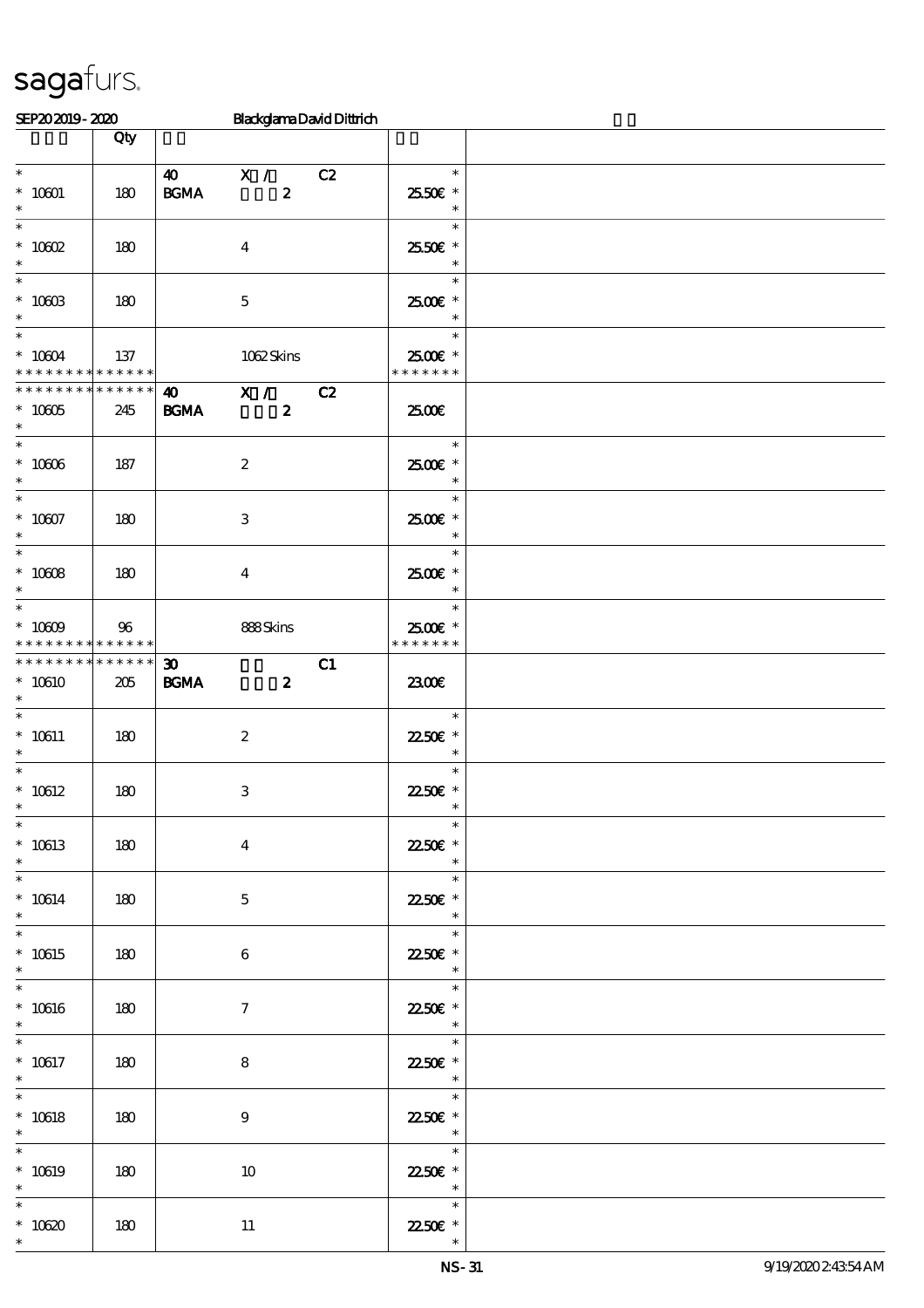| SEP202019-2020                                                           |                    |                                                                     | <b>BlackglamaDavidDittrich</b>     |    |                                                          |  |
|--------------------------------------------------------------------------|--------------------|---------------------------------------------------------------------|------------------------------------|----|----------------------------------------------------------|--|
|                                                                          | Qty                |                                                                     |                                    |    |                                                          |  |
| $\ast$<br>$*$ 10601 $\,$                                                 | 180                | $\boldsymbol{\omega}$<br>$\mathbf{B}\mathbf{G}\mathbf{M}\mathbf{A}$ | $\mathbf{X}$ /<br>$\boldsymbol{z}$ | C2 | $\ast$<br>2550€ *                                        |  |
| $\ast$<br>$\ast$                                                         |                    |                                                                     |                                    |    | $\ast$<br>$\ast$                                         |  |
| $* 10002$<br>$\ast$<br>$\ast$                                            | 180                |                                                                     | $\boldsymbol{4}$                   |    | 25.50€ *<br>$\ast$<br>$\ast$                             |  |
| $*$ 10003<br>$\ast$<br>$\overline{\ast}$                                 | 180                |                                                                     | $\mathbf 5$                        |    | $2500$ $\epsilon$ *<br>$\ast$<br>$\ast$                  |  |
| $^*$ 10604 $\,$<br>* * * * * * * * * * * * * *                           | 137                |                                                                     | 1062Skins                          |    | 2500€ *<br>* * * * * * *                                 |  |
| * * * * * * * *<br>$^*$ 10005 $\,$<br>$\ast$<br>$\overline{\phantom{0}}$ | * * * * * *<br>245 | $\boldsymbol{\omega}$<br><b>BGMA</b>                                | X /<br>$\boldsymbol{z}$            | C2 | 2500€<br>$\ast$                                          |  |
| $^\ast$ 10006<br>$\ast$<br>$\overline{\ast}$                             | 187                |                                                                     | $\boldsymbol{2}$                   |    | 2500€ *<br>$\ast$<br>$\ast$                              |  |
| $* 10007$<br>$\ast$<br>$\ast$                                            | 180                |                                                                     | 3                                  |    | 2500€ *<br>$\ast$<br>$\ast$                              |  |
| $^\ast$ 10008<br>$\ast$<br>$\ast$                                        | 180                |                                                                     | $\overline{\mathbf{4}}$            |    | 2500 £*<br>$\ast$<br>$\ast$                              |  |
| $* 10009$<br>* * * * * * * *<br>* * * * * * * * * * * * * *              | 96<br>* * * * * *  |                                                                     | 888Skins                           |    | 2500€ *<br>* * * * * * *                                 |  |
| $*10610$<br>$\ast$<br>$\ast$                                             | 205                | $\boldsymbol{\mathfrak{D}}$<br><b>BGMA</b>                          | $\boldsymbol{z}$                   | C1 | 2300E                                                    |  |
| $^*$ 10611<br>$\ast$<br>$\ast$                                           | 180                |                                                                     | $\boldsymbol{2}$                   |    | $\ast$<br>2250E *<br>$\ast$<br>$\ast$                    |  |
| $^*$ 10612 $\,$<br>$*$<br>$\ast$                                         | 180                |                                                                     | $\,3\,$                            |    | 22.50€ *<br>$*$                                          |  |
| $* 10613$<br>$\ast$<br>$\ast$                                            | 180                |                                                                     | $\bf{4}$                           |    | $\ast$<br>2250E *<br>$\ast$<br>$\ast$                    |  |
| $^*$ 10614 $\,$<br>$\ast$                                                | 180                |                                                                     | $\mathbf{5}$                       |    | 22.50€ *<br>$\ast$                                       |  |
| $\ast$<br>$* 10615$<br>$\ast$                                            | 180                |                                                                     | $6\phantom{.}6$                    |    | $\ast$<br>22.50€ *<br>$\overline{\phantom{a}}$           |  |
| $\ast$<br>$* 10616$<br>$\ast$                                            | 180                |                                                                     | $\tau$                             |    | $\ast$<br>22.50€ *<br>$\overline{\phantom{a}}$           |  |
| $* 10617$<br>$\ast$                                                      | 180                |                                                                     | 8                                  |    | 22.50€ *<br>$\ast$                                       |  |
| $\ast$<br>$^*$ 10618<br>$\ast$                                           | 180                |                                                                     | $\boldsymbol{9}$                   |    | $\sim$<br>$\ast$<br>22.50€ *<br>$\overline{\phantom{a}}$ |  |
| $\ast$<br>$* 10619$<br>$\ast$                                            | 180                |                                                                     | 10                                 |    | $\ast$<br>22.50€ *<br>$\overline{\phantom{a}}$           |  |
| $\ast$<br>$^*$ 10620 $\,$<br>$\ast$                                      | 180                |                                                                     | 11                                 |    | $\overline{\phantom{a}}$<br>22.50€ *<br>$\ast$           |  |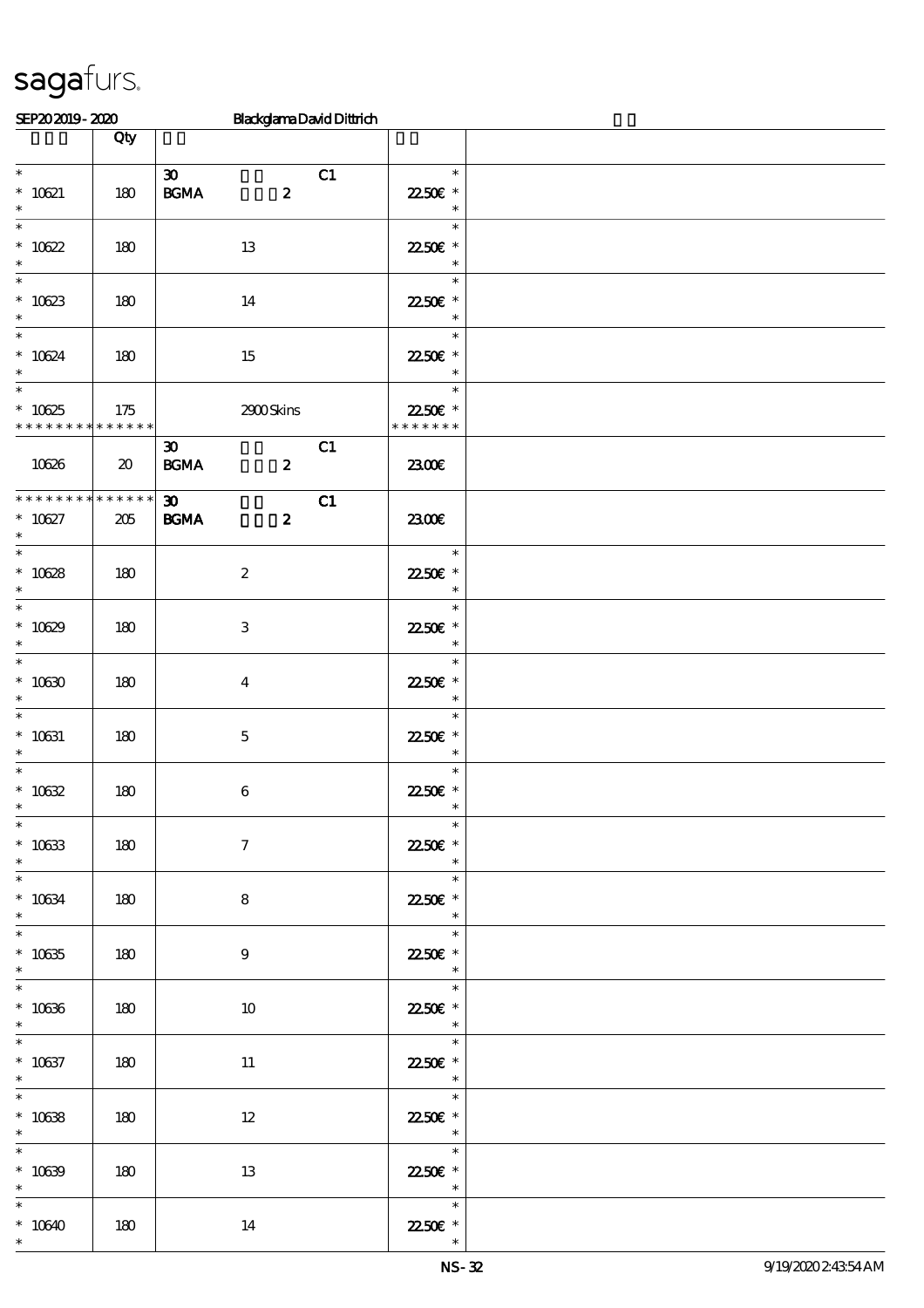| SEP202019-2020                                                |                             | <b>BlackglamaDavidDittrich</b>                                       |                                                                                                   |  |
|---------------------------------------------------------------|-----------------------------|----------------------------------------------------------------------|---------------------------------------------------------------------------------------------------|--|
|                                                               | Qty                         |                                                                      |                                                                                                   |  |
| $\overline{\phantom{0}}$<br>$* 10621$<br>$\ast$               | 180                         | $\boldsymbol{\mathfrak{D}}$<br>C1<br><b>BGMA</b><br>$\boldsymbol{z}$ | $\ast$<br>22.50€ *<br>$\ast$                                                                      |  |
| $\overline{\ast}$<br>$* 10622$<br>$\ast$                      | 180                         | 13                                                                   | $\ast$<br>22.50€ *<br>$\ast$                                                                      |  |
| $\ast$<br>$* 10623$<br>$\ast$                                 | 180                         | 14                                                                   | $\ast$<br>22.50€ *<br>$\ast$                                                                      |  |
| $\ast$<br>$* 10624$<br>$\ast$<br>$\overline{\phantom{1}}$     | 180                         | 15                                                                   | $\ast$<br>22.50€ *<br>$\ast$                                                                      |  |
| $* 10625$<br>* * * * * * * * * * * * * *                      | 175                         | 2900Skins                                                            | $\ast$<br>22.50€ *<br>* * * * * * *                                                               |  |
| 10626                                                         | $\boldsymbol{\mathfrak{D}}$ | C1<br>$\boldsymbol{\mathfrak{D}}$<br><b>BGMA</b><br>$\boldsymbol{2}$ | 2300E                                                                                             |  |
| * * * * * * * * * * * * * *<br>$* 10627$<br>$\ast$            | $205\,$                     | $\boldsymbol{\mathfrak{D}}$<br>C1<br><b>BGMA</b><br>$\boldsymbol{z}$ | 2300E                                                                                             |  |
| $\overline{\ast}$<br>$* 10628$<br>$\ast$                      | 180                         | $\boldsymbol{2}$                                                     | $\mathcal{L}(\mathcal{L})$<br>$\ast$<br>2250E *<br>$\ast$                                         |  |
| $\overline{\phantom{0}}$<br>$* 10629$<br>$\ast$               | 180                         | 3                                                                    | $\ast$<br>22.50€ *<br>$\ast$                                                                      |  |
| $\overline{\ast}$<br>$* 10630$<br>$\ast$                      | 180                         | $\boldsymbol{4}$                                                     | $\ast$<br>22.50€ *<br>$\ast$                                                                      |  |
| $\ast$<br>$* 10631$<br>$\ast$                                 | 180                         | $\mathbf 5$                                                          | $\ast$<br>2250 £*<br>$\ast$                                                                       |  |
| $\ast$<br>$^*$ 10632                                          | 180                         | $\,6\,$                                                              | $\ast$<br>22.50 $\varepsilon$ *                                                                   |  |
| $\ast$<br>$^\ast$ 10633<br>$\ast$<br>$\overline{\phantom{0}}$ | 180                         | $\boldsymbol{\tau}$                                                  | $\ast$<br>22.50€ *<br>$\ast$<br>$\ast$                                                            |  |
| $^*$ 10634 $\,$<br>$\ast$<br>$\overline{\phantom{0}}$         | 180                         | 8                                                                    | 2250E *<br>$\overline{\phantom{a}}$<br>$\overline{\phantom{a}}$                                   |  |
| $^\ast$ 10635<br>$\ast$<br>$\overline{\phantom{0}}$           | 180                         | 9                                                                    | 22.50€ *<br>$\overline{\phantom{a}}$<br>$\ast$                                                    |  |
| $* 10636$<br>$\ast$<br>$\overline{\phantom{0}}$               | 180                         | 10                                                                   | <u>ta k</u><br>22.50 $\varepsilon$ *<br>$\overline{\mathbf{r}}$                                   |  |
| $* 10637$<br>$\ast$<br>$\overline{\phantom{0}}$               | 180                         | 11                                                                   | $\overline{\phantom{a}}$<br>22.50€ *<br>$\begin{array}{c c}\n\ast \\ \hline\n\ast \\ \end{array}$ |  |
| $* 10638$<br>$\ast$                                           | 180                         | $12 \,$                                                              | 22.50 $\varepsilon$ *<br>$\ast$                                                                   |  |
| $\ast$<br>$* 10639$<br>$\ast$                                 | 180                         | 13                                                                   | 22.50€ *<br>$\overline{\phantom{a}}$                                                              |  |
| $\ast$<br>$*10640$<br>$\ast$                                  | 180                         | 14                                                                   | $\ast$<br>22.50€ *<br>$\ast$                                                                      |  |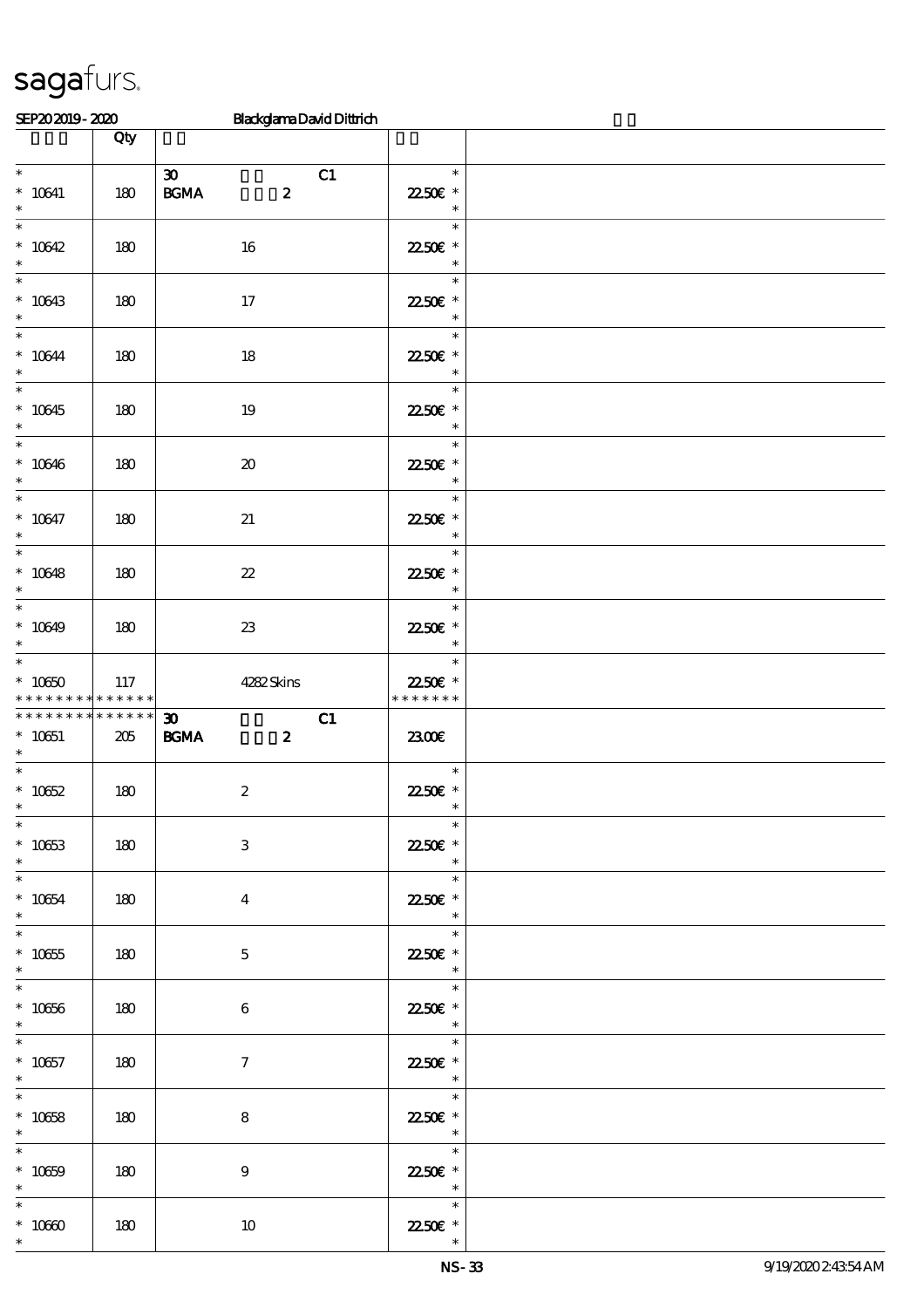| SEP202019-2020                                                           |                 | <b>BlackglamaDavidDittrich</b>                                             |                                                                  |  |
|--------------------------------------------------------------------------|-----------------|----------------------------------------------------------------------------|------------------------------------------------------------------|--|
|                                                                          | Qty             |                                                                            |                                                                  |  |
| $\overline{\phantom{a}^*}$<br>$^*$ 10641<br>$\ast$                       | 180             | $\boldsymbol{\mathfrak{D}}$<br>C1<br>$\mathbf{B G MA}$<br>$\boldsymbol{z}$ | $\ast$<br>22.50€ *<br>$\ast$                                     |  |
| $\overline{\ast}$<br>$* 10642$<br>$\ast$                                 | 180             | 16                                                                         | $\ast$<br>22.50€ *<br>$\ast$                                     |  |
| $\ast$<br>$* 10643$<br>$\ast$                                            | 180             | $17$                                                                       | $\ast$<br>2250E *<br>$\ast$                                      |  |
| $\ast$<br>$^*$ 10644 $\,$<br>$\ast$                                      | 180             | 18                                                                         | $\ast$<br>22.50€ *<br>$\ast$                                     |  |
| $\overline{\ast}$<br>$* 10645$<br>$\ast$                                 | 180             | $19\,$                                                                     | $\ast$<br>2250€ *<br>$\ast$                                      |  |
| $\ast$<br>$* 10646$<br>$\ast$                                            | 180             | $\pmb{\mathcal{X}}$                                                        | $\ast$<br>2250E *<br>$\ast$                                      |  |
| $\overline{\ast}$<br>$* 10647$<br>$\ast$                                 | 180             | 21                                                                         | $\ast$<br>22.50€ *<br>$\ast$                                     |  |
| $\overline{\ast}$<br>$* 10648$<br>$\ast$                                 | 180             | $2\!2$                                                                     | $\ast$<br>2250E *<br>$\ast$                                      |  |
| $\ast$<br>$* 10649$<br>$\ast$                                            | 180             | $2\!3$                                                                     | $\ast$<br>2250€ *<br>$\ast$                                      |  |
| $\ast$<br>$^*$ 10650 $\,$<br>* * * * * * * * * * * * * *                 | 117             | 4282Skins                                                                  | $\ast$<br>22.50€ *<br>* * * * * * *                              |  |
| * * * * * * * *<br>$* 10651$<br>$\ast$                                   | $******$<br>205 | $\boldsymbol{\mathfrak{D}}$<br>C1<br>$\mathbf{B G MA}$<br>$\boldsymbol{z}$ | 2300                                                             |  |
| $\ast$<br>$* 10652$                                                      | 180             | $\boldsymbol{2}$                                                           | $\ast$<br>22.50 $\varepsilon$ *                                  |  |
| $\ast$<br>$* 10653$<br>$\ast$<br>$\overline{\phantom{0}}$                | 180             | $\ensuremath{\mathbf{3}}$                                                  | $\ast$<br>2250€ *<br>$\ast$                                      |  |
| $^*$ 10654 $\,$<br>$\ast$                                                | 180             | $\boldsymbol{4}$                                                           | $\ast$<br>2250 £*<br>$\ast$                                      |  |
| $\overline{\ast}$<br>$^\ast$ 10655<br>$\ast$<br>$\overline{\phantom{0}}$ | 180             | $\mathbf{5}$                                                               | $\overline{\phantom{0}}$<br>$\ast$<br>22.50€ *<br>$\ast$         |  |
| $^\ast$ 10656<br>$\ast$                                                  | 180             | 6                                                                          | $\overline{\phantom{a}}$<br>22.50€ *<br>$\ast$                   |  |
| $\overline{\phantom{0}}$<br>$* 10657$<br>$\ast$                          | 180             | $\mathcal{I}$                                                              | Tarihin<br>$\ast$<br>22.50€ *<br>$\ast$                          |  |
| $\overline{\ast}$<br>$* 10658$<br>$\ast$                                 | 180             | 8                                                                          | $\overline{\phantom{a}}$<br>22.50€ *<br>$\overline{\phantom{a}}$ |  |
| $\ast$<br>$* 10659$<br>$\ast$                                            | 180             | $9\phantom{.0}$                                                            | $\overline{\phantom{0}}$<br>22.50€ *<br>$\overline{\phantom{a}}$ |  |
| $\ast$<br>$^\ast$ 10660<br>$\ast$                                        | 180             | $10\,$                                                                     | $\ast$<br>22.50€ *                                               |  |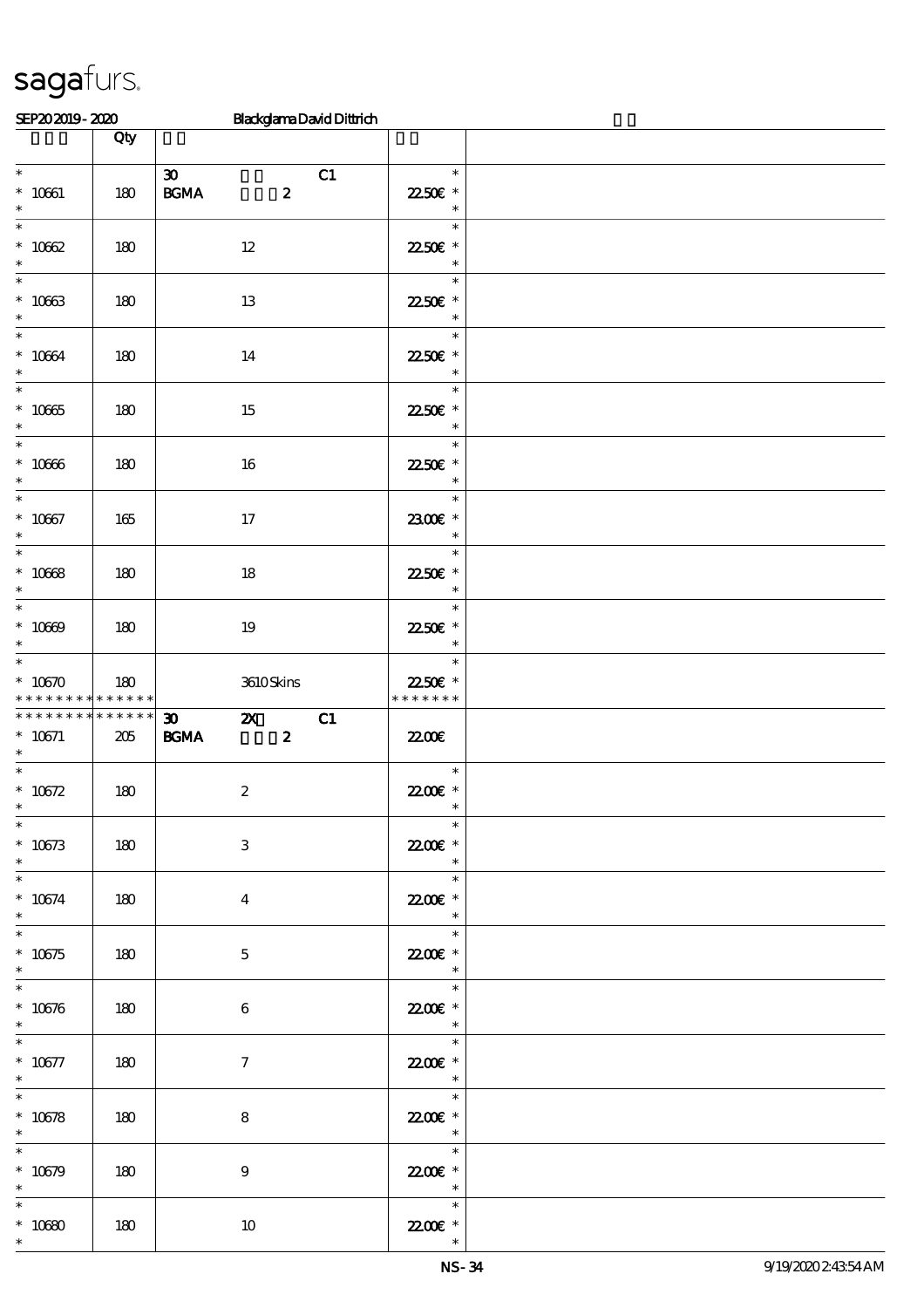| SEP202019-2020                                                                                                                                                                                                                       |                    | <b>BlackglamaDavidDittrich</b>                                                                      |                                                                                 |  |
|--------------------------------------------------------------------------------------------------------------------------------------------------------------------------------------------------------------------------------------|--------------------|-----------------------------------------------------------------------------------------------------|---------------------------------------------------------------------------------|--|
|                                                                                                                                                                                                                                      | Qty                |                                                                                                     |                                                                                 |  |
| $\overline{\ast}$<br>$* 10661$<br>$\ast$                                                                                                                                                                                             | 180                | $\boldsymbol{\mathfrak{D}}$<br>C1<br>$\mathbf{B}\mathbf{G}\mathbf{M}\mathbf{A}$<br>$\boldsymbol{z}$ | $\ast$<br>22.50€ *<br>$\ast$                                                    |  |
| $\ast$<br>$* 10622$<br>$\ast$                                                                                                                                                                                                        | 180                | $12\,$                                                                                              | $\ast$<br>2250€ *<br>$\ast$                                                     |  |
| $\ast$<br>$* 10063$<br>$\ast$                                                                                                                                                                                                        | 180                | 13                                                                                                  | $\ast$<br>22.50€ *<br>$\ast$                                                    |  |
| $\overline{\ast}$<br>$^*$ 10664 $\,$<br>$\ast$                                                                                                                                                                                       | 180                | 14                                                                                                  | $\ast$<br>22.50€ *<br>$\ast$                                                    |  |
| $\ast$<br>$^\ast$ 10065<br>$\ast$                                                                                                                                                                                                    | 180                | 15                                                                                                  | $\ast$<br>2250E *<br>$\ast$                                                     |  |
| $\overline{\phantom{a}^*}$<br>$* 10000$<br>$\ast$                                                                                                                                                                                    | 180                | 16                                                                                                  | $\ast$<br>2250E *<br>$\ast$                                                     |  |
| $\overline{\phantom{0}}$<br>$* 10067$<br>$\ast$                                                                                                                                                                                      | 165                | $17\,$                                                                                              | $\ast$<br>2300€ *<br>$\ast$                                                     |  |
| $\ast$<br>$* 10668$<br>$\ast$                                                                                                                                                                                                        | 180                | 18                                                                                                  | $\ast$<br>2250E *<br>$\ast$                                                     |  |
| $\ast$<br>$* 10009$<br>$\ast$                                                                                                                                                                                                        | 180                | 19                                                                                                  | $\ast$<br>22.50€ *<br>$\ast$                                                    |  |
| $\overline{\ast}$<br>$*10670$<br>* * * * * * * *                                                                                                                                                                                     | 180<br>* * * * * * | 3610Skins                                                                                           | $\ast$<br>2250€ *<br>* * * * * * *                                              |  |
| * * * * * * * *<br>$* 10671$<br>$\ast$                                                                                                                                                                                               | * * * * * *<br>205 | C1<br>$\boldsymbol{\mathfrak{D}}$<br>$\mathbf{z}$<br><b>BGMA</b><br>$\boldsymbol{z}$                | 22.00E                                                                          |  |
| $\ast$<br>$* 10672$<br>$\overline{\phantom{0}}$                                                                                                                                                                                      | 180                | $\boldsymbol{2}$                                                                                    | $\ast$<br>$2200$ £ *                                                            |  |
| $* 10673$<br>$*$<br>$\begin{array}{c c} \hline \rule{0pt}{2.5ex} \textbf{1} & \textbf{1} & \textbf{1} & \textbf{1} \\ \hline \rule{0pt}{2.5ex} \textbf{2} & \textbf{1} & \textbf{1} & \textbf{1} & \textbf{1} \\ \hline \end{array}$ | 180                | $\ensuremath{\mathbf{3}}$                                                                           | $\ast$<br>22.00E *<br>$\begin{array}{c c}\n\ast \\ \hline\n\ast \\ \end{array}$ |  |
| $* 10674$<br>$\ast$<br>$\overline{\ast}$                                                                                                                                                                                             | 180                | $\overline{\mathbf{4}}$                                                                             | 22.00€ *<br>$\begin{array}{c c}\n\ast \\ \ast \\ \end{array}$                   |  |
| $*10675$<br>$\ast$<br>$\overline{\phantom{0}}$                                                                                                                                                                                       | 180                | $\mathbf{5}$                                                                                        | 22.00€ *<br>$\ast$                                                              |  |
| $* 10676$<br>$\ast$<br>$\overline{\phantom{0}}$                                                                                                                                                                                      | 180                | 6                                                                                                   | $\overline{\phantom{a}}$<br>$\ast$<br>22.00 *<br>$\ast$                         |  |
| $* 10677$<br>$\ast$                                                                                                                                                                                                                  | 180                | $\mathcal{I}$                                                                                       | 22.00 £*<br>$\begin{array}{c c}\n\ast \\ \ast \\ \end{array}$                   |  |
| $\ast$<br>$* 10678$<br>$\ast$                                                                                                                                                                                                        | 180                | 8                                                                                                   | 22.00€ *<br>$\overline{\phantom{a}}$<br>$\overline{\phantom{0}}$                |  |
| $\overline{\phantom{0}}$<br>$* 10679$<br>$\ast$                                                                                                                                                                                      | 180                | 9                                                                                                   | 22.00 £*<br>$\begin{array}{c c}\n\ast \\ \ast \\ \end{array}$                   |  |
| $\ast$<br>$^*$ 10680 $\,$<br>$\ast$                                                                                                                                                                                                  | 180                | 10                                                                                                  | $\ast$<br>22.00E *<br>$\ast$                                                    |  |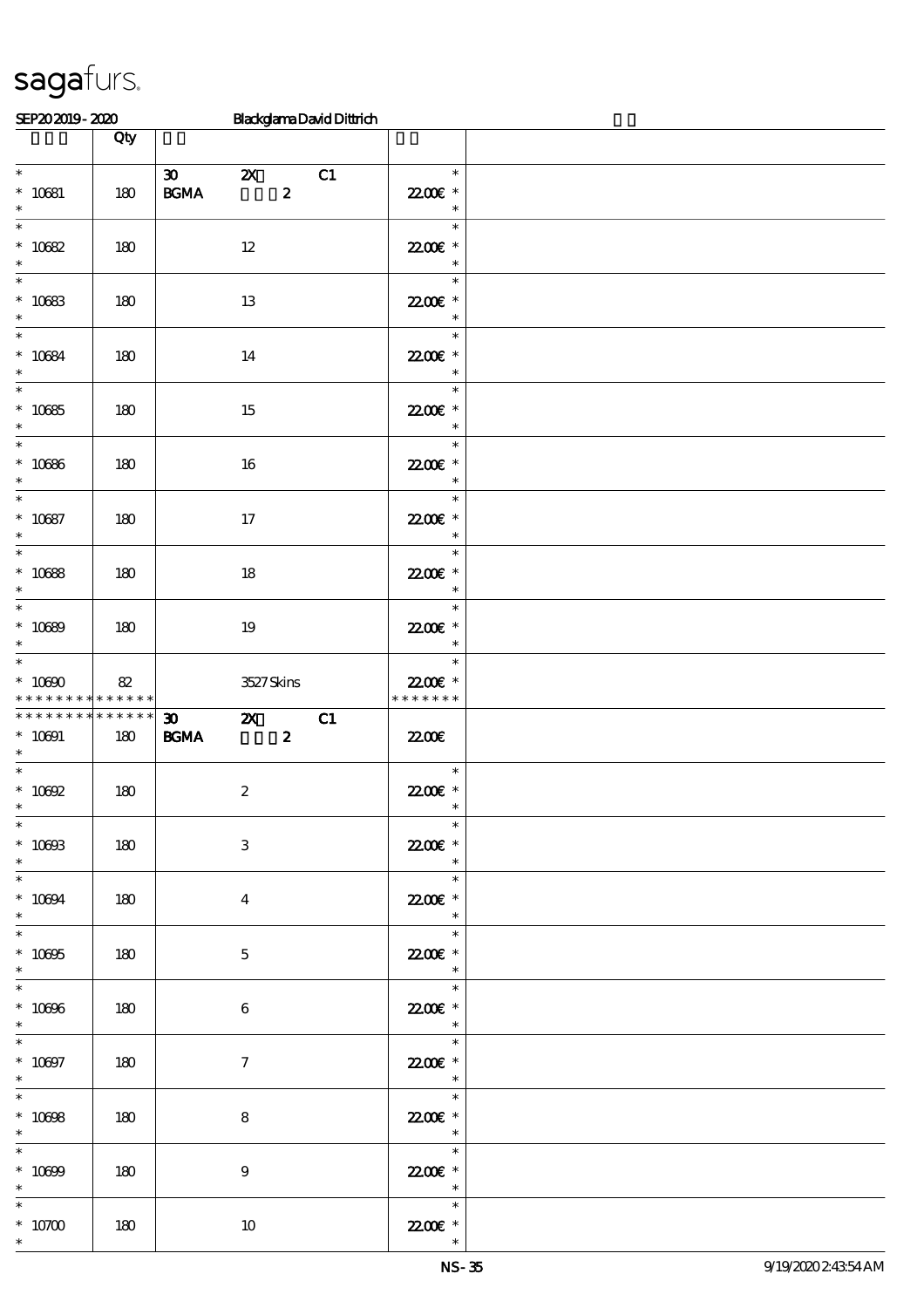| SEP202019-2020                                      |                    | <b>BlackglamaDavidDittrich</b>                                                             |                                                                                                                                            |  |
|-----------------------------------------------------|--------------------|--------------------------------------------------------------------------------------------|--------------------------------------------------------------------------------------------------------------------------------------------|--|
|                                                     | Qty                |                                                                                            |                                                                                                                                            |  |
| $\overline{\phantom{0}}$<br>$* 10681$<br>$\ast$     | 180                | $\boldsymbol{\mathfrak{D}}$<br>$\mathbf{X}$<br>C1<br>$\mathbf{B G MA}$<br>$\boldsymbol{z}$ | $\ast$<br>22.00 £*<br>$\ast$                                                                                                               |  |
| $\ast$<br>$* 10682$<br>$\ast$                       | 180                | $12\,$                                                                                     | $\ast$<br>22.00€ *<br>$\ast$                                                                                                               |  |
| $\ast$<br>$* 10683$<br>$\ast$                       | 180                | 13                                                                                         | $\ast$<br>22.00€ *<br>$\ast$                                                                                                               |  |
| $\ast$<br>$* 10684$<br>$\ast$                       | 180                | 14                                                                                         | $\ast$<br>22.00 £*<br>$\ast$                                                                                                               |  |
| $\ast$<br>$* 10685$<br>$\ast$                       | 180                | 15                                                                                         | $\ast$<br>22.00€ *<br>$\ast$                                                                                                               |  |
| $\ast$<br>$* 10686$<br>$\ast$                       | 180                | 16                                                                                         | $\ast$<br>2200E *<br>$\ast$                                                                                                                |  |
| $\overline{\ast}$<br>$* 10687$<br>$\ast$            | 180                | $17\,$                                                                                     | $\ast$<br>22.00€ *<br>$\ast$                                                                                                               |  |
| $\ast$<br>$* 10688$<br>$\ast$                       | 180                | 18                                                                                         | $\ast$<br>2200E *<br>$\ast$                                                                                                                |  |
| $\ast$<br>$* 10000$<br>$\ast$                       | 180                | $19\,$                                                                                     | $\ast$<br>22.00 £*<br>$\ast$                                                                                                               |  |
| $\ast$<br>$^*$ 10090 $\,$<br>* * * * * * * *        | 82<br>* * * * * *  | 3527Skins                                                                                  | $\ast$<br>22.00€ *<br>* * * * * * *                                                                                                        |  |
| * * * * * * * *<br>$* 10001$<br>$\ast$              | * * * * * *<br>180 | C1<br>$\boldsymbol{\mathfrak{D}}$<br>$\mathbf{x}$<br>$\mathbf{B G MA}$<br>$\boldsymbol{z}$ | 2200                                                                                                                                       |  |
| $\ast$<br>$^*$ 10092                                | 180                | $\boldsymbol{2}$                                                                           | $\ast$<br>$\,$ 22.006 $^*$                                                                                                                 |  |
| $\overline{\ast}$<br>$^*$ 10093<br>$\ast$           | 180                | $\ensuremath{\mathbf{3}}$                                                                  | $\ast$<br>22.00 £*<br>$\ast$                                                                                                               |  |
| $* 10004$<br>$\ast$                                 | 180                | $\overline{4}$                                                                             | $\ast$<br>22.00€ *<br>$\ast$                                                                                                               |  |
| $\ast$<br>$* 10005$<br>$\ast$                       | 180                | $\mathbf{5}$                                                                               | $\frac{1}{\sqrt{2\pi}}\int_{0}^{\pi}\frac{1}{\sqrt{2\pi}}\left( \frac{1}{\sqrt{2\pi}}\right) ^{2}d\mu d\nu$<br>$\ast$<br>2200E *<br>$\ast$ |  |
| $\overline{\phantom{0}}$<br>$^\ast$ 10096<br>$\ast$ | 180                | 6                                                                                          | $\ast$<br>22.00€ *<br>$\ast$                                                                                                               |  |
| $\overline{\phantom{0}}$<br>$* 10007$<br>$\ast$     | 180                | $\mathcal{I}$                                                                              | 2200E *<br>$\begin{array}{c c}\n\ast \\ \ast \\ \hline\n\end{array}$                                                                       |  |
| $\ast$<br>$* 10008$<br>$\ast$                       | 180                | 8                                                                                          | 22006 *<br>$\overline{\phantom{a}}$                                                                                                        |  |
| $\ast$<br>$^*$ 10699 $\,$<br>$\ast$                 | 180                | $9\phantom{.0}$                                                                            | $\overline{\ast}$<br>22.00€ *<br>$\begin{array}{c c}\n\ast \\ \ast \\ \end{array}$                                                         |  |
| $\ast$<br>$^*$ 10700 $\,$<br>$\ast$                 | 180                | $10\,$                                                                                     | $2200$ £ *<br>$\ast$                                                                                                                       |  |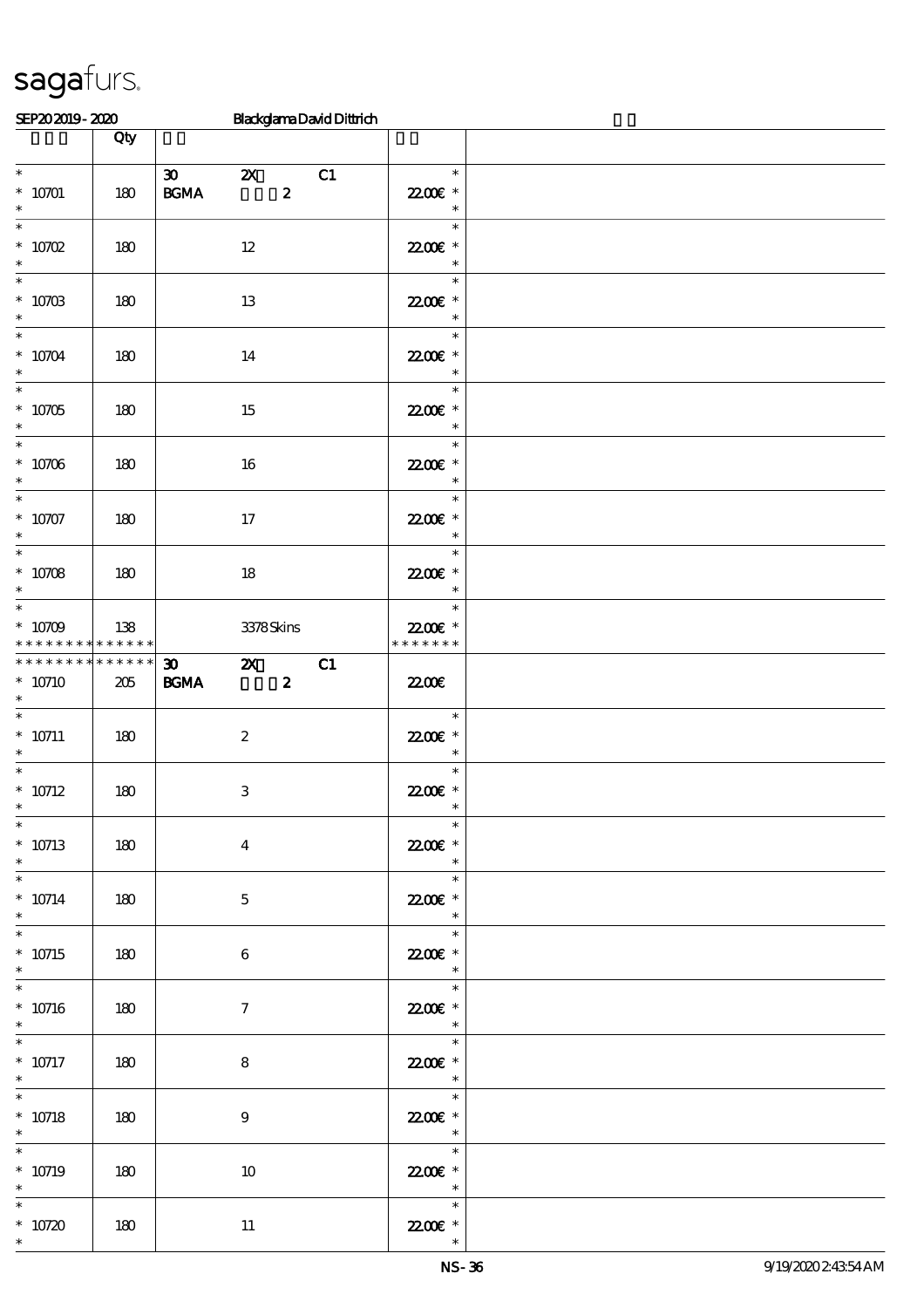| SEP202019-2020                                       |                        |                                                                  |                  | <b>BlackglamaDavidDittrich</b> |                                                                                                                                                                                                                                                                                                                                                                                                                                                                                              |  |
|------------------------------------------------------|------------------------|------------------------------------------------------------------|------------------|--------------------------------|----------------------------------------------------------------------------------------------------------------------------------------------------------------------------------------------------------------------------------------------------------------------------------------------------------------------------------------------------------------------------------------------------------------------------------------------------------------------------------------------|--|
|                                                      | Qty                    |                                                                  |                  |                                |                                                                                                                                                                                                                                                                                                                                                                                                                                                                                              |  |
| $\overline{\phantom{0}}$<br>$*$ 10701 $\,$<br>$\ast$ | 180                    | $\boldsymbol{\mathfrak{D}}$<br>$\mathbf{x}$<br>$\mathbf{B G MA}$ | $\boldsymbol{z}$ | C1                             | $\ast$<br>22.00 £*<br>$\ast$                                                                                                                                                                                                                                                                                                                                                                                                                                                                 |  |
| $\ast$<br>$* 10702$<br>$\ast$                        | 180                    | $12\,$                                                           |                  |                                | $\ast$<br>22.00€ *<br>$\ast$                                                                                                                                                                                                                                                                                                                                                                                                                                                                 |  |
| $\ast$<br>$* 1070B$<br>$\ast$                        | 180                    | 13                                                               |                  |                                | $\ast$<br>22.00€ *<br>$\ast$                                                                                                                                                                                                                                                                                                                                                                                                                                                                 |  |
| $\ast$<br>$*$ 10704 $\,$<br>$\ast$                   | 180                    | 14                                                               |                  |                                | $\ast$<br>22.00 £*<br>$\ast$                                                                                                                                                                                                                                                                                                                                                                                                                                                                 |  |
| $\ast$<br>$* 10705$<br>$\ast$                        | 180                    | 15                                                               |                  |                                | $\ast$<br>22.00 £*<br>$\ast$                                                                                                                                                                                                                                                                                                                                                                                                                                                                 |  |
| $\ast$<br>$* 10706$<br>$\ast$<br>$\overline{\ast}$   | 180                    | $16\,$                                                           |                  |                                | $\ast$<br>22.00E *<br>$\ast$                                                                                                                                                                                                                                                                                                                                                                                                                                                                 |  |
| $* 10707$<br>$\ast$<br>$\overline{\ast}$             | 180                    | $17\,$                                                           |                  |                                | $\ast$<br>22.00€ *<br>$\ast$                                                                                                                                                                                                                                                                                                                                                                                                                                                                 |  |
| $* 10708$<br>$\ast$<br>$\ast$                        | 180                    | 18                                                               |                  |                                | $\ast$<br>22.00€ *<br>$\ast$<br>$\ast$                                                                                                                                                                                                                                                                                                                                                                                                                                                       |  |
| $* 10709$<br>* * * * * * * *                         | 138<br>$* * * * * * *$ |                                                                  | 3378Skins        |                                | 22.00€ *<br>* * * * * * *                                                                                                                                                                                                                                                                                                                                                                                                                                                                    |  |
| * * * * * * * * * * * * * * *<br>$* 10710$<br>$\ast$ | 205                    | $\boldsymbol{\mathfrak{D}}$<br>$\mathbf{X}$<br>$\mathbf{B G MA}$ | $\boldsymbol{z}$ | C1                             | 2200                                                                                                                                                                                                                                                                                                                                                                                                                                                                                         |  |
| $\ast$<br>$* 10711$<br>$\ast$                        | 180                    | $\boldsymbol{2}$                                                 |                  |                                | $\ast$<br>22.00€ *<br>$\ast$                                                                                                                                                                                                                                                                                                                                                                                                                                                                 |  |
| $\ast$<br>$* 10712$<br>$\ast$                        | 180                    | $\,3$                                                            |                  |                                | $\ast$<br>22.00 £*                                                                                                                                                                                                                                                                                                                                                                                                                                                                           |  |
| $* 10713$<br>$\ast$<br>$\overline{\ast}$             | 180                    | $\bf{4}$                                                         |                  |                                | $\ast$<br>22.00 £*<br>$\ast$<br>$\ast$                                                                                                                                                                                                                                                                                                                                                                                                                                                       |  |
| $^*$ 10714 $\,$<br>$\ast$<br>$\ast$                  | 180                    | $\mathbf{5}$                                                     |                  |                                | 22.00€ *<br>$\ast$<br>$\ast$                                                                                                                                                                                                                                                                                                                                                                                                                                                                 |  |
| $* 10715$<br>$\ast$<br>$\overline{\ast}$             | 180                    | $\boldsymbol{6}$                                                 |                  |                                | $2200$ £ *<br>$\ast$<br>$\ast$                                                                                                                                                                                                                                                                                                                                                                                                                                                               |  |
| $* 10716$<br>$\ast$<br>$\overline{\phantom{0}}$      | 180                    | $\tau$                                                           |                  |                                | 22.00 £*<br>$\ast$                                                                                                                                                                                                                                                                                                                                                                                                                                                                           |  |
| $* 10717$<br>$\ast$<br>$\ast$                        | 180                    | 8                                                                |                  |                                | 22.00 £*<br>$\overline{\phantom{a}}$                                                                                                                                                                                                                                                                                                                                                                                                                                                         |  |
| $* 10718$<br>$\ast$<br>$_{*}^{-}$                    | 180                    | 9                                                                |                  |                                | $\frac{1}{\sqrt{1-\frac{1}{2}}}\frac{1}{\sqrt{1-\frac{1}{2}}}\frac{1}{\sqrt{1-\frac{1}{2}}}\frac{1}{\sqrt{1-\frac{1}{2}}}\frac{1}{\sqrt{1-\frac{1}{2}}}\frac{1}{\sqrt{1-\frac{1}{2}}}\frac{1}{\sqrt{1-\frac{1}{2}}}\frac{1}{\sqrt{1-\frac{1}{2}}}\frac{1}{\sqrt{1-\frac{1}{2}}}\frac{1}{\sqrt{1-\frac{1}{2}}}\frac{1}{\sqrt{1-\frac{1}{2}}}\frac{1}{\sqrt{1-\frac{1}{2}}}\frac{1}{\sqrt{1-\frac{1}{2}}}\frac{1}{\sqrt{1-\frac{$<br>22.00 £*<br>$\overline{\phantom{a}}$<br>$\overline{\ast}$ |  |
| $* 10719$<br>$\ast$                                  | 180                    | 10                                                               |                  |                                | 22.00€ *<br>$\begin{array}{c c}\n\ast \\ \ast \\ \end{array}$                                                                                                                                                                                                                                                                                                                                                                                                                                |  |
| $\ast$<br>$* 10720$<br>$\ast$                        | 180                    | $11\,$                                                           |                  |                                | 22.00€ *<br>$\ast$                                                                                                                                                                                                                                                                                                                                                                                                                                                                           |  |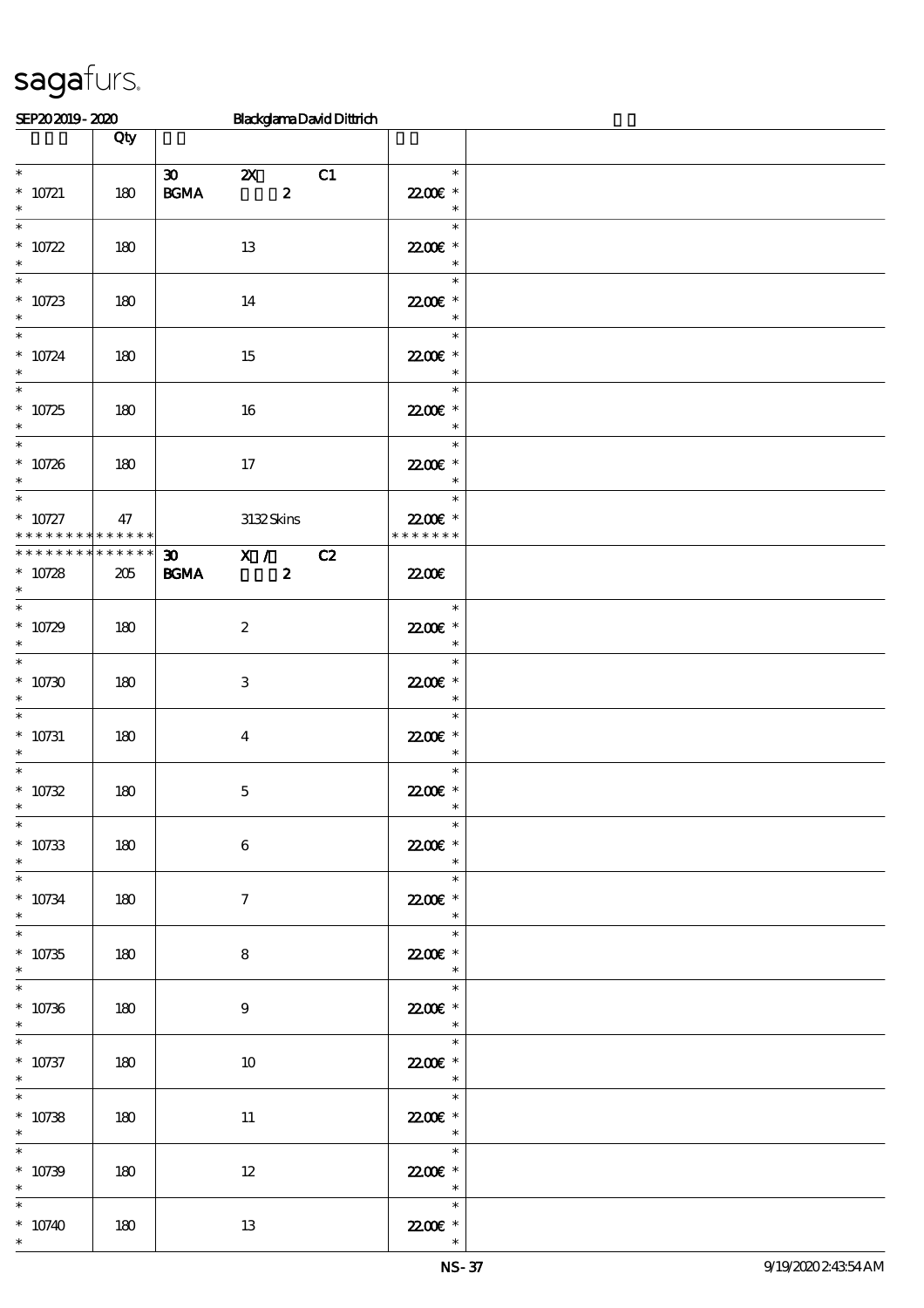| SEP202019-2020                                      |                    |                                                                           |                                               | <b>BlackglamaDavidDittrich</b> |                                                                 |  |
|-----------------------------------------------------|--------------------|---------------------------------------------------------------------------|-----------------------------------------------|--------------------------------|-----------------------------------------------------------------|--|
|                                                     | Qty                |                                                                           |                                               |                                |                                                                 |  |
| $\ast$<br>$* 10721$<br>$\ast$                       | 180                | $\boldsymbol{\mathfrak{D}}$<br>$\mathbf{B}\mathbf{G}\mathbf{M}\mathbf{A}$ | $\mathbf{X}$<br>$\boldsymbol{z}$              | C1                             | $\ast$<br>22.00 £*<br>$\ast$                                    |  |
| $\ast$<br>$* 10722$<br>$\ast$                       | 180                |                                                                           | 13                                            |                                | $\ast$<br>22.00€ *<br>$\ast$                                    |  |
| $\ast$<br>$* 10723$<br>$\ast$                       | 180                |                                                                           | 14                                            |                                | $\ast$<br>22.00€ *<br>$\ast$                                    |  |
| $\ast$<br>$* 10724$<br>$\ast$                       | 180                |                                                                           | 15                                            |                                | $\ast$<br>22.00 £*<br>$\ast$                                    |  |
| $\overline{\phantom{0}}$<br>$* 10725$<br>$\ast$     | 180                |                                                                           | 16                                            |                                | $\ast$<br>22.00 £*<br>$\ast$                                    |  |
| $\overline{\ast}$<br>$* 10726$<br>$\ast$            | 180                |                                                                           | $17\,$                                        |                                | $\ast$<br>22.00€ *<br>$\ast$                                    |  |
| $\ast$<br>$^*$ 10727<br>* * * * * * * * * * * * * * | 47                 |                                                                           | 3132Skins                                     |                                | $\ast$<br>22.00 *<br>* * * * * * *                              |  |
| * * * * * * * *<br>$* 10728$<br>$\ast$              | * * * * * *<br>205 | $30 -$<br><b>BGMA</b>                                                     | $\overline{\mathbf{x}}$ /<br>$\boldsymbol{z}$ | C2                             | 2200                                                            |  |
| $\ast$<br>$* 10729$<br>$\ast$                       | 180                |                                                                           | $\boldsymbol{2}$                              |                                | $\ast$<br>$2200$ £ *<br>$\ast$                                  |  |
| $\ast$<br>$*10730$<br>$\ast$                        | 180                |                                                                           | 3                                             |                                | $\ast$<br>22.00E *<br>$\ast$                                    |  |
| $\ast$<br>$* 10731$<br>$\ast$<br>$\ast$             | 180                |                                                                           | $\bf{4}$                                      |                                | $\ast$<br>22.00 £*<br>$\ast$                                    |  |
| $* 10732$<br>$\ast$<br>$\ast$                       | 180                |                                                                           | $\mathbf 5$                                   |                                | $\ast$<br>$2200$ £ *<br>$*$<br>$\ast$                           |  |
| $* 10733$<br>$\ast$<br>$\ast$                       | 180                |                                                                           | $\bf 6$                                       |                                | 22.00E *<br>$\ast$<br>$\ast$                                    |  |
| $* 10734$<br>$\ast$<br>$\overline{\ast}$            | 180                |                                                                           | $\tau$                                        |                                | 2200€ *<br>$\ast$<br>$\ast$                                     |  |
| $* 10735$<br>$\ast$<br>$\overline{\ast}$            | 180                |                                                                           | 8                                             |                                | 2200€ *<br>$\overline{\phantom{a}}$<br>$\overline{\phantom{0}}$ |  |
| $* 10736$<br>$\ast$<br>$\ast$                       | 180                |                                                                           | 9                                             |                                | 2200 $\varepsilon$ *<br>$\overline{\phantom{a}}$                |  |
| $* 10737$<br>$\ast$                                 | 180                |                                                                           | 10                                            |                                | $\ast$<br>2200 $\varepsilon$ *<br>$\overline{\phantom{a}}$      |  |
| $* 10738$<br>$\ast$                                 | 180                |                                                                           | $11\,$                                        |                                | $\overline{\mathbf{r}}$<br>22.00€ *<br>$\overline{\phantom{a}}$ |  |
| $\ast$<br>$* 10739$<br>$\ast$                       | 180                |                                                                           | $12\,$                                        |                                | $\ast$<br>22.00€ *<br>$\overline{\phantom{a}}$                  |  |
| $\ast$<br>$*10740$                                  | 180                |                                                                           | 13                                            |                                | $\ast$<br>22.00 *                                               |  |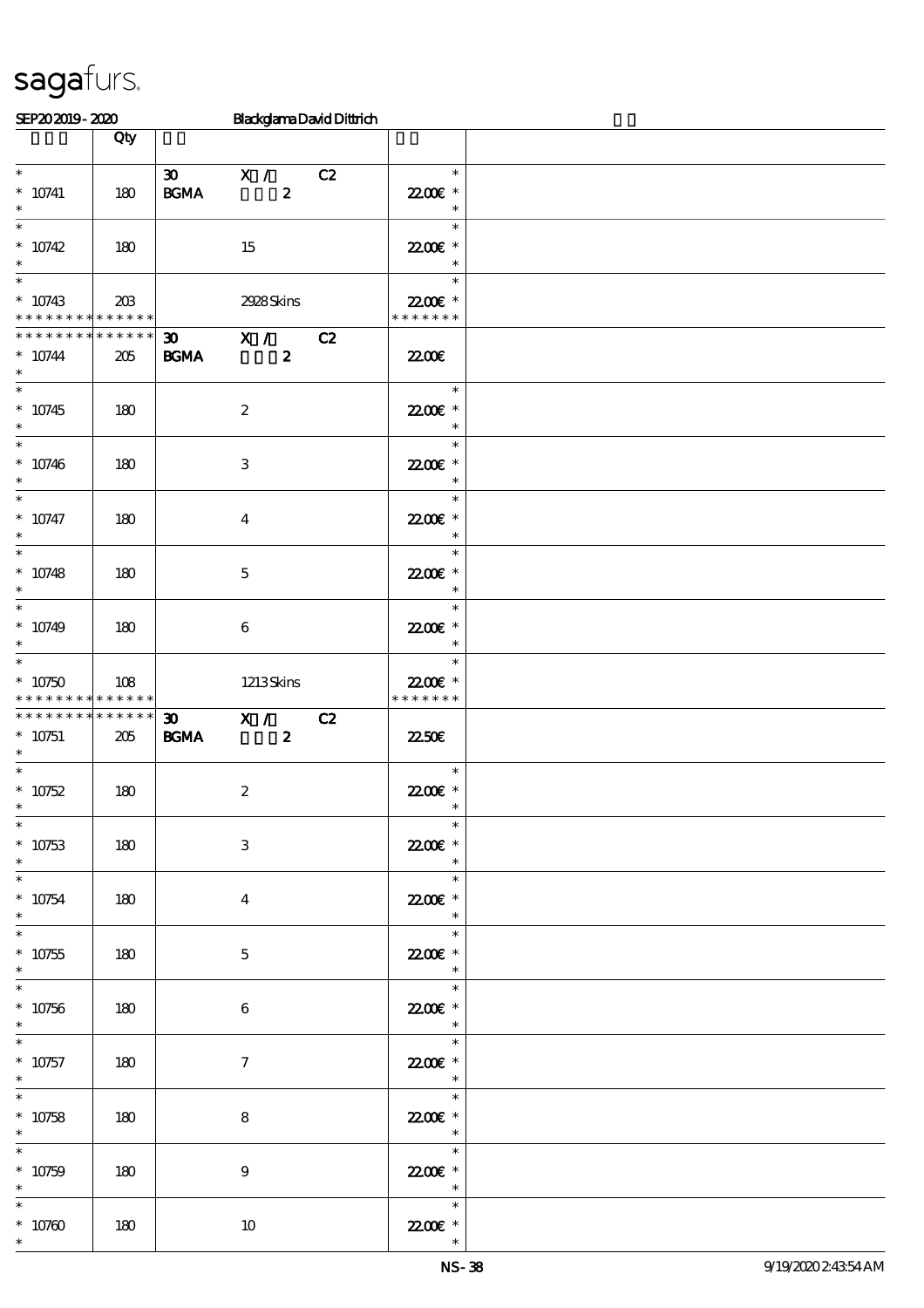| SEP202019-2020                                                     |                 |                                                        | <b>BlackglamaDavidDittrich</b>     |    |                                                                  |  |
|--------------------------------------------------------------------|-----------------|--------------------------------------------------------|------------------------------------|----|------------------------------------------------------------------|--|
|                                                                    | Qty             |                                                        |                                    |    |                                                                  |  |
| $\ast$<br>$* 10741$<br>$\ast$                                      | 180             | $\infty$<br>$\mathbf{B}\mathbf{G}\mathbf{M}\mathbf{A}$ | $\mathbf{X}$ /<br>$\boldsymbol{z}$ | C2 | $\ast$<br>22.00 £*<br>$\ast$                                     |  |
| $\ast$<br>$* 10742$<br>$\ast$                                      | 180             |                                                        | 15                                 |    | $\ast$<br>22.00€ *<br>$\ast$                                     |  |
| $\ast$<br>$* 10743$<br>* * * * * * * * <mark>* * * * * *</mark>    | $203\,$         |                                                        | 2928Skins                          |    | $\ast$<br>22.00€ *<br>* * * * * * *                              |  |
| * * * * * * * *<br>$* 10744$<br>$\ast$<br>$\overline{\phantom{1}}$ | $******$<br>205 | $30 -$<br><b>BGMA</b>                                  | $\mathbf{X}$ /<br>$\boldsymbol{z}$ | C2 | 2200                                                             |  |
| $* 10745$<br>$\ast$                                                | 180             |                                                        | $\boldsymbol{2}$                   |    | $\ast$<br>22.00€ *<br>$\ast$                                     |  |
| $\overline{\ast}$<br>$* 10746$<br>$\ast$                           | 180             |                                                        | 3                                  |    | $\ast$<br>22.00€ *<br>$\ast$                                     |  |
| $\ast$<br>* $10747$<br>$\ast$                                      | 180             |                                                        | $\overline{\mathbf{4}}$            |    | $\ast$<br>22.00E *<br>$\ast$                                     |  |
| $\ast$<br>$* 10748$<br>$\ast$                                      | 180             |                                                        | $\mathbf 5$                        |    | $\ast$<br>22.00E *<br>$\ast$                                     |  |
| $\ast$<br>$*10749$<br>$\ast$                                       | 180             |                                                        | 6                                  |    | $\ast$<br>22.00 £*<br>$\ast$                                     |  |
| $\ast$<br>$*10750$<br>* * * * * * * * * * * * * *                  | 108             |                                                        | 1213Skins                          |    | $\ast$<br>22.00 £*<br>* * * * * * *                              |  |
| * * * * * * * *<br>$* 10751$<br>$\ast$                             | $******$<br>205 | $\boldsymbol{\mathfrak{D}}$<br><b>BGMA</b>             | X /<br>$\boldsymbol{z}$            | C2 | <b>22.50€</b>                                                    |  |
| $\ast$<br>$* 10752$<br>$\ast$                                      | 180             |                                                        | $\boldsymbol{2}$                   |    | $\ast$<br>$2200$ £ *<br>$\overline{\mathbf{r}}$                  |  |
| $\ast$<br>$* 10753$<br>$\ast$                                      | 180             |                                                        | $\ensuremath{\mathsf{3}}$          |    | $\ast$<br>22.00 £*<br>$\ast$                                     |  |
| $\ast$<br>$* 10754$<br>$\ast$                                      | 180             |                                                        | $\boldsymbol{4}$                   |    | $\ast$<br>2200€ *<br>$\ast$                                      |  |
| $\overline{\ast}$<br>$* 10755$<br>$\ast$                           | 180             |                                                        | $\mathbf{5}$                       |    | $\ast$<br>22006 *<br>$\overline{\phantom{a}}$                    |  |
| $\ast$<br>$* 10756$<br>$\ast$                                      | 180             |                                                        | $6\phantom{.}6$                    |    | $\overline{\phantom{a}}$<br>22.00E *<br>$\overline{\phantom{a}}$ |  |
| $\ast$<br>$* 10757$<br>$\ast$                                      | 180             |                                                        | $\tau$                             |    | $\ast$<br>22.00 £*<br>$\overline{\phantom{a}}$                   |  |
| $* 10758$<br>$\ast$                                                | 180             |                                                        | 8                                  |    | $\overline{\mathbf{r}}$<br>22.00€ *<br>$\overline{\phantom{a}}$  |  |
| $\ast$<br>$* 10759$<br>$\ast$                                      | 180             |                                                        | $9\phantom{.0}$                    |    | $\ast$<br>22.00€ *<br>$\overline{\mathbf{r}}$                    |  |
| $\ast$<br>$* 10760$                                                | 180             |                                                        | $10\,$                             |    | $\ast$<br>22.00€ *                                               |  |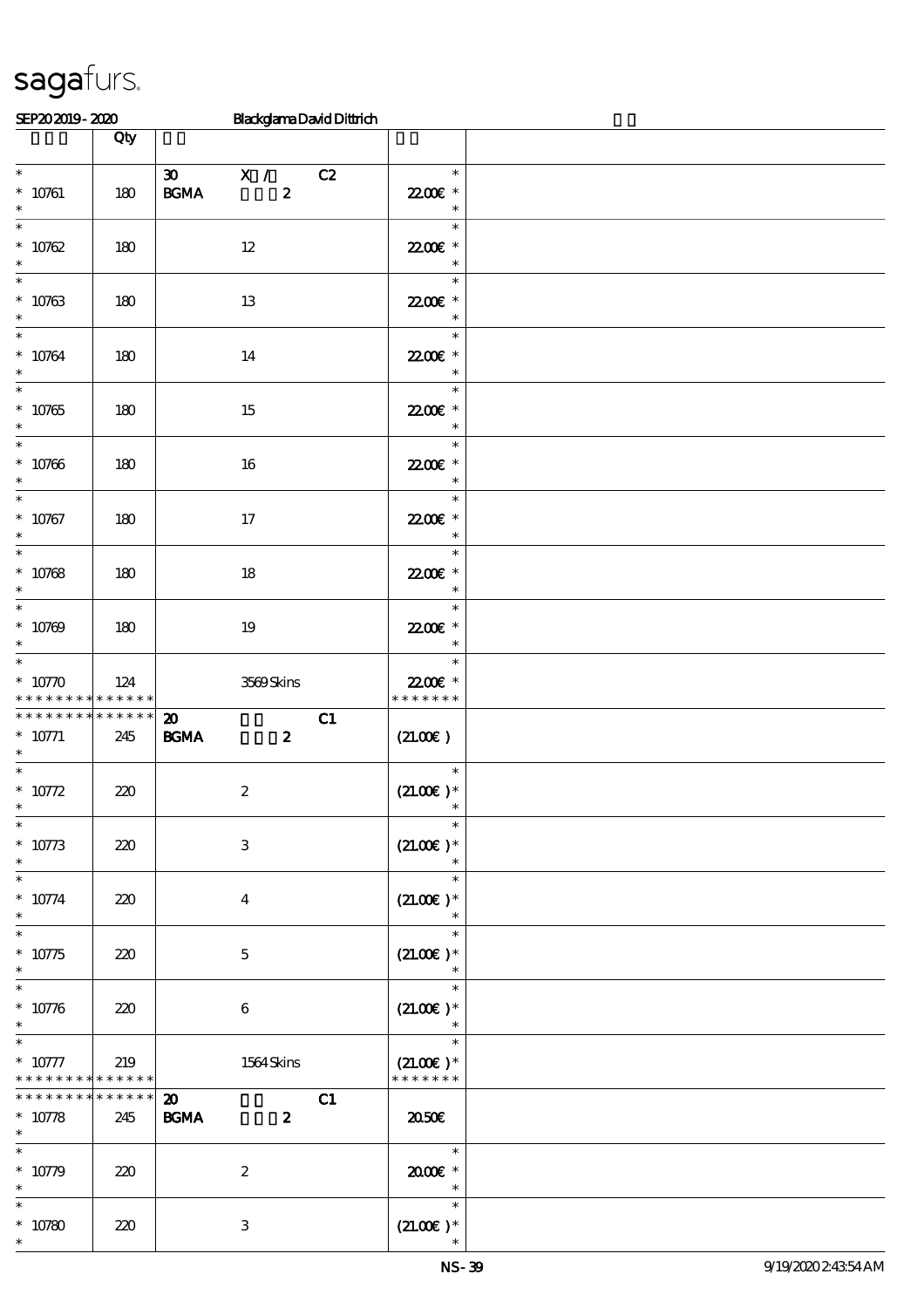| SEP202019-2020                                                       |                    | <b>BlackglamaDavidDittrich</b>                                           |                                        |  |
|----------------------------------------------------------------------|--------------------|--------------------------------------------------------------------------|----------------------------------------|--|
|                                                                      | Qty                |                                                                          |                                        |  |
| $\overline{\ast}$<br>$* 10761$<br>$\ast$                             | 180                | 30<br>X / C2<br>$\mathbf{B G MA}$<br>$\boldsymbol{z}$                    | $\ast$<br>22.00€ *<br>$\ast$           |  |
| $\ast$<br>$* 10762$<br>$\ast$                                        | 180                | $12 \,$                                                                  | $\ast$<br>22.00€ *<br>$\ast$           |  |
| $\ast$<br>$* 10763$<br>$\ast$                                        | 180                | 13                                                                       | $\ast$<br>22.00€ *<br>$\ast$           |  |
| $\ast$<br>$* 10764$<br>$\ast$                                        | 180                | 14                                                                       | $\ast$<br>2200E *<br>$\ast$            |  |
| $\overline{\ast}$<br>$* 10765$<br>$\ast$<br>$\overline{\phantom{0}}$ | 180                | 15                                                                       | $\ast$<br>22.00€ *<br>$\ast$           |  |
| $* 10766$<br>$\ast$                                                  | 180                | 16                                                                       | $\ast$<br>22.00E *<br>$\ast$           |  |
| $\ast$<br>$* 10767$<br>$\ast$<br>$\overline{\ast}$                   | 180                | $17\,$                                                                   | $\ast$<br>22006 *<br>$\ast$            |  |
| $* 10768$<br>$\ast$                                                  | 180                | 18                                                                       | $\ast$<br>22.00 £*<br>$\ast$           |  |
| $\ast$<br>$* 10769$<br>$\ast$                                        | 180                | 19                                                                       | $\ast$<br>22.00 £*<br>$\ast$           |  |
| $\ast$<br>$* 10770$<br>* * * * * * * *                               | 124<br>* * * * * * | 3569Skins                                                                | $\ast$<br>22.00€ *<br>* * * * * * *    |  |
| * * * * * * * *<br>$* 10771$<br>$\ast$<br>$\ast$                     | $******$<br>245    | C1<br>$\boldsymbol{\mathbf{z}}$<br>$\mathbf{B G MA}$<br>$\boldsymbol{z}$ | (21.00)                                |  |
| * $10772$<br>$\ast$                                                  | 220                | $\boldsymbol{2}$                                                         | $\ast$<br>$(21.00)$ *<br>$\ast$        |  |
| $* 10773$<br>$\ast$<br>$\ast$                                        | 220                | $\ensuremath{\mathbf{3}}$                                                | $(21.00)$ *<br>$\ast$                  |  |
| $* 10774$<br>$\ast$                                                  | 220                | $\overline{\mathbf{4}}$                                                  | $(21.00)$ *<br>$\ast$                  |  |
| $\ast$<br>$* 10775$<br>$\ast$                                        | 220                | $\mathbf{5}$                                                             | $\ast$<br>$(21.00)$ *<br>$\ast$        |  |
| $\ast$<br>$* 10776$<br>$\ast$                                        | 220                | 6                                                                        | $\ast$<br>$(21.00)$ *                  |  |
| $\ast$<br>$* 10777$<br>* * * * * * * * <mark>* * * * * * *</mark>    | 219                | 1564 Skins                                                               | $\ast$<br>$(21.00)$ *<br>* * * * * * * |  |
| * * * * * * *<br>$* 10778$<br>$\ast$                                 | * * * * * *<br>245 | $\boldsymbol{\mathfrak{D}}$<br>C1<br><b>BGMA</b><br>$\boldsymbol{z}$     | 2050E                                  |  |
| $* 10779$<br>$\ast$                                                  | 220                | $\boldsymbol{2}$                                                         | $\ast$<br>2000E *<br>$\ast$            |  |
| $* 10780$                                                            | 220                | $\ensuremath{\mathbf{3}}$                                                | $\ast$<br>$(21.00)$ *                  |  |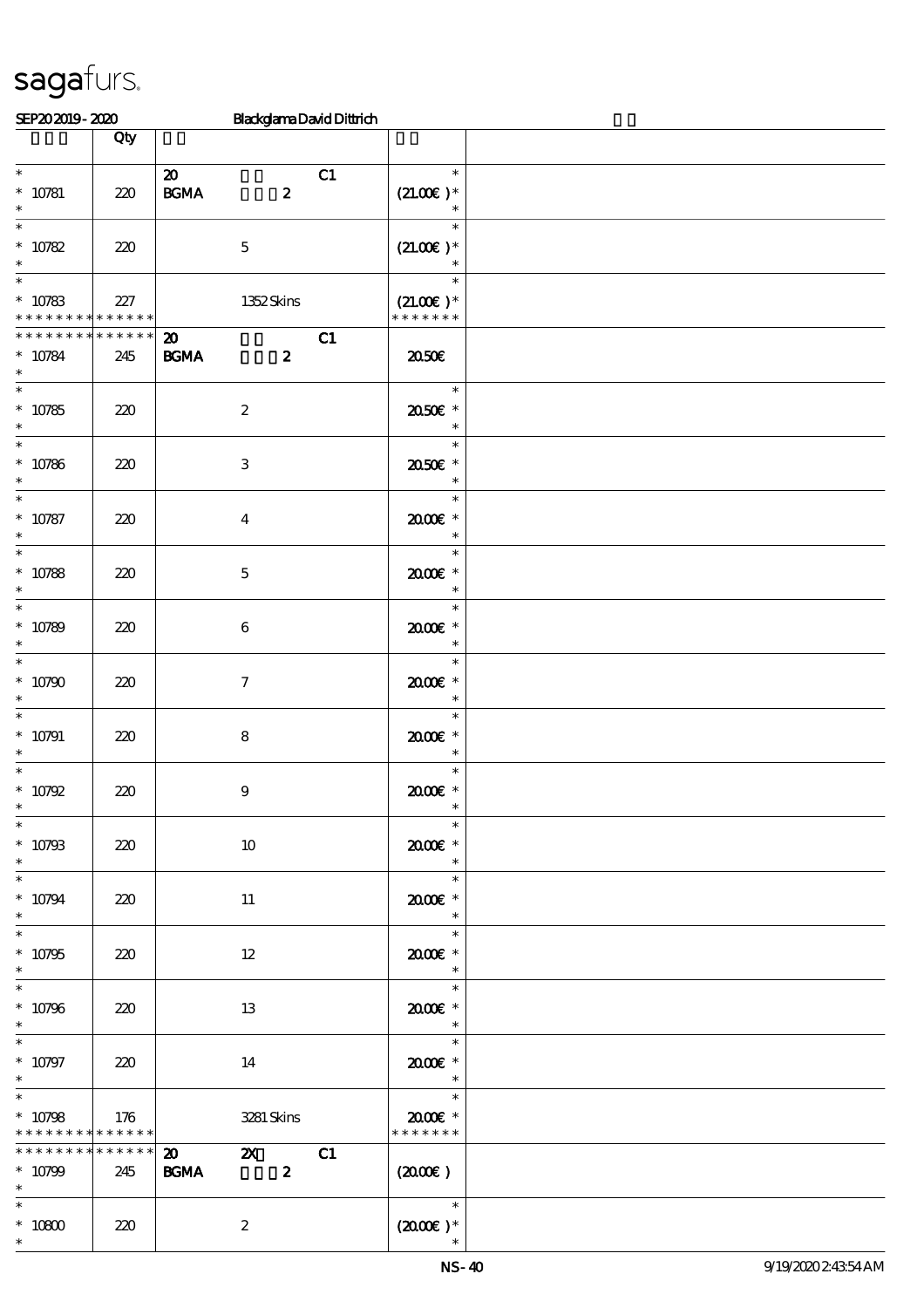| SEP202019-2020                                                             |                        | <b>BlackglamaDavidDittrich</b>                                                       |                                                  |  |
|----------------------------------------------------------------------------|------------------------|--------------------------------------------------------------------------------------|--------------------------------------------------|--|
|                                                                            | Qty                    |                                                                                      |                                                  |  |
| $\ast$<br>$* 10781$<br>$\ast$                                              | 220                    | $\boldsymbol{\mathsf{20}}$<br>C1<br>$\pmb{2}$<br>$\mathbf{B G MA}$                   | $\ast$<br>$(21.00)$ *<br>$\ast$                  |  |
| $\ast$<br>$^\ast$ 10782<br>$\ast$                                          | 220                    | $\mathbf 5$                                                                          | $\ast$<br>$(21.00)$ *<br>$\ast$                  |  |
| $\ast$<br>$* 10783$<br>* * * * * * * * <mark>* * * * * *</mark>            | 227                    | 1352Skins                                                                            | $\ast$<br>$(21.00)$ *<br>* * * * * * *           |  |
| * * * * * * * *<br>$* 10784$<br>$\ast$                                     | * * * * * *<br>245     | C1<br>$\boldsymbol{\mathfrak{D}}$<br><b>BGMA</b><br>$\boldsymbol{z}$                 | 2050E                                            |  |
| $\ast$<br>$* 10785$<br>$\ast$                                              | 220                    | $\boldsymbol{2}$                                                                     | $\ast$<br>2050E *<br>$\ast$                      |  |
| $\overline{\ast}$<br>$* 10786$<br>$\ast$                                   | 220                    | $\ensuremath{\mathbf{3}}$                                                            | $\ast$<br>2050E *<br>$\ast$                      |  |
| $\ast$<br>$* 10787$<br>$\ast$                                              | 220                    | $\boldsymbol{4}$                                                                     | $\ast$<br>2000E*<br>$\ast$                       |  |
| $\ast$<br>$* 10788$<br>$\ast$                                              | 220                    | $\bf 5$                                                                              | $\ast$<br>2000E *<br>$\ast$                      |  |
| $\ast$<br>$* 10789$<br>$\ast$                                              | 220                    | $\boldsymbol{6}$                                                                     | $\ast$<br>2000E*<br>$\ast$                       |  |
| $\ast$<br>$* 10790$<br>$\ast$                                              | 220                    | $\tau$                                                                               | $\ast$<br>$2000$ $*$<br>$\ast$                   |  |
| $\ast$<br>$* 10791$<br>$\ast$                                              | 220                    | $\bf8$                                                                               | $\ast$<br>2000E *<br>$\ast$                      |  |
| $\ast$<br>$* 10792$<br>$*$                                                 | 220                    | $\boldsymbol{9}$                                                                     | $\ast$<br>$2000$ $\epsilon$ *<br>$\ast$          |  |
| $\ast$<br>$^*$ 10793<br>$\ast$                                             | 220                    | $10\,$                                                                               | $\ast$<br>$2000$ $*$<br>$\ast$                   |  |
| $\ast$<br>$* 10794$<br>$\ast$                                              | 220                    | 11                                                                                   | $\ast$<br>$2000$ $*$<br>$\ast$                   |  |
| $\ast$<br>$* 10795$<br>$\ast$                                              | 220                    | 12                                                                                   | $\ast$<br>2000E *<br>$\overline{\phantom{a}}$    |  |
| $\ast$<br>$* 10796$<br>$\ast$                                              | 220                    | 13                                                                                   | $\overline{\phantom{0}}$<br>2000€*<br>$\ast$     |  |
| $\ast$<br>$* 10797$<br>$\ast$                                              | 220                    | 14                                                                                   | $\ast$<br>2000E*<br>$\overline{\phantom{a}}$     |  |
| $\overline{\ast}$<br>$* 10798$<br>* * * * * * * * <mark>* * * * * *</mark> | 176                    | 3281 Skins                                                                           | $2000$ $*$<br>* * * * * * *                      |  |
| ********<br>$* 10799$<br>$\ast$                                            | $* * * * * * *$<br>245 | C1<br>$\boldsymbol{\mathfrak{D}}$<br>$\mathbf{z}$<br>$\boldsymbol{z}$<br><b>BGMA</b> | $(2000\varepsilon)$                              |  |
| $\ast$<br>$^*$ 10800 $\,$<br>$\ast$                                        | 220                    | $\boldsymbol{2}$                                                                     | $\overline{\phantom{a}}$<br>$(2000\varepsilon)*$ |  |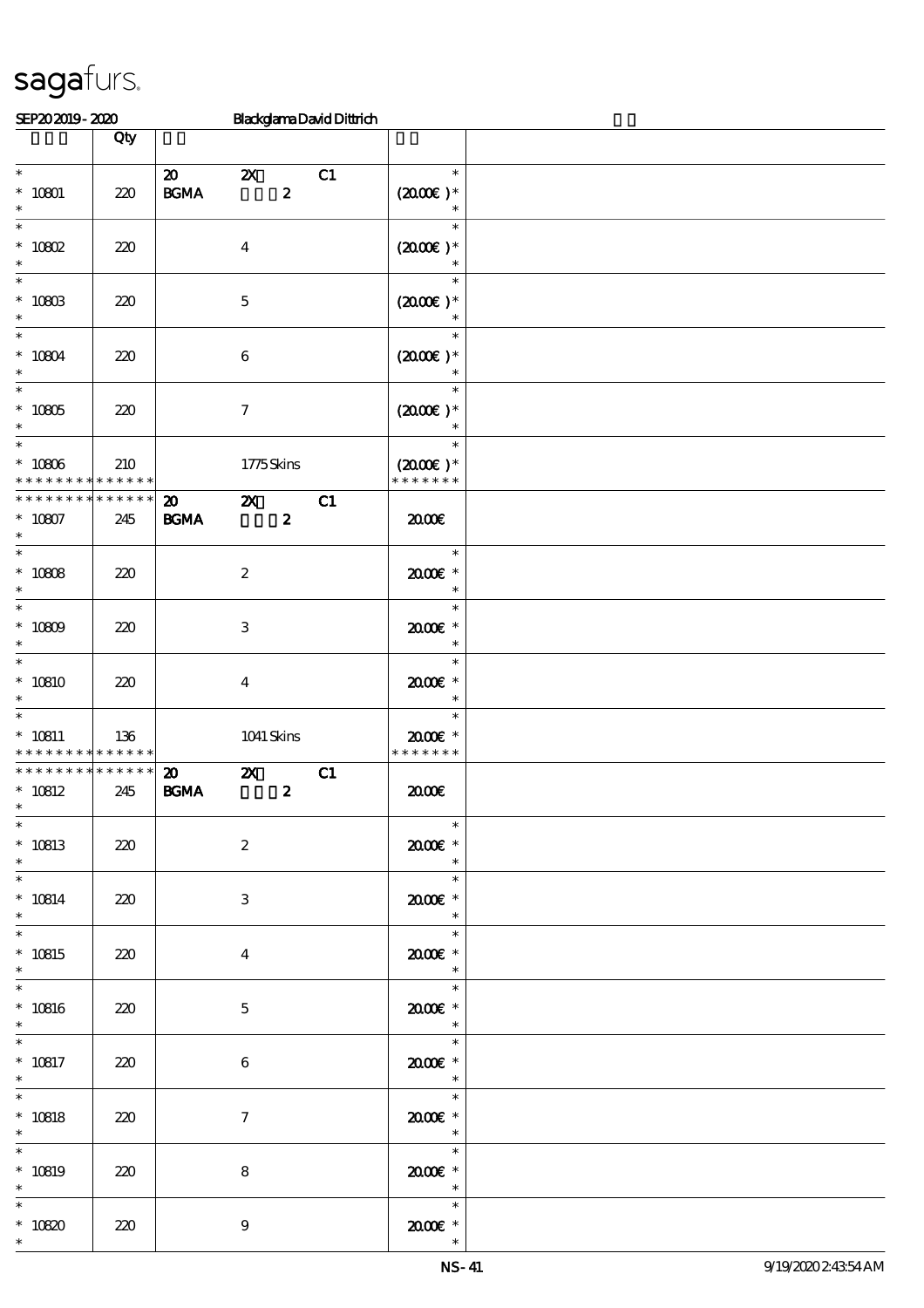| SEP202019-2020                                          |                    |                                                                         |                           |                  | <b>BlackglamaDavidDittrich</b> |                                                                                                                 |  |
|---------------------------------------------------------|--------------------|-------------------------------------------------------------------------|---------------------------|------------------|--------------------------------|-----------------------------------------------------------------------------------------------------------------|--|
|                                                         | Qty                |                                                                         |                           |                  |                                |                                                                                                                 |  |
| $\ast$<br>$* 10801$<br>$\ast$                           | 220                | $\boldsymbol{\mathbf{z}}$<br>$\mathbf{B}\mathbf{G}\mathbf{M}\mathbf{A}$ | $\boldsymbol{\mathsf{Z}}$ | $\pmb{2}$        | C1                             | $\ast$<br>$(2000\varepsilon)*$<br>$\ast$                                                                        |  |
| $\ast$<br>$*$ 10802<br>$\ast$                           | 220                |                                                                         | $\boldsymbol{4}$          |                  |                                | $\ast$<br>$(2000E)*$<br>$\ast$                                                                                  |  |
| $\ast$<br>$* 1080B$<br>$\ast$                           | 220                |                                                                         | $\mathbf 5$               |                  |                                | $\ast$<br>$(2000\varepsilon)*$<br>$\ast$                                                                        |  |
| $\ast$<br>$* 10804$<br>$\ast$                           | 220                |                                                                         | $\boldsymbol{6}$          |                  |                                | $\ast$<br>$(2000\varepsilon)*$                                                                                  |  |
| $\overline{\phantom{0}}$<br>$^*$ 10805<br>$\ast$        | 220                |                                                                         | $\boldsymbol{7}$          |                  |                                | $\ast$<br>$(200E)*$<br>$\ast$                                                                                   |  |
| $\overline{\ast}$<br>$^*$ 10806 $\,$<br>* * * * * * * * | 210<br>* * * * * * |                                                                         | 1775Skins                 |                  |                                | $\ast$<br>$(2000\varepsilon)*$<br>* * * * * * *                                                                 |  |
| * * * * * * * *<br>$* 10807$<br>$\ast$<br>$\ast$        | * * * * * *<br>245 | $\boldsymbol{\mathfrak{D}}$<br>$\mathbf{B G MA}$                        | $\boldsymbol{\mathsf{Z}}$ | $\boldsymbol{z}$ | C1                             | 2000                                                                                                            |  |
| $* 10808$<br>$\ast$<br>$\overline{\phantom{0}}$         | 220                |                                                                         | $\boldsymbol{2}$          |                  |                                | $\ast$<br>$2000$ $*$<br>$\ast$                                                                                  |  |
| $* 10809$<br>$\ast$<br>$\ast$                           | 220                |                                                                         | 3                         |                  |                                | $\ast$<br>$2000$ $*$<br>$\ast$<br>$\ast$                                                                        |  |
| $*10810$<br>$\ast$<br>$\ast$                            | 220                |                                                                         | $\overline{\mathbf{4}}$   |                  |                                | 2000E*<br>$\ast$<br>$\ast$                                                                                      |  |
| $* 10811$<br>* * * * * * * *                            | 136<br>* * * * * * |                                                                         | 1041 Skins                |                  |                                | $2000$ $*$<br>* * * * * * *                                                                                     |  |
| * * * * * * * *<br>$* 10812$<br>$*$                     | * * * * * *<br>245 | $\boldsymbol{\mathbf{z}}$<br>$\mathbf{B G MA}$                          | $\mathbf{x}$              | $\boldsymbol{z}$ | C1                             | 2000                                                                                                            |  |
| $\ast$<br>$* 10813$<br>$\ast$                           | 220                |                                                                         | $\boldsymbol{2}$          |                  |                                | $\ast$<br>$2000$ $*$<br>$\ast$                                                                                  |  |
| $\ast$<br>$* 10814$<br>$\ast$                           | 220                |                                                                         | 3                         |                  |                                | $\ast$<br>$2000$ $*$<br>$\ast$                                                                                  |  |
| $\ast$<br>$* 10815$<br>$\ast$                           | 220                |                                                                         | $\overline{4}$            |                  |                                | $\overline{\phantom{a}}$<br>2000E *<br>$\ast$                                                                   |  |
| $\ast$<br>$^*$ 10816<br>$\ast$                          | 220                |                                                                         | $\mathbf{5}$              |                  |                                | $\overline{\phantom{1}}$<br>2000E *<br>$\overline{\phantom{a}}$                                                 |  |
| $\ast$<br>$* 10817$<br>$\ast$<br>$\ast$                 | 220                |                                                                         | $\boldsymbol{6}$          |                  |                                | $\overline{\phantom{a}}$<br>$2000$ $*$<br>$\overline{\phantom{a}}$<br>$\begin{array}{c c}\n\hline\n\end{array}$ |  |
| $* 10818$<br>$\ast$                                     | 220                |                                                                         | $\tau$                    |                  |                                | $2000$ $*$<br>$\overline{\phantom{a}}$<br>$\ast$                                                                |  |
| $* 10819$<br>$\ast$                                     | 220                |                                                                         | $\bf 8$                   |                  |                                | 2000E *<br>$\overline{\phantom{a}}$                                                                             |  |
| $\ast$<br>$* 10820$                                     | 220                |                                                                         | $\boldsymbol{9}$          |                  |                                | $\ast$<br>$2000$ $*$                                                                                            |  |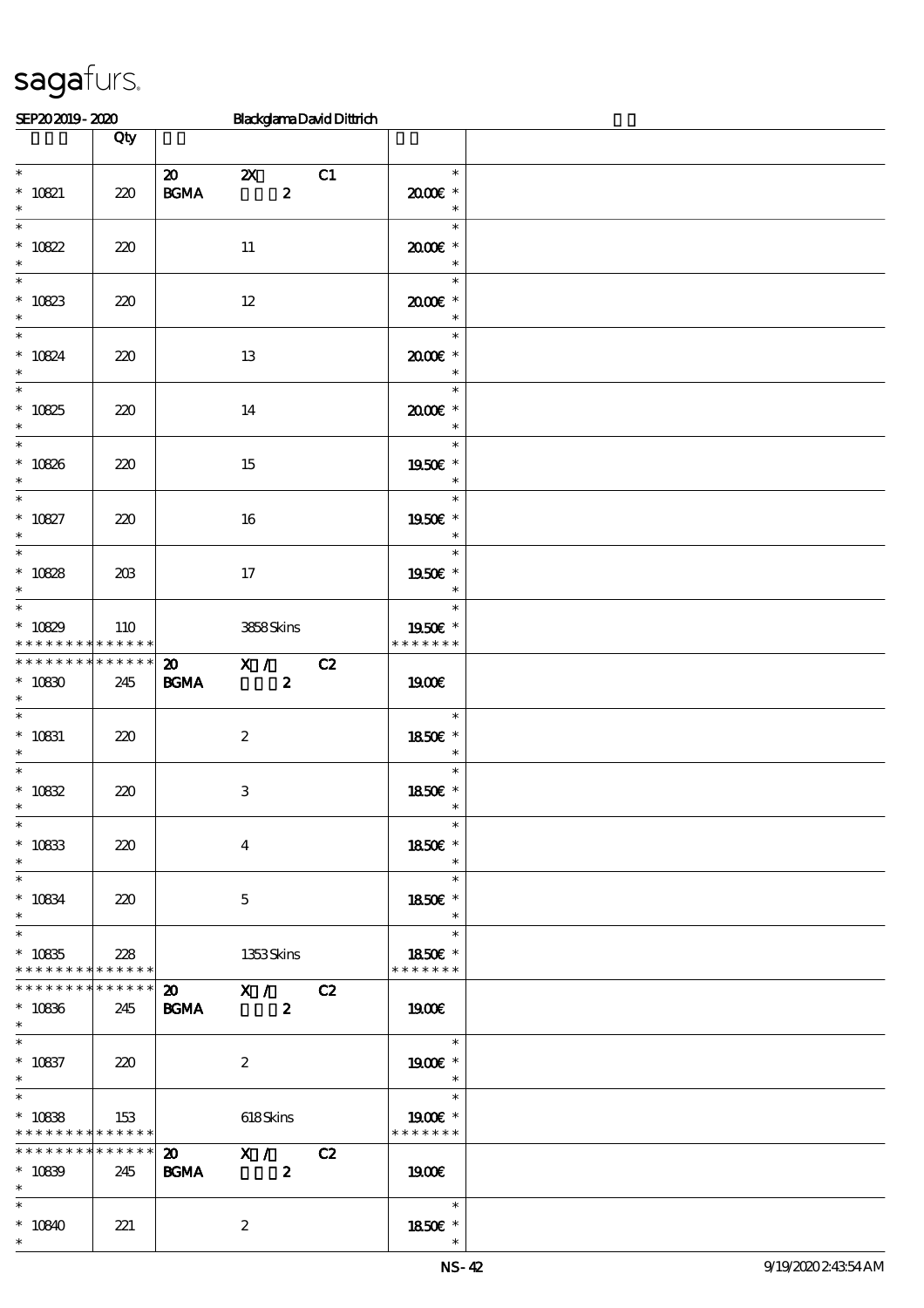| SEP202019-2020                                                    |     |                                                 | <b>BlackglamaDavidDittrich</b>                |    |                                                                 |  |
|-------------------------------------------------------------------|-----|-------------------------------------------------|-----------------------------------------------|----|-----------------------------------------------------------------|--|
|                                                                   | Qty |                                                 |                                               |    |                                                                 |  |
| $\overline{\phantom{0}}$<br>$* 10821$<br>$\ast$                   | 220 | $\boldsymbol{\mathsf{20}}$<br>$\mathbf{B G MA}$ | $\boldsymbol{\mathsf{Z}}$<br>$\boldsymbol{z}$ | C1 | $\ast$<br>2000E*<br>$\ast$                                      |  |
| $\ast$<br>$* 10822$<br>$\ast$                                     | 220 |                                                 | 11                                            |    | $\ast$<br>2000E *<br>$\ast$                                     |  |
| $\ast$<br>$* 10823$<br>$\ast$                                     | 220 |                                                 | $12\,$                                        |    | $\ast$<br>$2000$ $*$<br>$\ast$                                  |  |
| $\ast$<br>$* 10824$<br>$\ast$                                     | 220 |                                                 | 13                                            |    | $\ast$<br>2000E*                                                |  |
| $\overline{\ast}$<br>$* 10825$<br>$\ast$                          | 220 |                                                 | 14                                            |    | $\ast$<br>2000E *<br>$\ast$                                     |  |
| $\overline{\ast}$<br>$* 10826$<br>$\ast$                          | 220 |                                                 | 15                                            |    | $\ast$<br>1950E *<br>$\ast$                                     |  |
| $\overline{\ast}$<br>$* 10827$<br>$\ast$                          | 220 |                                                 | 16                                            |    | $\ast$<br>1950€ *<br>$\ast$                                     |  |
| $\ast$<br>$* 10828$<br>$\ast$                                     | 203 |                                                 | 17                                            |    | $\ast$<br>1950E *<br>$\ast$                                     |  |
| $\ast$<br>$* 10829$<br>* * * * * * * * <mark>* * * * * * *</mark> | 110 |                                                 | 3858Skins                                     |    | $\ast$<br>1950E *<br>* * * * * * *                              |  |
| * * * * * * * * * * * * * *<br>$* 10830$<br>$\ast$                | 245 | $\boldsymbol{\mathfrak{D}}$<br><b>BGMA</b>      | $\mathbf{X}$ /<br>$\boldsymbol{z}$            | C2 | <b>1900€</b>                                                    |  |
| $\overline{\ast}$<br>$* 10831$<br>$\ast$                          | 220 |                                                 | $\boldsymbol{2}$                              |    | $\ast$<br>1850E *<br>$\ast$                                     |  |
| $\ast$<br>$* 10832$<br>$\overline{\phantom{0}}$                   | 220 |                                                 | $\,3$                                         |    | $\ast$<br>1850€ *                                               |  |
| $^*$ 10833<br>$*$                                                 | 220 |                                                 | $\overline{\mathbf{4}}$                       |    | $\ast$<br>1850€ *<br>$\ast$                                     |  |
| $^*$ 10834 $\,$<br>$*$                                            | 220 |                                                 | $\mathbf{5}$                                  |    | an T<br>$\ast$<br>1850E *<br>$\ast$                             |  |
| $\ast$<br>$* 10835$<br>* * * * * * * * * * * * * * *              | 228 |                                                 | 1353Skins                                     |    | $\ast$<br>1850E *<br>* * * * * * *                              |  |
| * * * * * * * * * * * * * * *<br>$^\ast$ 10836<br>$*$             | 245 | <b>BGMA</b>                                     | 20 X / C2<br>$\sim$ 2                         |    | 1900E                                                           |  |
| $* 10837$<br>$\ast$                                               | 220 |                                                 | $\boldsymbol{2}$                              |    | $\overline{\phantom{a}}$<br>1900€ *<br>$\overline{\phantom{a}}$ |  |
| $\ast$<br>$* 10838$<br>* * * * * * * * <mark>* * * * * * *</mark> | 153 |                                                 | 618Skins                                      |    | $\overline{\phantom{a}}$<br>1900E *<br>* * * * * * *            |  |
| ******** <mark>*******</mark><br>$* 10839$<br>$*$                 | 245 | <b>BGMA</b>                                     | 20 X / C2<br>$\sim$ 2                         |    | 1900E                                                           |  |
| $*$<br>$*10840$<br>$\ast$                                         | 221 |                                                 | $\boldsymbol{2}$                              |    | 1850E *<br>$\ast$                                               |  |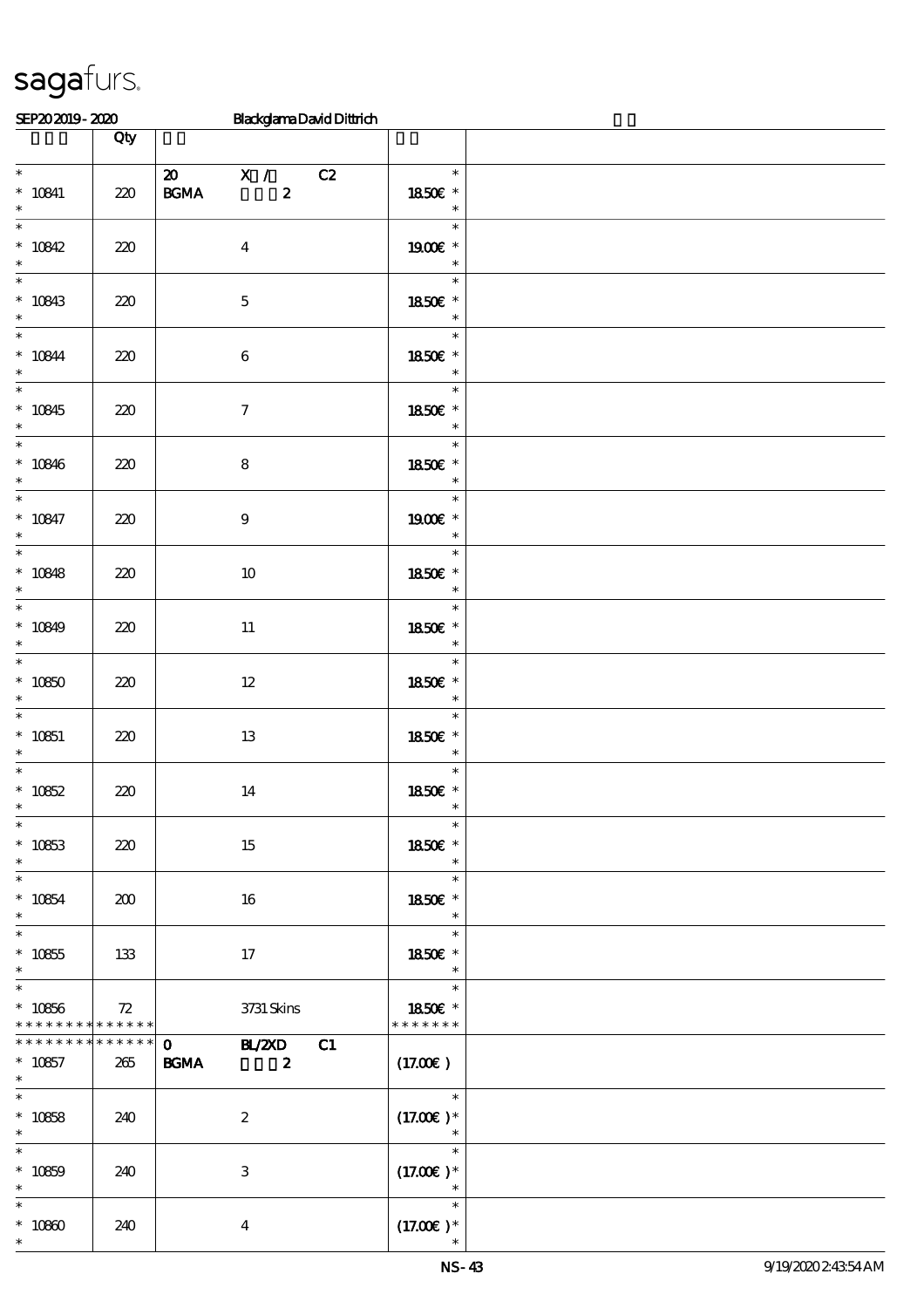\*

| SEP202019-2020                                                             |                    | <b>BlackglamaDavidDittrich</b>                                   |                                                                                      |  |
|----------------------------------------------------------------------------|--------------------|------------------------------------------------------------------|--------------------------------------------------------------------------------------|--|
|                                                                            | Qty                |                                                                  |                                                                                      |  |
| $\ast$<br>$* 10841$                                                        | 220                | X / C2<br>$\boldsymbol{\mathsf{20}}$<br>$\boldsymbol{z}$<br>BGMA | $\ast$<br>1850E *<br>$\ast$                                                          |  |
| * $10842$<br>$\ast$                                                        | 220                | $\boldsymbol{4}$                                                 | $\ast$<br>1900E *<br>$\ast$                                                          |  |
| $* 10843$<br>$\ast$                                                        | 220                | $\mathbf 5$                                                      | $\ast$<br>1850E *<br>$\ast$                                                          |  |
| $\overline{\mathbf{r}}$<br>* $10844$<br>$\ast$                             | 220                | $\bf 6$                                                          | $\ast$<br>1850E *<br>$\ast$                                                          |  |
| $\overline{\phantom{0}}$<br>$* 10845$<br>$\ast$                            | 220                | $\boldsymbol{\tau}$                                              | $\overline{\ast}$<br>1850E *<br>$\ast$                                               |  |
| $*$<br>$* 10846$<br>$\ast$                                                 | 220                | $\bf 8$                                                          | $\overline{\ast}$<br>1850E *<br>$\ast$                                               |  |
| $\overline{\ast}$<br>$* 10847$<br>$\ast$                                   | 220                | $\boldsymbol{9}$                                                 | $\ast$<br>1900E *<br>$\ast$                                                          |  |
| $* 10848$<br>$\ast$                                                        | 220                | 10                                                               | $\ast$<br>1850E *<br>$\ast$                                                          |  |
| $\overline{\phantom{0}}$<br>* $10849$<br>$\ast$                            | 220                | 11                                                               | $\ast$<br>1850E *<br>$*$                                                             |  |
| $\overline{\phantom{0}}$<br>$* 10850$<br>$\ast$                            | 220                | $12 \,$                                                          | $\ast$<br>1850E *<br>$\overline{\phantom{a}}$                                        |  |
| $\overline{\phantom{0}}$<br>$* 10851$<br>$\ast$                            | 220                | 13                                                               | $\ast$<br>1850E *<br>$\overline{\phantom{a}}$                                        |  |
| * $10852$<br>$\ast$                                                        | 220                | 14                                                               | $\ast$<br>1850E *<br>$\overline{\phantom{a}}$ $\overline{\phantom{a}}$               |  |
| $\ast$<br>$* 10853$<br>$\ast$                                              | 220                | 15                                                               | $\ast$<br>1850€ *<br>$\overline{\phantom{a}}$                                        |  |
| $\ast$<br>$* 10854$<br>$\ast$                                              | 200                | 16                                                               | $\ast$<br>1850E *<br>$\overline{\phantom{a}}$                                        |  |
| $\overline{\phantom{0}}$<br>$* 10855$<br>$\ast$                            | 133                | 17                                                               | $\overline{\phantom{a}}$<br>1850E *<br>$\ast$                                        |  |
| $\overline{\ast}$<br>$* 10856$<br>* * * * * * * * <mark>* * * * * *</mark> | 72                 | 3731 Skins                                                       | $\overline{\phantom{0}}$<br>1850E *<br>* * * * * * *                                 |  |
| * * * * * * * *<br>$* 10857$<br>$\ast$                                     | * * * * * *<br>265 | 0 BL/2XD C1<br><b>BGMA</b><br>$\overline{\mathbf{2}}$            | (17.00)                                                                              |  |
| $*$<br>$* 10858$<br>$\ast$                                                 | 240                | $\boldsymbol{2}$                                                 | $\begin{array}{c c}\n\hline\n\end{array}$<br>$(17.00)$ *<br>$\overline{\phantom{a}}$ |  |
| $\ast$<br>$* 10859$                                                        | 240                | 3                                                                | $\ast$<br>$(17.00)$ *<br>$\star$                                                     |  |
| $\ast$<br>$* 10800$                                                        | 240                | $\boldsymbol{4}$                                                 | $\ast$<br>$(17.00)$ *                                                                |  |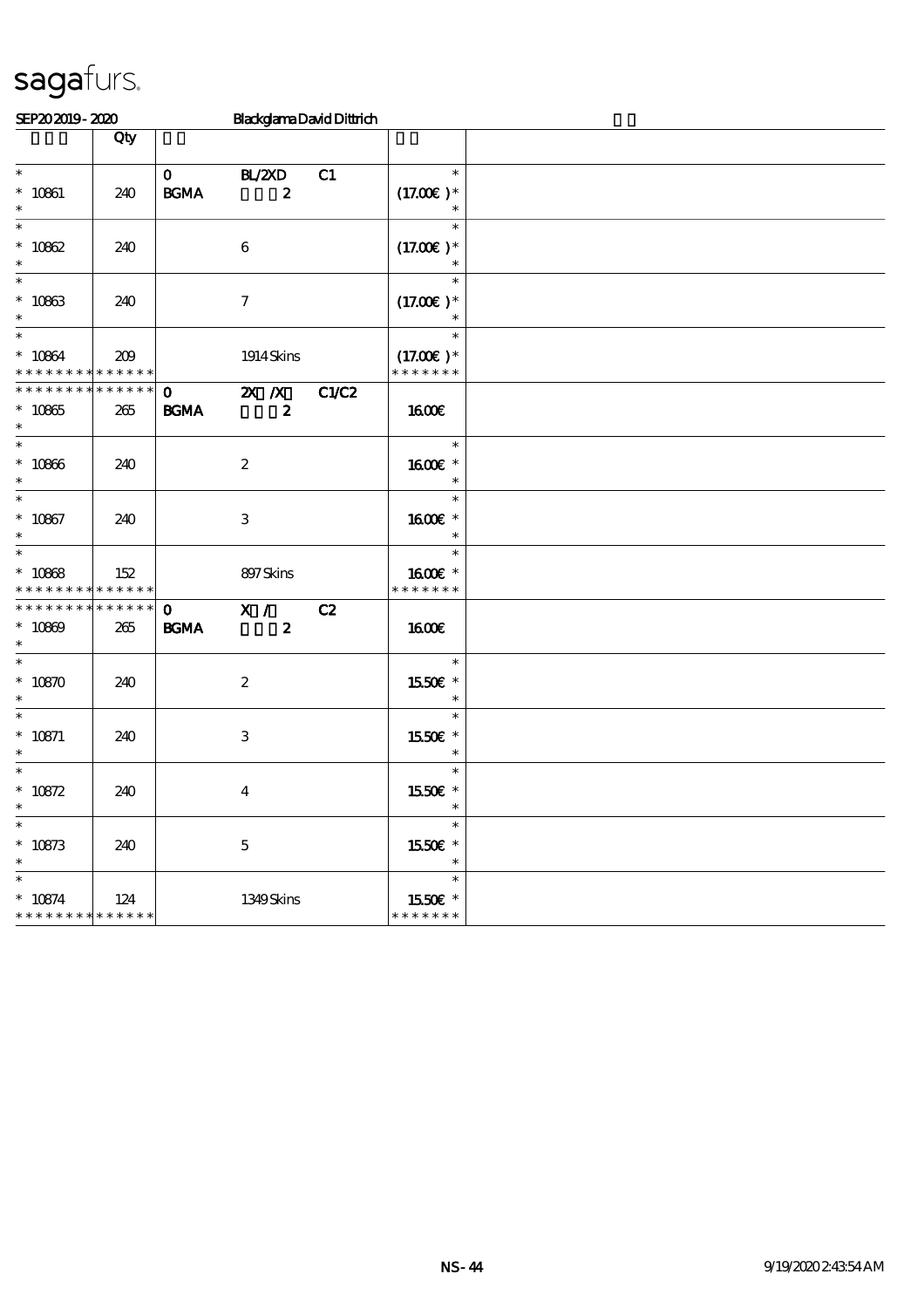| SEP202019-2020                                       |                        |                             |                                               | <b>BlackglamaDavidDittrich</b> |                                        |  |
|------------------------------------------------------|------------------------|-----------------------------|-----------------------------------------------|--------------------------------|----------------------------------------|--|
|                                                      | Qty                    |                             |                                               |                                |                                        |  |
| $\overline{\phantom{0}}$<br>$* 10861$<br>$\ast$      | 240                    | $\mathbf{O}$<br><b>BGMA</b> | BL/2XD<br>$\boldsymbol{z}$                    | C1                             | $\ast$<br>$(17.00)$ *<br>$\ast$        |  |
| $\overline{\ast}$<br>$* 10862$<br>$\ast$             | 240                    |                             | $\boldsymbol{6}$                              |                                | $\ast$<br>$(17.00)$ *<br>$\ast$        |  |
| $\ast$<br>$* 10863$<br>$\ast$                        | 240                    |                             | $\boldsymbol{7}$                              |                                | $\ast$<br>$(17.00)$ *<br>$\ast$        |  |
| $\ast$<br>$* 10864$<br>* * * * * * * *               | 209<br>* * * * * *     |                             | 1914 Skins                                    |                                | $\ast$<br>$(17.00)$ *<br>* * * * * * * |  |
| * * * * * * * *<br>$* 10865$<br>$\ast$               | $* * * * * * *$<br>265 | $\mathbf{O}$<br><b>BGMA</b> | $\mathbf{X}$ $\mathbf{X}$<br>$\boldsymbol{2}$ | C1/C2                          | 1600E                                  |  |
| $\ast$<br>$* 10866$<br>$\ast$                        | 240                    |                             | $\boldsymbol{2}$                              |                                | $\ast$<br>1600€ *<br>$\ast$            |  |
| $\overline{\phantom{0}}$<br>$* 10867$<br>$\ast$      | 240                    |                             | $\,3$                                         |                                | $\ast$<br>1600€ *<br>$\ast$            |  |
| $\overline{\ast}$<br>$* 10868$<br>* * * * * * * *    | 152<br>* * * * * *     |                             | 897Skins                                      |                                | $\ast$<br>1600E *<br>* * * * * * *     |  |
| * * * * * * * * * * * * * * *<br>$* 10809$<br>$\ast$ | 265                    | $\mathbf{O}$<br><b>BGMA</b> | X /<br>$\boldsymbol{z}$                       | C2                             | 1600E                                  |  |
| $\ast$<br>$* 10870$<br>$\ast$                        | 240                    |                             | $\boldsymbol{2}$                              |                                | $\ast$<br>1550€ *<br>$\ast$            |  |
| $\ast$<br>$* 10871$<br>$\ast$                        | 240                    |                             | $\,3$                                         |                                | $\ast$<br>1550E *<br>$\ast$            |  |
| $\ast$<br>$* 10872$<br>∗                             | 240                    |                             | $\boldsymbol{4}$                              |                                | $\ast$<br>1550E *<br>ж                 |  |
| $\ast$<br>$* 10873$<br>$\ast$                        | 240                    |                             | $\mathbf 5$                                   |                                | $\ast$<br>1550€ *<br>$\ast$            |  |
| $\ast$<br>$* 10874$<br>* * * * * * * *               | 124<br>* * * * * *     |                             | 1349Skins                                     |                                | $\ast$<br>1550E *<br>* * * * * * *     |  |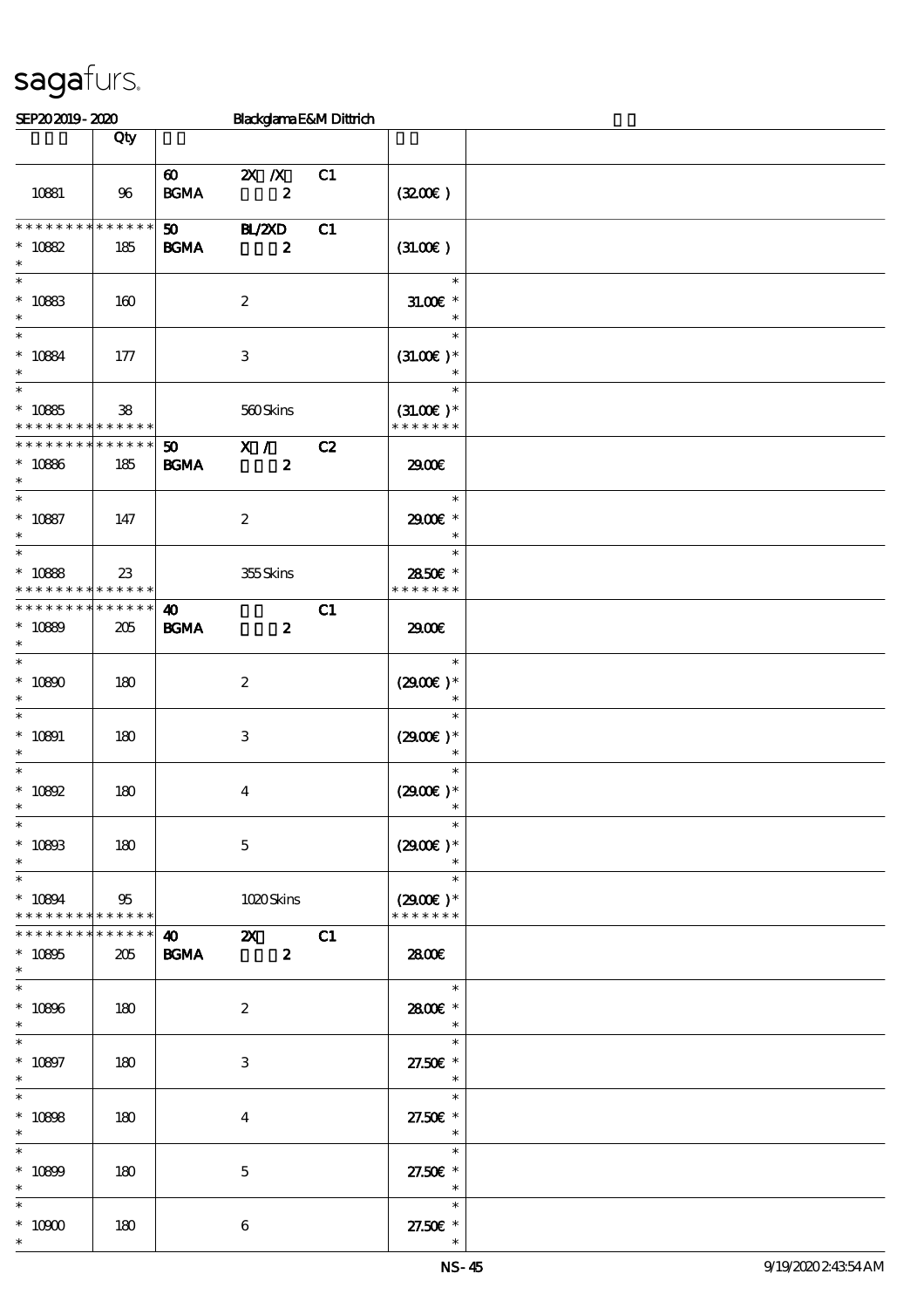### SEP20 2019 - 2020 Blackglama E&M Dittrich  $\Box$  Qty  $\Box$ 10881 96 60 2X X C1 BGMA  $2$  (32.00€) 50 BL/2XD C1 BGMA 2 **\* \* \* \* \* \* \* \* \* \* \* \* \* \*** \* \* 10882 185  $(31.00)$ \*  $*$  10883 160 2 \* \* \* 31.00€ \* \* \* \* 10884 177 3 \*  $(31.00<sup>ε</sup>)$ \* \* \* \* 10885 \* \* \* \* \* \* \* \* \* \* \* \* \* \* 38 560 Skins \*  $(31.00)$  \* \* \* \* \* \* \* \* 50 X / C2 BGMA 2 **\* \* \* \* \* \* \* \* \* \* \* \* \*** \* \* 10886 185 29.00€ \* \* \* 10887 147 2 \* \* 29.00€ \* \* \* 10888 \* \* \* \* \* \* \* \* \* \* \* \* \* 23 355 Skins \* \* 28.50€ \* \* \* \* \* \* \* 40 C1 BGMA 2 **\* \* \* \* \* \* \* \* \* \* \* \* \* \*** \* \* 10889 205 29.00€ \* \* \* 10890 180 2 \*  $(2900)$  \* \* \* \* \* 10891 180 3 \*  $(2900)$  \* \* \* \* \*  $10892$  180 4 \*  $(2900)$  \* \* \* \* \*  $10893$   $180$   $5$ \*  $(2900)$  \* \* \* \* 10894 \* \* \* \* \* \* \* \* \* \* \* 95 1020 Skins \*  $(2900)$  \* \* \* \* \* \* \* \* 40 2X C1 BGMA 2 **\* \* \* \* \* \* \* \* \* \* \* \* \* \*** \* \* 10895 205 **28.00€** \* \* \*  $10896$   $180$   $2$ \* 28.00€\* \* \* \* \* 10897 180 3 \* \* 27.50€ \* \* \* \*  $10898$  180 4 \* \* 27.50€ \* \* \* \* 10899 180 5 \* \* 27.50€ \* \*  $*$  10900 180  $\sqrt{6}$ \* \* \* \* 27.50€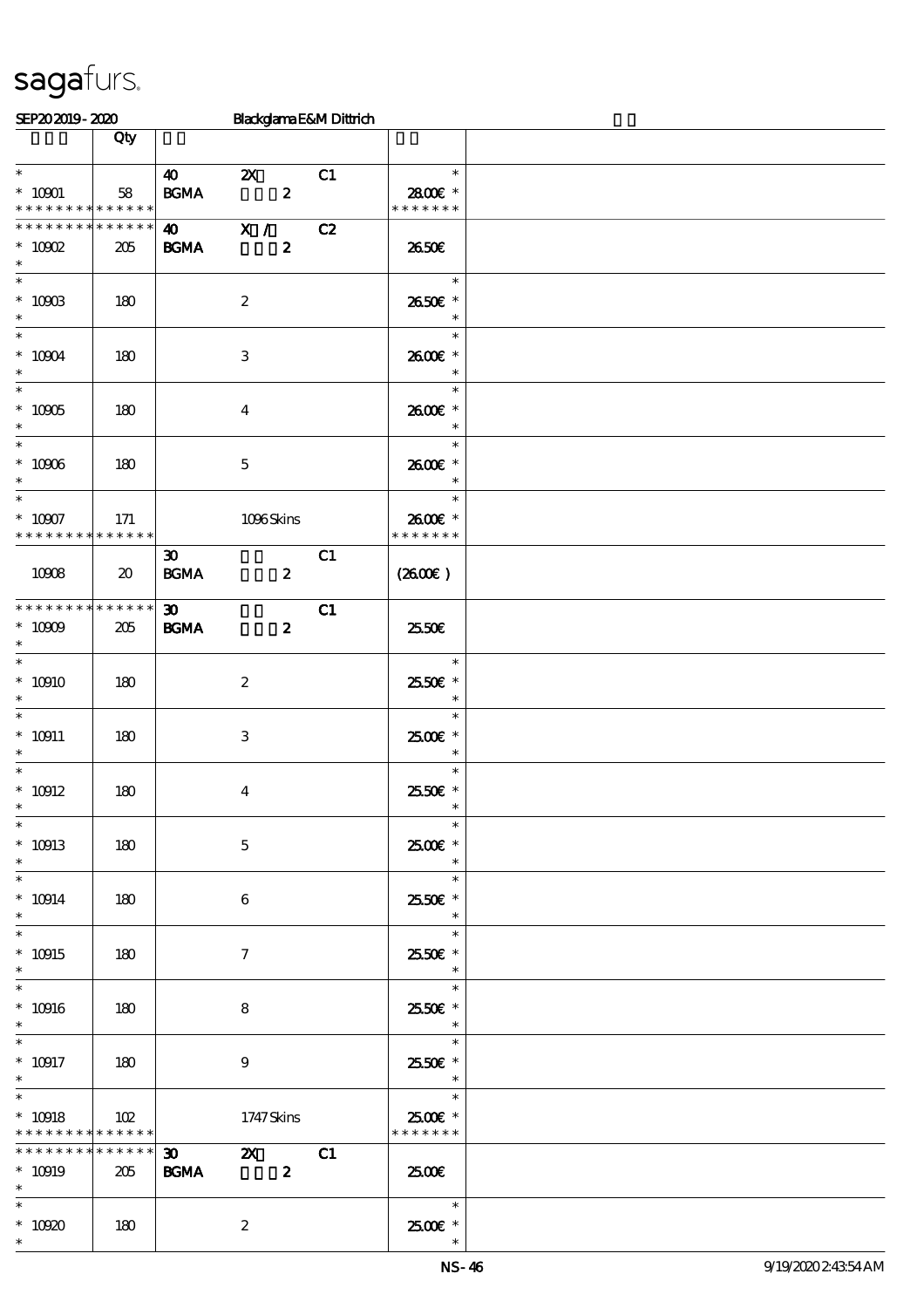| SEP202019-2020                                                    |                    |                                                  |                           |                                  | Blackglama E&M Dittrich |                                                         |  |
|-------------------------------------------------------------------|--------------------|--------------------------------------------------|---------------------------|----------------------------------|-------------------------|---------------------------------------------------------|--|
|                                                                   | Qty                |                                                  |                           |                                  |                         |                                                         |  |
| $\ast$<br>$^*$ 10901 $\,$<br>* * * * * * * * * * * * * *          | 58                 | $\boldsymbol{\omega}$<br>$\mathbf{B G MA}$       | $\boldsymbol{\mathsf{Z}}$ | $\boldsymbol{z}$                 | C1                      | $\ast$<br>2800€ *<br>* * * * * * *                      |  |
| * * * * * * * * <mark>* * * * * * *</mark><br>$*$ 10002<br>$\ast$ | 205                | $\boldsymbol{\omega}$<br><b>BGMA</b>             | X /                       | $\boldsymbol{z}$                 | C2                      | 2650€                                                   |  |
| $^*$ 10003<br>$\ast$<br>$\overline{\ast}$                         | 180                |                                                  | $\boldsymbol{z}$          |                                  |                         | $\ast$<br>2650€ *<br>$\ast$                             |  |
| $^*$ 10004 $\,$<br>$\ast$<br>$\overline{\ast}$                    | 180                |                                                  | $\,3$                     |                                  |                         | $\ast$<br>2600€ *<br>$\ast$                             |  |
| $^\ast$ 10905<br>$\ast$<br>$\overline{\phantom{0}}$               | 180                |                                                  | $\boldsymbol{4}$          |                                  |                         | $\ast$<br>2600€ *<br>$\ast$                             |  |
| $^\ast$ 10906<br>$\ast$<br>$\ast$                                 | 180                |                                                  | $\mathbf 5$               |                                  |                         | $\ast$<br>2600€ *<br>$\ast$<br>$\ast$                   |  |
| $^*$ 10907 $\,$<br>* * * * * * * * * * * * * *                    | 171                |                                                  | 1096Skins                 |                                  |                         | 2600€ *<br>* * * * * * *                                |  |
| 10908                                                             | 20                 | $\boldsymbol{\mathfrak{D}}$<br>$\mathbf{B G MA}$ |                           | $\boldsymbol{z}$                 | C1                      | $(2600\varepsilon)$                                     |  |
| * * * * * * * *<br>$* 10009$<br>$\ast$                            | * * * * * *<br>205 | $\boldsymbol{\mathfrak{D}}$<br><b>BGMA</b>       |                           | $\boldsymbol{z}$                 | C1                      | 2550E                                                   |  |
| $\ast$<br>$*10910$<br>$\ast$<br>$\overline{\ast}$                 | 180                |                                                  | $\boldsymbol{2}$          |                                  |                         | $\ast$<br>2550€ *<br>$\ast$<br>$\ast$                   |  |
| $^*$ 10911<br>$\ast$<br>$\ast$                                    | 180                |                                                  | $\ensuremath{\mathbf{3}}$ |                                  |                         | $2500$ $\epsilon$ *<br>$\ast$<br>$\ast$                 |  |
| $^*$ 10912 $\,$<br>$*$<br>$\ast$                                  | 180                |                                                  | $\boldsymbol{4}$          |                                  |                         | 2550€ *<br>$\ast$<br>$\ast$                             |  |
| $* 10913$<br>$\ast$<br>$\ast$                                     | 180                |                                                  | $\mathbf 5$               |                                  |                         | 2500€ *<br>$\ast$<br>$\ast$                             |  |
| $* 10914$<br>$\ast$<br>$\ast$                                     | 180                |                                                  | 6                         |                                  |                         | 2550€ *<br>$\ast$<br>$\ast$                             |  |
| $* 10915$<br>$\ast$<br>$\ast$                                     | 180                |                                                  | $\tau$                    |                                  |                         | 2550€*<br>$\ast$<br>$\ast$                              |  |
| $^*$ 10916 $\,$<br>$\ast$<br>$\ast$                               | 180                |                                                  | 8                         |                                  |                         | 2550€ *<br>$\ast$<br>$\ast$                             |  |
| $^*$ 10917<br>$\ast$<br>$\ast$                                    | 180                |                                                  | $\boldsymbol{9}$          |                                  |                         | 2550€ *<br>$\overline{\phantom{a}}$<br>$\sim$<br>$\ast$ |  |
| $* 10918$<br>* * * * * * * * <mark>* * * * * *</mark>             | 102                |                                                  | 1747 Skins                |                                  |                         | 2500€ *<br>* * * * * * *                                |  |
| * * * * * * * *<br>$* 10919$<br>$\ast$                            | * * * * * *<br>205 | $\boldsymbol{\mathfrak{D}}$<br><b>BGMA</b>       |                           | $\mathbf{X}$<br>$\boldsymbol{z}$ | C1                      | 2500€                                                   |  |
| $\ast$<br>$^*$ 10920 $\,$<br>$\ast$                               | 180                |                                                  | $\boldsymbol{z}$          |                                  |                         | $\ast$<br>$2500$ $\epsilon$ *                           |  |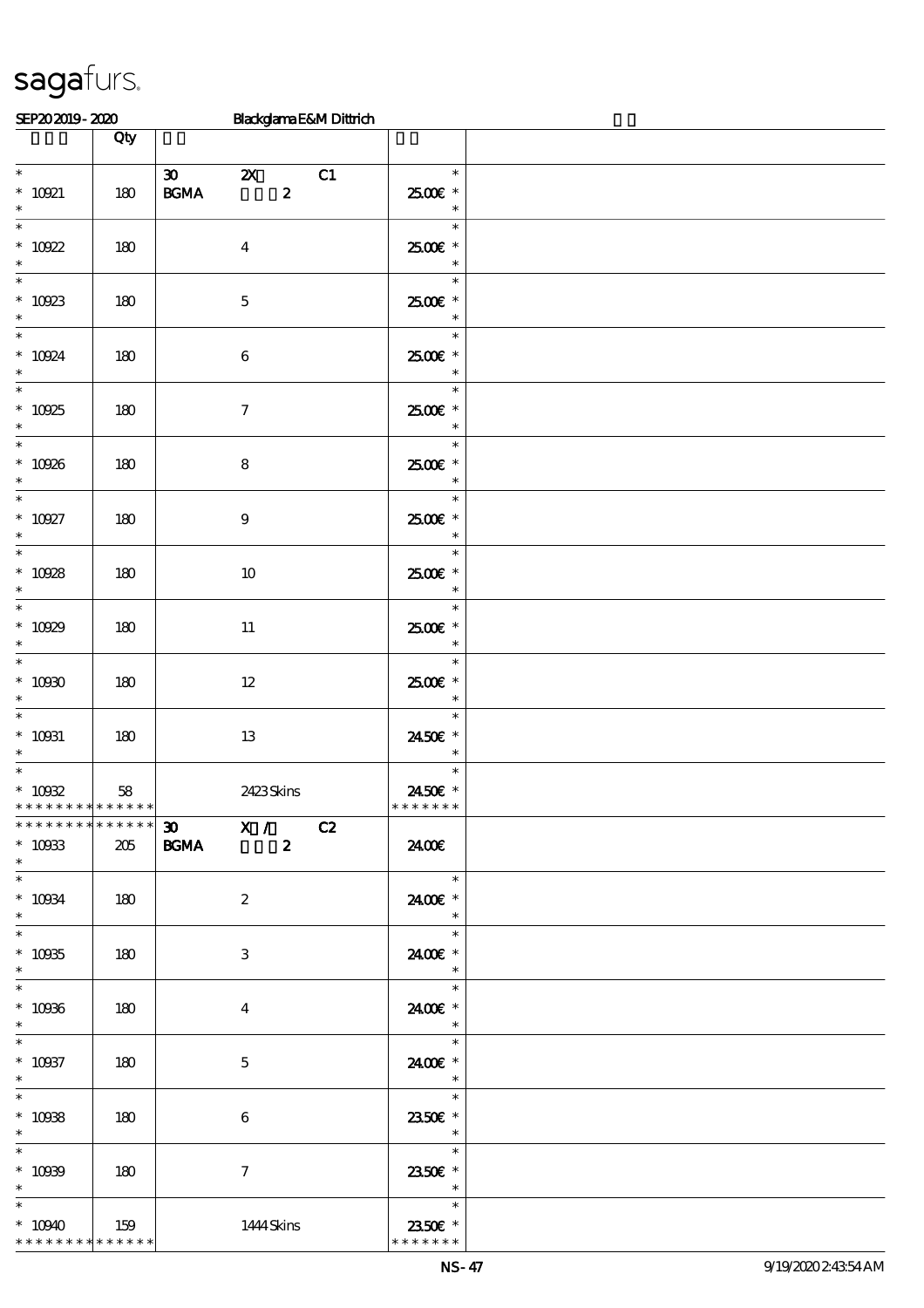| SEP202019-2020                                                                     |     | Blackglama E&M Dittrich                                                                    |                                                                           |  |
|------------------------------------------------------------------------------------|-----|--------------------------------------------------------------------------------------------|---------------------------------------------------------------------------|--|
|                                                                                    | Qty |                                                                                            |                                                                           |  |
| $^*$ 10021<br>$\ast$                                                               | 180 | $\boldsymbol{\mathfrak{D}}$<br>C1<br>$\mathbf{X}$<br>$\boldsymbol{z}$<br>$\mathbf{B G MA}$ | $\ast$<br>2500€ *<br>$\ast$                                               |  |
| $\ast$<br>$* 10922$<br>$\ast$                                                      | 180 | $\boldsymbol{4}$                                                                           | $\ast$<br>2500€ *<br>$\ast$                                               |  |
| $\ast$<br>$^\ast$ 10923 $^\ast$                                                    | 180 | $\mathbf 5$                                                                                | $\ast$<br>2500€ *<br>$\ast$                                               |  |
| $\overline{\ast}$<br>$* 10924$<br>$\ast$                                           | 180 | $\bf 6$                                                                                    | $\ast$<br>2500€ *<br>$\ast$                                               |  |
| $\ast$<br>$* 10925$<br>$\ast$                                                      | 180 | $\boldsymbol{7}$                                                                           | $\ast$<br>2500€*<br>$\ast$                                                |  |
| $\overline{\phantom{0}}$<br>$* 10926$<br>$\ast$                                    | 180 | $\bf 8$                                                                                    | $\ast$<br>$2500$ $\epsilon$ *<br>$\ast$                                   |  |
| $\overline{\ast}$<br>$^*$ 10927<br>$\ast$                                          | 180 | $\boldsymbol{9}$                                                                           | $\ast$<br>2500€ *<br>$\ast$                                               |  |
| $\ast$<br>$^*$ 10928 $\,$<br>$\ast$                                                | 180 | $10\,$                                                                                     | $\ast$<br>$2500$ £ *<br>$\ast$                                            |  |
| $\overline{\phantom{0}}$<br>$* 10929$<br>$\ast$                                    | 180 | $11\,$                                                                                     | $\ast$<br>2500€*<br>$\ast$                                                |  |
| $\overline{\ast}$<br>$* 10000$<br>$\ast$                                           | 180 | $12 \,$                                                                                    | $\ast$<br>2500€*<br>$\ast$                                                |  |
| $\ast$<br>$^*$ 10031<br>$\ast$                                                     | 180 | $13\,$                                                                                     | $\ast$<br>2450€ *<br>$\ast$                                               |  |
| $\overline{\phantom{0}}$<br>$^*$ 10032<br>* * * * * * * * <mark>* * * * * *</mark> | 58  | 2423Skins                                                                                  | $\ast$<br>2450€ *<br>* * * * * * *                                        |  |
| ******** <mark>*******</mark><br>$* 10933$<br>$\ast$                               | 205 | $\overline{30}$ $\overline{X}$ / $\overline{C2}$<br>BGMA 2                                 | 2400E                                                                     |  |
| $\ast$<br>$^*$ 10034 $\,$<br>$\ast$                                                | 180 | $\boldsymbol{2}$                                                                           | $\ast$<br>2400€ *<br>$\ast$                                               |  |
| $\ast$<br>$* 10935$<br>$\ast$                                                      | 180 | 3                                                                                          | $\overline{\phantom{a}}$<br>$\ast$<br>2400€ *<br>$\ast$                   |  |
| $\overline{\ast}$<br>$* 10936$<br>$\ast$                                           | 180 | $\overline{4}$                                                                             | $\ast$<br>2400€ *<br>$\ast$                                               |  |
| $\ast$<br>$* 10037$<br>$\ast$                                                      | 180 | $\mathbf{5}$                                                                               | $\ast$<br>2400 £*<br>$\overline{\phantom{a}}$                             |  |
| $^\ast$ 10938<br>$\ast$                                                            | 180 | 6                                                                                          | $\ast$<br>2350€ *<br>$\overline{\phantom{a}}$                             |  |
| $\ast$<br>$* 10939$<br>$\ast$                                                      | 180 | $\tau$                                                                                     | $\overline{\phantom{a}}$<br>$\ast$<br>2350E *<br>$\overline{\phantom{a}}$ |  |
| $\ast$<br>$*10940$<br>* * * * * * * * * * * * * *                                  | 159 | 1444 Skins                                                                                 | $\ast$<br>2350€ *<br>* * * * * * *                                        |  |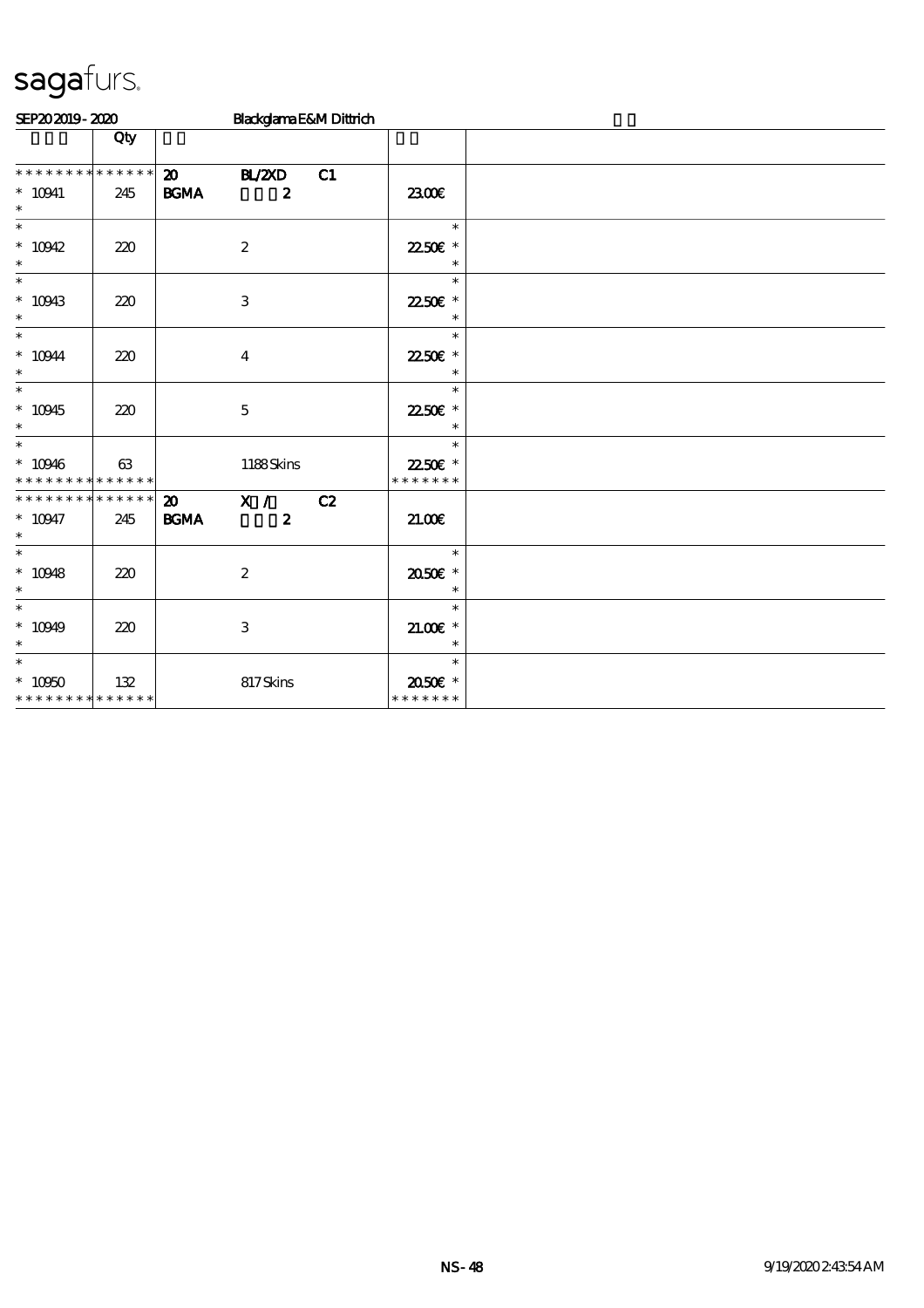| SEP202019-2020                                                |     |                                                  | Blackglama E&M Dittrich           |    |                                     |  |  |  |  |
|---------------------------------------------------------------|-----|--------------------------------------------------|-----------------------------------|----|-------------------------------------|--|--|--|--|
|                                                               | Qty |                                                  |                                   |    |                                     |  |  |  |  |
| * * * * * * * * * * * * * *<br>$* 10941$<br>$\ast$            | 245 | $\boldsymbol{\mathfrak{D}}$<br><b>BGMA</b>       | <b>H_/2XD</b><br>$\boldsymbol{z}$ | C1 | 2300E                               |  |  |  |  |
| $\overline{\ast}$<br>$* 10942$<br>$\ast$                      | 220 |                                                  | $\boldsymbol{2}$                  |    | $\ast$<br>22.50€ *<br>$\ast$        |  |  |  |  |
| $\ast$<br>$* 10943$<br>$\ast$                                 | 220 |                                                  | $\,3$                             |    | $\ast$<br>22.50€ *<br>$\ast$        |  |  |  |  |
| $\ast$<br>$^*$ 10944 $\,$<br>$\ast$                           | 220 |                                                  | $\boldsymbol{4}$                  |    | $\ast$<br>22.50€ *                  |  |  |  |  |
| $\ast$<br>$^*$ 10945<br>$\ast$                                | 220 |                                                  | $\mathbf 5$                       |    | $\ast$<br>22.50€ *<br>$\ast$        |  |  |  |  |
| $\overline{\ast}$<br>$* 10946$<br>* * * * * * * * * * * * * * | 63  |                                                  | 1188Skins                         |    | $\ast$<br>22.50€ *<br>* * * * * * * |  |  |  |  |
| * * * * * * * * * * * * * *<br>$* 10947$<br>$\ast$            | 245 | $\boldsymbol{\mathfrak{D}}$<br>$\mathbf{B G MA}$ | X /<br>$\boldsymbol{z}$           | C2 | 2100                                |  |  |  |  |
| $\overline{\ast}$<br>$* 10948$<br>$\ast$                      | 220 |                                                  | $\boldsymbol{2}$                  |    | $\ast$<br>2050E *<br>$\ast$         |  |  |  |  |
| $\overline{\ast}$<br>$* 10949$<br>$\ast$                      | 220 |                                                  | $\,3$                             |    | $\ast$<br>$21.005*$<br>$\ast$       |  |  |  |  |
| $\ast$<br>$*10050$<br>* * * * * * * * * * * * * *             | 132 |                                                  | 817Skins                          |    | $\ast$<br>2050E *<br>* * * * * * *  |  |  |  |  |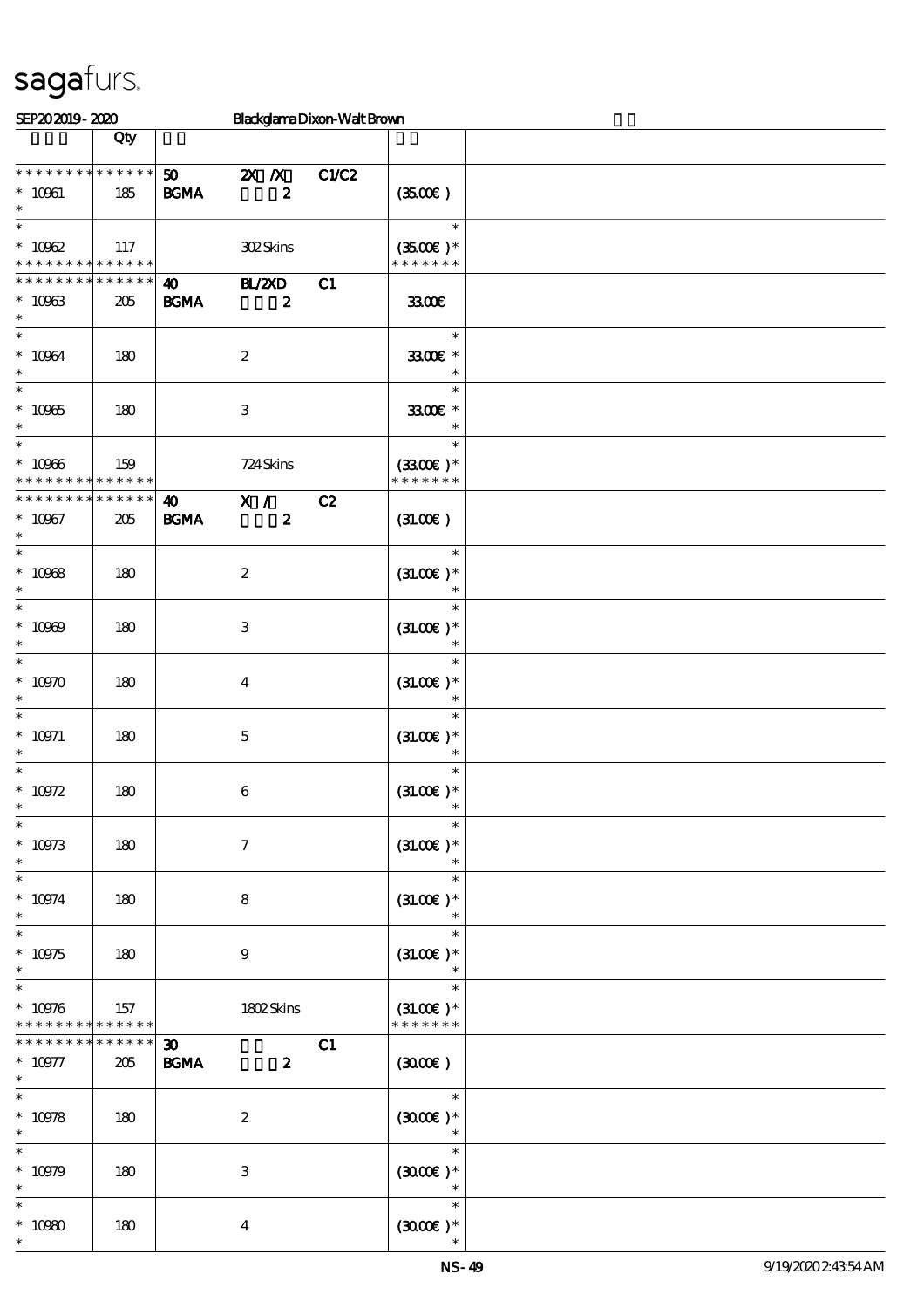| SEP202019-2020                                                          |                        |                                            | Blackglama Dixon-Walt Brown                   |       |                                        |  |
|-------------------------------------------------------------------------|------------------------|--------------------------------------------|-----------------------------------------------|-------|----------------------------------------|--|
|                                                                         | Qty                    |                                            |                                               |       |                                        |  |
| * * * * * * * * * * * * * * *<br>$^*$ 10061 $\,$<br>$\ast$              | 185                    | 50 <sub>o</sub><br><b>BGMA</b>             | $X$ $N$<br>$\boldsymbol{2}$                   | C1/C2 | (350)                                  |  |
| $\ast$<br>$^*$ 10962 $\,$<br>* * * * * * * * <mark>* * * * * * *</mark> | 117                    |                                            | 302Skins                                      |       | $\ast$<br>$(3500)$ *<br>* * * * * * *  |  |
| * * * * * * * * * * * * * *<br>$* 10963$<br>$\ast$                      | 205                    | $\boldsymbol{\omega}$<br><b>BGMA</b>       | <b>H</b> <sub>Z</sub> ZXD<br>$\boldsymbol{z}$ | C1    |                                        |  |
| $\ast$<br>$* 10064$<br>$\ast$                                           | 180                    |                                            | $\boldsymbol{2}$                              |       | $\ast$<br>3300€ *<br>$\ast$            |  |
| $\overline{\ast}$<br>$* 10965$<br>$\ast$                                | 180                    |                                            | $\,3\,$                                       |       | $\ast$<br>3300€ *<br>$\ast$            |  |
| $\ast$<br>$^\ast$ 10966<br>* * * * * * * *                              | 159<br>$* * * * * * *$ |                                            | 724 Skins                                     |       | $\ast$<br>$(3300)$ *<br>* * * * * * *  |  |
| * * * * * * * *<br>$* 10967$<br>$\ast$                                  | $* * * * * * *$<br>205 | $\boldsymbol{\omega}$<br><b>BGMA</b>       | $\overline{\mathbf{x}}$ /<br>$\boldsymbol{z}$ | C2    | (31.00)                                |  |
| $\ast$<br>$* 10068$<br>$\ast$                                           | 180                    |                                            | $\boldsymbol{2}$                              |       | $\ast$<br>$(31.00)$ *<br>$\ast$        |  |
| $\ast$<br>$* 10009$<br>$\ast$                                           | 180                    |                                            | 3                                             |       | $\ast$<br>$(31.00)$ *<br>$\ast$        |  |
| $\ast$<br>$* 10970$<br>$\ast$                                           | 180                    |                                            | $\boldsymbol{4}$                              |       | $\ast$<br>$(31.00)$ *<br>$\ast$        |  |
| $\ast$<br>$* 10971$<br>$\ast$                                           | 180                    |                                            | $\mathbf 5$                                   |       | $\ast$<br>$(31.00)$ *<br>$\ast$        |  |
| $\ast$<br>$^*$ 10972<br>$*$                                             | 180                    |                                            | $\bf 6$                                       |       | $\ast$<br>$(31.00)$ *                  |  |
| $\ast$<br>$^\ast$ 10973<br>$\ast$                                       | 180                    |                                            | $\boldsymbol{\tau}$                           |       | $\ast$<br>$(31.00)$ *<br>$\ast$        |  |
| $\ast$<br>$* 10974$<br>$\ast$                                           | 180                    |                                            | 8                                             |       | $\ast$<br>$(31.00)$ *<br>$\ast$        |  |
| $\ast$<br>$^\ast$ 10975<br>$\ast$                                       | 180                    |                                            | $\boldsymbol{9}$                              |       | $\ast$<br>$(31.00)$ *<br>$\ast$        |  |
| $\ast$<br>$* 10976$<br>* * * * * * * *                                  | 157<br>$* * * * * * *$ |                                            | 1802Skins                                     |       | $\ast$<br>$(31.00)$ *<br>* * * * * * * |  |
| * * * * * * *<br>$* 10977$<br>$\ast$                                    | * * * * * *  <br>205   | $\boldsymbol{\mathfrak{D}}$<br><b>BGMA</b> | $\boldsymbol{z}$                              | C1    | (300E)                                 |  |
| $\ast$<br>$* 10978$<br>$\ast$                                           | 180                    |                                            | $\boldsymbol{2}$                              |       | $\ast$<br>$(3000)$ *<br>$\ast$         |  |
| $\ast$<br>$* 10979$<br>$\ast$                                           | 180                    |                                            | $\,3$                                         |       | $\ast$<br>$(3000)$ *<br>$\ast$         |  |
| $\ast$<br>$* 10980$                                                     | 180                    |                                            | $\boldsymbol{4}$                              |       | $\ast$<br>$(300E)*$                    |  |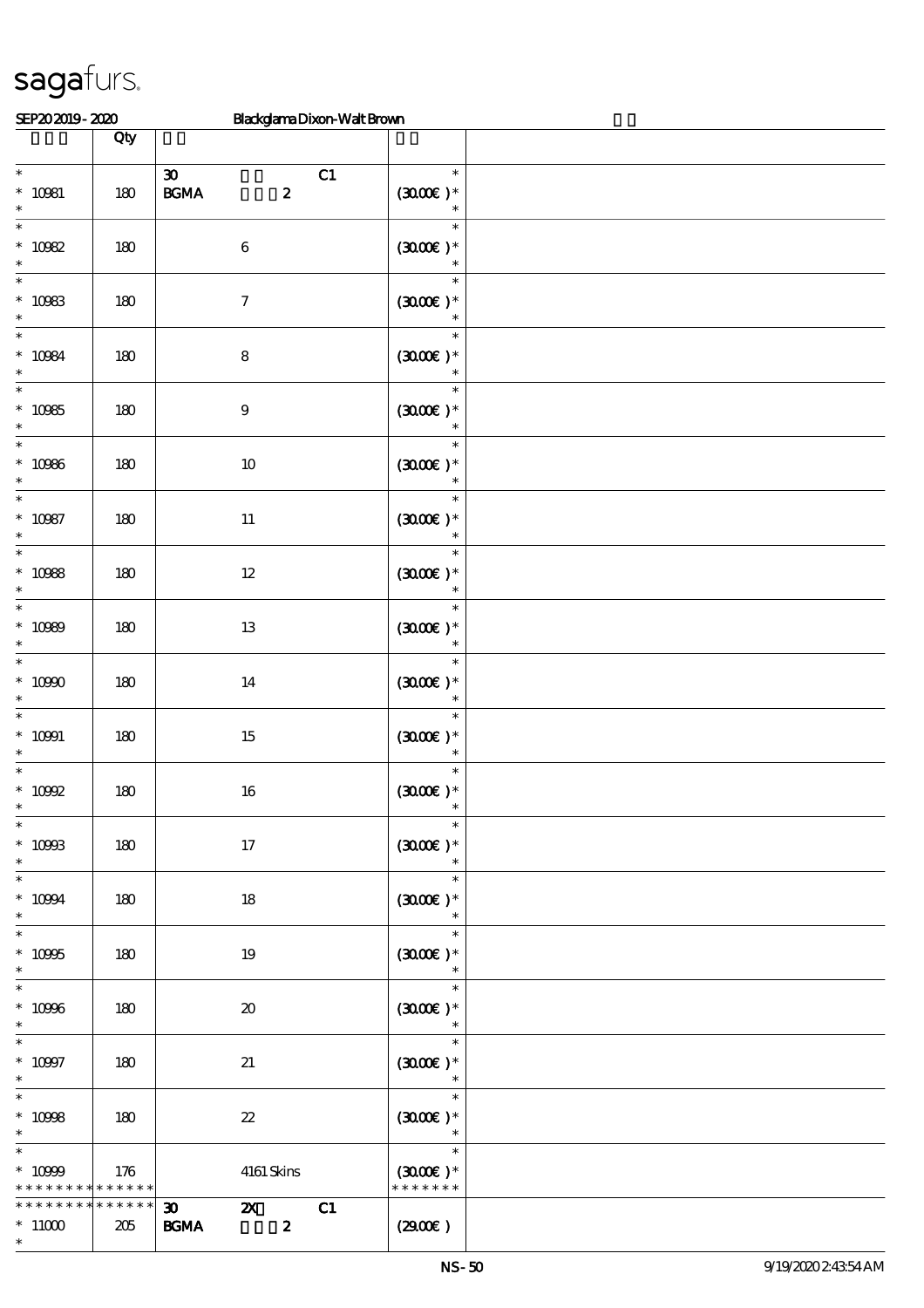| SEP202019-2020                                     |                    | Blackglama Dixon-Walt Brown                                                |                                                   |  |
|----------------------------------------------------|--------------------|----------------------------------------------------------------------------|---------------------------------------------------|--|
|                                                    | Qty                |                                                                            |                                                   |  |
| $\ast$<br>$* 10081$<br>$\ast$                      | 180                | $\boldsymbol{\mathfrak{D}}$<br>C1<br>$\mathbf{B G MA}$<br>$\boldsymbol{z}$ | $\ast$<br>$(300E)*$<br>$\ast$                     |  |
| $\ast$<br>$* 10982$<br>$\ast$                      | 180                | $\,6\,$                                                                    | $\ast$<br>$(300E)*$<br>$\ast$                     |  |
| $\ast$<br>$* 10983$<br>$\ast$                      | 180                | $\boldsymbol{7}$                                                           | $\ast$<br>$(3000\varepsilon)*$<br>$\ast$          |  |
| $\ast$<br>$* 10084$<br>$\ast$                      | 180                | $\bf 8$                                                                    | $\ast$<br>$(300E)*$<br>$\ast$                     |  |
| $\ast$<br>$* 10985$<br>$\ast$                      | 180                | $\boldsymbol{9}$                                                           | $\ast$<br>$(300E)*$<br>$\ast$                     |  |
| $\ast$<br>$* 10986$<br>$\ast$                      | 180                | $10\,$                                                                     | $\ast$<br>$(300E)*$<br>$\ast$                     |  |
| $\overline{\phantom{0}}$<br>$* 10987$<br>$\ast$    | 180                | $11\,$                                                                     | $\ast$<br>$(300E)*$<br>$\ast$                     |  |
| $\ast$<br>$* 10988$<br>$\ast$                      | 180                | $12\,$                                                                     | $\ast$<br>$(300E)*$<br>$\ast$                     |  |
| $\ast$<br>$* 10989$<br>$\ast$                      | 180                | $13\,$                                                                     | $\ast$<br>$(300E)*$<br>$\ast$                     |  |
| $\ast$<br>$* 10900$<br>$\ast$                      | 180                | 14                                                                         | $\ast$<br>$(300E)*$<br>$\ast$                     |  |
| $\ast$<br>$* 10991$<br>$\ast$                      | 180                | $15\,$                                                                     | $\ast$<br>$(3000\varepsilon)*$<br>$\ast$          |  |
| $\ast$<br>$*$ 10992                                | 180                | $16\,$                                                                     | $\ast$<br>$(3000)$ *                              |  |
| $\overline{\phantom{0}}$<br>$* 10903$<br>$\ast$    | 180                | $17\,$                                                                     | $\ast$<br>$(300E)*$<br>$\ast$                     |  |
| $\ast$<br>$* 10994$<br>$\ast$                      | 180                | 18                                                                         | $\ast$<br>$(300E)*$<br>$\ast$                     |  |
| $\ast$<br>$^*$ 10995 $\,$<br>$\ast$                | 180                | 19                                                                         | $\ast$<br>$(300E)*$<br>$\overline{\mathbf{r}}$    |  |
| $\overline{\ast}$<br>$^\ast$ 10996<br>$\ast$       | 180                | $\boldsymbol{\mathfrak{D}}$                                                | $\ast$<br>$(300E)*$<br>$\ast$                     |  |
| $\overline{\phantom{1}}$<br>$^*$ 10997<br>$\ast$   | 180                | 21                                                                         | $\ast$<br>$(300E)*$<br>$\overline{\phantom{a}}$ * |  |
| $\ast$<br>$* 10998$<br>$\ast$                      | 180                | $\boldsymbol{\mathcal{Z}}$                                                 | $\ast$<br>$(300E)*$<br>$\ddot{x}$                 |  |
| $\ast$<br>$* 10999$<br>* * * * * * * * * * * * * * | 176                | 4161 Skins                                                                 | $\ast$<br>$(300E)*$<br>* * * * * * *              |  |
| * * * * * * *<br>$*11000$<br>$\ast$                | * * * * * *<br>205 | C1<br>$\infty$<br>$\mathbf{x}$<br>$\boldsymbol{z}$<br><b>BGMA</b>          | (2900)                                            |  |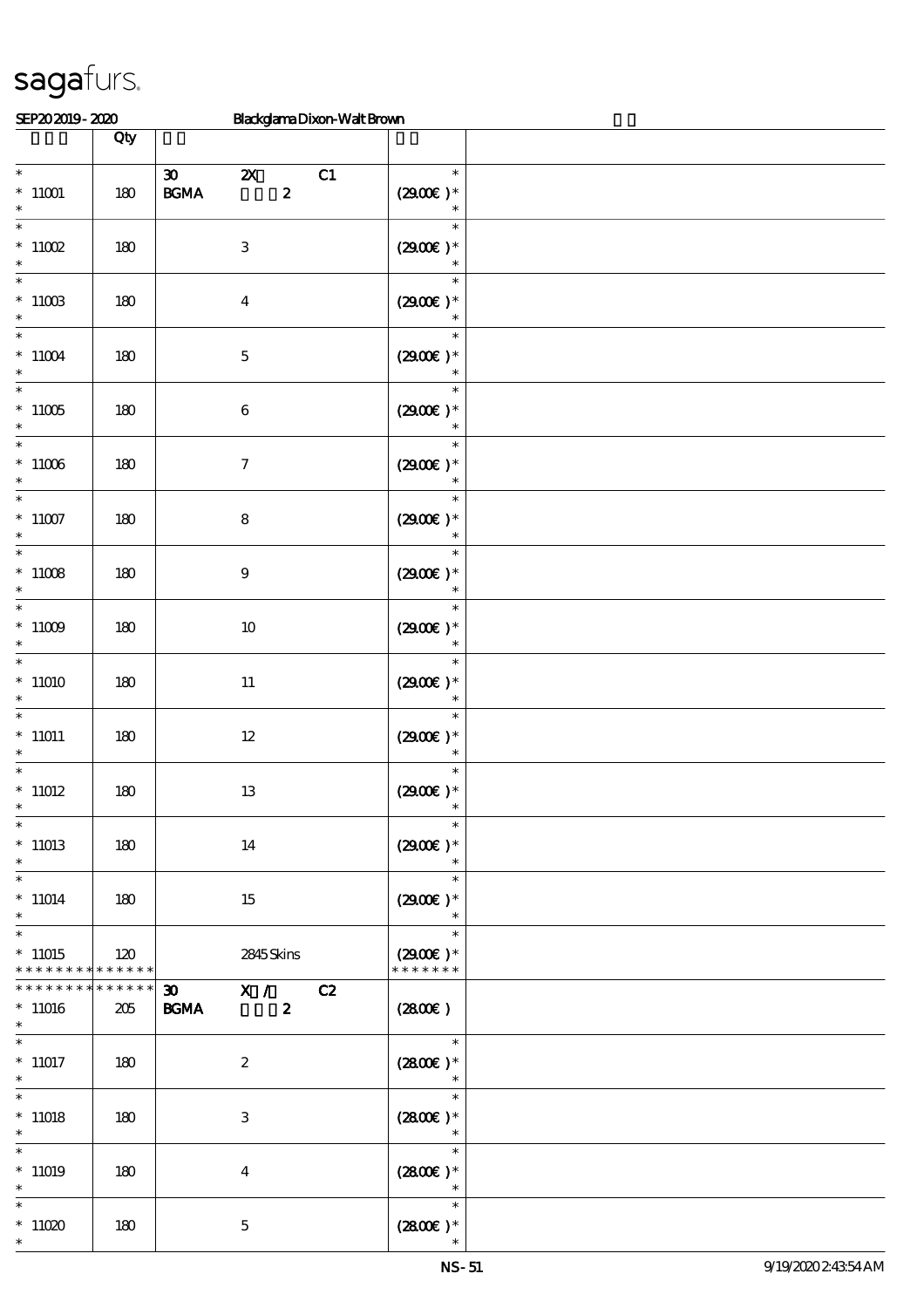| SEP202019-2020                        |                    | Blackglama Dixon-Walt Brown                                                                             |                                       |  |
|---------------------------------------|--------------------|---------------------------------------------------------------------------------------------------------|---------------------------------------|--|
|                                       | Qty                |                                                                                                         |                                       |  |
| $\ast$<br>$*$ 11001<br>$\ast$         | 180                | $\boldsymbol{\mathfrak{D}}$<br>C1<br>$\boldsymbol{\mathsf{Z}}$<br>$\mathbf{B G MA}$<br>$\boldsymbol{z}$ | $\ast$<br>$(2900)$ *<br>$\ast$        |  |
| $\ast$<br>$*$ 11002<br>$\ast$         | 180                | $\,3$                                                                                                   | $\ast$<br>$(2900)$ *<br>$\ast$        |  |
| $\ast$<br>$^*$ 11003<br>$\ast$        | 180                | $\boldsymbol{4}$                                                                                        | $\ast$<br>$(290E)*$<br>$\ast$         |  |
| $\ast$<br>$^*$ 11004 $\,$<br>$\ast$   | 180                | $\mathbf 5$                                                                                             | $\ast$<br>$(2900)$ *<br>$\ast$        |  |
| $\ast$<br>$^*$ 11005 $\,$<br>$\ast$   | 180                | $\,6\,$                                                                                                 | $\ast$<br>$(2900)$ *<br>$\ast$        |  |
| $\ast$<br>$*11006$<br>$\ast$          | 180                | $\boldsymbol{7}$                                                                                        | $\ast$<br>$(2900)$ *                  |  |
| $\ast$<br>$*11007$<br>$\ast$          | 180                | $\bf 8$                                                                                                 | $\ast$<br>$(2900)$ *<br>$\ast$        |  |
| $\ast$<br>$^*$ 11008 $\,$<br>$\ast$   | 180                | $\boldsymbol{9}$                                                                                        | $\ast$<br>$(2900)$ *<br>$\ast$        |  |
| $\ast$<br>$^*$ 11009 $\,$<br>$\ast$   | 180                | $10\,$                                                                                                  | $\ast$<br>$(2900)$ *<br>$\ast$        |  |
| $\ast$<br>$*11010$<br>$\ast$          | 180                | $11\,$                                                                                                  | $\ast$<br>$(2900)$ *<br>$\ast$        |  |
| $\ast$<br>$^*$ 11011                  | 180                | $12\,$                                                                                                  | $\ast$<br>$(2900)$ *<br>$\ast$        |  |
| $\ast$<br>$^*$ 11012 $\,$<br>∗        | 180                | 13                                                                                                      | $\ast$<br>$(2900)$ *                  |  |
| $\ast$<br>$*11013$<br>$\ast$          | 180                | 14                                                                                                      | $(2900)$ *                            |  |
| $\ast$<br>$*11014$<br>$\ast$          | 180                | 15                                                                                                      | $\ast$<br>$(2900)$ *<br>$\ast$        |  |
| $\ast$<br>$*11015$<br>* * * * * * * * | 120<br>******      | 2845Skins                                                                                               | $\ast$<br>$(2900)$ *<br>* * * * * * * |  |
| * * * * * * * *<br>$*11016$<br>$\ast$ | * * * * * *<br>205 | X / C2<br>30 <sub>2</sub><br><b>BGMA</b><br>$\boldsymbol{z}$                                            | (2800)                                |  |
| $\ast$<br>$*11017$<br>$\ast$          | 180                | $\boldsymbol{z}$                                                                                        | $\ast$<br>$(2800)$ *<br>$\ast$        |  |
| $\ast$<br>$*11018$<br>$\ast$          | 180                | $\ensuremath{\mathbf{3}}$                                                                               | $\ast$<br>$(2800)$ *<br>$\ast$        |  |
| $*11019$<br>$\ast$                    | 180                | $\overline{4}$                                                                                          | $\ast$<br>$(2800)$ *                  |  |
| $\ast$<br>$*11020$<br>$\ast$          | 180                | $\mathbf 5$                                                                                             | $\ast$<br>$(2800)$ *                  |  |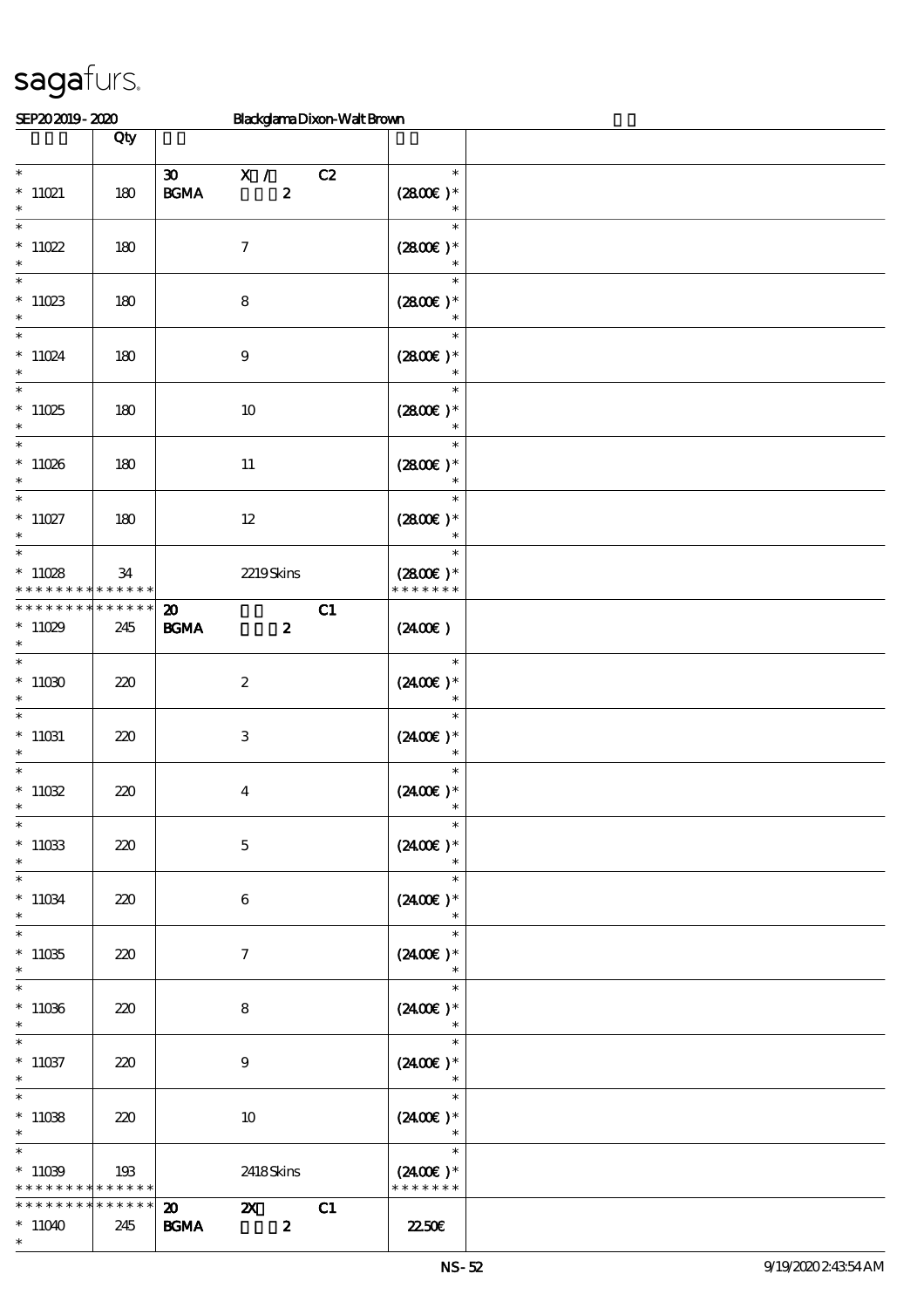| SEP202019-2020                                                 |                    | BlackglamaDixon-WaltBrown                                                     |                                                  |  |
|----------------------------------------------------------------|--------------------|-------------------------------------------------------------------------------|--------------------------------------------------|--|
|                                                                | Qty                |                                                                               |                                                  |  |
| $\ast$<br>$*$ 11021<br>$\ast$                                  | 180                | $\boldsymbol{\mathfrak{D}}$<br>X /<br>$\pmb{2}$<br>$\mathbf{B G MA}$          | $\ast$<br>C2<br>$(2800)$ *<br>$\ast$             |  |
| $\ast$<br>$*11022$<br>$\ast$                                   | 180                | $\boldsymbol{\tau}$                                                           | $\ast$<br>$(2800)$ *<br>$\ast$                   |  |
| $\ast$<br>$*11023$<br>$\ast$                                   | 180                | $\bf 8$                                                                       | $\ast$<br>$(2800)$ *<br>$\ast$                   |  |
| $\ast$<br>$*11024$<br>$\ast$                                   | 180                | $\boldsymbol{9}$                                                              | $\ast$<br>$(2800)$ *<br>$\ast$                   |  |
| $\ast$<br>$*11025$<br>$\ast$<br>$\overline{\phantom{0}}$       | 180                | $10$                                                                          | $\ast$<br>$(2800)$ *                             |  |
| $*11026$<br>$\ast$<br>$\overline{\ast}$                        | 180                | $11\,$                                                                        | $\ast$<br>$(2800)$ *<br>$\ast$                   |  |
| $*11027$<br>$\ast$                                             | 180                | $12\,$                                                                        | $\ast$<br>$(2800)$ *<br>$\ast$                   |  |
| $\ast$<br>$*11028$<br>* * * * * * * *                          | 34<br>* * * * * *  | 2219Skins                                                                     | $\ast$<br>$(2800)$ *<br>* * * * * * *            |  |
| * * * * * * * *<br>$*11029$<br>$\ast$<br>$\ast$                | * * * * * *<br>245 | $\boldsymbol{\mathsf{20}}$<br><b>BGMA</b><br>$\boldsymbol{z}$                 | C1<br>$(2400\varepsilon)$                        |  |
| $*11030$<br>$\ast$                                             | 220                | $\boldsymbol{2}$                                                              | $\ast$<br>$(2400)$ *<br>$\ast$                   |  |
| $\ast$<br>$^*$ 11031<br>$\ast$<br>$\ast$                       | 220                | $\ensuremath{\mathbf{3}}$                                                     | $\ast$<br>$(2400E)*$                             |  |
| $*11032$<br>$\ast$<br>$\ast$                                   | 220                | $\boldsymbol{4}$                                                              | $\ast$<br>$(2400\varepsilon)^*$<br>$\ast$        |  |
| $*11033$<br>$\ast$<br>$\ast$                                   | 220                | $\mathbf 5$                                                                   | $(2400)$ *<br>$\ast$<br>$\ast$                   |  |
| $^*$ 11034 $\,$<br>$\ast$                                      | 220                | $\boldsymbol{6}$                                                              | $(2400E)*$<br>$\ast$                             |  |
| $\ast$<br>$^*$ 11035<br>$\ast$                                 | 220                | $\tau$                                                                        | $\ast$<br>$(2400\varepsilon)^*$<br>$\ast$        |  |
| $\ast$<br>$*11036$<br>$\ast$                                   | 220                | 8                                                                             | $\ast$<br>$(2400)$ *                             |  |
| $\ast$<br>$*11037$<br>$\ast$                                   | 220                | $9\phantom{.0}$                                                               | $\ast$<br>$(2400)$ *                             |  |
| $\ast$<br>$*11038$<br>$\ast$                                   | 220                | 10                                                                            | $\ast$<br>$(2400)$ *<br>$\overline{\phantom{a}}$ |  |
| $\ast$<br>$*11039$<br>* * * * * * * * <mark>* * * * * *</mark> | 193                | 2418Skins                                                                     | $\ast$<br>$(2400)$ *<br>* * * * * * *            |  |
| * * * * * * * *<br>$*11040$<br>$\ast$                          | * * * * * *<br>245 | $\mathbf{x}$<br>$\boldsymbol{\mathsf{20}}$<br>$\boldsymbol{z}$<br><b>BGMA</b> | C1<br>2250E                                      |  |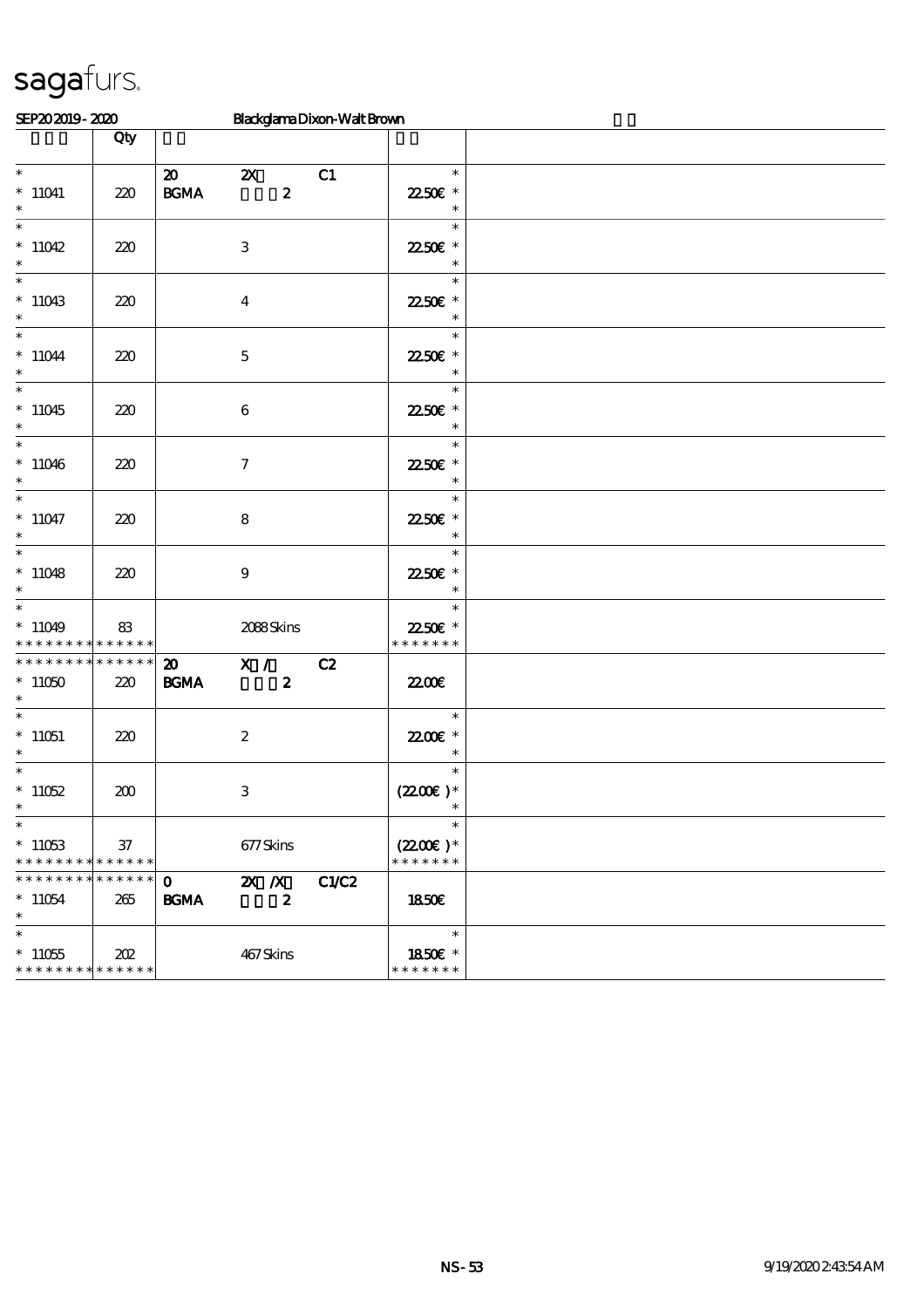| SEP202019-2020                                                 |                    |                                            |                                               | Blackglama Dixon-Walt Brown |                                       |  |
|----------------------------------------------------------------|--------------------|--------------------------------------------|-----------------------------------------------|-----------------------------|---------------------------------------|--|
|                                                                | Qty                |                                            |                                               |                             |                                       |  |
| $\ast$<br>$*11041$<br>$\ast$                                   | 220                | $\boldsymbol{\mathfrak{D}}$<br><b>BGMA</b> | $\boldsymbol{\mathsf{Z}}$<br>$\boldsymbol{z}$ | C1                          | $\ast$<br>2250€ *                     |  |
| $*11042$<br>$\ast$                                             | 220                | $\ensuremath{\mathbf{3}}$                  |                                               |                             | $\ast$<br>22.50€ *<br>$\ast$          |  |
| $\ast$<br>$*11043$<br>$\ast$                                   | 220                | $\overline{\mathbf{4}}$                    |                                               |                             | $\ast$<br>22.50€ *<br>$\ast$          |  |
| $\ast$<br>$*11044$<br>$\ast$                                   | 220                | $\mathbf 5$                                |                                               |                             | $\ast$<br>22.50€ *<br>$\ast$          |  |
| $\ast$<br>$*11045$<br>$\ast$                                   | 220                | $\boldsymbol{6}$                           |                                               |                             | $\ast$<br>2250E *<br>$\ast$           |  |
| $\ast$<br>$*11046$<br>$\ast$                                   | 220                | $\boldsymbol{\tau}$                        |                                               |                             | $\ast$<br>2250E *<br>$\ast$           |  |
| $\ast$<br>$*11047$<br>$\ast$                                   | 220                | $\bf 8$                                    |                                               |                             | $\ast$<br>2250E *<br>$\ast$           |  |
| $\overline{\phantom{0}}$<br>$*11048$<br>$\ast$                 | 220                | $\boldsymbol{9}$                           |                                               |                             | $\ast$<br>2250E *<br>$\ast$           |  |
| $\ast$<br>$*11049$<br>* * * * * * * *                          | 83<br>* * * * * *  |                                            | 2088Skins                                     |                             | $\ast$<br>2250E *<br>* * * * * * *    |  |
| * * * * * * * *<br>$*11050$<br>$\ast$                          | * * * * * *<br>220 | $\boldsymbol{\mathfrak{D}}$<br><b>BGMA</b> | $\overline{\mathbf{X}}$ /<br>$\boldsymbol{z}$ | C2                          | 2200                                  |  |
| $\ast$<br>$*11051$<br>$\ast$                                   | 220                | $\boldsymbol{2}$                           |                                               |                             | $\ast$<br>22.00E *<br>$\ast$          |  |
| $\ast$<br>$*11052$<br>$\ast$                                   | 200                | $\,3$                                      |                                               |                             | $\ast$<br>$(220E)^*$                  |  |
| $\ast$<br>$*11053$<br>* * * * * * * * <mark>* * * * * *</mark> | 37                 |                                            | 677Skins                                      |                             | $\ast$<br>$(2200)$ *<br>* * * * * * * |  |
| * * * * * * * * <mark>* * * * * *</mark><br>$*11054$<br>$\ast$ | 265                | $\mathbf 0$<br><b>BGMA</b>                 | $X$ $N$<br>$\boldsymbol{2}$                   | C1/C2                       | 1850E                                 |  |
| $\ast$<br>$*11055$<br>* * * * * * * * * * * * * *              | 202                |                                            | 467Skins                                      |                             | $\ast$<br>1850€ *<br>* * * * * * *    |  |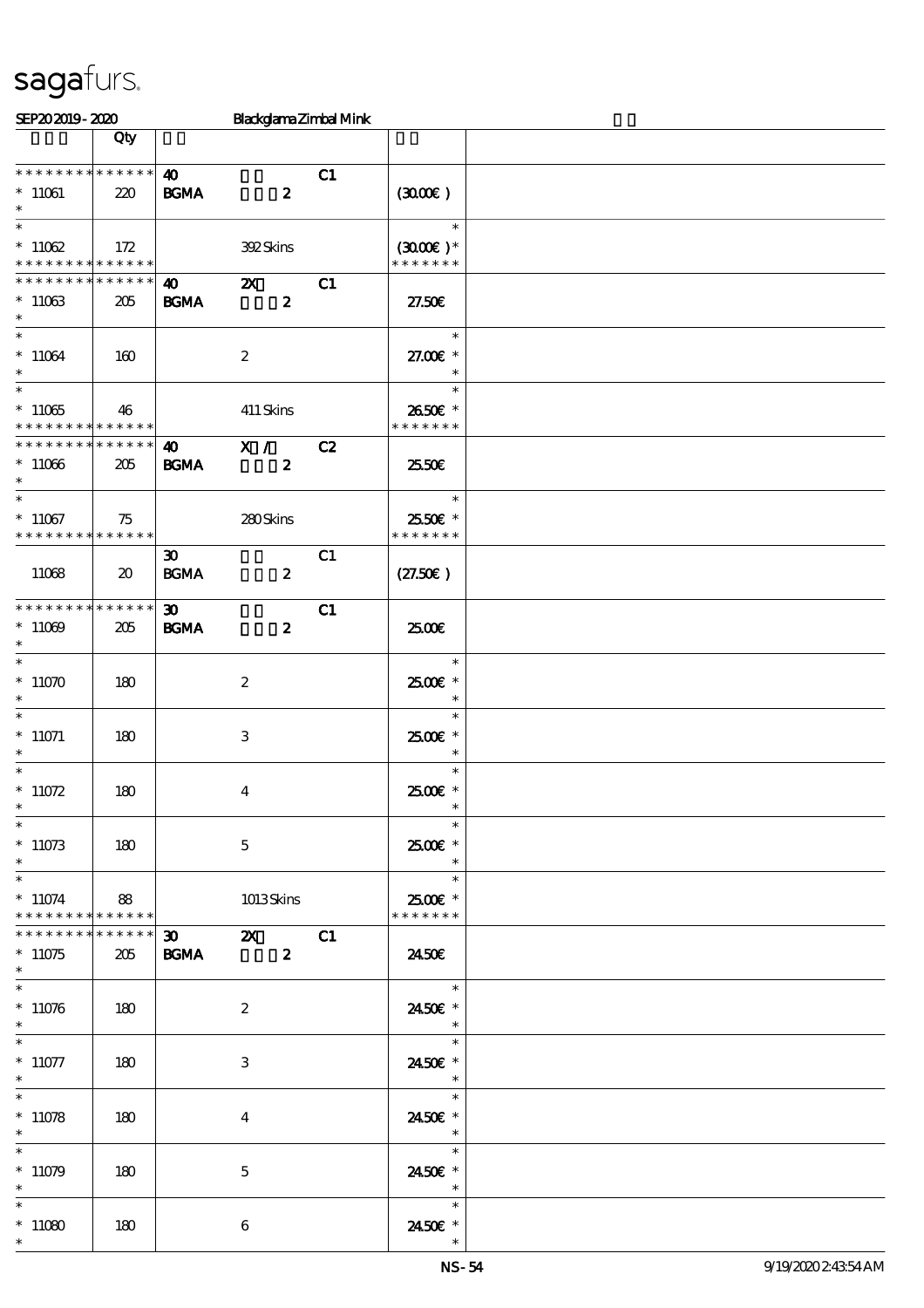| SEP202019-2020                             |                             |                             | Blackglama Zimbal Mink    |    |                          |  |
|--------------------------------------------|-----------------------------|-----------------------------|---------------------------|----|--------------------------|--|
|                                            | Qty                         |                             |                           |    |                          |  |
|                                            |                             |                             |                           |    |                          |  |
| * * * * * * * * * * * * * *                |                             | $\boldsymbol{\omega}$       |                           | C1 |                          |  |
| $^*$ 11061 $\,$                            | 220                         | <b>BGMA</b>                 | $\boldsymbol{2}$          |    | (300)                    |  |
| $\ast$                                     |                             |                             |                           |    |                          |  |
| $\ast$                                     |                             |                             |                           |    | $\ast$                   |  |
| $*11062$                                   | 172                         |                             | <b>392Skins</b>           |    | $(300E)*$                |  |
| * * * * * * * * <mark>* * * * * * *</mark> |                             |                             |                           |    | * * * * * * *            |  |
| * * * * * * * * * * * * * *                |                             | $\bullet$ $\bullet$         | $\boldsymbol{\mathsf{z}}$ | C1 |                          |  |
| $*11063$                                   | 205                         | <b>BGMA</b>                 | $\boldsymbol{z}$          |    | 27.50E                   |  |
| $\ast$                                     |                             |                             |                           |    |                          |  |
| $\ast$                                     |                             |                             |                           |    | $\ast$                   |  |
|                                            |                             |                             |                           |    |                          |  |
| $*11064$<br>$\ast$                         | 160                         |                             | $\boldsymbol{z}$          |    | 27.00 £*<br>$\ast$       |  |
| $\overline{\phantom{0}}$                   |                             |                             |                           |    | $\ast$                   |  |
|                                            |                             |                             |                           |    |                          |  |
| $*11065$                                   | 46                          |                             | 411 Skins                 |    | 2650€ *                  |  |
| * * * * * * * * * * * * * *                |                             |                             |                           |    | * * * * * * *            |  |
| * * * * * * * * * * * * * *                |                             | $\boldsymbol{\omega}$       | $\overline{\mathbf{x}}$ / | C2 |                          |  |
| $*11066$                                   | 205                         | <b>BGMA</b>                 | $\boldsymbol{z}$          |    | 2550€                    |  |
| $\ast$                                     |                             |                             |                           |    |                          |  |
| $\ast$                                     |                             |                             |                           |    | $\ast$                   |  |
| $*11067$                                   | 75                          |                             | 280Skins                  |    | 2550€ *                  |  |
| * * * * * * * * * * * * * *                |                             |                             |                           |    | * * * * * * *            |  |
|                                            |                             | $\boldsymbol{\mathfrak{D}}$ |                           | C1 |                          |  |
| 11068                                      | $\boldsymbol{\mathfrak{D}}$ | <b>BGMA</b>                 | $\boldsymbol{z}$          |    | (27.50)                  |  |
|                                            |                             |                             |                           |    |                          |  |
| * * * * * * * * * * * * * *                |                             | $\boldsymbol{\mathfrak{D}}$ |                           | C1 |                          |  |
| $*11009$                                   | 205                         | <b>BGMA</b>                 | $\boldsymbol{z}$          |    | 2500€                    |  |
| $\ast$                                     |                             |                             |                           |    |                          |  |
| $\overline{\ast}$                          |                             |                             |                           |    | $\ast$                   |  |
|                                            |                             |                             |                           |    |                          |  |
| $*11070$                                   | 180                         |                             | $\boldsymbol{z}$          |    | 2500€ *                  |  |
| $\ast$<br>$\ast$                           |                             |                             |                           |    | $\ast$                   |  |
|                                            |                             |                             |                           |    | $\ast$                   |  |
| $^*$ 11071                                 | 180                         |                             | 3                         |    | $2500$ $*$               |  |
| $\ast$                                     |                             |                             |                           |    | $\ast$                   |  |
| $\overline{\ast}$                          |                             |                             |                           |    | $\ast$                   |  |
| $* 11072$                                  | 180                         |                             | $\boldsymbol{4}$          |    | 2500€*                   |  |
| $*$                                        |                             |                             |                           |    | $\ast$                   |  |
| $\ast$                                     |                             |                             |                           |    | $\ast$                   |  |
| $*11073$                                   | 180                         |                             | $\mathbf{5}$              |    | 2500€ *                  |  |
| $\ast$                                     |                             |                             |                           |    | $\ast$                   |  |
| $\ast$                                     |                             |                             |                           |    | $\ast$                   |  |
| $*11074$                                   | 88                          |                             | 1013Skins                 |    | 2500€ *                  |  |
| * * * * * * * * * * * * * * *              |                             |                             |                           |    | * * * * * * *            |  |
| * * * * * * * *                            | ******                      |                             |                           |    |                          |  |
| $*11075$                                   | 205                         | <b>BGMA</b>                 | $\boldsymbol{2}$          |    | 2450E                    |  |
| $\ast$                                     |                             |                             |                           |    |                          |  |
| $\overline{\ast}$                          |                             |                             |                           |    | $\ast$                   |  |
| $*11076$                                   |                             |                             |                           |    | 2450€ *                  |  |
| $\ast$                                     | 180                         |                             | $\boldsymbol{2}$          |    | $\overline{\phantom{a}}$ |  |
|                                            |                             |                             |                           |    | $\ast$                   |  |
|                                            |                             |                             |                           |    |                          |  |
| $*11077$                                   | 180                         |                             | 3                         |    | 2450E *                  |  |
| $*$<br>$\ast$                              |                             |                             |                           |    | $\overline{\phantom{a}}$ |  |
|                                            |                             |                             |                           |    | $\ast$                   |  |
| $*11078$                                   | 180                         |                             | $\bf{4}$                  |    | 2450E *                  |  |
| $\ast$                                     |                             |                             |                           |    | $\overline{\phantom{a}}$ |  |
| $\ast$                                     |                             |                             |                           |    | $\ast$                   |  |
| $*11079$                                   | 180                         |                             | $\mathbf{5}$              |    | 2450€ *                  |  |
| $\ast$                                     |                             |                             |                           |    | $\overline{\phantom{a}}$ |  |
| $\ast$                                     |                             |                             |                           |    | $\ast$                   |  |
| $*11080$                                   | 180                         |                             | $\boldsymbol{6}$          |    | 2450€ *                  |  |
| $\ast$                                     |                             |                             |                           |    |                          |  |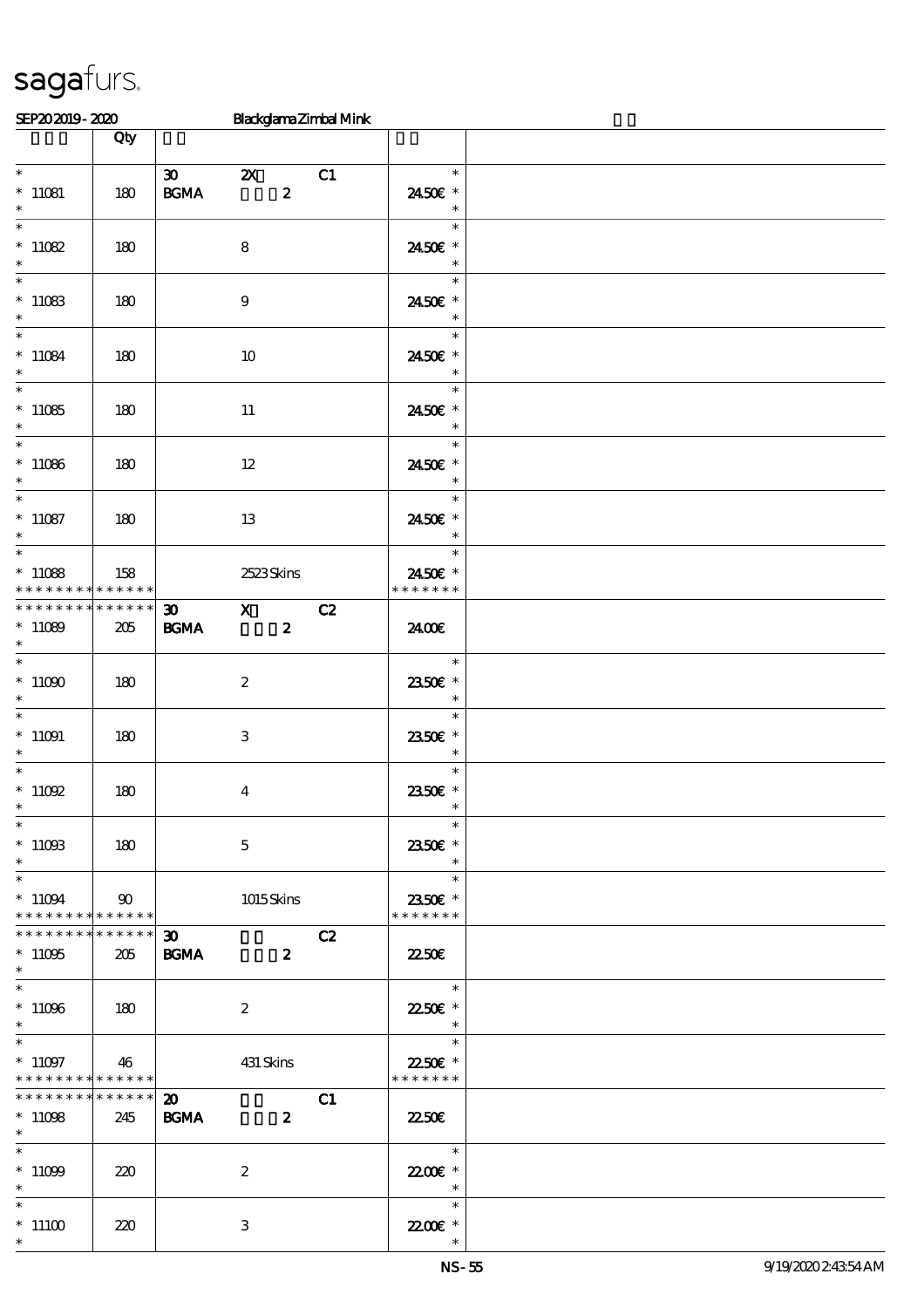| SEP202019-2020                                                 |                                   |                                            |                                  | Blackglama Zimbal Mink |                                                                 |  |
|----------------------------------------------------------------|-----------------------------------|--------------------------------------------|----------------------------------|------------------------|-----------------------------------------------------------------|--|
|                                                                | Qty                               |                                            |                                  |                        |                                                                 |  |
| $\ast$                                                         |                                   | $\infty$                                   | $\boldsymbol{\mathsf{Z}}$        | C1                     | $\ast$                                                          |  |
| $*11081$<br>$\ast$                                             | 180                               | $\mathbf{B G MA}$                          | $\boldsymbol{z}$                 |                        | 2450€ *<br>$\ast$                                               |  |
| $\overline{\ast}$<br>$*11082$<br>$\ast$                        | 180                               |                                            | 8                                |                        | $\ast$<br>2450€ *<br>$\ast$                                     |  |
| $*11083$<br>$\ast$                                             | 180                               |                                            | 9                                |                        | $\ast$<br>2450€ *<br>$\ast$                                     |  |
| $\overline{\phantom{0}}$<br>$*11084$<br>$\ast$                 | 180                               |                                            | 10                               |                        | $\ast$<br>2450€ *<br>$\ast$                                     |  |
| $\overline{\phantom{0}}$<br>$*11085$<br>$\ast$                 | 180                               |                                            | $11\,$                           |                        | $\ast$<br>2450E *<br>$\ast$                                     |  |
| $*11086$<br>$\ast$                                             | 180                               |                                            | $12\,$                           |                        | $\ast$<br>2450€ *<br>$\ast$                                     |  |
| $\overline{\ast}$<br>$*11087$<br>$\ast$                        | 180                               |                                            | $13\,$                           |                        | $\ast$<br>2450€ *<br>$\ast$                                     |  |
| $\overline{\ast}$<br>$*11088$<br>* * * * * * * *               | 158<br>$\ast\ast\ast\ast\ast\ast$ |                                            | 2523Skins                        |                        | $\ast$<br>2450€ *<br>* * * * * * *                              |  |
| * * * * * * * *<br>$*11089$<br>$\ast$                          | $******$<br>205                   | $\boldsymbol{\mathfrak{D}}$<br><b>BGMA</b> | $\mathbf{X}$<br>$\boldsymbol{z}$ | C2                     | 2400E                                                           |  |
| $\overline{\ast}$<br>$^*$ 11090 $\,$<br>$\ast$                 | 180                               |                                            | $\boldsymbol{2}$                 |                        | $\ast$<br>2350E *<br>$\ast$                                     |  |
| $\overline{\phantom{0}}$<br>$^*$ 11091 $\,$<br>$\ast$          | 180                               |                                            | $\ensuremath{\mathbf{3}}$        |                        | $\ast$<br>2350E *<br>$\ast$                                     |  |
| $\ast$<br>$^*$ 11092 $\,$<br>$*$                               | 180                               |                                            | $\boldsymbol{4}$                 |                        | $\ast$<br>2350E *<br>$\overline{\phantom{a}}$                   |  |
| $\ast$<br>$^*$ 11093<br>$\ast$                                 | 180                               |                                            | $\mathbf{5}$                     |                        | $\ast$<br>2350€ *<br>$\ast$                                     |  |
| $\ast$<br>$*11094$<br>* * * * * * * * * * * * * * *            | $90^{\circ}$                      |                                            | 1015Skins                        |                        | $\ast$<br>2350E *<br>* * * * * * *                              |  |
| * * * * * * * *<br>$*11095$<br>$\ast$                          | $******$<br>205                   | $\boldsymbol{\mathfrak{D}}$<br><b>BGMA</b> | $\sim$ 2                         | C2                     | <b>22.50E</b>                                                   |  |
| $\overline{\ast}$<br>$^*$ 11096 $\,$<br>$*$                    | 180                               |                                            | $\boldsymbol{z}$                 |                        | $\overline{\phantom{a}}$<br>2250€ *<br>$\overline{\phantom{a}}$ |  |
| $\ast$<br>$*11097$<br>* * * * * * * * <mark>* * * * * *</mark> | 46                                |                                            | 431 Skins                        |                        | $\ast$<br>22.50€ *<br>* * * * * * *                             |  |
| * * * * * * * * * * * * * * *<br>$*11098$<br>$*$               | 245                               | $\boldsymbol{\mathfrak{D}}$<br><b>BGMA</b> | $\boldsymbol{z}$                 | C1                     | <b>2250E</b>                                                    |  |
| $\ast$<br>$^*$ 11099 $\,$<br>$\ast$                            | 220                               |                                            | $\boldsymbol{2}$                 |                        | $\overline{\mathbf{r}}$<br>22.00€ *<br>$\overline{\phantom{a}}$ |  |
| $\ast$<br>$*11100$<br>$\ast$                                   | 220                               |                                            | 3                                |                        | $\ast$<br>22.00 £*                                              |  |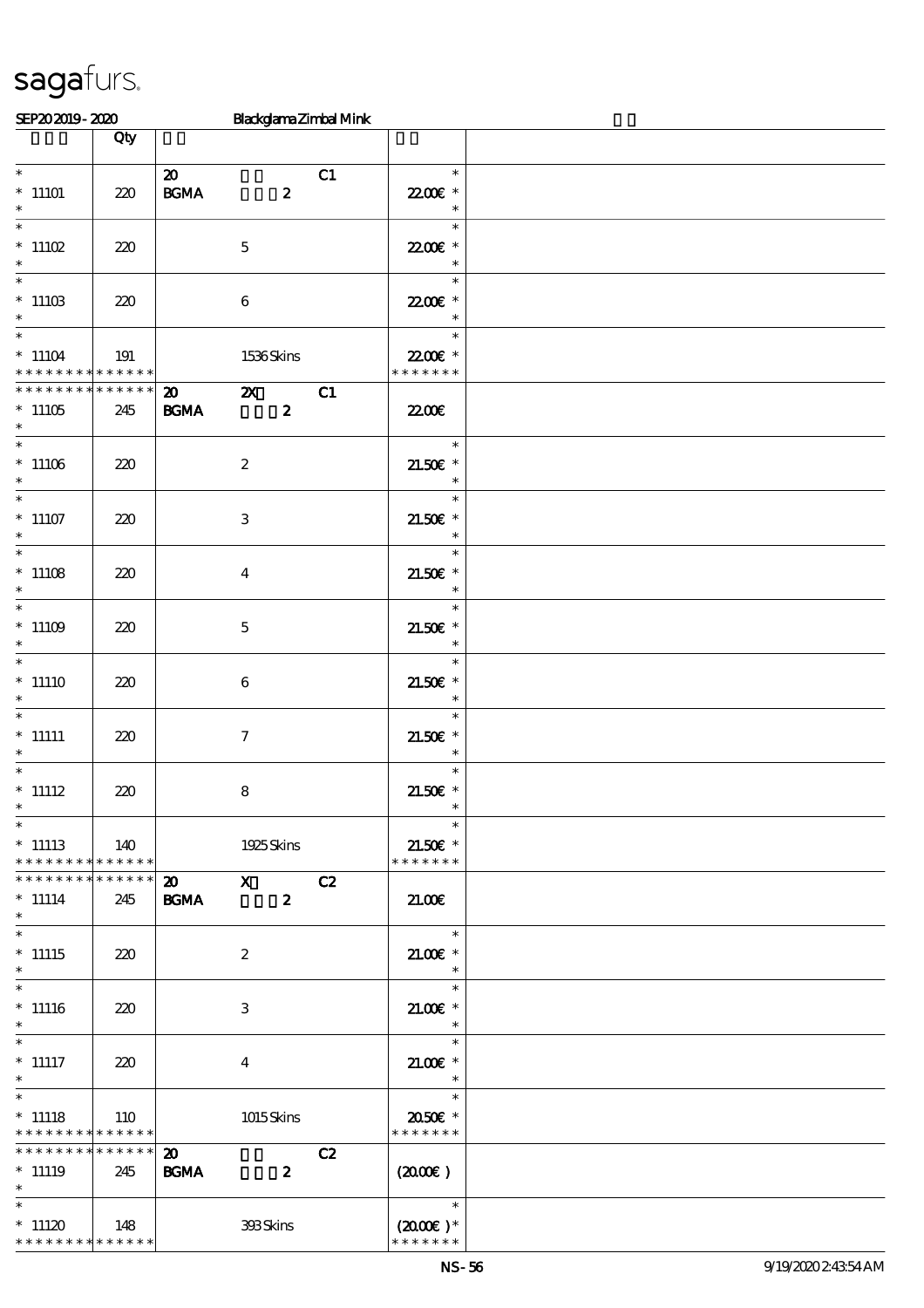| SEP202019-2020                                                                 |                    |                                                 |                  |                  | Blackglama Zimbal Mink |                                                                   |  |
|--------------------------------------------------------------------------------|--------------------|-------------------------------------------------|------------------|------------------|------------------------|-------------------------------------------------------------------|--|
|                                                                                | Qty                |                                                 |                  |                  |                        |                                                                   |  |
| $\ast$<br>$*$ 11101<br>$\ast$                                                  | 220                | $\boldsymbol{\mathsf{20}}$<br>$\mathbf{B G MA}$ |                  | $\boldsymbol{z}$ | C1                     | $\ast$<br>22.00€ *<br>$\ast$                                      |  |
| $\ast$<br>$*$ 11102<br>$\ast$                                                  | 220                |                                                 | $\mathbf 5$      |                  |                        | $\ast$<br>22.00€ *<br>$\ast$                                      |  |
| $\overline{\phantom{0}}$<br>$^*$ 11103<br>$\ast$                               | 220                |                                                 | $\bf 6$          |                  |                        | $\ast$<br>22.00€ *<br>$\ast$                                      |  |
| $\overline{\ast}$<br>$*11104$<br>* * * * * * * * * * * * * *                   | 191                |                                                 | 1536Skins        |                  |                        | $\ast$<br>22.00€ *<br>* * * * * * *                               |  |
| * * * * * * * *<br>$*11105$<br>$\ast$                                          | * * * * * *<br>245 | $\boldsymbol{\mathfrak{D}}$<br><b>BGMA</b>      | $\mathbf{x}$     | $\boldsymbol{2}$ | C1                     | 22.00E                                                            |  |
| $\overline{\phantom{0}}$<br>$^*$ 11106 $\,$<br>$\ast$                          | 220                |                                                 | $\boldsymbol{2}$ |                  |                        | $\ast$<br>$21.50E$ *<br>$\ast$                                    |  |
| $\overline{\ast}$<br>$*11107$<br>$\ast$                                        | 220                |                                                 | $\,3$            |                  |                        | $\ast$<br>$21.50E$ *<br>$\ast$                                    |  |
| $\ast$<br>$*11108$<br>$\ast$                                                   | 220                |                                                 | $\boldsymbol{4}$ |                  |                        | $\ast$<br>$21.50E$ *<br>$\ast$                                    |  |
| $\overline{\ast}$<br>$*11109$<br>$\ast$                                        | 220                |                                                 | $\mathbf 5$      |                  |                        | $\ast$<br>$21.50E$ *<br>$\ast$                                    |  |
| $\ast$<br>$*11110$<br>$\ast$                                                   | 220                |                                                 | $\boldsymbol{6}$ |                  |                        | $\ast$<br>$21.50E$ *<br>$\ast$                                    |  |
| $\ast$<br>$^*$ 11111<br>$\ast$<br>$\overline{\ast}$                            | 220                |                                                 | $\boldsymbol{7}$ |                  |                        | $\ast$<br>$21.50E$ *<br>$\ast$                                    |  |
| $^*$ 11112<br>$*$<br>$\ast$                                                    | 220                |                                                 | 8                |                  |                        | $\ast$<br>$21.50E$ *<br>$*$                                       |  |
| $*$ 11113<br>* * * * * * * * * * * * * *                                       | 140                |                                                 | 1925 Skins       |                  |                        | $\ast$<br>21.50€ *<br>* * * * * * *                               |  |
| * * * * * * * * * * * * * *<br>$*$ 11114<br>$\ast$<br>$\overline{\phantom{0}}$ | 245                | $\boldsymbol{\mathsf{20}}$ X<br><b>BGMA</b>     |                  | $\boldsymbol{z}$ | C2                     | 21.00                                                             |  |
| $*11115$<br>$\ast$<br>$\overline{\ast}$                                        | 220                |                                                 | $\boldsymbol{2}$ |                  |                        | $\ast$<br>$21.00$ $*$<br>$\ast$                                   |  |
| $*11116$<br>$\ast$                                                             | 220                |                                                 | 3                |                  |                        | $\ast$<br>$21.00E$ *<br>$\overline{\phantom{a}}$                  |  |
| $\ast$<br>$^*$ 11117<br>$*$                                                    | 220                |                                                 | $\overline{4}$   |                  |                        | $\overline{\phantom{a}}$<br>$21.005*$<br>$\overline{\phantom{a}}$ |  |
| $*$<br>$*$ 11118<br>* * * * * * * * <mark>* * * * * * *</mark>                 | 110                |                                                 | 1015Skins        |                  |                        | $\ast$<br>2050€ *<br>* * * * * * *                                |  |
| * * * * * * * * * * * * * * *<br>$*$ 11119<br>$\ddot{\mathbf{x}}$              | 245                | $\boldsymbol{\mathfrak{D}}$<br><b>BGMA</b>      |                  | $\boldsymbol{z}$ | C2                     | $(2000\varepsilon)$                                               |  |
| $\ast$<br>$*11120$<br>* * * * * * * * * * * * * *                              | $\vert$ 148        |                                                 | 398Skins         |                  |                        | $\overline{\phantom{a}}$<br>$(2000\varepsilon)*$<br>* * * * * * * |  |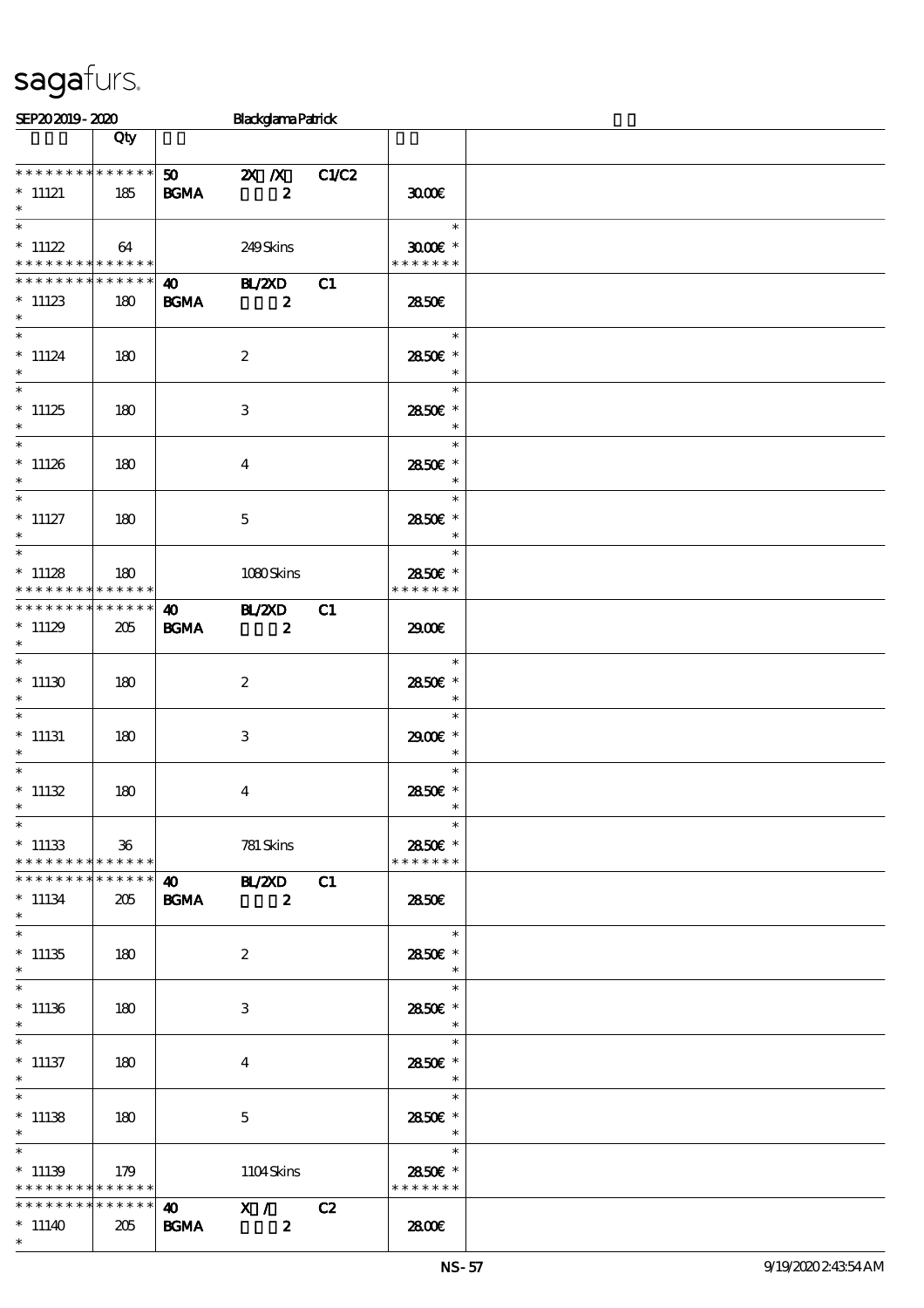|                                            | Qty             |                        |                           |    |                                                   |  |
|--------------------------------------------|-----------------|------------------------|---------------------------|----|---------------------------------------------------|--|
|                                            |                 |                        |                           |    |                                                   |  |
| * * * * * * * * * * * * * *                |                 |                        | 50 2X X C1/C2             |    |                                                   |  |
| $*$ 11121                                  | 185             | <b>BGMA</b>            | $\boldsymbol{z}$          |    | 3000                                              |  |
| $\ast$                                     |                 |                        |                           |    |                                                   |  |
| $\overline{\ast}$                          |                 |                        |                           |    |                                                   |  |
|                                            |                 |                        |                           |    | $\overline{\phantom{a}}$                          |  |
| $*$ 11122                                  | 64              |                        | 249Skins                  |    | $3000$ $*$                                        |  |
| * * * * * * * * * * * * * *                |                 |                        |                           |    | * * * * * * *                                     |  |
|                                            |                 |                        |                           |    |                                                   |  |
| * * * * * * * * * * * * * *                |                 |                        | 40 BL/2XD                 | C1 |                                                   |  |
| $*11123$                                   | 180             | <b>BGMA</b>            | $\overline{\mathbf{z}}$   |    | 2850E                                             |  |
| $*$                                        |                 |                        |                           |    |                                                   |  |
|                                            |                 |                        |                           |    |                                                   |  |
| $\ast$                                     |                 |                        |                           |    | $\ast$                                            |  |
| $*$ 11124                                  | 180             |                        | $\boldsymbol{2}$          |    | 2850€ *                                           |  |
| $\ast$                                     |                 |                        |                           |    | $\overline{\phantom{a}}$ $\overline{\phantom{a}}$ |  |
| $\ast$                                     |                 |                        |                           |    |                                                   |  |
|                                            |                 |                        |                           |    | $\ast$                                            |  |
| $*11125$                                   | 180             |                        | 3                         |    | 2850E *                                           |  |
| $\ast$                                     |                 |                        |                           |    | $\overline{\phantom{a}}$                          |  |
| $*$ $*$                                    |                 |                        |                           |    |                                                   |  |
|                                            |                 |                        |                           |    | $\ast$                                            |  |
| $*11126$                                   | 180             |                        | $\boldsymbol{4}$          |    | 2850E *                                           |  |
| $\ast$                                     |                 |                        |                           |    | $\ast$                                            |  |
| $*$                                        |                 |                        |                           |    | $\ast$                                            |  |
|                                            |                 |                        |                           |    |                                                   |  |
| $*$ 11127                                  | 180             |                        | $\mathbf{5}$              |    | 2850€ *                                           |  |
| $\ast$                                     |                 |                        |                           |    | $\ast$                                            |  |
| $*$                                        |                 |                        |                           |    | $\ast$                                            |  |
|                                            |                 |                        |                           |    |                                                   |  |
| $*11128$                                   | 180             |                        | 1080Skins                 |    | 2850€ *                                           |  |
| * * * * * * * * <mark>* * * * * *</mark> * |                 |                        |                           |    | * * * * * * *                                     |  |
| * * * * * * * * * * * * * * *              |                 | $\overline{40}$ BL/2XD |                           | C1 |                                                   |  |
|                                            |                 |                        |                           |    |                                                   |  |
| $*11129$                                   | 205             | <b>BGMA</b>            | $\overline{\mathbf{z}}$   |    | 2900                                              |  |
| $*$                                        |                 |                        |                           |    |                                                   |  |
|                                            |                 |                        |                           |    | $\overline{\phantom{a}}$                          |  |
|                                            |                 |                        |                           |    |                                                   |  |
| $*11130$                                   | 180             |                        | $\boldsymbol{2}$          |    | 2850€ *                                           |  |
| $\ast$                                     |                 |                        |                           |    | $\ast$                                            |  |
| $\ast$                                     |                 |                        |                           |    | $\ast$                                            |  |
|                                            |                 |                        |                           |    |                                                   |  |
| $*$ 11131                                  | 180             |                        | $\ensuremath{\mathbf{3}}$ |    | 2900€ *                                           |  |
| $\ast$                                     |                 |                        |                           |    | $\overline{\phantom{a}}$                          |  |
| $\ast$                                     |                 |                        |                           |    | $\ast$                                            |  |
| $*11132$                                   |                 |                        |                           |    |                                                   |  |
|                                            | 180             |                        | $\overline{\mathbf{4}}$   |    | 2850 £*                                           |  |
| $\ast$                                     |                 |                        |                           |    | $\ast$                                            |  |
| $\ast$                                     |                 |                        |                           |    | $\ast$                                            |  |
| $*11133$                                   | $36\,$          |                        | 781 Skins                 |    | 2850€ *                                           |  |
|                                            |                 |                        |                           |    |                                                   |  |
| * * * * * * * * <mark>* * * * * *</mark>   |                 |                        |                           |    | * * * * * * *                                     |  |
| * * * * * * * *                            | * * * * * *     | <b>40</b>              | <b>HAZXD</b>              | C1 |                                                   |  |
| $* 11134$                                  | 205             | <b>BGMA</b>            | $\boldsymbol{z}$          |    | 2850E                                             |  |
| $\ast$                                     |                 |                        |                           |    |                                                   |  |
|                                            |                 |                        |                           |    |                                                   |  |
| $*$                                        |                 |                        |                           |    | $\ast$                                            |  |
| $*11135$                                   | 180             |                        | $\boldsymbol{z}$          |    | 2850€ *                                           |  |
| $*$                                        |                 |                        |                           |    | $\ast$                                            |  |
| $\overline{\phantom{0}}$                   |                 |                        |                           |    |                                                   |  |
|                                            |                 |                        |                           |    | $\ast$                                            |  |
| $*11136$                                   | 180             |                        | 3                         |    | 2850E *                                           |  |
| $\ast$                                     |                 |                        |                           |    | $\ast$                                            |  |
| $\overline{\ast}$                          |                 |                        |                           |    |                                                   |  |
|                                            |                 |                        |                           |    | $\ast$                                            |  |
| $*$ 11137                                  | 180             |                        | $\overline{\mathbf{4}}$   |    | 2850E *                                           |  |
| $\ast$                                     |                 |                        |                           |    | $\ast$                                            |  |
| $\ast$                                     |                 |                        |                           |    | $\ast$                                            |  |
|                                            |                 |                        |                           |    |                                                   |  |
| $*11138$                                   | 180             |                        | $\mathbf{5}$              |    | 2850E *                                           |  |
| $\ast$                                     |                 |                        |                           |    | $\ast$                                            |  |
| $\overline{\phantom{0}}$                   |                 |                        |                           |    | $\ast$                                            |  |
|                                            |                 |                        |                           |    |                                                   |  |
| $*11139$                                   | 179             |                        | 1104Skins                 |    | 2850€ *                                           |  |
| * * * * * * * * <mark>* * * * * * *</mark> |                 |                        |                           |    | * * * * * * *                                     |  |
| * * * * * * * *                            | $* * * * * * *$ | $\boldsymbol{\omega}$  | X /                       | C2 |                                                   |  |
|                                            |                 |                        |                           |    |                                                   |  |
| $*11140$                                   | 205             | <b>BGMA</b>            | $\boldsymbol{z}$          |    | 2800€                                             |  |
| $\ast$                                     |                 |                        |                           |    |                                                   |  |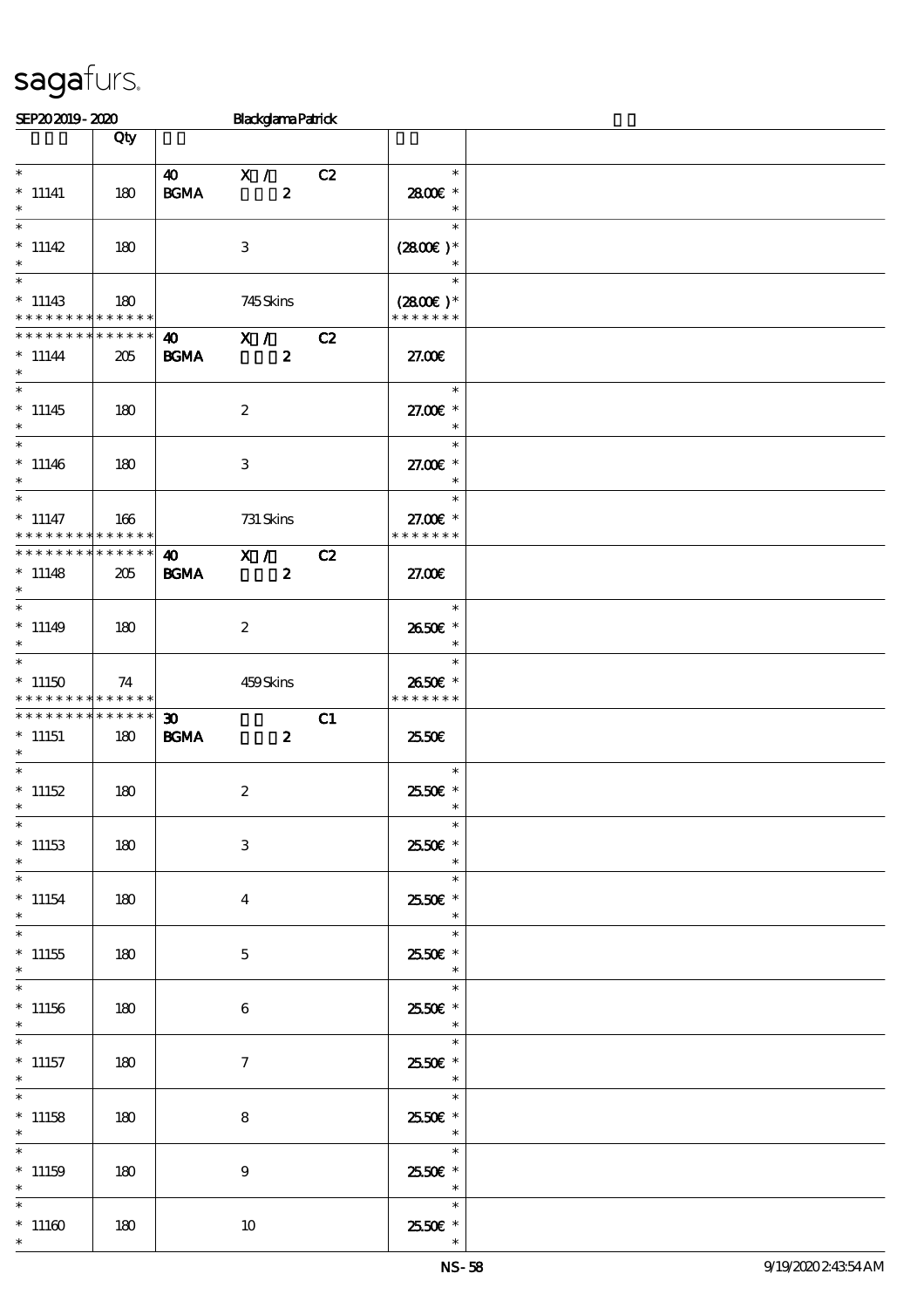| SEP202019-2020 |     |    | <b>Blackglama Patrick</b> |        |  |
|----------------|-----|----|---------------------------|--------|--|
|                | Qty |    |                           |        |  |
| $\ast$         |     | 41 |                           | $\ast$ |  |

| $\ast$<br>$*$ 11141<br>$\ast$                      | 180                | $40 \times 1$<br><b>BGMA</b>               | $\boldsymbol{z}$                     | C2 | $\ast$<br>2800€ *<br>$\ast$                                    |  |
|----------------------------------------------------|--------------------|--------------------------------------------|--------------------------------------|----|----------------------------------------------------------------|--|
| $\ast$<br>$* 11142$                                | 180                |                                            | 3                                    |    | $\ast$<br>$(2800)$ *                                           |  |
| $\ast$<br>$*11143$<br>* * * * * * * * * * * * * *  | 180                |                                            | 745Skins                             |    | $\ast$<br>$(2800)$ *<br>* * * * * * *                          |  |
| * * * * * * * *<br>$* 11144$<br>$*$                | * * * * * *<br>205 | <b>BGMA</b>                                | 40 X / C2<br>$\boldsymbol{z}$        |    | 27.00E                                                         |  |
| $\overline{\ast}$<br>$*11145$<br>$\ast$            | 180                |                                            | $\boldsymbol{2}$                     |    | $\ast$<br>27.00 £*<br>$\overline{\phantom{a}}$                 |  |
| $\ast$<br>$*11146$<br>$\ast$                       | 180                |                                            | 3                                    |    | $\ast$<br>27.00 £*<br>$\overline{\phantom{a}}$                 |  |
| $* 11147$<br>* * * * * * * * * * * * * *           | 166                |                                            | 731 Skins                            |    | $\overline{\phantom{a}}$<br>27.00€ *<br>* * * * * * *          |  |
| * * * * * * * * * * * * * *<br>$* 11148$<br>$\ast$ | 205                | <b>BGMA</b>                                | 40 X / C2<br>$\overline{\mathbf{2}}$ |    | 27.00E                                                         |  |
| $\ast$<br>$* 11149$<br>$\ast$                      | 180                |                                            | $\boldsymbol{z}$                     |    | 2650€ *<br>$\overline{\phantom{a}}$                            |  |
| $\ast$<br>$*11150$<br>* * * * * * * * * * * * * *  | 74                 |                                            | 459Skins                             |    | $\overline{\phantom{a}}$<br>$\ast$<br>2650€ *<br>* * * * * * * |  |
|                                                    |                    |                                            |                                      |    |                                                                |  |
| ******** <mark>******</mark><br>$*11151$           | 180                | $\boldsymbol{\mathfrak{D}}$<br><b>BGMA</b> | $\boldsymbol{z}$                     | C1 | 25.50E                                                         |  |
| $\ast$<br>$*11152$<br>$\ast$                       | 180                |                                            | $\boldsymbol{2}$                     |    | $\overline{\phantom{a}}$<br>2550€ *                            |  |
| $^*$ 11153 $\,$<br>$\ast$                          | 180                |                                            | 3                                    |    | $\ast$<br>$2550$ £ *<br>$\ast$                                 |  |
| $* 11154$                                          | 180                |                                            | $\boldsymbol{4}$                     |    | $\ast$<br>2550€ *<br>$\ast$                                    |  |
| $\ast$<br>$^*$ 11155<br>$\ast$                     | 180                |                                            | $\mathbf 5$                          |    | $\ast$<br>25.50€ *<br>$\ast$                                   |  |
| $\ast$<br>$*11156$<br>$\ast$                       | 180                |                                            | $\boldsymbol{6}$                     |    | $\ast$<br>25.50€ *<br>$\ast$                                   |  |
| $\ast$<br>$*$ 11157<br>$\ast$                      | 180                |                                            | $\boldsymbol{7}$                     |    | $\ast$<br>2550€ *<br>$\ast$                                    |  |
| $*11158$<br>$\ast$                                 | 180                |                                            | ${\bf 8}$                            |    | $\ast$<br>25.50€ *<br>$\ast$                                   |  |
| $*11159$                                           | 180                |                                            | $\boldsymbol{9}$                     |    | $\ast$<br>2550€ *<br>$\ast$                                    |  |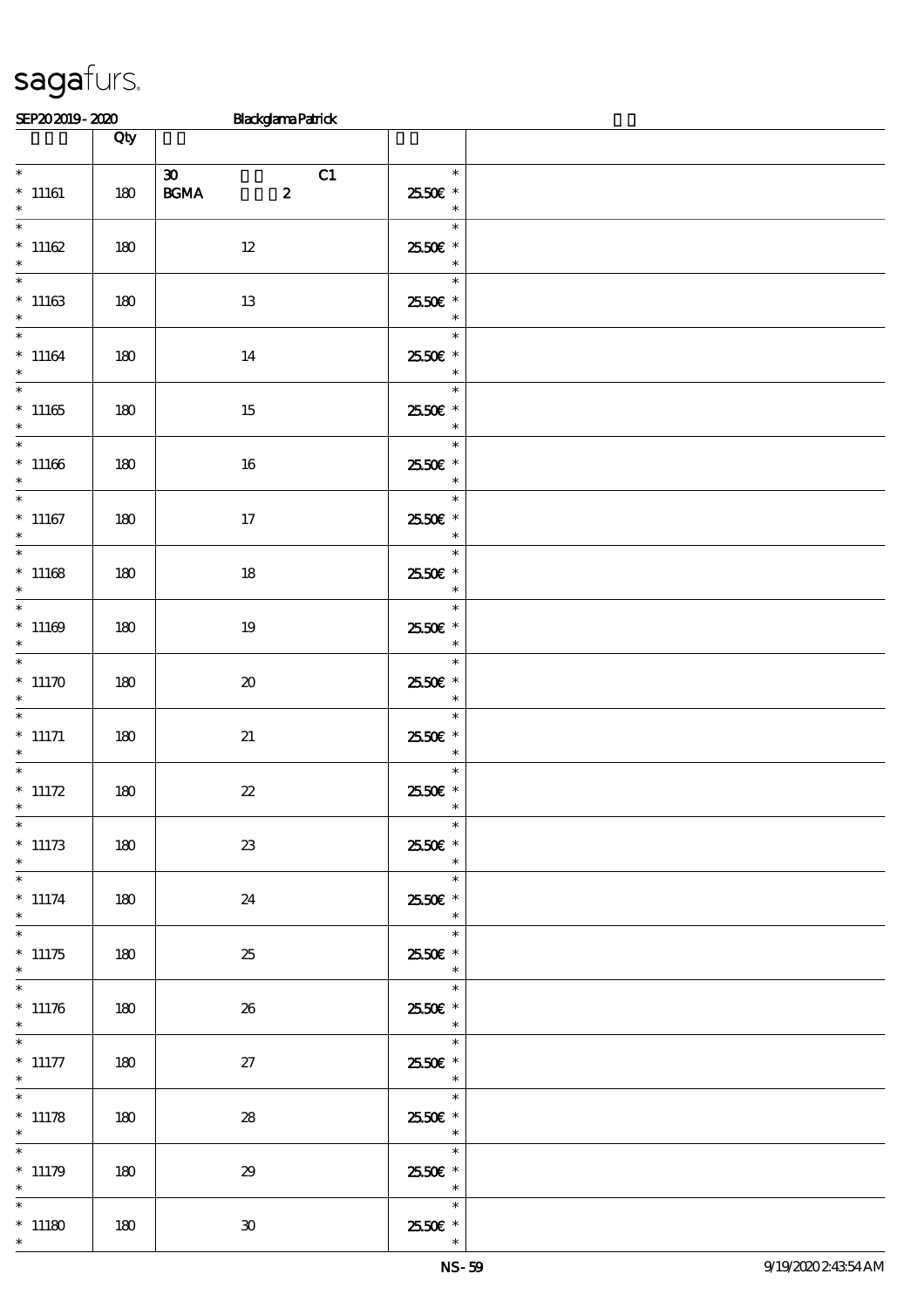|                                                 | Qty |                                                                      |                                                                                      |  |
|-------------------------------------------------|-----|----------------------------------------------------------------------|--------------------------------------------------------------------------------------|--|
| $\overline{\phantom{0}}$<br>$*$ 11161<br>$\ast$ | 180 | $\boldsymbol{\mathfrak{D}}$<br>C1<br>$\boldsymbol{2}$<br><b>BGMA</b> | $\overline{\phantom{a}}$<br>2550€ *<br>$\overline{\phantom{a}}$                      |  |
| $\overline{\phantom{0}}$<br>$*11162$<br>$\ast$  | 180 | 12                                                                   | $\ast$<br>25.50€ *<br>$\overline{\phantom{a}}$                                       |  |
| $*11163$<br>$\ast$                              | 180 | 13                                                                   | $\ast$<br>2550€ *<br>$\frac{\ast}{\ast}$                                             |  |
| $*$<br>$*11164$<br>$\ast$                       | 180 | 14                                                                   | 2550€ *<br>$\ast$                                                                    |  |
| $*11165$<br>$\ast$                              | 180 | 15                                                                   | $\overline{\phantom{a}}$<br>2550€ *<br>$\overline{\phantom{a}}$                      |  |
| $*11166$<br>$*$                                 | 180 | 16                                                                   | $\overline{\phantom{0}}$<br>2550€ *<br>$\overline{\phantom{a}}$                      |  |
| $*11167$<br>$\ast$                              | 180 | 17                                                                   | $\ast$<br>2550€ *<br>$\overline{\phantom{a}}$                                        |  |
| $\overline{\ }$<br>$*11168$<br>$\ast$           | 180 | 18                                                                   | $\ast$<br>2550€ *                                                                    |  |
| $\overline{\phantom{0}}$<br>$*11169$<br>$\ast$  | 180 | 19                                                                   | $\ast$<br>2550€ *<br>$\begin{array}{c c}\n& & \ast \\ \hline\n& & \ast\n\end{array}$ |  |
| $*11170$<br>$\ast$                              | 180 | $\boldsymbol{\boldsymbol{\lambda}}$                                  | $\overline{\ast}$<br>25.50€ *<br>$\overline{\phantom{a}}$                            |  |
| $*$ 11171<br>$\ast$                             | 180 | 21                                                                   | $*$<br>2550€ *<br>$\overline{\phantom{a}}$                                           |  |
| $*$ 11172<br>$\ast$                             | 180 | $2\!2$                                                               | $\overline{\ast}$<br>$2550$ £ *<br>$\ast$                                            |  |
| $\ast$<br>$^*$ 11173<br>$\ast$                  | 180 | $2\!3$                                                               | $\ast$<br>25.50€ *<br>$\ast$                                                         |  |
| $\ast$<br>$* 11174$<br>$\ast$                   | 180 | 24                                                                   | $\ast$<br>2550€ *<br>$\overline{\phantom{a}}$                                        |  |
| $\overline{\phantom{0}}$<br>$*11175$<br>$\ast$  | 180 | 25                                                                   | $*$<br>2550€ *<br>$\overline{\phantom{a}}$                                           |  |
| $*$<br>$* 11176$<br>$\ast$                      | 180 | 26                                                                   | $\ast$<br>2550€ *<br>$\overline{\phantom{a}}$                                        |  |
| $\ast$<br>$^*$ 11177<br>$*$                     | 180 | 27                                                                   | $\ast$<br>$2550$ £ *<br>$\overline{\phantom{a}}$ $\overline{\phantom{a}}$            |  |
| $\overline{\phantom{0}}$<br>$* 11178$<br>$*$    | 180 | ${\bf 28}$                                                           | $\ast$<br>25.50€ *<br>$\overline{\phantom{a}}$                                       |  |
| $\ast$<br>$* 11179$<br>$\ast$                   | 180 | 29                                                                   | $\ast$<br>25.50€ *<br>$\overline{\phantom{a}}$                                       |  |
| $\ast$<br>$*11180$<br>$\ast$                    | 180 | $\mathbf{30}$                                                        | $\ast$<br>2550€ *<br>$\ast$                                                          |  |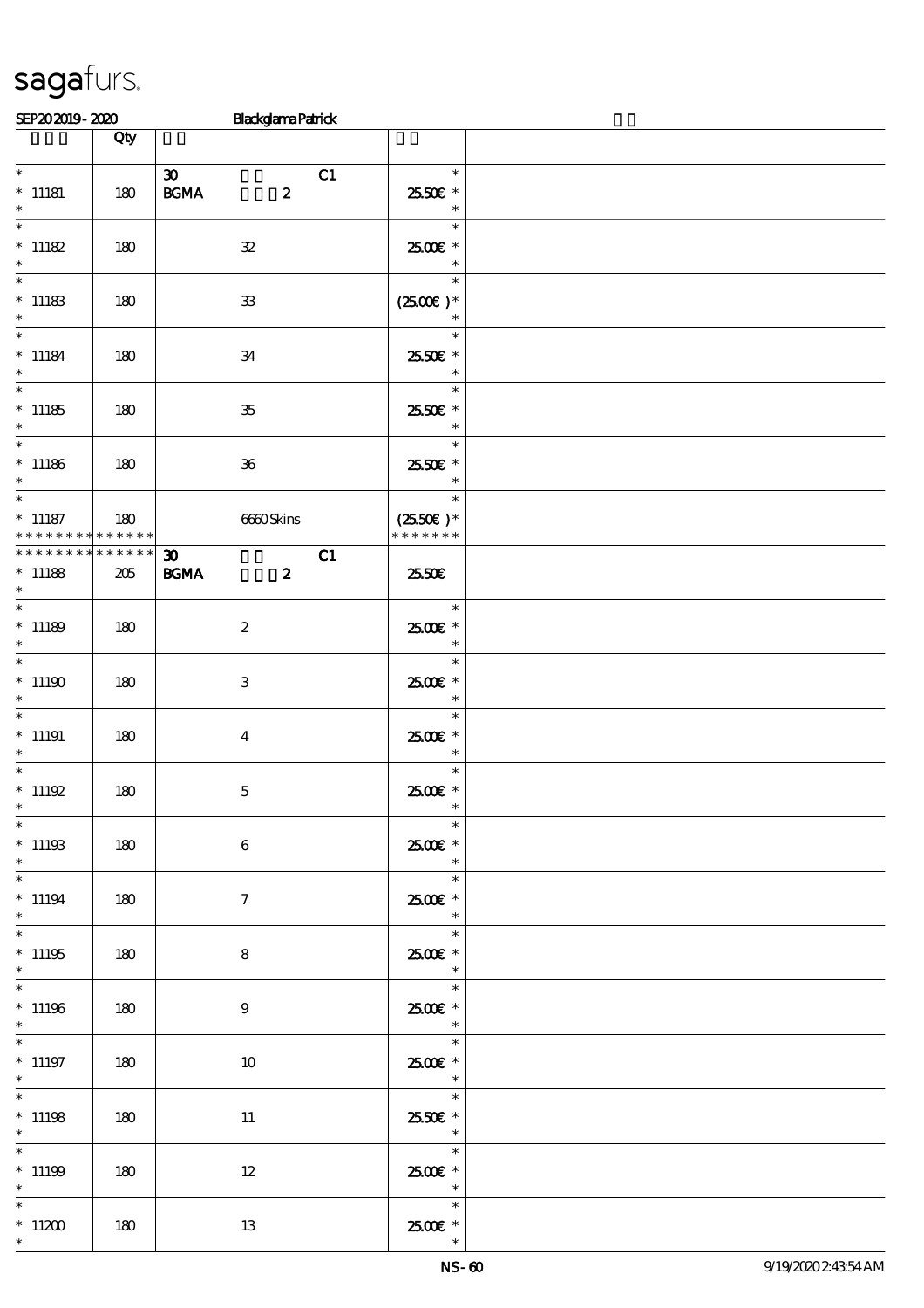\*

\*

\*

\*

\*

\*

\*

\*

\*

\*

\*

\*

\*

\*

\*

\*

\*

\*

\*

### SEP20 2019 - 2020 Blackglama Patrick  $\Box$  Qty  $\Box$ \* \* 11181 180  $30$  C1  $BGMA$  2 \* \* 25.50€ \* \* \* 11182 | 180 | 32 \* 25.00€\* \* \*  $*$  11183 | 180 | 33 \*  $(2500\varepsilon)*$ \* \* \* 11184 180 34 \* \* 25.50€ \* \* \*  $11185$  180 35 \* \* 25.50€ \* \* \*  $11186$  180 36 \* \* 25.50€ \* \* \* 11187 \* \* \* \* \* \* \* \* \* \* \* \* 180 6660 Skins \*  $(2550\epsilon)^*$ \* \* \* \* \* \* \*  $\overline{30}$  C1 BGMA 2 \* \* \* \* \* \* \* \* \* \* \* \* \* \* \* 11188 | 205 25.50€ \* \*  $11189$  180 2 \* 25.00€\* \* \* \*  $11190$  180 3 \* \* \* 25.00€ \* \* 11191 180 4 \* 25.00€\* \* \* \*  $11192 \t 180 \t 5$ \* 25.00€\* \* \* \*  $11193$  180 6 \* 25.00€\* \* \* \* 11194 180 7 \* 25.00€\* \* \* \*  $11195$  180 8 \* 25.00€\* \* \* \*  $11196$  180 9 \* 25.00€\* \* \* \* 11197 180 10 \* 25.00€\* \* \* \* 11198 180 11 \* \* 25.50€ \* \* \*  $11199$  180 12 \* 25.00€\* \* \* \* 11200 | 180 | 13 \* 25.00€\*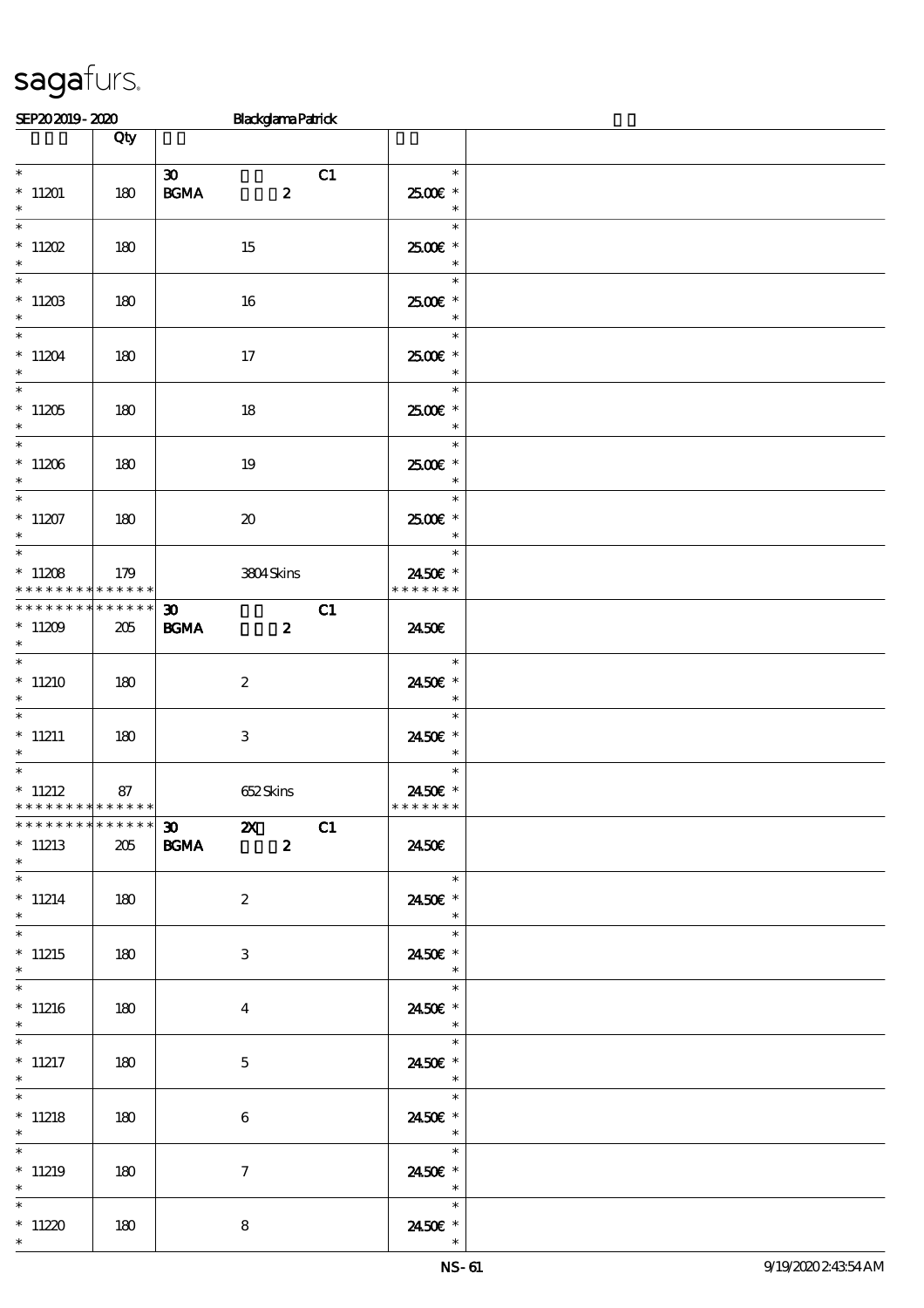| SEP202019-2020 | <b>Blackelama Parrick</b> |
|----------------|---------------------------|

| uli avallu-alav                                |                 | <b>LEASEATEL GERN</b>                                                                       |                                                           |  |
|------------------------------------------------|-----------------|---------------------------------------------------------------------------------------------|-----------------------------------------------------------|--|
|                                                | Qty             |                                                                                             |                                                           |  |
| $*11201$<br>$\ast$                             | 180             | $\boldsymbol{\mathfrak{D}}$<br><b>BGMA</b><br>$\boldsymbol{z}$                              | C1<br>$\ast$<br>2500€ *<br>$\ast$                         |  |
| $\overline{\phantom{0}}$<br>$*11202$<br>$\ast$ | 180             | 15                                                                                          | $\ast$<br>2500€ *<br>$\ast$                               |  |
| $*$<br>$*1120B$<br>$\ast$                      | 180             | 16                                                                                          | $\ast$<br>$2500$ $\epsilon$ *<br>$\ast$                   |  |
| $*11204$<br>$\ast$                             | 180             | 17                                                                                          | $\ast$<br>2500€ *<br>$\ast$                               |  |
| $*11205$<br>$\ast$                             | 180             | 18                                                                                          | $\ast$<br>2500€ *<br>$\ast$                               |  |
| $*$<br>$*11206$<br>$\ast$                      | 180             | 19                                                                                          | $\ast$<br>$2500$ $\epsilon$ *<br>$\overline{\phantom{a}}$ |  |
| $*11207$<br>$\ast$                             | 180             | $\boldsymbol{\boldsymbol{\lambda}}$                                                         | $\ast$<br>2500€ *<br>$\ast$                               |  |
| $*11208$<br>* * * * * * * * * * * * * *        | 179             | 3804Skins                                                                                   | $\ast$<br>2450€ *<br>* * * * * * *                        |  |
| * * * * * * * *<br>$*11209$<br>$\ast$          | $******$<br>205 | $\boldsymbol{\mathfrak{D}}$<br><b>BGMA</b><br>$\boldsymbol{z}$                              | C1<br>2450E                                               |  |
| $*$<br>$*11210$<br>$\ast$                      | 180             | $\boldsymbol{2}$                                                                            | $\overline{\phantom{a}}$<br>$\ast$<br>2450€ *<br>$\ast$   |  |
| $* 11211$<br>$*$                               | 180             | 3                                                                                           | $\ast$<br>2450€ *<br>$\ast$                               |  |
| $*$ 11212<br>* * * * * * * * * * * * * *       | 87              | 652Skins                                                                                    | $\ast$<br>2450€ *<br>* * * * * * *                        |  |
| **************<br>$*11213$<br>$\ast$           | 205             | $\boldsymbol{\mathfrak{D}}$<br>$\boldsymbol{\mathsf{z}}$<br>$\boldsymbol{z}$<br><b>BGMA</b> | C1<br>2450E                                               |  |
| $\overline{\ast}$<br>$*11214$<br>$\ast$        | 180             | $\boldsymbol{2}$                                                                            | $\ast$<br>2450€ *<br>$\ast$                               |  |
| $*$<br>$*11215$<br>$\ast$                      | 180             | $\ensuremath{\mathsf{3}}$                                                                   | $\ast$<br>2450€ *<br>$\ast$                               |  |
| $*11216$<br>$\ast$                             | 180             | $\boldsymbol{4}$                                                                            | $\ddot{\ast}$<br>2450€ *<br>$\ast$                        |  |
| $\overline{\phantom{0}}$<br>$*$ 11217<br>$*$   | 180             | $\mathbf{5}$                                                                                | $\ast$<br>2450€ *<br>$\ast$                               |  |
| $\overline{\phantom{0}}$<br>$*$ 11218<br>$*$   | 180             | 6                                                                                           | $\ast$<br>2450E *<br>$\ast$                               |  |
| $\ast$<br>$*11219$<br>$\ast$                   | 180             | $\tau$                                                                                      | $\ast$<br>2450E *<br>$\ast$                               |  |
| $\ast$<br>$*11220$<br>$\ast$                   | 180             | 8                                                                                           | $\ast$<br>2450€ *                                         |  |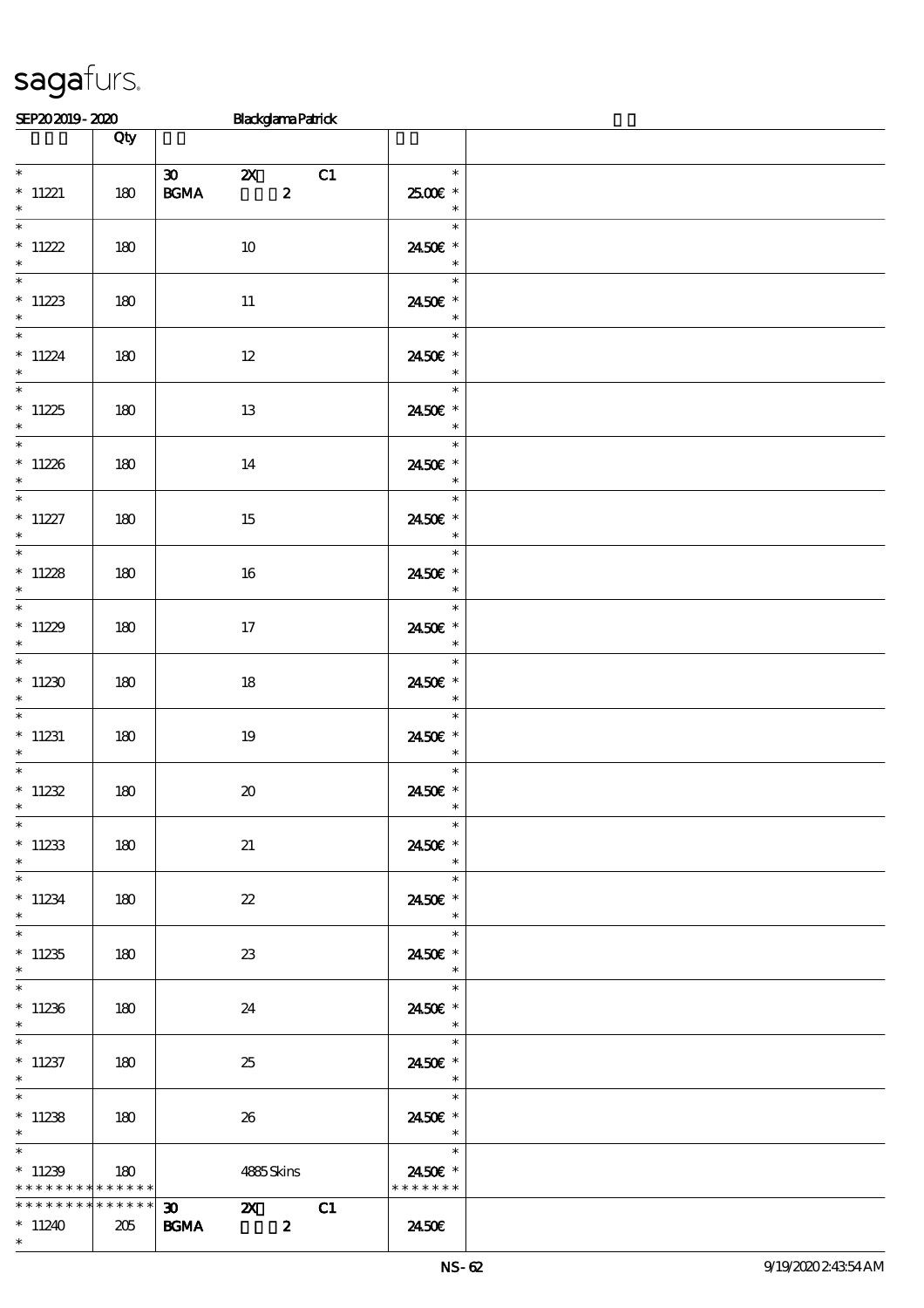|                                                                       | Qty   |                                                                          |                                                                                         |  |
|-----------------------------------------------------------------------|-------|--------------------------------------------------------------------------|-----------------------------------------------------------------------------------------|--|
| $*$ 11221                                                             | $180$ | $\infty$ $\infty$<br>C1<br>$\boldsymbol{z}$<br><b>BGMA</b>               | $\overline{\phantom{a}}$<br>2500€*                                                      |  |
| $\ast$<br>$\ast$                                                      |       |                                                                          | $\begin{array}{c c}\n\ast \\ \hline\n\ast \\ \end{array}$                               |  |
| $*11222$<br>$\ast$<br>$*$                                             | 180   | 10                                                                       | 2450€ *<br>$\overline{\phantom{a}}$<br>$\ast$                                           |  |
| $*11223$<br>$\ast$                                                    | 180   | 11                                                                       | 2450€ *<br>$\overline{\phantom{a}}$                                                     |  |
| $\ast$<br>$*11224$<br>$\ast$                                          | 180   | $12\,$                                                                   | $\ast$<br>2450€ *<br>$\overline{\phantom{a}}$                                           |  |
| $*11225$<br>$\ast$                                                    | 180   | 13                                                                       | $\overline{\phantom{a}}$<br>2450€ *<br>$\overline{\phantom{a}}$                         |  |
| $*11226$<br>$\ast$                                                    | 180   | 14                                                                       | $\ast$<br>2450€ *<br>$\overline{\phantom{a}}$                                           |  |
| $*$<br>$* 11227$<br>$\ast$                                            | 180   | 15                                                                       | $\overline{\phantom{a}}$<br>$\frac{1}{\sqrt{2}}$<br>2450€ *<br>$\overline{\phantom{a}}$ |  |
| $*11228$<br>$*$ and $*$                                               | 180   | 16                                                                       | <u>e de la p</u><br>$\ast$<br>2450€ *<br>$\overline{\phantom{a}}$                       |  |
| $*$<br>$*11229$<br>$\ast$                                             | 180   | 17                                                                       | $\ast$<br>2450€ *<br>$\overline{\phantom{a}}$                                           |  |
| $*$<br>$*11230$<br>$\ast$                                             | 180   | 18                                                                       | $\ast$<br>2450€ *                                                                       |  |
| $*11231$<br>$\ast$                                                    | 180   | 19                                                                       | $\ast$<br>2450E *                                                                       |  |
| $*11232$<br>$\ast$                                                    | 180   | $\pmb{\mathcal{X}}$                                                      | $\ast$<br>2450€ *<br>$\ast$                                                             |  |
| $*$<br>$*11233$<br>$\ast$                                             | 180   | 21                                                                       | 2450€ *<br>$\ast$                                                                       |  |
| $*11234$<br>$*$                                                       | 180   | $\boldsymbol{\mathcal{Z}}$                                               | an an<br>$\ast$<br>2450€ *<br>$\overline{\phantom{a}}$                                  |  |
| $\overline{\ast}$<br>$*11235$<br>$\ast$                               | 180   | 23                                                                       | $\ast$<br>2450€ *<br>$\overline{\phantom{a}}$                                           |  |
| $\overline{\phantom{0}}$<br>$*11236$<br>$*$                           | 180   | 24                                                                       | $\ast$<br>2450€ *<br>$\ast$                                                             |  |
| $*11237$<br>$*$                                                       | 180   | 25                                                                       | $\ast$<br>2450€ *<br>$\overline{\phantom{a}}$                                           |  |
| $*11238$<br>$*$                                                       | 180   | 26                                                                       | $\ast$<br>2450€ *<br>$\overline{\phantom{a}}$                                           |  |
| $\overline{\phantom{0}}$<br>$*11239$<br>* * * * * * * * * * * * * * * | 180   | 4885Skins                                                                | 2450€ *<br>* * * * * * *                                                                |  |
| * * * * * * * * * * * * * * *<br>$*11240$<br>$\ast$                   | 205   | $\overline{30}$ $\overline{20}$<br>C1<br><b>BGMA</b><br>$\boldsymbol{z}$ | 2450E                                                                                   |  |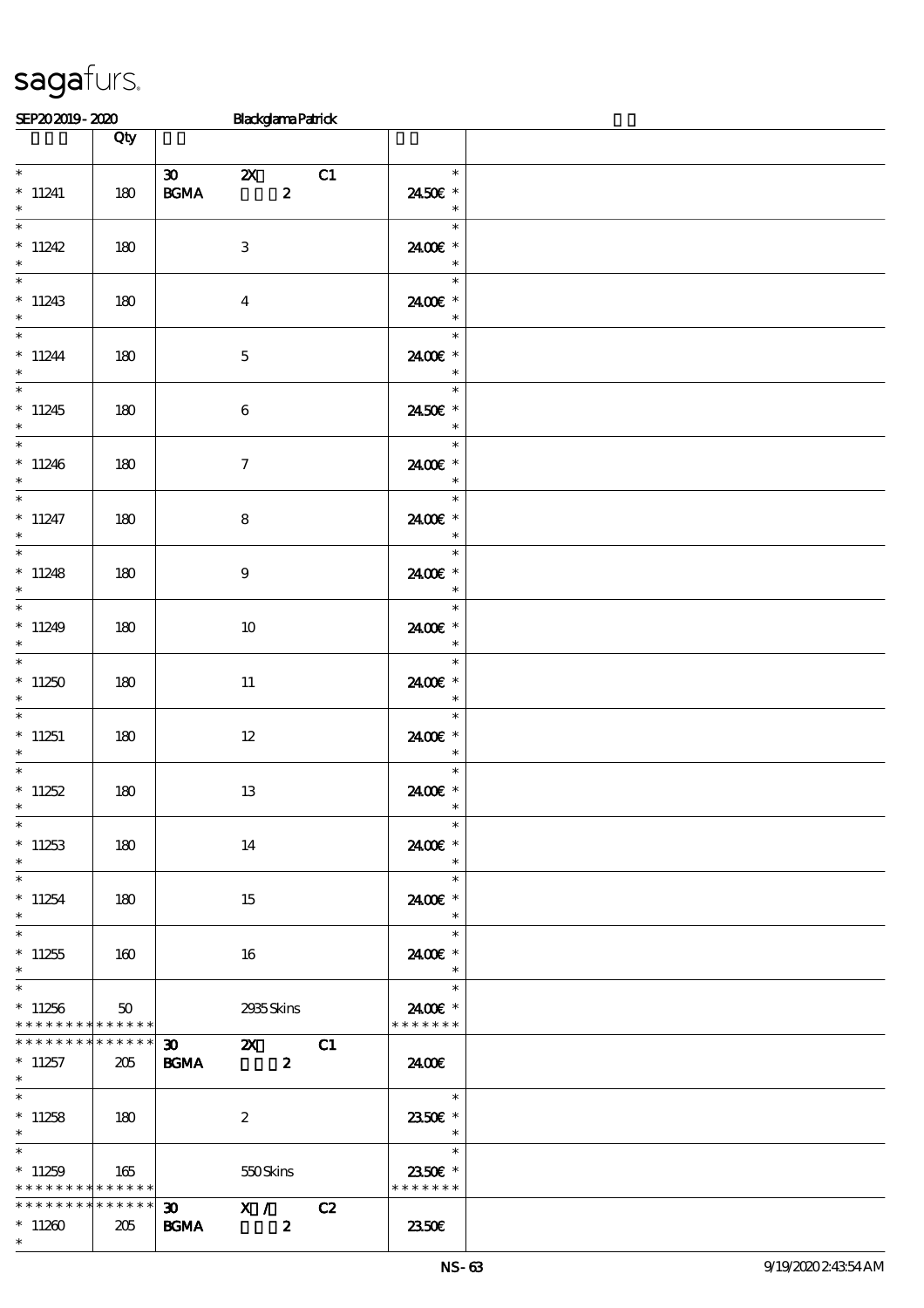|                                                                   | Qty                    |                                                                                                             |                                                                 |  |
|-------------------------------------------------------------------|------------------------|-------------------------------------------------------------------------------------------------------------|-----------------------------------------------------------------|--|
| $*$<br>$*$ 11241<br>$\ast$                                        | 180                    | $\overline{\boldsymbol{\mathfrak{B}}}$ $\boldsymbol{\mathfrak{A}}$<br>C1<br>$\boldsymbol{z}$<br><b>BGMA</b> | $\overline{\phantom{a}}$<br>2450€ *<br>$\overline{\phantom{a}}$ |  |
| $*11242$<br>$*$                                                   | 180                    | 3                                                                                                           | $\ast$<br>2400€ *<br>$\overline{\phantom{a}}$                   |  |
| $\ast$<br>$*11243$<br>$\ast$                                      | 180                    | $\bf{4}$                                                                                                    | $\overline{\phantom{a}}$<br>2400€ *<br>$\frac{\ast}{\ast}$      |  |
| $*$<br>$*11244$<br>$*$                                            | 180                    | $\mathbf 5$                                                                                                 | 2400€ *<br>$\overline{\phantom{a}}$                             |  |
| $*11245$<br>$\ast$                                                | 180                    | 6                                                                                                           | 2450€ *<br>$\overline{\phantom{a}}$                             |  |
| $*$<br>$*11246$<br>$*$                                            | 180                    | $\boldsymbol{\tau}$                                                                                         | 2400€ *<br>$\overline{\phantom{a}}$                             |  |
| $*$<br>$*$ 11247<br>$*$                                           | 180                    | 8                                                                                                           | $\overline{\ast}$<br>2400€ *<br>$\overline{\phantom{a}}$        |  |
| $\overline{\ }$<br>$*11248$<br>$\ast$                             | 180                    | $\boldsymbol{9}$                                                                                            | $\ast$<br>2400€ *<br>$\overline{\phantom{a}}$                   |  |
| $*11249$<br>$\ast$                                                | 180                    | 10                                                                                                          | $\ast$<br>2400€ *                                               |  |
| $*11250$<br>$\ast$                                                | 180                    | 11                                                                                                          | $\overline{\phantom{a}}$<br>2400€ *<br>$\overline{\phantom{a}}$ |  |
| $*11251$<br>$*$                                                   | 180                    | $12 \,$                                                                                                     | $\ast$<br>2400€ *<br>$\overline{\phantom{a}}$                   |  |
| $*11252$<br>$\ast$                                                | 180                    | 13                                                                                                          | $\ast$<br>2400€ *<br>$\ast$                                     |  |
| $*$<br>$*11253$<br>$\ast$                                         | 180                    | 14                                                                                                          | $\ast$<br>2400€ *<br>$\ast$                                     |  |
| $\ast$<br>$*11254$<br>$\ast$                                      | 180                    | 15                                                                                                          | $\ast$<br>2400€ *<br>$\ast$                                     |  |
| $\ast$<br>$*11255$<br>$\ast$                                      | 160                    | 16                                                                                                          | $\ast$<br>2400E *<br>$\overline{\phantom{a}}$                   |  |
| $*$<br>$*11256$<br>* * * * * * * * * * * * * * *                  | 50                     | 2935Skins                                                                                                   | $\ast$<br>2400€ *<br>* * * * * * *                              |  |
| * * * * * * * *<br>$*11257$<br>$*$                                | $* * * * * * *$<br>205 | $30 - 1$<br>C1<br>$\mathbf{X}$<br><b>BGMA</b><br>$\boldsymbol{z}$                                           | 2400E                                                           |  |
| $*$<br>$*11258$<br>$*$                                            | 180                    | $\boldsymbol{2}$                                                                                            | $\overline{\mathbf{r}}$<br>2350€ *<br>$\overline{\phantom{a}}$  |  |
| $*$ $*$<br>$*11259$<br>* * * * * * * * <mark>* * * * * * *</mark> | 165                    | 550Skins                                                                                                    | a sa Balance<br>$\ast$<br>2350€ *<br>* * * * * * *              |  |
| * * * * * * * * * * * * * * *<br>$*11260$<br>$\ast$               | 205                    | $\overline{30}$ X /<br>C2<br><b>BGMA</b><br>$\boldsymbol{z}$                                                | 2350E                                                           |  |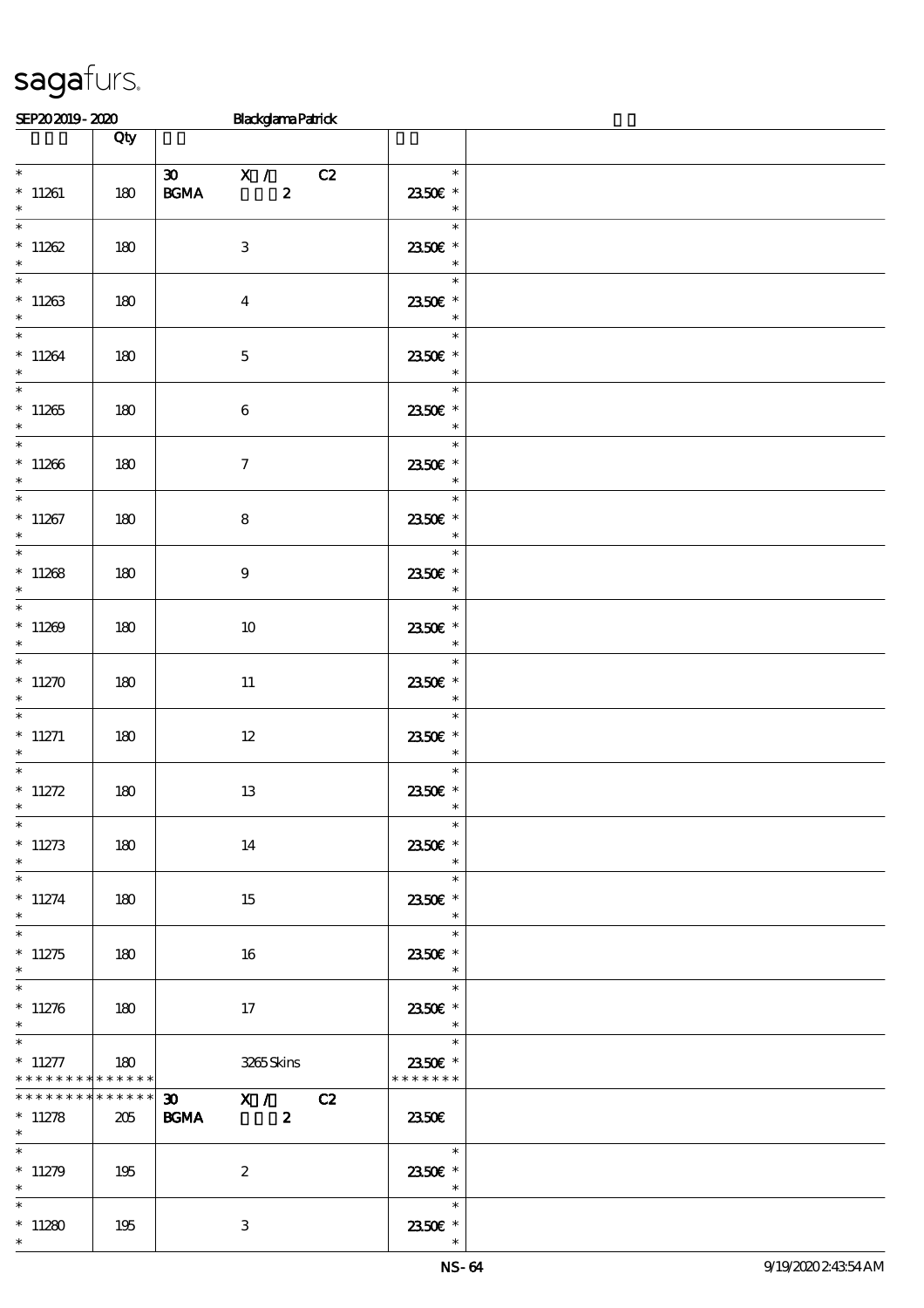|                                                                | Qty             |                                                       |                                                                                                            |  |
|----------------------------------------------------------------|-----------------|-------------------------------------------------------|------------------------------------------------------------------------------------------------------------|--|
| $*11261$                                                       | 180             | 30 $X / C2$<br><b>BGMA</b><br>$\overline{\mathbf{z}}$ | $\overline{\phantom{a}}$<br>2350E *                                                                        |  |
| $\ast$<br>$*$ $*$<br>$*11262$                                  | 180             | $\,3\,$                                               | $\overline{\phantom{a}}$<br>$\ast$<br>2350€ *                                                              |  |
| $\ast$<br>$\ast$                                               | 180             | $\boldsymbol{4}$                                      | $\overline{\phantom{a}}$<br>2350€ *                                                                        |  |
| * 11263<br>$*$                                                 |                 |                                                       | $\overline{\phantom{a}}$<br>$\ast$                                                                         |  |
| $*11264$<br>$\ast$                                             | 180             | $\mathbf 5$                                           | 2350€ *<br>$\ast$<br>$\overline{\phantom{0}}$                                                              |  |
| $*11265$<br>$\ast$                                             | 180             | 6                                                     | 2350€ *<br>$\begin{array}{c c}\n\ast \\ \ast \\ \end{array}$                                               |  |
| $*11266$<br>$\ast$                                             | 180             | $\boldsymbol{\tau}$                                   | 2350E *<br>$\overline{\phantom{a}}$                                                                        |  |
| $*11267$<br>$*$                                                | 180             | 8                                                     | $\overline{\ast}$<br><u>e de la pro</u><br>2350E *<br>$\overline{\phantom{a}}$                             |  |
| $*11268$<br>$\ast$                                             | 180             | $\boldsymbol{9}$                                      | $\ast$<br>2350E *                                                                                          |  |
| $\ast$<br>$*11269$<br>$\ast$                                   | 180             | 10                                                    | $\begin{array}{c c}\n\ast \\ \ast \\ \hline\n\end{array}$<br>$\ast$<br>2350€ *<br>$\overline{\phantom{a}}$ |  |
| $*11270$<br>$\ast$                                             | 180             | 11                                                    | $*$<br>2350€ *<br>$\overline{\phantom{0}}$ *                                                               |  |
| $\ast$<br>$*$ 11271<br>$\ast$                                  | 180             | 12                                                    | $\ast$<br>2350E *<br>$\begin{array}{c} \ast \\ \ast \end{array}$                                           |  |
| $\ast$<br>$* 11272$<br>$\ast$                                  | 180             | 13                                                    | 2350 $\varepsilon$ *<br>$\ast$                                                                             |  |
| $*$<br>$*11273$<br>$\ast$                                      | 180             | 14                                                    | $\overline{\phantom{a}}$<br>2350€ *<br>$\ast$                                                              |  |
| $\overline{\phantom{0}}$<br>$* 11274$<br>$*$                   | 180             | 15                                                    | $\ast$<br>2350€ *<br>$\overline{\phantom{a}}$                                                              |  |
| $\ast$<br>$*11275$<br>$*$                                      | 180             | 16                                                    | $\ast$<br>2350E *<br>$\overline{\phantom{a}}$                                                              |  |
| $\overline{\phantom{0}}$<br>$*11276$<br>$\ast$                 | 180             | 17                                                    | $\ast$<br>2350E *<br>$\overline{\phantom{a}}$                                                              |  |
| $*$<br>$* 11277$<br>* * * * * * * * <mark>* * * * * * *</mark> | 180             | 3265Skins                                             | $\ast$<br>2350€ *<br>* * * * * * *                                                                         |  |
| * * * * * * * *<br>$*11278$<br>$*$                             | $******$<br>205 | 30 X / C2<br><b>BGMA</b><br>$\boldsymbol{2}$          | 2350E                                                                                                      |  |
| $*11279$<br>$\ast$                                             | 195             | $\boldsymbol{2}$                                      | $\overline{\phantom{a}}$<br>2350E *<br>$\overline{\phantom{a}}$                                            |  |
| $\ast$<br>$*11280$<br>$\ast$                                   | 195             | 3                                                     | $\ast$<br>2350E *<br>$\ast$                                                                                |  |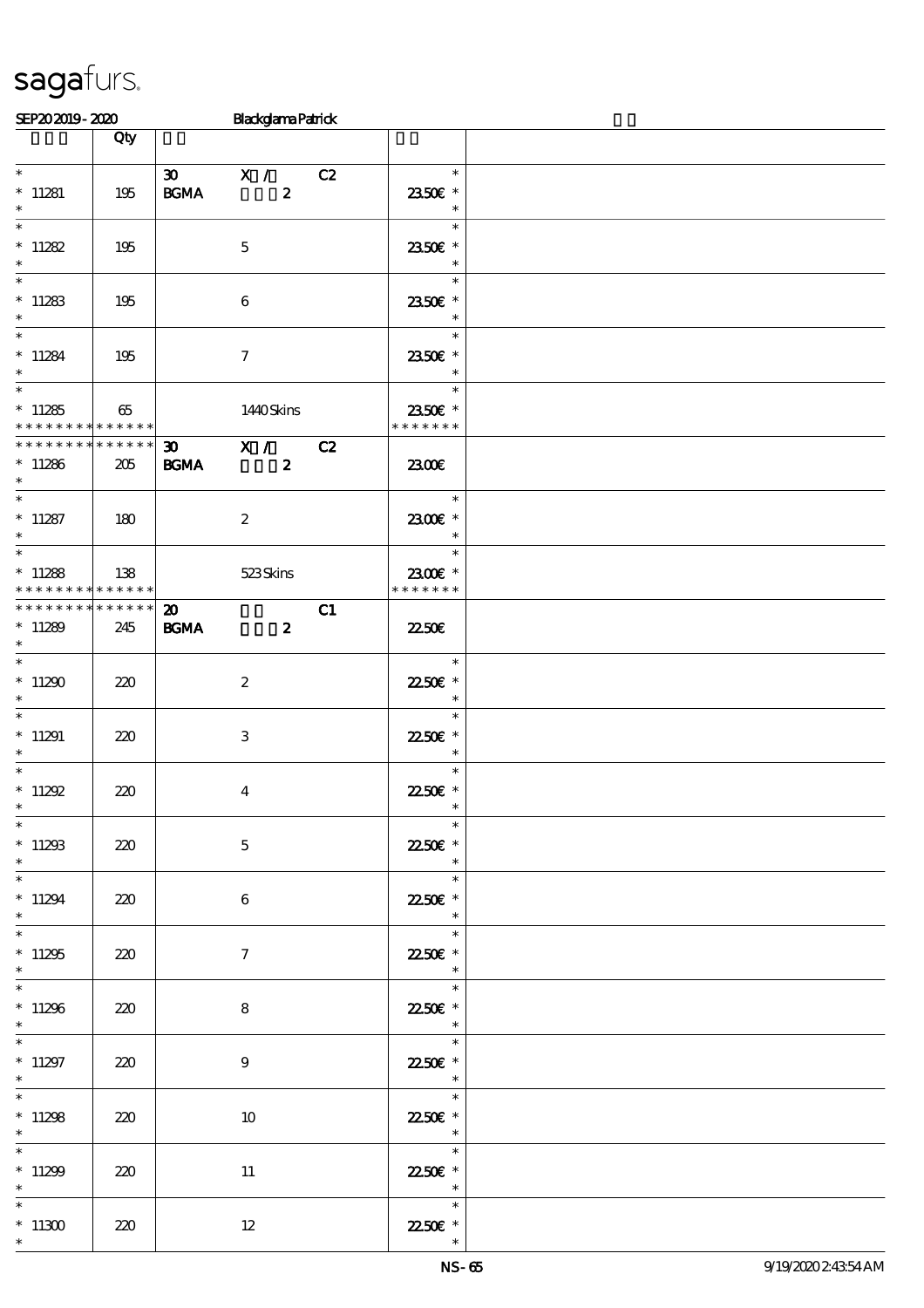|                                              |                 |                                      |                                           | o                             |    |                                                                                                                                                                                                                                                                                                                                                                                                                                                                        |  |
|----------------------------------------------|-----------------|--------------------------------------|-------------------------------------------|-------------------------------|----|------------------------------------------------------------------------------------------------------------------------------------------------------------------------------------------------------------------------------------------------------------------------------------------------------------------------------------------------------------------------------------------------------------------------------------------------------------------------|--|
|                                              |                 | Qty                                  |                                           |                               |    |                                                                                                                                                                                                                                                                                                                                                                                                                                                                        |  |
| $\ast$<br>$*11281$<br>$\ast$                 |                 | 195                                  | <b>BGMA</b>                               | 30 X / C2<br>$\boldsymbol{2}$ |    | $\ast$<br>2350€ *<br>$\ast$                                                                                                                                                                                                                                                                                                                                                                                                                                            |  |
| $\ast$                                       | $* 11282$       | 195                                  |                                           | $\mathbf 5$                   |    | $\ast$<br>2350€ *<br>$\ast$                                                                                                                                                                                                                                                                                                                                                                                                                                            |  |
| $\ast$                                       | $*11283$        | 195                                  |                                           | 6                             |    | $\ast$<br>2350E *<br>$\overline{\phantom{a}}$ $\overline{\phantom{a}}$                                                                                                                                                                                                                                                                                                                                                                                                 |  |
| $*$<br>$\ast$                                | $*11284$        | 195                                  |                                           | $\boldsymbol{\tau}$           |    | $\overline{\phantom{a}}$<br>$\ast$<br>2350E *<br>$\overline{\phantom{a}}$                                                                                                                                                                                                                                                                                                                                                                                              |  |
| $\ast$                                       | $*11285$        | 65<br>* * * * * * * * * * * * * *    |                                           | 1440Skins                     |    | $\overline{\phantom{a}}$<br>$\ast$<br>2350E *<br>* * * * * * *                                                                                                                                                                                                                                                                                                                                                                                                         |  |
| $*$                                          | $*11286$        | **************<br>205                | <b>BGMA</b>                               | 30 X / C2<br>$\boldsymbol{z}$ |    | 2300                                                                                                                                                                                                                                                                                                                                                                                                                                                                   |  |
| $\ast$                                       | $*11287$        | 180                                  |                                           | $\boldsymbol{2}$              |    | $\overline{\phantom{a}}$<br>2300E *<br>$\ast$                                                                                                                                                                                                                                                                                                                                                                                                                          |  |
|                                              | $*11288$        | $138$<br>* * * * * * * * * * * * * * |                                           | 523Skins                      |    | $\overline{\phantom{a}}$<br>2300€ *<br>* * * * * * *                                                                                                                                                                                                                                                                                                                                                                                                                   |  |
| $*$                                          | $*11289$        | **************<br>245                | $\boldsymbol{\mathsf{20}}$<br><b>BGMA</b> | $\boldsymbol{z}$              | C1 | 2250E                                                                                                                                                                                                                                                                                                                                                                                                                                                                  |  |
| $*$<br>$*$                                   | $*11290$        | 220                                  |                                           | $\boldsymbol{2}$              |    | $\frac{1}{\sqrt{1-\frac{1}{2}}\sqrt{1-\frac{1}{2}}\sqrt{1-\frac{1}{2}}\sqrt{1-\frac{1}{2}}\sqrt{1-\frac{1}{2}}\sqrt{1-\frac{1}{2}}\sqrt{1-\frac{1}{2}}\sqrt{1-\frac{1}{2}}\sqrt{1-\frac{1}{2}}\sqrt{1-\frac{1}{2}}\sqrt{1-\frac{1}{2}}\sqrt{1-\frac{1}{2}}\sqrt{1-\frac{1}{2}}\sqrt{1-\frac{1}{2}}\sqrt{1-\frac{1}{2}}\sqrt{1-\frac{1}{2}}\sqrt{1-\frac{1}{2}}\sqrt{1-\frac{1}{2}}\sqrt{1-\frac{1}{2}}\sqrt{1-\frac$<br>$\ast$<br>22.50€ *<br>$\overline{\phantom{a}}$ |  |
| $\ast$<br>$*11291$<br>$\ast$                 |                 | 220                                  |                                           | $\,3\,$                       |    | $\ast$<br>2250E *<br>$\ast$                                                                                                                                                                                                                                                                                                                                                                                                                                            |  |
| $\ast$<br>$\ast$<br>$\overline{\phantom{0}}$ | $*11292$        | 220                                  |                                           | $\boldsymbol{4}$              |    | $\ast$<br>22.50€ *<br>$\ast$                                                                                                                                                                                                                                                                                                                                                                                                                                           |  |
| $\ast$                                       | $*11293$        | 220                                  |                                           | $\mathbf 5$                   |    | $\ast$<br>2250E *                                                                                                                                                                                                                                                                                                                                                                                                                                                      |  |
| $\ast$<br>$\ast$<br>$\overline{\ast}$        | $*11294$        | 220                                  |                                           | $\bf 6$                       |    | Tarihin San<br>$\ast$<br>2250 £*<br>$\ast$                                                                                                                                                                                                                                                                                                                                                                                                                             |  |
| $*$<br>$\overline{\ast}$                     | $*11295$        | 220                                  |                                           | $\boldsymbol{\tau}$           |    | $\ast$<br>2250€ *<br>$\ast$                                                                                                                                                                                                                                                                                                                                                                                                                                            |  |
| $*$                                          | $*11296$        | 220                                  |                                           | $\bf8$                        |    | $\ast$<br>22.50€ *<br>$\ast$                                                                                                                                                                                                                                                                                                                                                                                                                                           |  |
| $\ast$<br>$\ast$<br>$\overline{\phantom{0}}$ | $*11297$        | 220                                  |                                           | $9\phantom{.0}$               |    | $\ast$<br>22.50€ *<br>$\ast$                                                                                                                                                                                                                                                                                                                                                                                                                                           |  |
| $\ast$<br>$\overline{\phantom{0}}$           | $*11298$        | 220                                  |                                           | 10                            |    | $\ast$<br>22.50E *<br>$\ast$                                                                                                                                                                                                                                                                                                                                                                                                                                           |  |
| $\ast$                                       | $*11299$        | 220                                  |                                           | 11                            |    | $\ast$<br>22.50 £*<br>$\ast$                                                                                                                                                                                                                                                                                                                                                                                                                                           |  |
| $\ast$<br>$\ast$                             | $^*$ 11300 $\,$ | 220                                  |                                           | $12\,$                        |    | $\ast$<br>22.50€ *                                                                                                                                                                                                                                                                                                                                                                                                                                                     |  |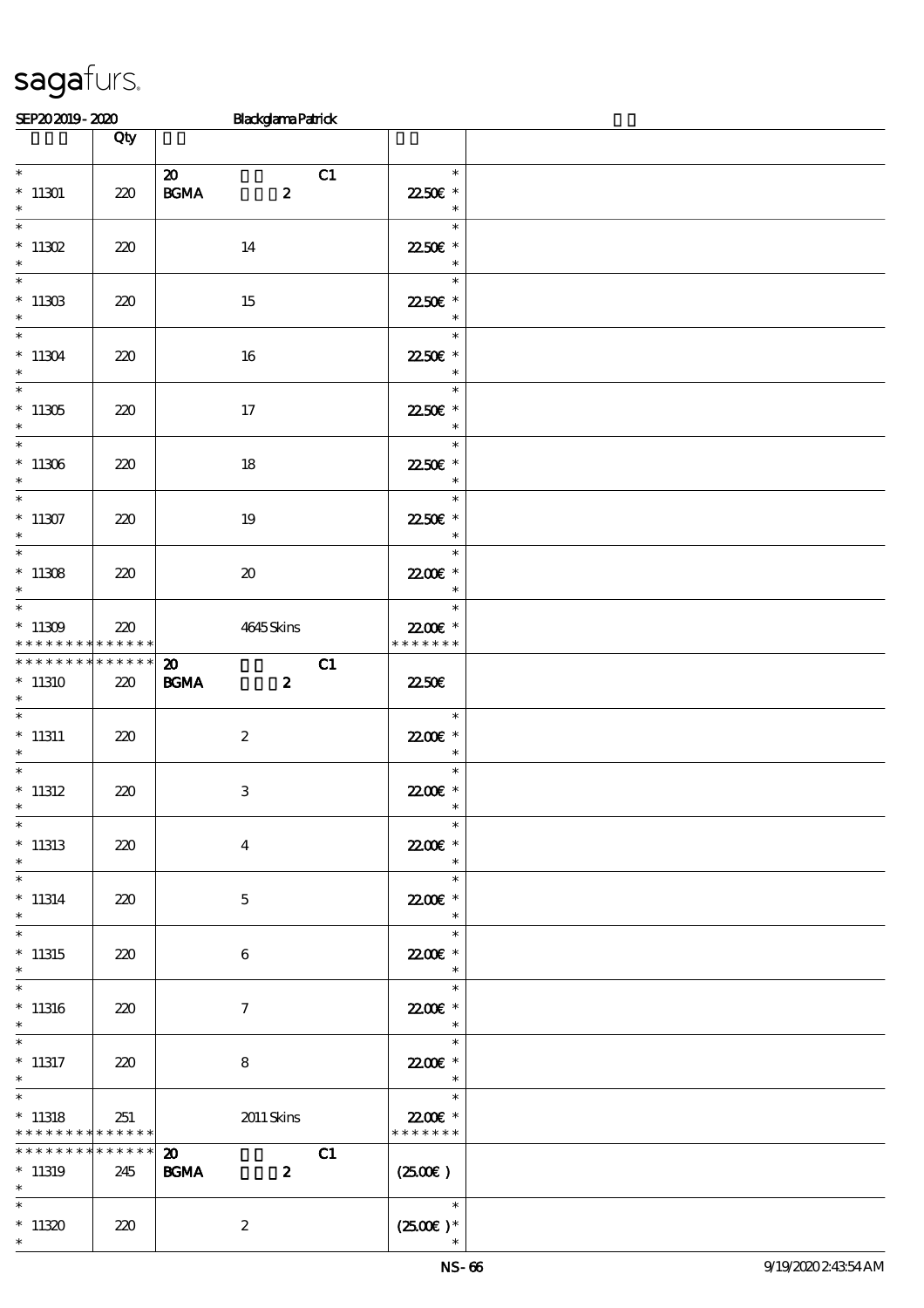|                                                       |                    | o                                                                    |                                                |  |
|-------------------------------------------------------|--------------------|----------------------------------------------------------------------|------------------------------------------------|--|
|                                                       | Qty                |                                                                      |                                                |  |
| $*$<br>$*11301$<br>$\ast$                             | 220                | $\boldsymbol{\mathfrak{D}}$<br>C1<br><b>BGMA</b><br>$\boldsymbol{z}$ | $\ast$<br>22.50€ *<br>$\ast$                   |  |
| $*$ 11302<br>$\ast$                                   | 220                | 14                                                                   | $\ast$<br>22.50€ *<br>$\ast$                   |  |
| $\overline{\phantom{0}}$<br>$^*$ 11303<br>$\ast$      | 220                | 15                                                                   | $\ast$<br>22.50€ *<br>$\overline{\phantom{a}}$ |  |
| $\ast$<br>$*11304$<br>$\ast$                          | 220                | 16                                                                   | $\ast$<br>22.50€ *<br>$\overline{\phantom{a}}$ |  |
| $\ast$<br>$^*$ 11305<br>$\ast$                        | 220                | $17\,$                                                               | $\ast$<br>22.50€ *<br>$\overline{\phantom{a}}$ |  |
| $\overline{\phantom{0}}$<br>$^*$ 11306 $\,$<br>$\ast$ | 220                | 18                                                                   | $\ast$<br>22.50€ *<br>$\overline{\phantom{a}}$ |  |
| $*11307$<br>$\ast$                                    | 220                | 19                                                                   | $\ast$<br>2250E *<br>$\ast$                    |  |
| $*11308$<br>$\ast$                                    | 220                | $\boldsymbol{\boldsymbol{\lambda}}$                                  | $\ast$<br>22.00 £*<br>$\ast$                   |  |
| $*$<br>$^*$ 11309 $\,$<br>* * * * * * * *             | 220<br>* * * * * * | 4645Skins                                                            | $\ast$<br>22.00 £*<br>* * * * * * *            |  |
| ********<br>$*11310$<br>$\ast$                        | ******<br>220      | C1<br>$\boldsymbol{\mathfrak{D}}$<br><b>BGMA</b><br>$\boldsymbol{z}$ | 2250E                                          |  |
| $\ast$<br>$^*$ 11311<br>$\ast$                        | 220                | $\boldsymbol{2}$                                                     | $\ast$<br>22.00€ *<br>$\overline{\phantom{a}}$ |  |
| $\ast$<br>$*11312$<br>$\ast$                          | 220                | 3                                                                    | $\ast$<br>22.00 £*<br>$\ast$                   |  |
| $\overline{\ast}$<br>$*11313$<br>$\ast$               | 220                | $\bf{4}$                                                             | $\ast$<br>22.00€ *                             |  |
| $\ast$<br>$* 11314$<br>$\ast$                         | 220                | $\mathbf 5$                                                          | $\ast$<br>22.00€ *<br>$\ast$                   |  |
| $\overline{\ast}$<br>$*11315$<br>$\ast$               | 220                | 6                                                                    | $\ast$<br>22.00 £*<br>$\ast$                   |  |
| $\overline{\ast}$<br>$*11316$<br>$\ast$               | 220                | $\boldsymbol{\tau}$                                                  | $\ast$<br>22.00E *<br>$\ast$                   |  |
| $\ast$<br>$*$ 11317<br>$\ast$                         | 220                | 8                                                                    | $\ast$<br>22.00 £*<br>$\ast$                   |  |
| $\ast$<br>$*11318$<br>* * * * * * * *                 | 251<br>* * * * * * | 2011 Skins                                                           | $\ast$<br>22.00 £*<br>* * * * * * *            |  |
| * * * * * * *<br>$*11319$<br>$\ast$                   | * * * * * *<br>245 | $\boldsymbol{\mathfrak{D}}$<br>C1<br><b>BGMA</b><br>$\boldsymbol{z}$ | $(2500\varepsilon)$                            |  |
| $\ast$<br>$*11320$<br>$\ast$                          | 220                | $\boldsymbol{2}$                                                     | $\ast$<br>$(2500\varepsilon)*$                 |  |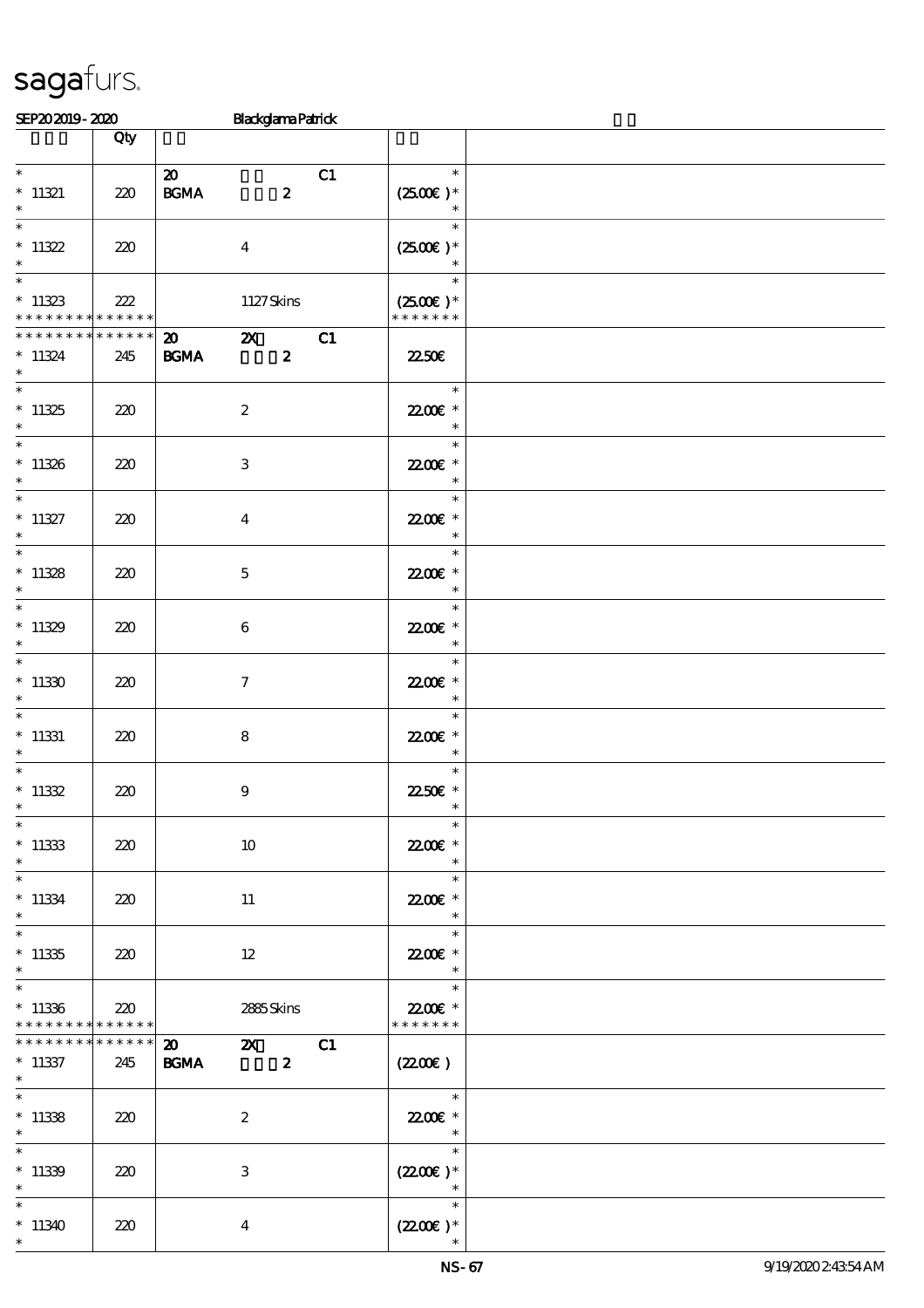| SEP202019-2020                                   |                    | <b>Blackglama Patrick</b>                                                            |                                                                 |  |
|--------------------------------------------------|--------------------|--------------------------------------------------------------------------------------|-----------------------------------------------------------------|--|
|                                                  | Qty                |                                                                                      |                                                                 |  |
| $\ast$<br>$* 11321$<br>$\ast$                    | 220                | $\boldsymbol{\mathfrak{D}}$<br>C1<br>BGMA<br>$\boldsymbol{z}$                        | $\ast$<br>$(2500)$ *<br>$\ast$                                  |  |
| $\overline{\ast}$<br>$*11322$<br>$\ast$          | 220                | $\boldsymbol{4}$                                                                     | $\ast$<br>$(2500E)*$<br>$\ast$                                  |  |
| $*11323$<br>* * * * * * * * * * * * * *          | 222                | 1127Skins                                                                            | $\ast$<br>$(2500\varepsilon)*$<br>* * * * * * *                 |  |
| * * * * * * * *<br>$* 11324$<br>$\ast$           | * * * * * *<br>245 | $\mathbf{z}$<br>C1<br>$\boldsymbol{\mathfrak{D}}$<br><b>BGMA</b><br>$\boldsymbol{z}$ | <b>2250€</b>                                                    |  |
| $*11325$<br>$\ast$                               | 220                | $\boldsymbol{2}$                                                                     | $\ast$<br>22.00€ *<br>$\ast$                                    |  |
| $*11326$<br>$\ast$                               | 220                | $\ensuremath{\mathbf{3}}$                                                            | $\ast$<br>22.00 £*<br>$\ast$                                    |  |
| $\overline{\ast}$<br>$* 11327$<br>$\ast$         | 220                | $\boldsymbol{4}$                                                                     | $\ast$<br>22.00 £*<br>$\ast$                                    |  |
| $\overline{\ast}$<br>$*11328$<br>$\ast$          | 220                | $\mathbf{5}$                                                                         | $\ast$<br>22.00 £*<br>$\ast$                                    |  |
| $*11329$<br>$\ast$                               | 220                | $\boldsymbol{6}$                                                                     | $\ast$<br>22.00 £*<br>$\ast$                                    |  |
| $*11330$<br>$\ast$                               | 220                | $\boldsymbol{7}$                                                                     | $\ast$<br>22.00 £*<br>$\ast$                                    |  |
| $\overline{\phantom{0}}$<br>$*$ 11331<br>$\ast$  | 220                | $\bf8$                                                                               | $\ast$<br>22.00€ *<br>$\ast$                                    |  |
| $^*$ 11332<br>$*$                                | 220                | $\boldsymbol{9}$                                                                     | $\ast$<br>22.50€ *<br>$\ast$                                    |  |
| $\ast$<br>$*11333$<br>$\ast$                     | 220                | $10\,$                                                                               | $\ast$<br>22.00€ *<br>$\ast$                                    |  |
| $\ast$<br>$^*$ 11334 $\,$<br>$\ast$              | 220                | 11                                                                                   | $\ast$<br>22.00 ±<br>$\overline{\phantom{a}}$                   |  |
| $\overline{\phantom{0}}$<br>$*11335$<br>$\ast$   | 220                | 12                                                                                   | $\ast$<br>22.00 *<br>$\ast$                                     |  |
| $\overline{\ast}$<br>$*11336$<br>* * * * * * * * | 220<br>* * * * * * | 2885Skins                                                                            | $\ast$<br>22.00€ *<br>* * * * * * *                             |  |
| * * * * * * * *<br>$*11337$<br>$*$               | * * * * * *<br>245 | $\boldsymbol{\omega}$<br>C1<br>$\mathbf{Z}$<br>$\boldsymbol{z}$<br><b>BGMA</b>       | (220E)                                                          |  |
| $\ast$<br>$*11338$<br>$\ast$                     | 220                | $\boldsymbol{2}$                                                                     | $\overline{\phantom{0}}$<br>22.00 ±<br>$\overline{\phantom{a}}$ |  |
| $\ast$<br>$*11339$<br>$\ast$                     | 220                | $\ensuremath{\mathbf{3}}$                                                            | $\ast$<br>$(2200)$ *<br>$\overline{\phantom{a}}$                |  |
| $\ast$<br>$*11340$<br>$\ast$                     | 220                | $\boldsymbol{4}$                                                                     | $\ast$<br>$(2200\varepsilon)*$                                  |  |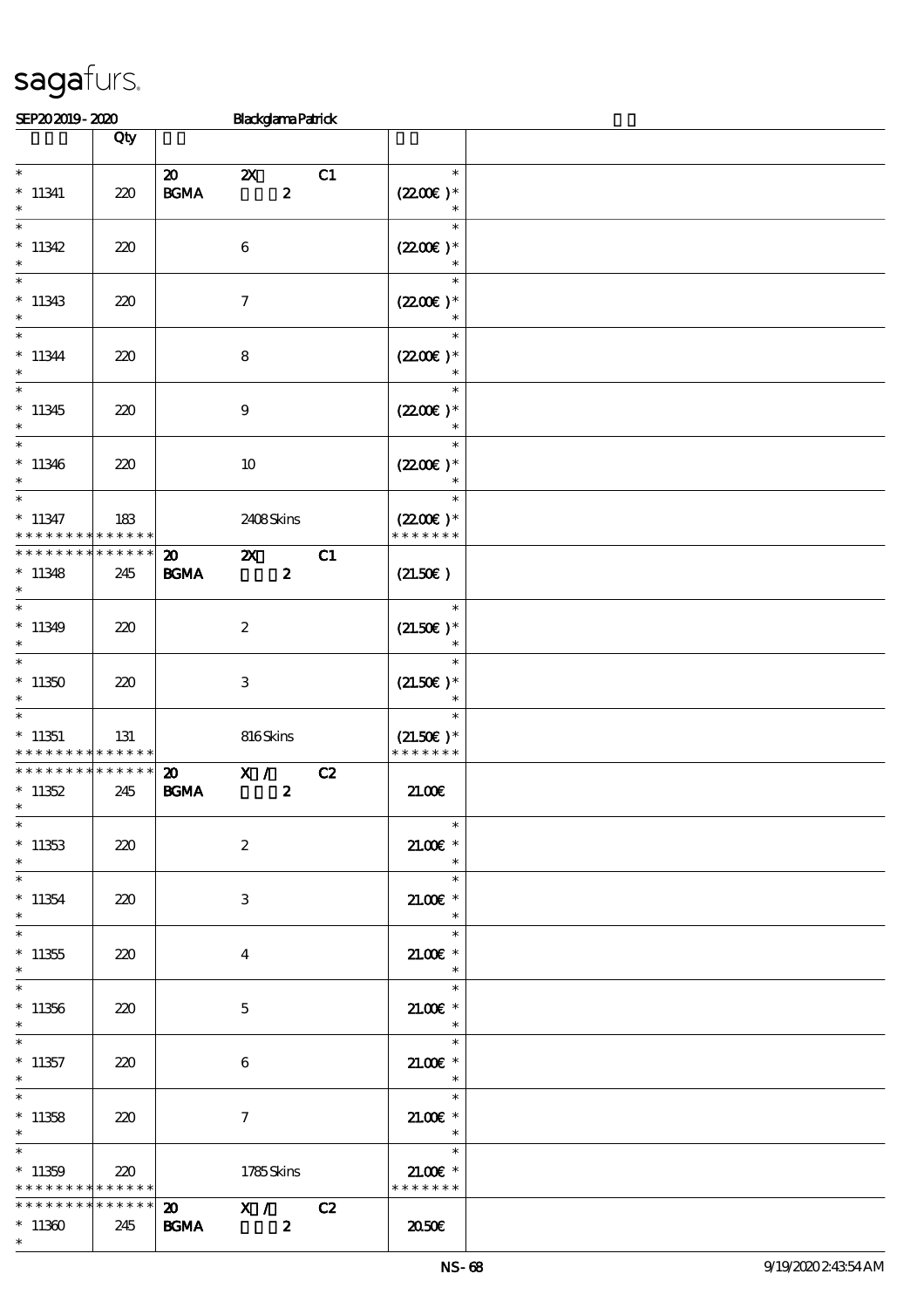|                                                                                    | Qty                |                                            |                                     |                  |    |                                                  |  |
|------------------------------------------------------------------------------------|--------------------|--------------------------------------------|-------------------------------------|------------------|----|--------------------------------------------------|--|
| $\overline{\ast}$                                                                  |                    |                                            |                                     |                  |    | $\ast$                                           |  |
| $*11341$<br>$\ast$                                                                 | 220                | $\boldsymbol{\omega}$<br>$\mathbf{B G MA}$ | $\boldsymbol{\mathsf{Z}}$           | $\boldsymbol{2}$ | C1 | $(2200)$ *<br>$\ast$                             |  |
| $\ast$<br>$*11342$<br>$\ast$                                                       | 220                |                                            | $\boldsymbol{6}$                    |                  |    | $\ast$<br>$(2200\varepsilon)^*$<br>$\ast$        |  |
| $\ast$<br>$*11343$<br>$\ast$                                                       | 220                |                                            | $\boldsymbol{\tau}$                 |                  |    | $\ast$<br>$(2200\varepsilon)*$<br>$\ast$         |  |
| $*$<br>$*11344$<br>$\ast$                                                          | 220                |                                            | ${\bf 8}$                           |                  |    | $\ast$<br>$(2200\varepsilon)*$<br>$\ast$         |  |
| $*11345$<br>$\ast$                                                                 | 220                |                                            | 9                                   |                  |    | $\ast$<br>$(2200\varepsilon)*$                   |  |
| $*11346$<br>$\ast$                                                                 | 220                |                                            | 10                                  |                  |    | $\ast$<br>$(2200\varepsilon)*$                   |  |
| $*11347$<br>* * * * * * * *                                                        | 183<br>* * * * * * |                                            | 2408Skins                           |                  |    | $\ast$<br>$(2200\varepsilon)*$<br>* * * * * * *  |  |
| * * * * * * * *<br>$*11348$<br>$\ast$                                              | * * * * * *<br>245 | $\boldsymbol{\mathfrak{D}}$<br><b>BGMA</b> | $\boldsymbol{\alpha}$               | $\boldsymbol{z}$ | C1 | (21.50)                                          |  |
| $\ast$<br>$*11349$<br>$\ast$                                                       | 220                |                                            | $\boldsymbol{z}$                    |                  |    | $\ast$<br>$(21.50)$ *<br>$\ast$                  |  |
| $\overline{\ast}$<br>$*11350$<br>$\ast$                                            | 220                |                                            | 3                                   |                  |    | $\ast$<br>$(21.50)$ *<br>$\ast$                  |  |
| $*$<br>$*11351$<br>* * * * * * * *                                                 | 131<br>* * * * * * |                                            | 816Skins                            |                  |    | $\ast$<br>$(21.50)$ *<br>* * * * * * *           |  |
| * * * * * * * *<br>$*11352$<br>$\ast$                                              | * * * * * *<br>245 | $\boldsymbol{\mathfrak{D}}$<br><b>BGMA</b> | X /                                 | $\boldsymbol{z}$ | C2 | 21.00E                                           |  |
| $*$<br>$*11353$<br>$*$                                                             | 220                |                                            | $\boldsymbol{2}$                    |                  |    | $\overline{\mathbf{r}}$<br>$21.005$ *<br>$\ast$  |  |
| $*11354$<br>$*$                                                                    | 220                |                                            | 3                                   |                  |    | $\ast$<br>$21.005*$<br>$\ast$                    |  |
| $\ast$<br>$*11355$<br>$\ast$                                                       | 220                |                                            | 4                                   |                  |    | $\ast$<br>$21.005*$<br>$\ast$                    |  |
| $\overline{\ast}$<br>$*11356$<br>$\ast$                                            | 220                |                                            | $\mathbf{5}$                        |                  |    | $\ast$<br>$21.00E$ *<br>$\overline{\phantom{a}}$ |  |
| $*11357$<br>$\ast$                                                                 | 220                |                                            | 6                                   |                  |    | $\ast$<br>$21.00E$ *<br>$*$                      |  |
| $\ast$<br>$*11358$<br>$*$                                                          | 220                |                                            | $\tau$                              |                  |    | $\ast$<br>$21.005*$<br>$\star$                   |  |
| $\overline{\phantom{0}}$<br>$*11359$<br>* * * * * * * * <mark>* * * * * * *</mark> | 220                |                                            | 1785Skins                           |                  |    | $\ast$<br>$21.00E$ *<br>* * * * * * *            |  |
| * * * * * * * *<br>$*11360$<br>$\ast$                                              | $******$<br>245    | $\boldsymbol{\mathsf{20}}$<br><b>BGMA</b>  | $X /$ C2<br>$\overline{\mathbf{z}}$ |                  |    | 2050                                             |  |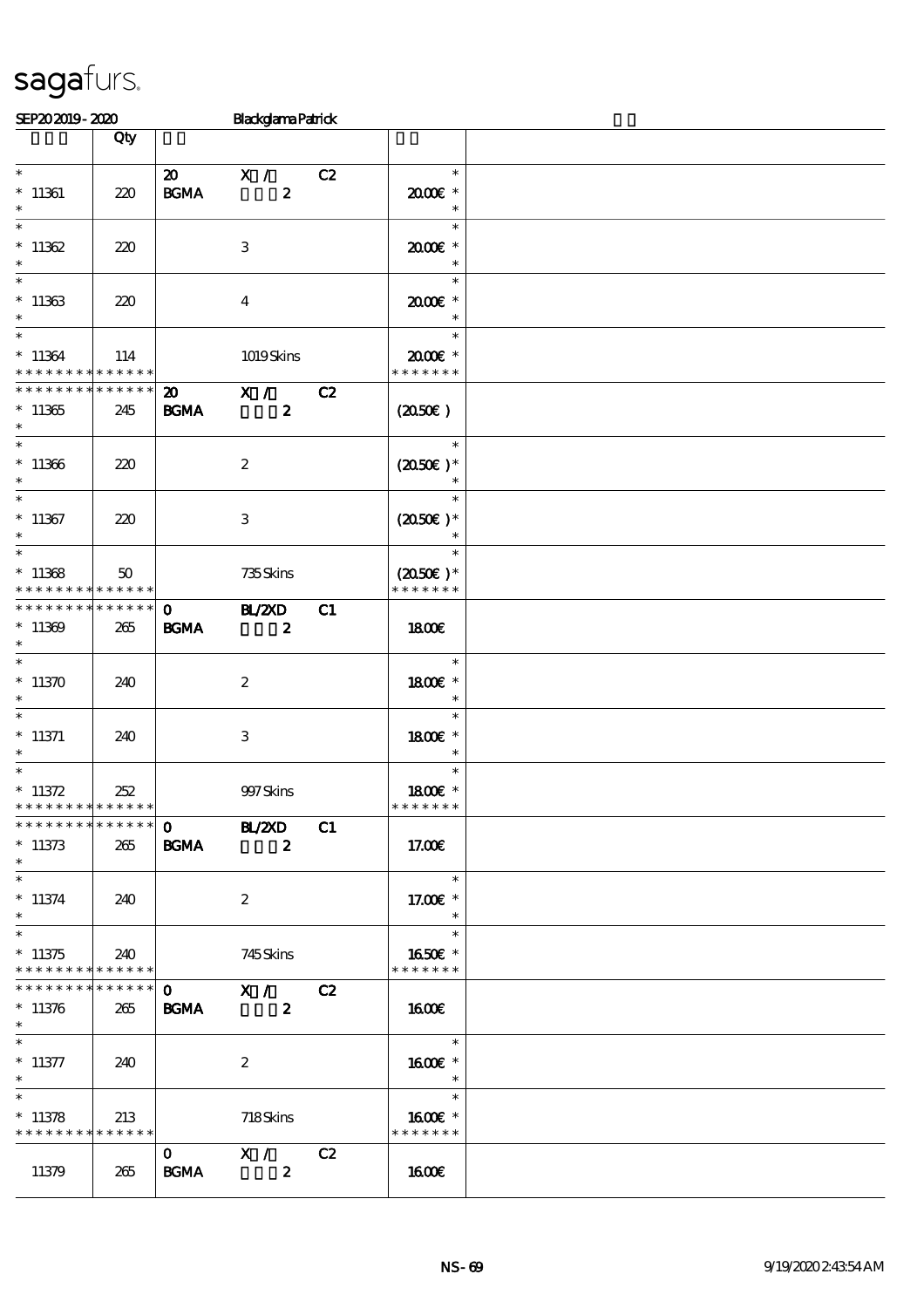|                                                              | Qty |                             |                                               |    |                                                  |  |
|--------------------------------------------------------------|-----|-----------------------------|-----------------------------------------------|----|--------------------------------------------------|--|
| $\ast$<br>$*11361$<br>$\ast$                                 | 220 | <b>BGMA</b>                 | 20 X / C2<br>$\mathbf{2}$                     |    | $\ast$<br>$2000$ $*$                             |  |
| $\ast$<br>$*11362$<br>$\ast$                                 | 220 |                             | 3                                             |    | $\ast$<br>$2000$ $*$<br>$\ast$                   |  |
| $\ast$<br>$*11363$<br>$\ast$                                 | 220 |                             | $\overline{4}$                                |    | $\ast$<br>2000E*<br>$\ast$                       |  |
| $*11364$<br>* * * * * * * * * * * * * *                      | 114 |                             | 1019Skins                                     |    | $\ast$<br>$2000$ $*$<br>* * * * * * *            |  |
| * * * * * * * * * * * * * *<br>$*11365$<br>$*$               | 245 | <b>BGMA</b>                 | $\overline{20}$ X /<br>$\boldsymbol{z}$       | C2 | $(2050\epsilon)$                                 |  |
| $*11366$<br>$\ast$                                           | 220 |                             | $\boldsymbol{2}$                              |    | $\overline{\phantom{a}}$<br>$(2050)$ *<br>$\ast$ |  |
| $*11367$<br>$\ast$                                           | 220 |                             | $\ensuremath{\mathbf{3}}$                     |    | $\ast$<br>$(2050)$ *                             |  |
| $\overline{\ast}$<br>$*11368$<br>* * * * * * * * * * * * * * | 50  |                             | 735Skins                                      |    | $(2050\epsilon)*$<br>* * * * * * *               |  |
| * * * * * * * * * * * * * *<br>$*11369$<br>$\ast$            | 265 | $\mathbf{0}$<br><b>BGMA</b> | <b>BL/2XD</b><br>$\overline{\mathbf{z}}$      | C1 | 1800                                             |  |
| $*$<br>$*11370$<br>$\ast$                                    | 240 |                             | $\boldsymbol{2}$                              |    | $\ast$<br>1800 £*<br>$\ast$                      |  |
| $*$<br>$*$ 11371<br>$\ast$                                   | 240 |                             | $\,3$                                         |    | $\ast$<br>1800E *<br>$\ast$                      |  |
| $\ast$<br>$* 11372$<br>* * * * * * * * * * * * * *           | 252 |                             | 997 Skins                                     |    | $\ast$<br>1800E *<br>* * * * * * *               |  |
| * * * * * * * * * * * * * * *<br>$*11373$<br>$\ast$          | 265 | $\mathbf{O}$<br><b>BGMA</b> | <b>BL/2XD</b><br>$\boldsymbol{z}$             | C1 | 17.00E                                           |  |
| $\overline{\phantom{0}}$<br>$*11374$<br>$\ast$               | 240 |                             | $\boldsymbol{2}$                              |    | $\ast$<br>17.00 £*<br>$\ast$                     |  |
| $*11375$<br>* * * * * * * * * * * * * *                      | 240 |                             | 745Skins                                      |    | $\ast$<br>1650E *<br>* * * * * * *               |  |
| * * * * * * * * * * * * * *<br>$*11376$<br>$\ast$            | 265 | $\mathbf{O}$<br><b>BGMA</b> | $\overline{\mathbf{x}}$ /<br>$\boldsymbol{z}$ | C2 | 1600E                                            |  |
| $\overline{\ast}$<br>$* 11377$<br>$\ast$                     | 240 |                             | $\boldsymbol{2}$                              |    | $\ast$<br>1600E *<br>$\ast$                      |  |
| $\ast$<br>$*11378$<br>* * * * * * * * * * * * * *            | 213 |                             | 718Skins                                      |    | $\ast$<br>1600E *<br>* * * * * * *               |  |
| 11379                                                        | 265 | $\mathbf{O}$<br><b>BGMA</b> | X /<br>$\boldsymbol{z}$                       | C2 | <b>160€</b>                                      |  |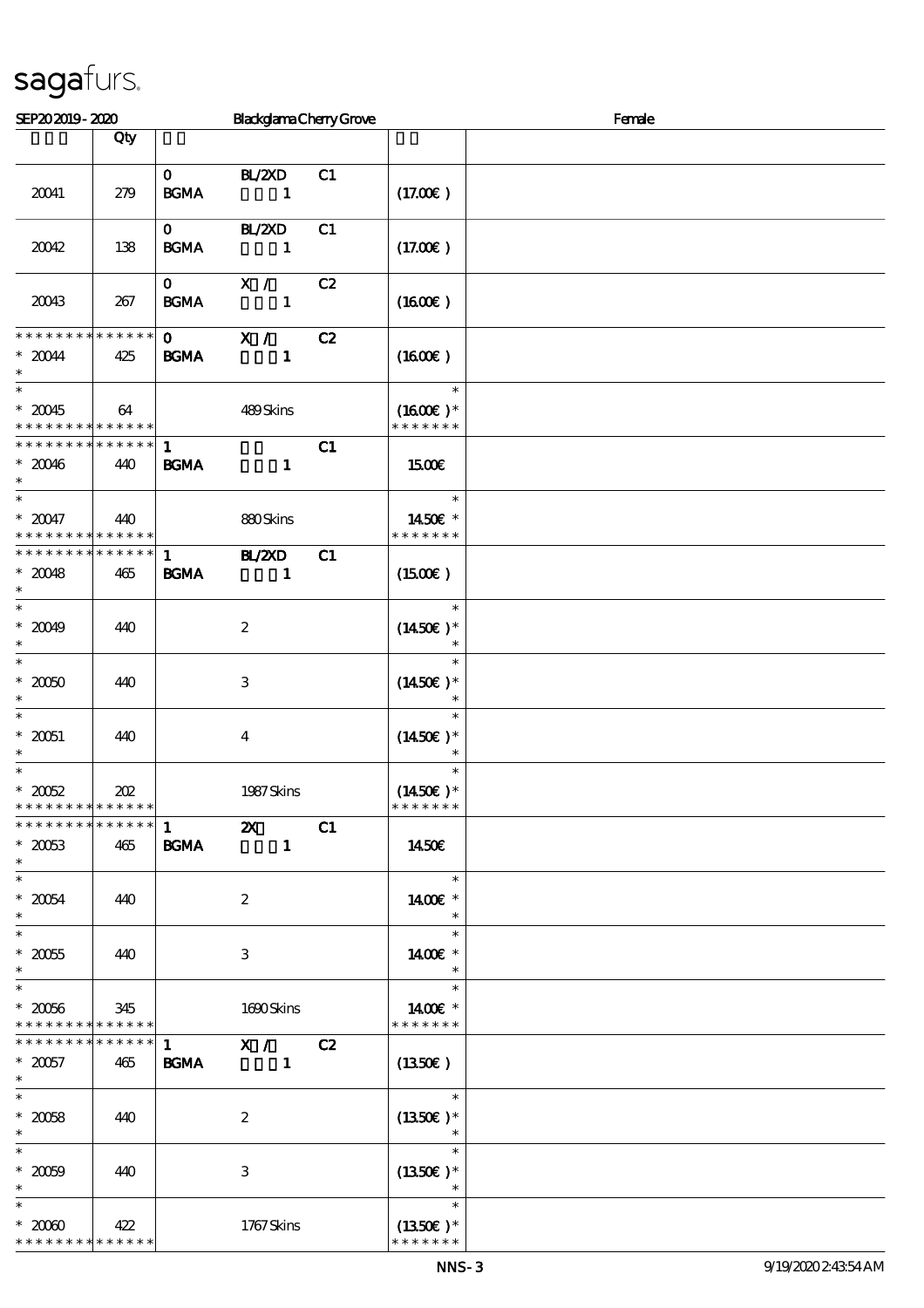| SEP202019-2020                                         |                    |                                   | <b>BlackglamaChenyGrove</b>               |    | Female                                           |  |  |  |
|--------------------------------------------------------|--------------------|-----------------------------------|-------------------------------------------|----|--------------------------------------------------|--|--|--|
|                                                        | Qty                |                                   |                                           |    |                                                  |  |  |  |
| 20041                                                  | 279                | $\mathbf{O}$<br><b>BGMA</b>       | <b>BL/2XD</b><br>$\blacksquare$           | C1 | (17.00)                                          |  |  |  |
| 20042                                                  | 138                | $\mathbf{0}$<br>BGMA              | BL/2XD<br>$\sim$ $\sim$ 1                 | C1 | (17.00)                                          |  |  |  |
| 20043                                                  | 267                | $\mathbf{0}$<br>$\mathbf{B G MA}$ | $\mathbf{X}$ /<br>$\sim$ 1                | C2 | $(1600\varepsilon)$                              |  |  |  |
| **************<br>$*20044$<br>$\ast$                   | 425                | $\mathbf{0}$<br><b>BGMA</b>       | X /<br>$\mathbf{1}$                       | C2 | $(1600\varepsilon)$                              |  |  |  |
| $\ast$<br>$*20045$<br>* * * * * * * * * * * * * * *    | 64                 |                                   | 489Skins                                  |    | $\ast$<br>$(1600E)*$<br>* * * * * * *            |  |  |  |
| * * * * * * * * * * * * * * *<br>$*20046$<br>$\ast$    | 440                | $\mathbf{1}$<br><b>BGMA</b>       | $\mathbf{1}$                              | C1 | <b>150€</b>                                      |  |  |  |
| $\ast$<br>$* 20047$<br>* * * * * * * * * * * * * *     | 440                |                                   | 880Skins                                  |    | $\ast$<br>1450€ *<br>* * * * * * *               |  |  |  |
| * * * * * * * * * * * * * *<br>$*20048$<br>$\ast$      | 465                | $\mathbf{1}$<br><b>BGMA</b>       | <b>H_/ZXD</b><br>$\sim$ $\sim$ 1          | C1 | $(1500\varepsilon)$                              |  |  |  |
| $\overline{\ast}$<br>$* 20049$<br>$\ast$               | 440                |                                   | $\boldsymbol{2}$                          |    | $\ast$<br>$(1450E)*$                             |  |  |  |
| $\ast$<br>$^\ast$ 20050<br>$\ast$                      | 440                |                                   | $\,3\,$                                   |    | $\ast$<br>$(1450E)*$<br>$\ast$                   |  |  |  |
| $\ast$<br>$^\ast$ 20051<br>$\ast$                      | 440                |                                   | $\overline{\mathbf{4}}$                   |    | $\ast$<br>$(1450E)*$<br>$\ast$                   |  |  |  |
| $\ast$<br>$*2002$<br>* * * * * * * * * * * * * *       | 202                |                                   | 1987 Skins                                |    | $\ast$<br>$(1450\varepsilon)^*$<br>* * * * * * * |  |  |  |
| * * * * * * * * * * * * * *<br>$*2003$<br>$\ast$       | 465                | $\mathbf{1}$<br><b>BGMA</b>       | $\boldsymbol{\mathsf{z}}$<br>$\mathbf{1}$ | C1 | <b>1450€</b>                                     |  |  |  |
| $\ast$<br>$*20054$<br>$\ast$                           | 440                |                                   | $\boldsymbol{2}$                          |    | $\ast$<br>1400€ *<br>$\ast$                      |  |  |  |
| $\overline{\ast}$<br>$^\ast$ 20055<br>$\ast$           | 440                |                                   | 3                                         |    | $\ast$<br>1400€ *<br>$\ast$                      |  |  |  |
| $\ast$<br>$^\ast$ 20066<br>* * * * * * * * * * * * * * | 345                |                                   | 1690Skins                                 |    | $\ast$<br>1400€ *<br>* * * * * * *               |  |  |  |
| * * * * * * * *<br>$* 20057$<br>$\ast$                 | * * * * * *<br>465 | $\mathbf{1}$<br><b>BGMA</b>       | $\mathbf{X}$ /<br>$\mathbf{1}$            | C2 | (1350E)                                          |  |  |  |
| $\ast$<br>$^\ast$ 20058<br>$\ast$                      | 440                |                                   | $\boldsymbol{2}$                          |    | $\ast$<br>$(1350E)*$                             |  |  |  |
| $\ast$<br>$* 20009$<br>$\ast$                          | 440                |                                   | 3                                         |    | $\ast$<br>$(1350E)*$                             |  |  |  |
| $\ast$<br>$*2000$<br>* * * * * * * *                   | 422<br>* * * * * * |                                   | 1767Skins                                 |    | $\ast$<br>$(1350E)*$<br>* * * * * * *            |  |  |  |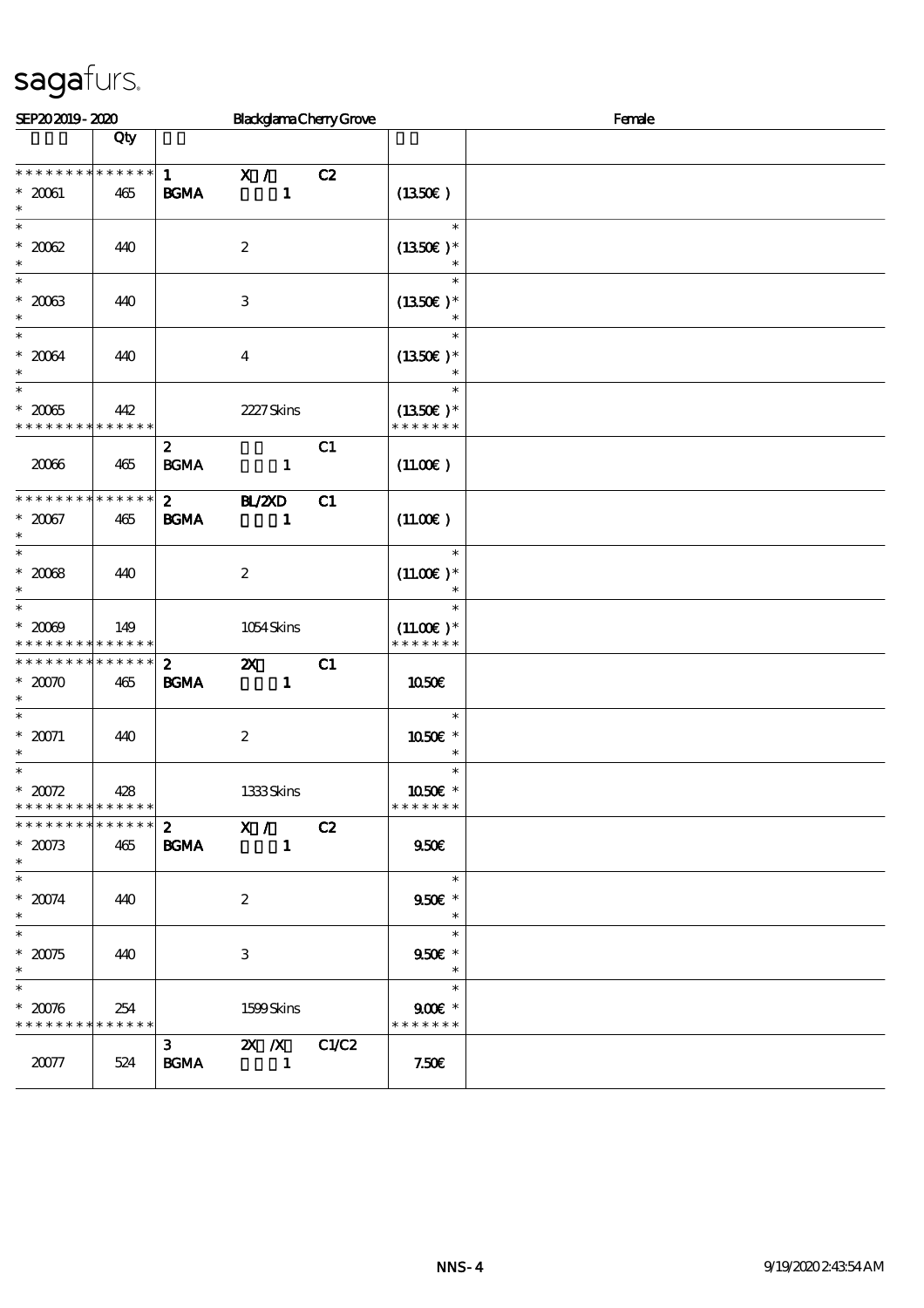| SEP202019-2020                                                      |                    |                                       | <b>BlackglamaChenyGrove</b>               |       | Female                                 |  |  |
|---------------------------------------------------------------------|--------------------|---------------------------------------|-------------------------------------------|-------|----------------------------------------|--|--|
|                                                                     | Qty                |                                       |                                           |       |                                        |  |  |
| * * * * * * * * * * * * * *<br>$*20061$<br>$\ast$                   | 465                | $\mathbf{1}$<br>$\mathbf{B G MA}$     | $\mathbf{X}$ /<br>$\mathbf{1}$            | C2    | (1350E)                                |  |  |
| $\ast$<br>$^\ast$ 2002<br>$\ast$                                    | 440                |                                       | $\boldsymbol{2}$                          |       | $\ast$<br>$(1350E)*$                   |  |  |
| $\ast$<br>$^\ast$ 2003<br>$\ast$                                    | 440                |                                       | $\,3$                                     |       | $\ast$<br>$(1350E)*$                   |  |  |
| $\ast$<br>$^\ast$ 20034<br>$\ast$                                   | 440                |                                       | $\overline{\mathbf{4}}$                   |       | $\ast$<br>$(1350E)*$<br>$\ast$         |  |  |
| $\overline{\ast}$<br>$^\ast$ 2005<br>* * * * * * * *                | 442<br>* * * * * * |                                       | 2227 Skins                                |       | $\ast$<br>$(1350E)*$<br>* * * * * * *  |  |  |
| 20066                                                               | 465                | $\boldsymbol{z}$<br>$\mathbf{B G MA}$ | $\mathbf{1}$                              | C1    | (11.00)                                |  |  |
| * * * * * * * * * * * * * *<br>$* 20067$<br>$\ast$                  | 465                | $\mathbf{2}$<br>$\mathbf{B G MA}$     | <b>HZZD</b><br>1                          | C1    | (11.00)                                |  |  |
| $\ast$<br>$^*$ 2008 $\,$<br>$\ast$                                  | 440                |                                       | $\boldsymbol{2}$                          |       | $\ast$<br>$(11.00E)*$                  |  |  |
| $\ast$<br>$* 2009$<br>* * * * * * * * * * * * * *                   | 149                |                                       | 1054Skins                                 |       | $\ast$<br>$(11.00)$ *<br>* * * * * * * |  |  |
| * * * * * * * *<br>$*2000$<br>$\ast$                                | * * * * * *<br>465 | $\mathbf{z}$<br>$\mathbf{B G MA}$     | $\boldsymbol{\mathsf{z}}$<br>$\mathbf{1}$ | C1    | <b>1050€</b>                           |  |  |
| $\ast$<br>$^*$ 20071<br>$\ast$                                      | 440                |                                       | $\boldsymbol{2}$                          |       | $\ast$<br>1050E *<br>$\ast$            |  |  |
| $\ast$<br>$^\ast$ 20072<br>* * * * * * * * <mark>* * * * * *</mark> | 428                |                                       | 1333Skins                                 |       | $\ast$<br>1050€ *<br>* * * * * * *     |  |  |
| * * * * * * * * * * * * * *<br>$* 20073$<br>$\ast$                  | 465                | $\boldsymbol{z}$<br><b>BGMA</b>       | $\mathbf{X}$ /<br>$\mathbf{1}$            | C2    | 950E                                   |  |  |
| $\ast$<br>$* 20074$<br>$\ast$                                       | 440                |                                       | $\boldsymbol{2}$                          |       | $\ast$<br>950€ *<br>$\ast$             |  |  |
| $\ast$<br>$* 20075$<br>$\ast$                                       | 440                |                                       | $\ensuremath{\mathbf{3}}$                 |       | $\ast$<br>950€ *<br>$\ast$             |  |  |
| $\ast$<br>$*20076$<br>* * * * * * * * * * * * * *                   | 254                |                                       | 1599Skins                                 |       | $\ast$<br>$900$ $*$<br>* * * * * * *   |  |  |
| $2007\%$                                                            | 524                | 3 <sup>1</sup><br>$\mathbf{B G MA}$   | $X$ $N$<br>$\mathbf{1}$                   | C1/C2 | 7.50E                                  |  |  |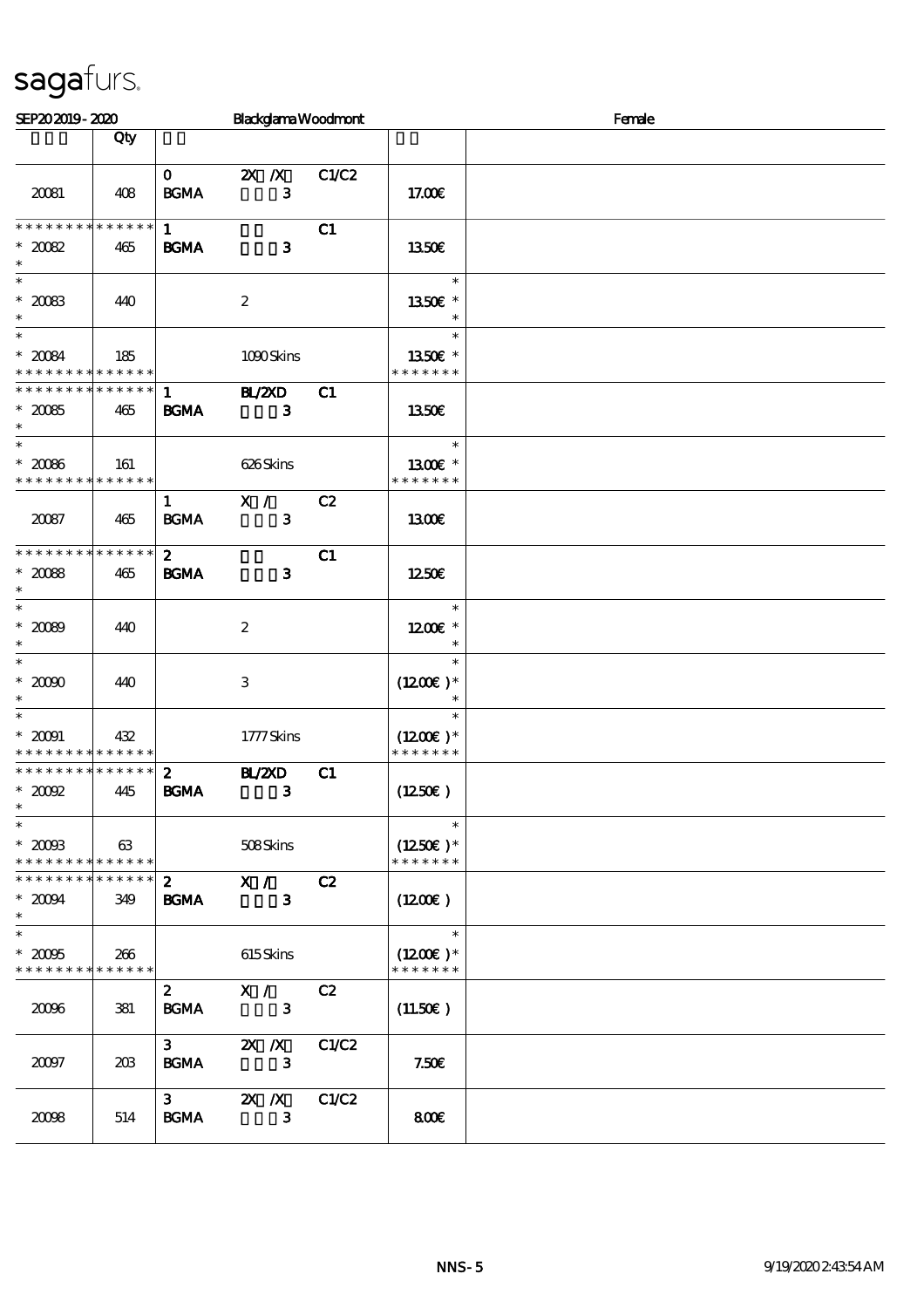| SEP202019-2020                                                             |     |                                 | <b>Blackglama Woodmont</b>     |       |                                                 | Female |
|----------------------------------------------------------------------------|-----|---------------------------------|--------------------------------|-------|-------------------------------------------------|--------|
|                                                                            | Qty |                                 |                                |       |                                                 |        |
| 20081                                                                      | 408 | $\mathbf{O}$<br><b>BGMA</b>     | $2X$ $\Lambda$<br>3            | C1/C2 | 17.00E                                          |        |
| * * * * * * * * * * * * * *<br>$^*$ 20082<br>$\ast$                        | 465 | $\mathbf{1}$<br><b>BGMA</b>     | $\mathbf{3}$                   | C1    | 1350€                                           |        |
| $\ast$<br>$^\ast$ 20083<br>$\ast$                                          | 440 |                                 | $\boldsymbol{2}$               |       | $\ast$<br>1350E *                               |        |
| $\overline{\phantom{0}}$<br>$^*$ 20084 $\,$<br>* * * * * * * * * * * * * * | 185 |                                 | 1090Skins                      |       | $\ast$<br>1350 $\varepsilon$ *<br>* * * * * * * |        |
| * * * * * * * * * * * * * * *<br>$*2005$<br>$\ast$                         | 465 | $\mathbf{1}$<br><b>BGMA</b>     | <b>H_/2XD</b><br>$\mathbf{3}$  | C1    | 1350E                                           |        |
| $\ast$<br>$^*$ 20086 $^{\circ}$<br>* * * * * * * * * * * * * *             | 161 |                                 | 626Skins                       |       | $\ast$<br>1300E *<br>* * * * * * *              |        |
| 20087                                                                      | 465 | $\mathbf{1}$<br><b>BCMA</b>     | X /<br>3                       | C2    | 1300E                                           |        |
| * * * * * * * * * * * * * *<br>$*2008$<br>$\ast$                           | 465 | $\boldsymbol{z}$<br><b>BGMA</b> | $\mathbf{3}$                   | C1    | 1250E                                           |        |
| $\ast$<br>$* 2000$<br>$\ast$                                               | 440 |                                 | $\boldsymbol{z}$               |       | $\ast$<br>$1200E$ *<br>$\ast$                   |        |
| $\overline{\ast}$<br>$^\ast$ 2000<br>$\ast$                                | 440 |                                 | $\ensuremath{\mathbf{3}}$      |       | $\ast$<br>$(1200E)^*$<br>$\ast$                 |        |
| $\ast$<br>$^\ast$ 20091<br>* * * * * * * * * * * * * *                     | 432 |                                 | 1777Skins                      |       | $\ast$<br>$(1200E)*$<br>* * * * * * *           |        |
| * * * * * * * * * * * * * *<br>$*2002$<br>$\ast$                           | 445 | $\boldsymbol{2}$<br><b>BGMA</b> | <b>H_/2XD</b><br>$\mathbf{3}$  | C1    | (1250E)                                         |        |
| $\ast$<br>$*200B$<br>* * * * * * * * * * * * * *                           | 63  |                                 | 508Skins                       |       | $\ast$<br>$(1250E)^*$<br>* * * * * * *          |        |
| * * * * * * * * * * * * * *<br>$*2004$<br>$\ast$                           | 349 | $\boldsymbol{z}$<br><b>BGMA</b> | X /<br>$\mathbf{3}$            | C2    | $(1200\varepsilon)$                             |        |
| $\ast$<br>$*2005$<br>* * * * * * * * * * * * * *                           | 266 |                                 | 615Skins                       |       | $\ast$<br>$(1200E)*$<br>* * * * * * *           |        |
| 2006                                                                       | 381 | $\boldsymbol{z}$<br><b>BGMA</b> | $X / \sqrt{2}$<br>$\mathbf{3}$ | C2    | (11.50)                                         |        |
| 20097                                                                      | 20B | $\mathbf{3}$<br><b>BGMA</b>     | $X$ $N$<br>$\mathbf{3}$        | C1/C2 | 7.50E                                           |        |
| 2008                                                                       | 514 | 3 <sup>1</sup><br><b>BGMA</b>   | $X$ $X$<br>3                   | C1/C2 | 800€                                            |        |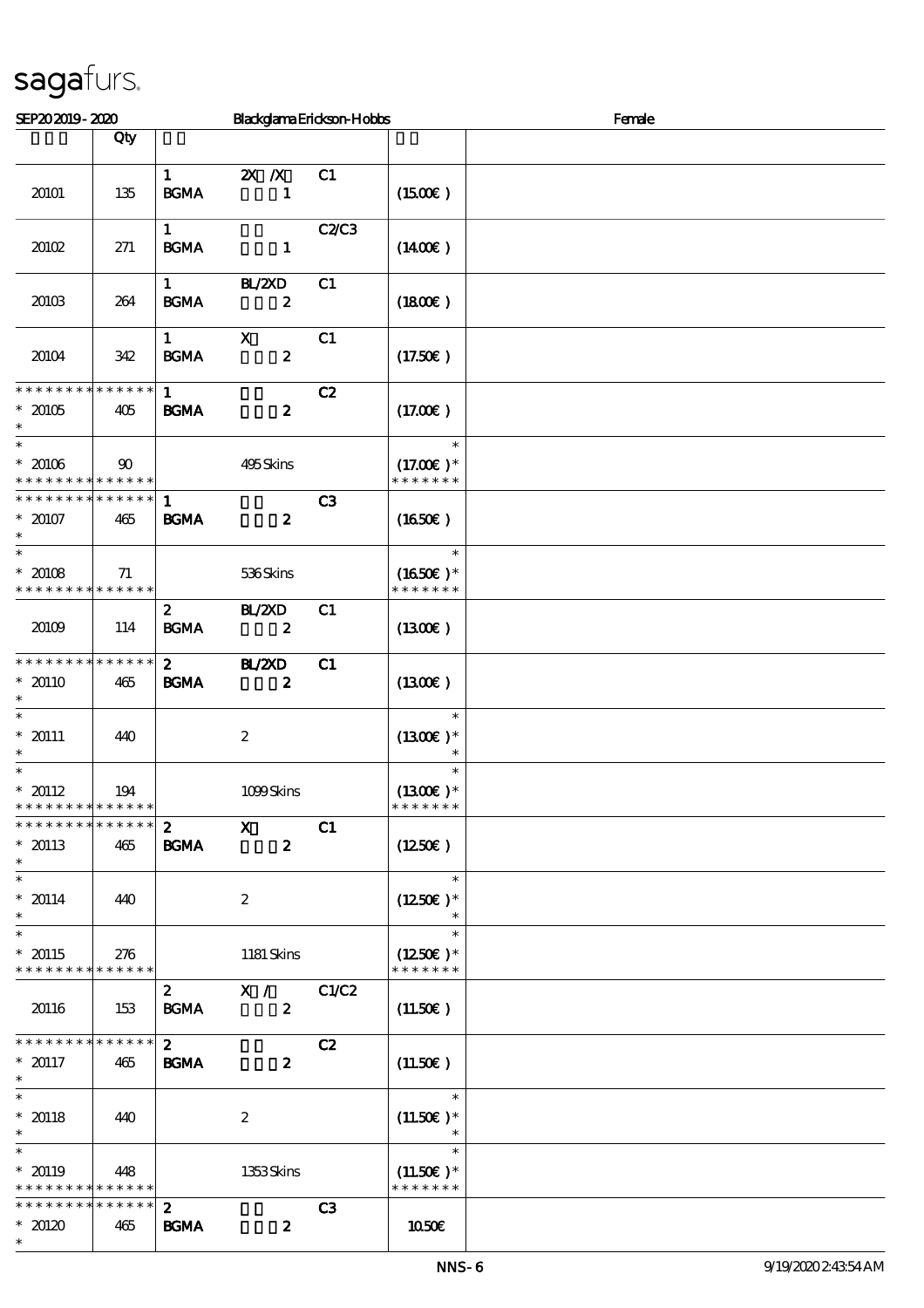| SEP202019-2020                                                  |                    |                                             | Blackglama Erickson-Hobbs                     |                |                                        | Female |
|-----------------------------------------------------------------|--------------------|---------------------------------------------|-----------------------------------------------|----------------|----------------------------------------|--------|
|                                                                 | Qty                |                                             |                                               |                |                                        |        |
|                                                                 |                    | $\mathbf{1}$                                | $\mathbf{X}$ $\mathbf{X}$                     | C <sub>1</sub> |                                        |        |
| 20101                                                           | 135                | <b>BGMA</b>                                 | $\mathbf{1}$                                  |                | $(1500\varepsilon)$                    |        |
| 20102                                                           | 271                | $\mathbf{1}$<br><b>BGMA</b>                 | $\mathbf{1}$                                  | <b>C2/C3</b>   | $(1400\varepsilon)$                    |        |
| 20103                                                           | 264                | $1 \quad \blacksquare$<br>$\mathbf{B G MA}$ | BL/2XD<br>$\boldsymbol{z}$                    | C1             | (1800)                                 |        |
| 20104                                                           | 342                | $\mathbf{1}$<br><b>BGMA</b>                 | $\mathbf X$<br>$\boldsymbol{z}$               | C1             | (17.50)                                |        |
| * * * * * * * * * * * * * *<br>$* 20105$<br>$\ast$              | 405                | $\mathbf{1}$<br><b>BGMA</b>                 | $\boldsymbol{z}$                              | C2             | (17.00)                                |        |
| $\ast$<br>$* 20106$<br>* * * * * * * * <mark>* * * * * *</mark> | $90^{\circ}$       |                                             | 495Skins                                      |                | $\ast$<br>$(17.00)$ *<br>* * * * * * * |        |
| * * * * * * * * * * * * * *<br>$* 20107$<br>$\ast$              | 465                | $\mathbf{1}$<br><b>BGMA</b>                 | $\boldsymbol{z}$                              | C3             | (1650)                                 |        |
| $\ast$<br>$* 20108$<br>* * * * * * * * <mark>* * * * * *</mark> | 71                 |                                             | 536Skins                                      |                | $\ast$<br>$(1650E)*$<br>* * * * * * *  |        |
| 20109                                                           | 114                | $\boldsymbol{z}$<br>$\mathbf{B G MA}$       | BL/2XD<br>$\boldsymbol{z}$                    | C1             | (1300)                                 |        |
| * * * * * * * * * * * * * *<br>$*20110$<br>$\ast$               | 465                | $\mathbf{2}$<br><b>BGMA</b>                 | <b>BL/2XD</b><br>$\boldsymbol{z}$             | C1             | (1300)                                 |        |
| $\ast$<br>$* 20111$<br>$\ast$                                   | 440                |                                             | $\boldsymbol{2}$                              |                | $\ast$<br>$(1300E)*$<br>$\ast$         |        |
| $\ast$<br>$* 20112$<br>* * * * * * * * * * * * * *              | 194                |                                             | 1099Skins                                     |                | $\ast$<br>$(1300)$ *<br>* * * * * * *  |        |
| * * * * * * * * * * * * * *<br>$* 20113$<br>$\ast$              | 465                | $\boldsymbol{z}$<br><b>BGMA</b>             | $\boldsymbol{\mathrm{X}}$<br>$\boldsymbol{z}$ | C1             | (1250E)                                |        |
| $\overline{\phantom{0}}$<br>$* 20114$<br>$\ast$                 | 440                |                                             | $\boldsymbol{2}$                              |                | $\ast$<br>$(1250E)*$                   |        |
| $\overline{\phantom{a}^*}$<br>$* 20115$<br>* * * * * * * *      | 276<br>* * * * * * |                                             | 1181 Skins                                    |                | $\ast$<br>$(1250E)^*$<br>* * * * * * * |        |
| 20116                                                           | 153                | $\boldsymbol{2}$<br><b>BGMA</b>             | X /<br>$\boldsymbol{z}$                       | C1/C2          | (11.50)                                |        |
| * * * * * * * * * * * * * *<br>$* 20117$<br>$\ast$              | 465                | $\mathbf{2}$<br><b>BGMA</b>                 | $\boldsymbol{z}$                              | C2             | (11.50)                                |        |
| $\ast$<br>$* 20118$<br>$\ast$                                   | 440                |                                             | $\boldsymbol{2}$                              |                | $\ast$<br>$(11.50)$ *<br>$\ast$        |        |
| $\overline{\ast}$<br>$*20119$<br>* * * * * * * * * * * * * *    | 448                |                                             | 1353Skins                                     |                | $\ast$<br>$(11.50)$ *<br>* * * * * * * |        |
| * * * * * * * *<br>$*20120$<br>$\ast$                           | * * * * * *<br>465 | $\boldsymbol{z}$<br><b>BGMA</b>             | $\boldsymbol{z}$                              | C3             | 1050€                                  |        |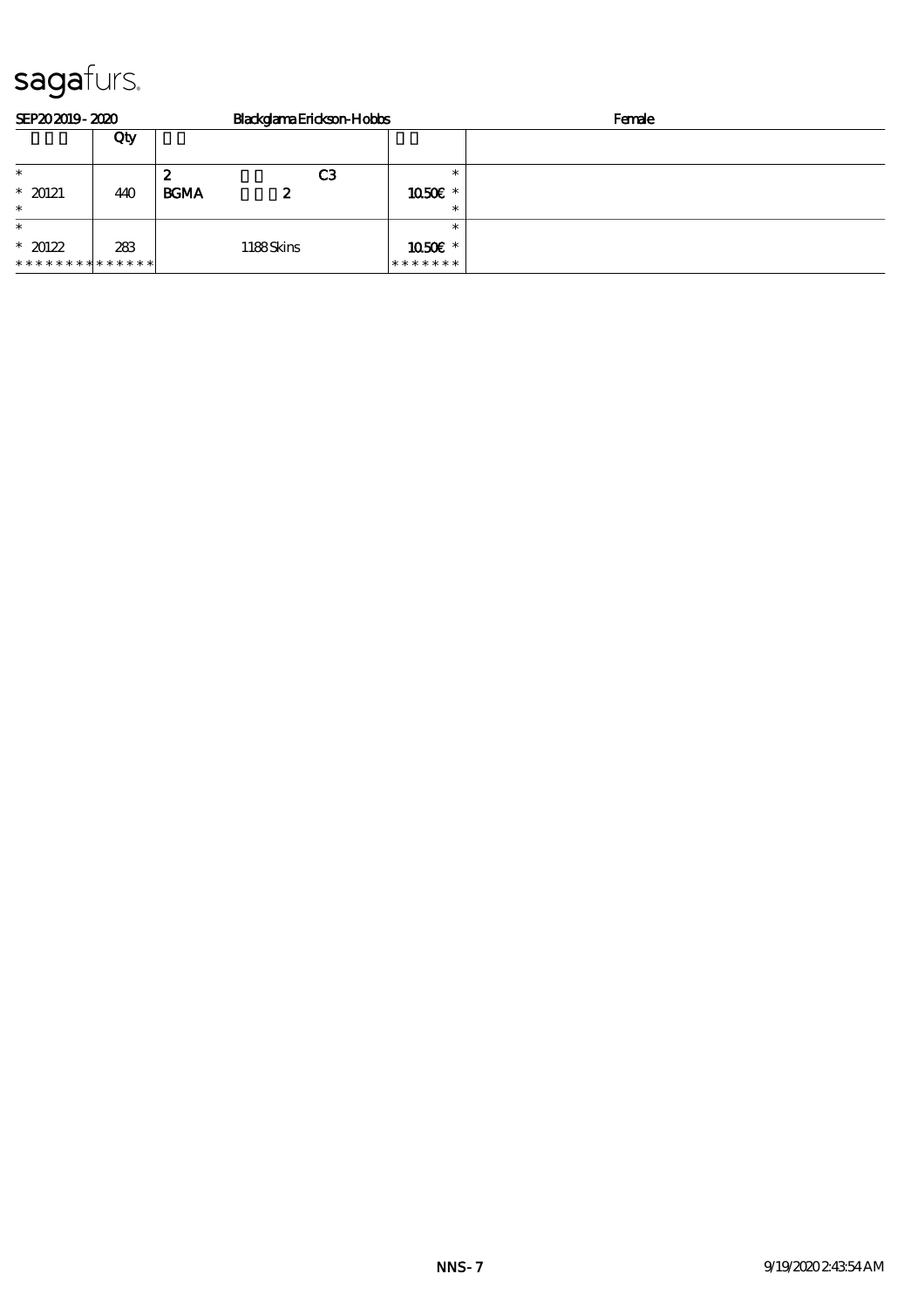| SEP202019-2020 |     | Blackglama Erickson-Hobbs |         | Female |
|----------------|-----|---------------------------|---------|--------|
|                | Qty |                           |         |        |
| $\ast$         |     | C3<br>2                   |         |        |
| $*20121$       | 440 | <b>BGMA</b><br>2          | 1050E * |        |
| $\ast$         |     |                           |         |        |
| $\ast$         |     |                           |         |        |
| $*20122$       | 283 | 1188Skins                 | 1050€ * |        |
| ************** |     |                           | ******* |        |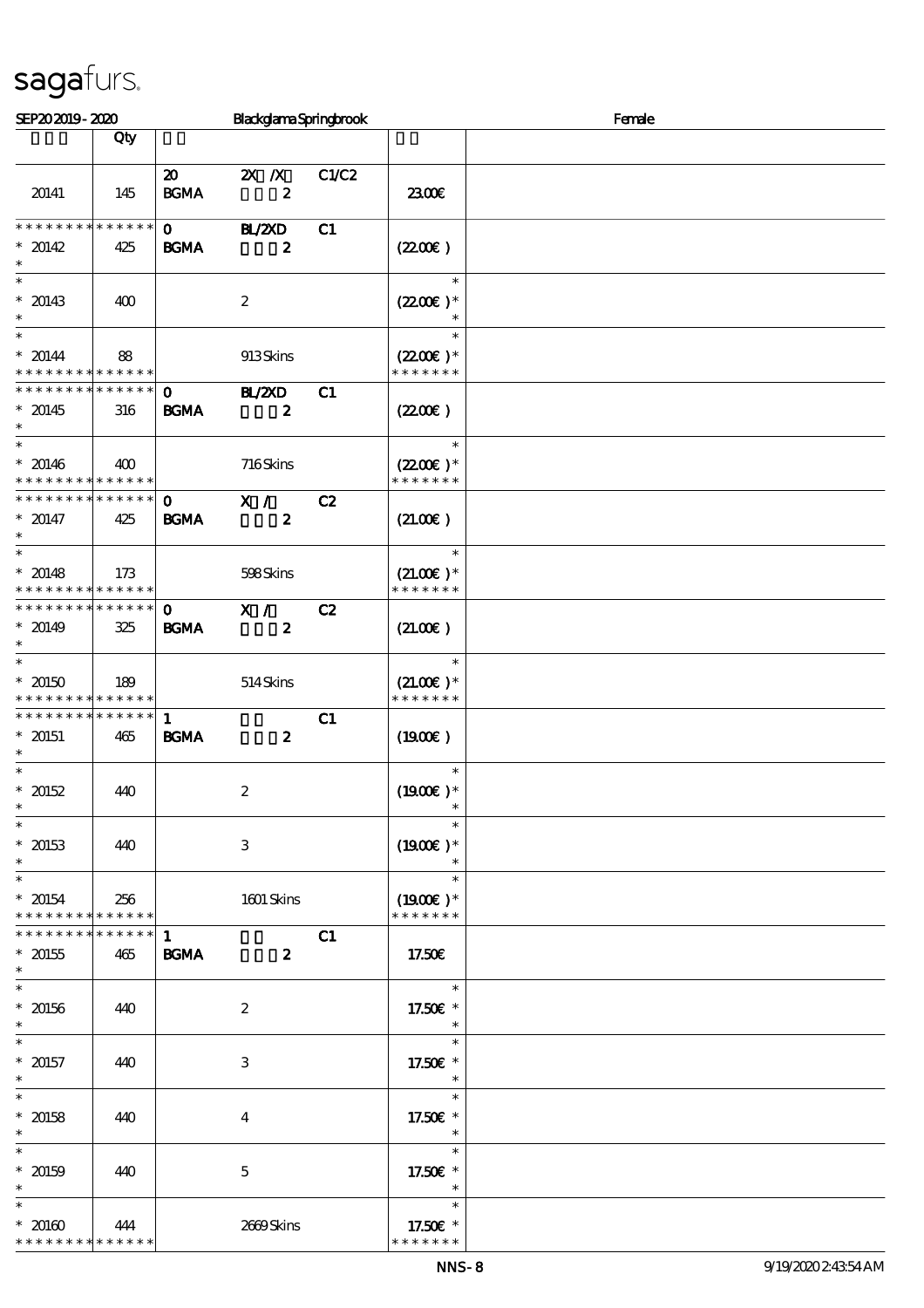| SEP202019-2020                                          |                    |                                            | BlackglamaSpringbrook                         |       | Female                       |  |  |  |
|---------------------------------------------------------|--------------------|--------------------------------------------|-----------------------------------------------|-------|------------------------------|--|--|--|
|                                                         | Qty                |                                            |                                               |       |                              |  |  |  |
|                                                         |                    |                                            |                                               |       |                              |  |  |  |
| 20141                                                   | 145                | $\boldsymbol{\mathfrak{D}}$<br><b>BGMA</b> | $\mathbf{X}$ $\mathbf{X}$<br>$\boldsymbol{z}$ | C1/C2 | 2300E                        |  |  |  |
|                                                         |                    |                                            |                                               |       |                              |  |  |  |
| * * * * * * * *                                         | * * * * * *        | $\mathbf{0}$                               | <b>HL/ZXD</b>                                 | C1    |                              |  |  |  |
| $* 20142$                                               | 425                | <b>BGMA</b>                                | $\boldsymbol{z}$                              |       | (220E)                       |  |  |  |
| $\ast$                                                  |                    |                                            |                                               |       | $\ast$                       |  |  |  |
| $* 20143$<br>$\ast$                                     | 400                |                                            | $\boldsymbol{z}$                              |       | $(220E)^*$<br>$\ast$         |  |  |  |
| $\ast$<br>$* 20144$                                     | 88                 |                                            | 913Skins                                      |       | $\ast$<br>$(2200)$ *         |  |  |  |
| * * * * * * * * * * * * * *                             |                    |                                            |                                               |       | * * * * * * *                |  |  |  |
| * * * * * * * * * * * * * *                             |                    | $\mathbf{O}$                               | BL/ZXD                                        | C1    |                              |  |  |  |
| $* 20145$<br>$\ast$                                     | 316                | <b>BGMA</b>                                | $\boldsymbol{z}$                              |       | (220E)                       |  |  |  |
| $\overline{\phantom{0}}$                                |                    |                                            |                                               |       | $\ast$                       |  |  |  |
| $* 20146$<br>* * * * * * * * * * * * * *                | 400                |                                            | 716Skins                                      |       | $(2200)$ *<br>* * * * * * *  |  |  |  |
| * * * * * * * * * * * * * * *                           |                    | $\mathbf{o}$                               | X /                                           | C2    |                              |  |  |  |
| $* 20147$<br>$\ast$                                     | 425                | <b>BGMA</b>                                | $\boldsymbol{z}$                              |       | (21.00)                      |  |  |  |
| $\ast$                                                  |                    |                                            |                                               |       | $\ast$                       |  |  |  |
| $* 20148$<br>* * * * * * * * <mark>* * * * * *</mark> * | 173                |                                            | 598Skins                                      |       | $(21.00)$ *<br>* * * * * * * |  |  |  |
| * * * * * * * * * * * * * *                             |                    | $\mathbf{o}$                               | X /                                           | C2    |                              |  |  |  |
| $* 20149$<br>$\ast$                                     | 325                | <b>BGMA</b>                                | $\boldsymbol{z}$                              |       | (21.00)                      |  |  |  |
| $\overline{\ast}$                                       |                    |                                            |                                               |       | $\ast$                       |  |  |  |
| $*20150$<br>* * * * * * * * * * * * * *                 | 189                |                                            | 514Skins                                      |       | $(21.00)$ *<br>* * * * * * * |  |  |  |
| * * * * * * * * * * * * * *                             |                    | $\mathbf{1}$                               |                                               | C1    |                              |  |  |  |
| $* 20151$<br>$\ast$                                     | 465                | <b>BGMA</b>                                | $\boldsymbol{z}$                              |       | (1900E)                      |  |  |  |
| $\ast$                                                  |                    |                                            |                                               |       | $\ast$                       |  |  |  |
| $*20152$                                                | 440                |                                            | $\boldsymbol{2}$                              |       | $(1900E)*$                   |  |  |  |
| $\ast$<br>$\overline{\ast}$                             |                    |                                            |                                               |       | $\ast$                       |  |  |  |
| $* 20153$                                               | 440                |                                            | $\,3$                                         |       | $(1900E)^*$                  |  |  |  |
| $\ast$<br>$\ast$                                        |                    |                                            |                                               |       | $\ast$                       |  |  |  |
| $* 20154$                                               | 256                |                                            | 1601 Skins                                    |       | $(1900E)*$                   |  |  |  |
| * * * * * * * * * * * * * *                             |                    |                                            |                                               |       | * * * * * * *                |  |  |  |
| * * * * * * * *                                         | * * * * * *        | $\mathbf{1}$                               |                                               | C1    |                              |  |  |  |
| $* 20155$<br>$\ast$                                     | 465                | <b>BGMA</b>                                | $\boldsymbol{z}$                              |       | 17.50E                       |  |  |  |
| $\ast$<br>$* 20156$                                     | 440                |                                            | $\boldsymbol{2}$                              |       | $\ast$<br>17.50€ *           |  |  |  |
| $\ast$                                                  |                    |                                            |                                               |       | $\ast$                       |  |  |  |
| $\ast$<br>$* 20157$                                     | 440                |                                            | $\,3$                                         |       | $\ast$<br>17.50€ *           |  |  |  |
| $\ast$                                                  |                    |                                            |                                               |       | $\ast$                       |  |  |  |
| $\ast$<br>$* 20158$                                     | 440                |                                            | 4                                             |       | $\ast$<br>17.50€ *           |  |  |  |
| $\ast$                                                  |                    |                                            |                                               |       | $\ast$                       |  |  |  |
| $\ast$                                                  |                    |                                            |                                               |       | $\ast$                       |  |  |  |
| $* 20159$<br>$\ast$                                     | 440                |                                            | $\mathbf 5$                                   |       | 17.50€ *<br>$\ast$           |  |  |  |
| $\ast$                                                  |                    |                                            |                                               |       | $\ast$                       |  |  |  |
| $* 20160$<br>* * * * * * * *                            | 444<br>* * * * * * |                                            | 2669Skins                                     |       | 17.50€ *<br>* * * * * * *    |  |  |  |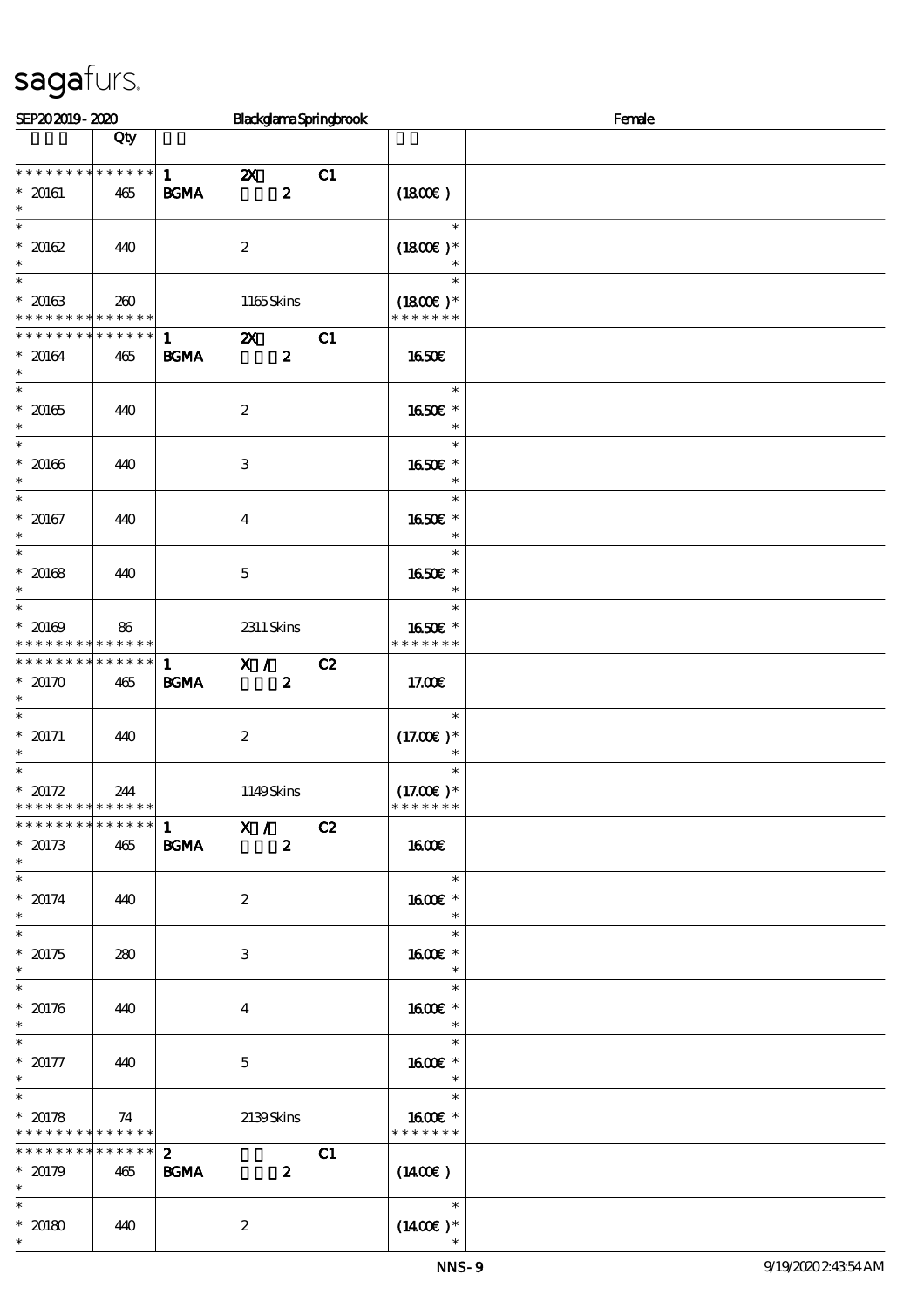| SEP202019-2020                                                                    |                    |                                       | BlackglamaSpringbrook                               |    |                                        | Female |
|-----------------------------------------------------------------------------------|--------------------|---------------------------------------|-----------------------------------------------------|----|----------------------------------------|--------|
|                                                                                   | Qty                |                                       |                                                     |    |                                        |        |
| * * * * * * * * * * * * * *<br>$* 20161$<br>$\ast$                                | 465                | $1 \quad \blacksquare$<br><b>BGMA</b> | $\boldsymbol{\mathsf{X}}$<br>$\boldsymbol{z}$       | C1 | (1800)                                 |        |
| $\overline{\phantom{0}}$<br>$* 20162$<br>$\ast$                                   | 440                |                                       | $\boldsymbol{2}$                                    |    | $\ast$<br>$(1800)$ *<br>$\ast$         |        |
| $\overline{\phantom{0}}$<br>$* 20163$<br>* * * * * * * * <mark>* * * * * *</mark> | 260                |                                       | 1165Skins                                           |    | $\ast$<br>$(1800E)*$<br>* * * * * * *  |        |
| * * * * * * * *<br>$* 20164$<br>$\ast$                                            | * * * * * *<br>465 | 1<br><b>BGMA</b>                      | $\boldsymbol{\mathsf{z}}$<br>$\boldsymbol{z}$       | C1 | <b>1650€</b>                           |        |
| $\ast$<br>$^\ast$ 20165<br>$\ast$                                                 | 440                |                                       | $\boldsymbol{2}$                                    |    | $\ast$<br>1650€ *<br>$\ast$            |        |
| $\overline{\phantom{0}}$<br>$* 20166$<br>$\ast$                                   | 440                |                                       | $\,3$                                               |    | $\ast$<br>1650E *<br>$\ast$            |        |
| $\overline{\ast}$<br>$* 20167$<br>$\ast$                                          | 440                |                                       | $\boldsymbol{4}$                                    |    | $\ast$<br>1650€ *<br>$\ast$            |        |
| $\overline{\phantom{a}}$<br>$* 20168$<br>$\ast$                                   | 440                |                                       | $\mathbf 5$                                         |    | $\ast$<br>1650€ *<br>$\ast$            |        |
| $\overline{\phantom{0}}$<br>$* 20169$<br>* * * * * * * * <mark>* * * * * *</mark> | 86                 |                                       | $2311$ Skins                                        |    | $\ast$<br>1650€ *<br>* * * * * * *     |        |
| * * * * * * * * * * * * * *<br>$*20170$<br>$\ast$                                 | 465                | $\mathbf{1}$<br>B GMA                 | X /<br>$\boldsymbol{z}$                             | C2 | 17.00E                                 |        |
| $\ast$<br>$* 20171$<br>$\ast$                                                     | 440                |                                       | $\boldsymbol{2}$                                    |    | $\ast$<br>$(17.00)$ *<br>$\ast$        |        |
| $\ast$<br>$* 20172$<br>* * * * * * * * * * * * * *                                | 244                |                                       | 1149Skins                                           |    | $\ast$<br>$(17.00)$ *<br>* * * * * * * |        |
| * * * * * * * * * * * * * * *<br>$*20173$<br>$\ast$<br>$\overline{\phantom{0}}$   | 465                | <b>BGMA</b>                           | $\overline{1}$ $\overline{X}$ /<br>$\boldsymbol{2}$ | C2 | 1600E                                  |        |
| $* 20174$<br>$*$<br>$\overline{\phantom{0}}$                                      | 440                |                                       | $\boldsymbol{2}$                                    |    | $\ast$<br>1600E *<br>$\ast$            |        |
| $* 20175$<br>$\ast$                                                               | 280                |                                       | $\ensuremath{\mathsf{3}}$                           |    | $\ast$<br>1600 £*<br>$\ast$            |        |
| $\overline{\ast}$<br>$* 20176$<br>$\ast$                                          | 440                |                                       | $\boldsymbol{4}$                                    |    | $\ast$<br>1600 *<br>$\ast$             |        |
| $\ast$<br>$* 20177$<br>$\ast$                                                     | 440                |                                       | $\mathbf 5$                                         |    | $\ast$<br>1600E *<br>$\ast$            |        |
| $\ast$<br>$* 20178$<br>* * * * * * * * * * * * * *                                | 74                 |                                       | 2139Skins                                           |    | $\ast$<br>1600E *<br>* * * * * * *     |        |
| * * * * * * * *<br>$*20179$<br>$\ast$                                             | ******<br>465      | $\mathbf{2}$<br><b>BGMA</b>           | $\boldsymbol{z}$                                    | C1 | $(1400\varepsilon)$                    |        |
| $\ast$<br>$^\ast$ 20180<br>$\ast$                                                 | 440                |                                       | $\boldsymbol{2}$                                    |    | $\ast$<br>$(1400\varepsilon)^*$        |        |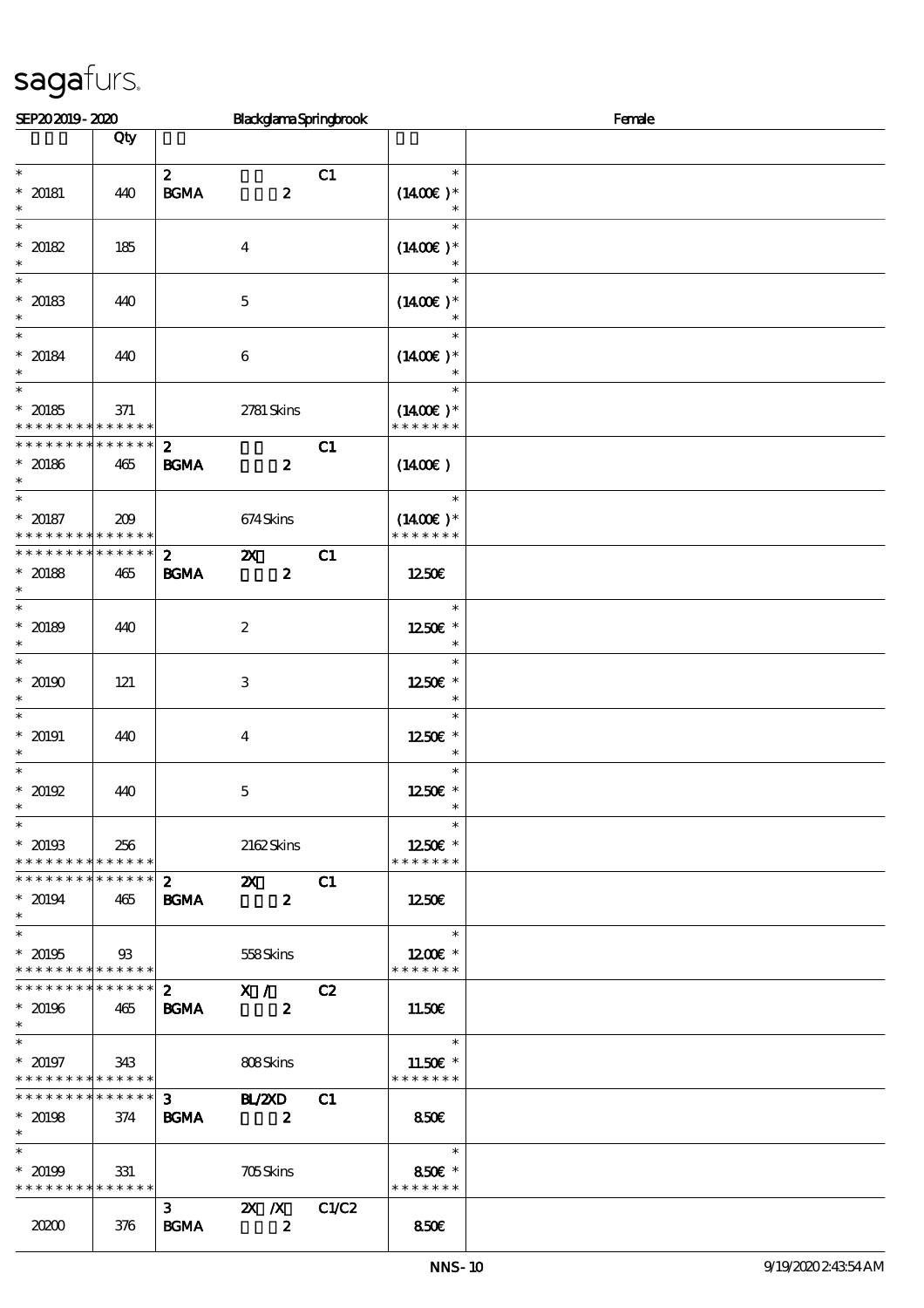| SEP202019-2020                                               |                |                                 | BlackglamaSpringbrook                         |       |                                        | Female |
|--------------------------------------------------------------|----------------|---------------------------------|-----------------------------------------------|-------|----------------------------------------|--------|
|                                                              | Qty            |                                 |                                               |       |                                        |        |
|                                                              |                |                                 |                                               |       |                                        |        |
| $\ast$<br>$* 20181$                                          | 440            | $\boldsymbol{2}$<br><b>BGMA</b> | $\boldsymbol{z}$                              | C1    | $\ast$<br>$(1400E)*$                   |        |
| $\ast$<br>$\ast$                                             |                |                                 |                                               |       | $\ast$                                 |        |
| $* 20182$<br>$\ast$                                          | 185            |                                 | $\boldsymbol{4}$                              |       | $(1400E)*$                             |        |
| $\ast$                                                       |                |                                 |                                               |       | $\ast$                                 |        |
| $* 20183$<br>$\ast$                                          | 440            |                                 | $\mathbf 5$                                   |       | $(1400E)*$<br>$\ast$                   |        |
| $\ast$                                                       |                |                                 |                                               |       | $\ast$                                 |        |
| $* 20184$<br>$\ast$                                          | 440            |                                 | $\boldsymbol{6}$                              |       | $(1400E)*$<br>$\ast$                   |        |
| $\ast$                                                       |                |                                 |                                               |       | $\ast$                                 |        |
| $* 20185$<br>* * * * * * * * * * * * * *                     | 371            |                                 | 2781 Skins                                    |       | $(1400E)*$<br>* * * * * * *            |        |
| * * * * * * * *                                              | * * * * * *    | $\mathbf{z}$                    |                                               | C1    |                                        |        |
| $* 20186$<br>$\ast$                                          | 465            | <b>BGMA</b>                     | $\boldsymbol{z}$                              |       | $(1400\varepsilon)$                    |        |
| $\ast$                                                       |                |                                 |                                               |       | $\ast$                                 |        |
| $* 20187$<br>* * * * * * * * <mark>* * * * * *</mark>        | 209            |                                 | 674Skins                                      |       | $(1400E)^*$<br>* * * * * * *           |        |
| * * * * * * * * * * * * * *                                  |                | $\boldsymbol{z}$                | $\boldsymbol{\mathsf{Z}}$                     | C1    |                                        |        |
| $* 20188$<br>$\ast$                                          | 465            | <b>BGMA</b>                     | $\boldsymbol{z}$                              |       | 1250E                                  |        |
| $\overline{\phantom{0}}$                                     |                |                                 |                                               |       | $\ast$                                 |        |
| $* 20189$<br>$\ast$                                          | 440            |                                 | $\boldsymbol{2}$                              |       | 1250E *<br>$\ast$                      |        |
| $\ast$                                                       |                |                                 |                                               |       | $\ast$                                 |        |
| $*20190$                                                     | 121            |                                 | $\,3$                                         |       | 1250€ *                                |        |
| $\ast$<br>$\ast$                                             |                |                                 |                                               |       | $\ast$<br>$\ast$                       |        |
| $* 20191$                                                    | 440            |                                 | $\boldsymbol{4}$                              |       | 1250E *                                |        |
| $\ast$                                                       |                |                                 |                                               |       | $\ast$                                 |        |
| $\ast$                                                       |                |                                 |                                               |       | $\ast$                                 |        |
| $*20192$<br>$\ast$                                           | 440            |                                 | $\mathbf 5$                                   |       | 1250E *<br>$\ast$                      |        |
| $\ast$                                                       |                |                                 |                                               |       | $\ast$                                 |        |
| $* 20193$<br>* * * * * * * * * * * * * *                     | 256            |                                 | 2162Skins                                     |       | $1250$ £ *<br>* * * * * * *            |        |
| * * * * * * * * * * * * * * *                                |                | $\mathbf{2}$                    | $\boldsymbol{\mathsf{X}}$                     | C1    |                                        |        |
| $* 20194$<br>$\ast$                                          | 465            | <b>BGMA</b>                     | $\boldsymbol{z}$                              |       | 1250                                   |        |
| $\ast$                                                       |                |                                 |                                               |       | $\overline{\phantom{a}}$               |        |
| $* 20195$                                                    | $\mathfrak{B}$ |                                 | 558Skins                                      |       | $1200E$ *                              |        |
| * * * * * * * * * * * * * *<br>* * * * * * * * * * * * * * * |                |                                 |                                               |       | * * * * * * *                          |        |
| $* 20196$                                                    | 465            | $\mathbf{2}$<br><b>BGMA</b>     | $\overline{\mathbf{x}}$ /<br>$\boldsymbol{z}$ | C2    | 11.50E                                 |        |
| $\ast$                                                       |                |                                 |                                               |       |                                        |        |
| $\ast$<br>$* 20197$                                          |                |                                 |                                               |       | $\ast$                                 |        |
| * * * * * * * * * * * * * *                                  | 343            |                                 | 808Skins                                      |       | 11.50 $\varepsilon$ *<br>* * * * * * * |        |
| * * * * * * * * * * * * * * *                                |                |                                 | $\overline{3}$ BL/2XD                         | C1    |                                        |        |
| $* 20198$<br>$\ast$                                          | 374            | <b>BGMA</b>                     | $\overline{\mathbf{2}}$                       |       | <b>850€</b>                            |        |
| $\ast$                                                       |                |                                 |                                               |       | $\ast$                                 |        |
| $* 20199$                                                    | 331            |                                 | <b>705Skins</b>                               |       | 850€ *                                 |        |
| * * * * * * * * * * * * * * *                                |                |                                 |                                               |       | * * * * * * *                          |        |
| 20200                                                        | 376            | $3^{\circ}$<br><b>BGMA</b>      | $\mathbf{X}$ $\mathbf{X}$<br>$\boldsymbol{z}$ | C1/C2 | 850E                                   |        |
|                                                              |                |                                 |                                               |       |                                        |        |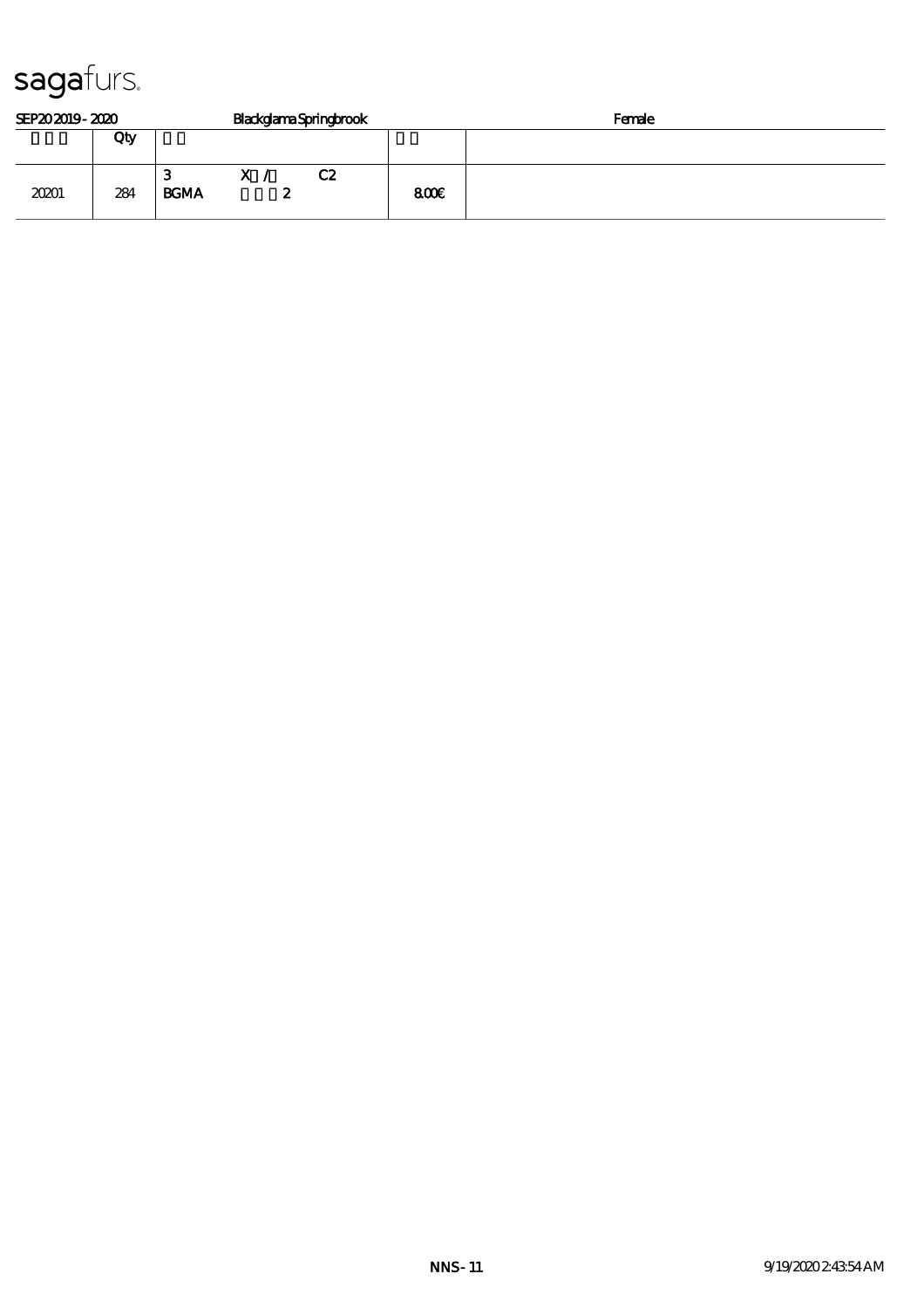| SEP202019-2020 |     |                  |              | <b>BlackglamaSpringbrook</b> | Female |  |  |
|----------------|-----|------------------|--------------|------------------------------|--------|--|--|
|                | Qty |                  |              |                              |        |  |  |
| 20201          | 284 | З<br><b>BGMA</b> | $\mathbf{x}$ | C2<br>-                      | 800    |  |  |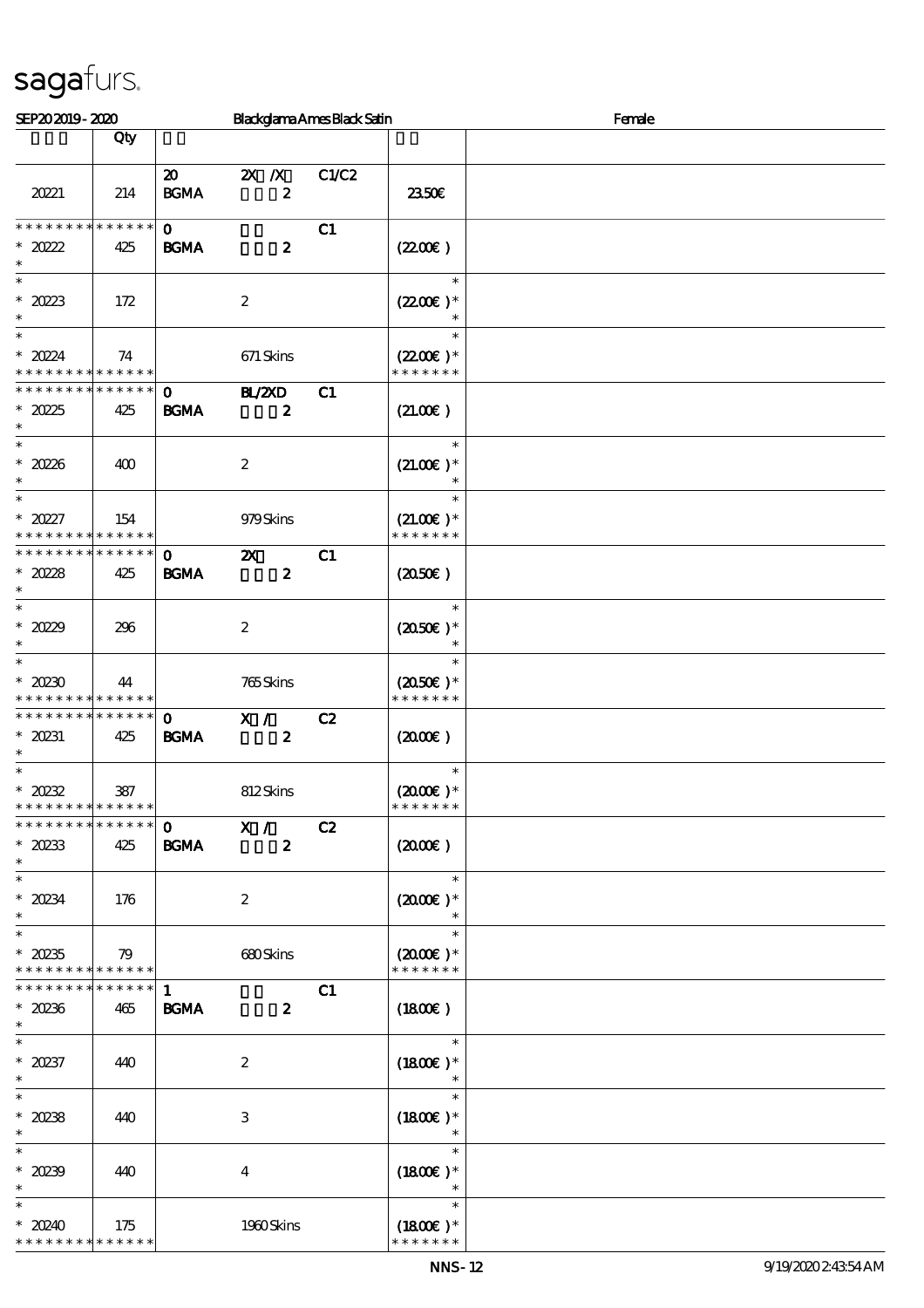| SEP202019-2020                                                              |                    |                                            |                           |                  | Blackglama Ames Black Satin |                                                 | Female |  |  |
|-----------------------------------------------------------------------------|--------------------|--------------------------------------------|---------------------------|------------------|-----------------------------|-------------------------------------------------|--------|--|--|
|                                                                             | Qty                |                                            |                           |                  |                             |                                                 |        |  |  |
| 20221                                                                       | 214                | $\boldsymbol{\mathfrak{D}}$<br><b>BGMA</b> | $X \, X$                  | $\boldsymbol{z}$ | C1/C2                       | 2350E                                           |        |  |  |
| * * * * * * * *<br>$*20222$<br>$\ast$                                       | * * * * * *<br>425 | $\mathbf{O}$<br><b>BGMA</b>                |                           | $\boldsymbol{z}$ | C1                          | (220E)                                          |        |  |  |
| $\ast$<br>* $2023$<br>$\ast$                                                | 172                |                                            | $\boldsymbol{2}$          |                  |                             | $\ast$<br>$(2200)$ *<br>$\ast$                  |        |  |  |
| $\ast$<br>$* 2024$<br>* * * * * * * * * * * * * *                           | 74                 |                                            | 671 Skins                 |                  |                             | $\ast$<br>$(2200)$ *<br>* * * * * * *           |        |  |  |
| * * * * * * * * <mark>* * * * * *</mark><br>$*2025$<br>$\ast$               | 425                | $\mathbf{O}$<br><b>BGMA</b>                | BL/ZXD                    | $\boldsymbol{z}$ | C1                          | (21.00)                                         |        |  |  |
| $\ast$<br>$*20236$<br>$\ast$                                                | 400                |                                            | $\boldsymbol{2}$          |                  |                             | $\ast$<br>$(21.00)$ *                           |        |  |  |
| $\overline{\ast}$<br>$*20227$<br>* * * * * * * * <mark>* * * * * *</mark>   | 154                |                                            | 979Skins                  |                  |                             | $\ast$<br>$(21.00)$ *<br>* * * * * * *          |        |  |  |
| * * * * * * * *<br>$*2028$<br>$\ast$                                        | * * * * * *<br>425 | $\mathbf 0$<br><b>BGMA</b>                 | $\boldsymbol{\mathsf{Z}}$ | $\boldsymbol{z}$ | C1                          | (2050)                                          |        |  |  |
| $\overline{\phantom{0}}$<br>* $2029$<br>$\ast$                              | 296                |                                            | $\boldsymbol{2}$          |                  |                             | $\ast$<br>$(2050\epsilon)*$<br>$\ast$           |        |  |  |
| $\overline{\ast}$<br>$*20230$<br>* * * * * * * * <mark>* * * * * *</mark> * | 44                 |                                            | 765Skins                  |                  |                             | $\ast$<br>$(2050\text{E})*$<br>* * * * * * *    |        |  |  |
| * * * * * * * *<br>$* 20231$<br>$\ast$                                      | * * * * * *<br>425 | $\mathbf{O}$<br><b>BGMA</b>                | X /                       | $\boldsymbol{z}$ | C2                          | $(2000\varepsilon)$                             |        |  |  |
| $\ast$<br>$*20232$<br>* * * * * * * * <mark>* * * * * *</mark>              | 387                |                                            | 812Skins                  |                  |                             | $\ast$<br>$(2000\varepsilon)*$<br>* * * * * * * |        |  |  |
| * * * * * * * * * * * * * * *<br>$*20233$<br>$\ast$                         | 425                | $\mathbf 0$<br><b>BGMA</b>                 | X /                       | $\boldsymbol{z}$ | C2                          | (2000)                                          |        |  |  |
| $\overline{\phantom{0}}$<br>$*20234$<br>$\ast$                              | 176                |                                            | $\boldsymbol{z}$          |                  |                             | $\ast$<br>$(2000\varepsilon)*$<br>$\ast$        |        |  |  |
| $\overline{\ast}$<br>$^\ast$ 20235<br>* * * * * * * * * * * * * *           | 79                 |                                            | 680Skins                  |                  |                             | $\ast$<br>$(2000)$ *<br>* * * * * * *           |        |  |  |
| * * * * * * * * * * * * * *<br>$*20236$<br>$\ast$                           | 465                | $\mathbf{1}$<br><b>BGMA</b>                |                           | $\boldsymbol{z}$ | C1                          | (1800)                                          |        |  |  |
| $\ast$<br>$*20237$<br>$\ast$                                                | 440                |                                            | $\boldsymbol{2}$          |                  |                             | $\ast$<br>$(1800E)*$<br>$\ast$                  |        |  |  |
| $\ast$<br>$*20238$<br>$\ast$                                                | 440                |                                            | 3                         |                  |                             | $\ast$<br>$(1800)$ *                            |        |  |  |
| $\ast$<br>$*20239$<br>$\ast$                                                | 440                |                                            | $\overline{4}$            |                  |                             | $\ast$<br>$(1800E)*$                            |        |  |  |
| $*20240$<br>* * * * * * * *                                                 | 175<br>* * * * * * |                                            | 1980Skins                 |                  |                             | $\ast$<br>$(1800)$ *<br>* * * * * * *           |        |  |  |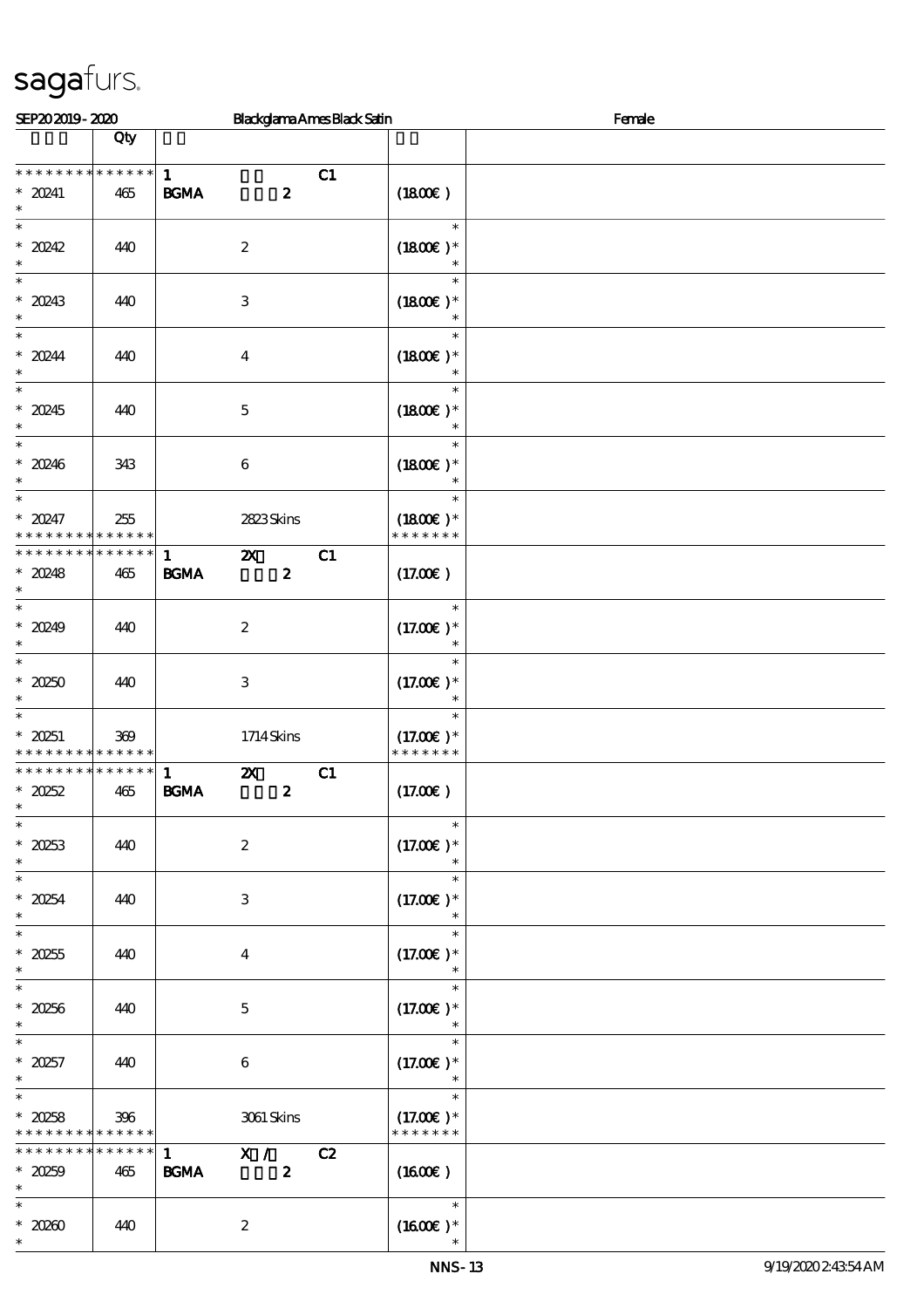| SEP202019-2020                                     |                    |                                   |                                               | <b>Blackglama Ames Black Satin</b> |                                        | Female |
|----------------------------------------------------|--------------------|-----------------------------------|-----------------------------------------------|------------------------------------|----------------------------------------|--------|
|                                                    | Qty                |                                   |                                               |                                    |                                        |        |
| * * * * * * * * * * * * * *<br>$* 20241$<br>$\ast$ | 465                | $\mathbf{1}$<br>BGMA              | $\boldsymbol{z}$                              | C1                                 | (1800)                                 |        |
| $\ast$<br>$* 20242$<br>$\ast$                      | 440                |                                   | $\boldsymbol{2}$                              |                                    | $\ast$<br>$(1800)$ *                   |        |
| $\overline{\phantom{0}}$<br>$* 20243$<br>$\ast$    | 440                |                                   | $\ensuremath{\mathsf{3}}$                     |                                    | $\ast$<br>$(1800E)*$<br>$\ast$         |        |
| $\ast$<br>$* 20244$<br>$\ast$                      | 440                |                                   | $\boldsymbol{4}$                              |                                    | $\ast$<br>$(1800)$ *<br>$\ast$         |        |
| $\ast$<br>$* 20245$<br>$\ast$                      | 440                |                                   | $\mathbf 5$                                   |                                    | $\ast$<br>$(1800E)*$<br>$\ast$         |        |
| $\ast$<br>$*20246$<br>$\ast$                       | 343                |                                   | $\,6\,$                                       |                                    | $\ast$<br>$(1800)$ *<br>$\ast$         |        |
| $\ast$<br>$*20247$<br>* * * * * * * *              | 255<br>* * * * * * |                                   | 2823Skins                                     |                                    | $\ast$<br>$(1800)$ *<br>* * * * * * *  |        |
| * * * * * * * *<br>$*20248$<br>$\ast$              | * * * * * *<br>465 | $\mathbf{1}$<br><b>BGMA</b>       | $\boldsymbol{\mathsf{X}}$<br>$\boldsymbol{z}$ | C1                                 | (17.00)                                |        |
| $\overline{\phantom{0}}$<br>$* 20249$<br>$\ast$    | 440                |                                   | $\boldsymbol{2}$                              |                                    | $\ast$<br>$(17.00)$ *<br>$\ast$        |        |
| $\ast$<br>$*20250$<br>$\ast$                       | 440                |                                   | $\,3$                                         |                                    | $\ast$<br>$(17.00)$ *<br>$\ast$        |        |
| $\ast$<br>$* 20251$<br>* * * * * * * * * * * * * * | 369                |                                   | 1714Skins                                     |                                    | $\ast$<br>$(17.00)$ *<br>* * * * * * * |        |
| * * * * * * * * * * * * * *<br>$*20252$<br>$\ast$  | 465                | $\mathbf{1}$<br>$\mathbf{B G MA}$ | $\boldsymbol{\mathsf{z}}$<br>$\boldsymbol{z}$ | C1                                 | (17.00)                                |        |
| $\overline{\phantom{0}}$<br>$*20253$<br>$\ast$     | 440                |                                   | $\boldsymbol{2}$                              |                                    | $\ast$<br>$(17.00)$ *                  |        |
| $\ast$<br>$*20254$<br>$\ast$                       | 440                |                                   | $\ensuremath{\mathbf{3}}$                     |                                    | $\ast$<br>$(17.00)$ *                  |        |
| $\overline{\ast}$<br>$*20255$<br>$\ast$            | 440                |                                   | $\boldsymbol{4}$                              |                                    | $\ast$<br>$(17.00)$ *                  |        |
| $\overline{\ast}$<br>$*20256$<br>$\ast$            | 440                |                                   | $\mathbf 5$                                   |                                    | $\ast$<br>$(17.00)$ *<br>$\ast$        |        |
| $\ast$<br>$* 20257$<br>$\ast$                      | 440                |                                   | $\boldsymbol{6}$                              |                                    | $\ast$<br>$(17.00)$ *<br>$\ast$        |        |
| $\ast$<br>$*20258$<br>* * * * * * * *              | 396<br>* * * * * * |                                   | 3061 Skins                                    |                                    | $\ast$<br>$(17.00)$ *<br>* * * * * * * |        |
| * * * * * * * *<br>$*20259$<br>$\ast$              | $******$<br>465    | $\mathbf{1}$<br><b>BGMA</b>       | $\mathbf{X}$ /<br>$\boldsymbol{z}$            | C2                                 | (1600E)                                |        |
| $\ast$<br>$\,^*$ 20260<br>$\ast$                   | 440                |                                   | $\boldsymbol{2}$                              |                                    | $\ast$<br>$(1600\text{E})*$            |        |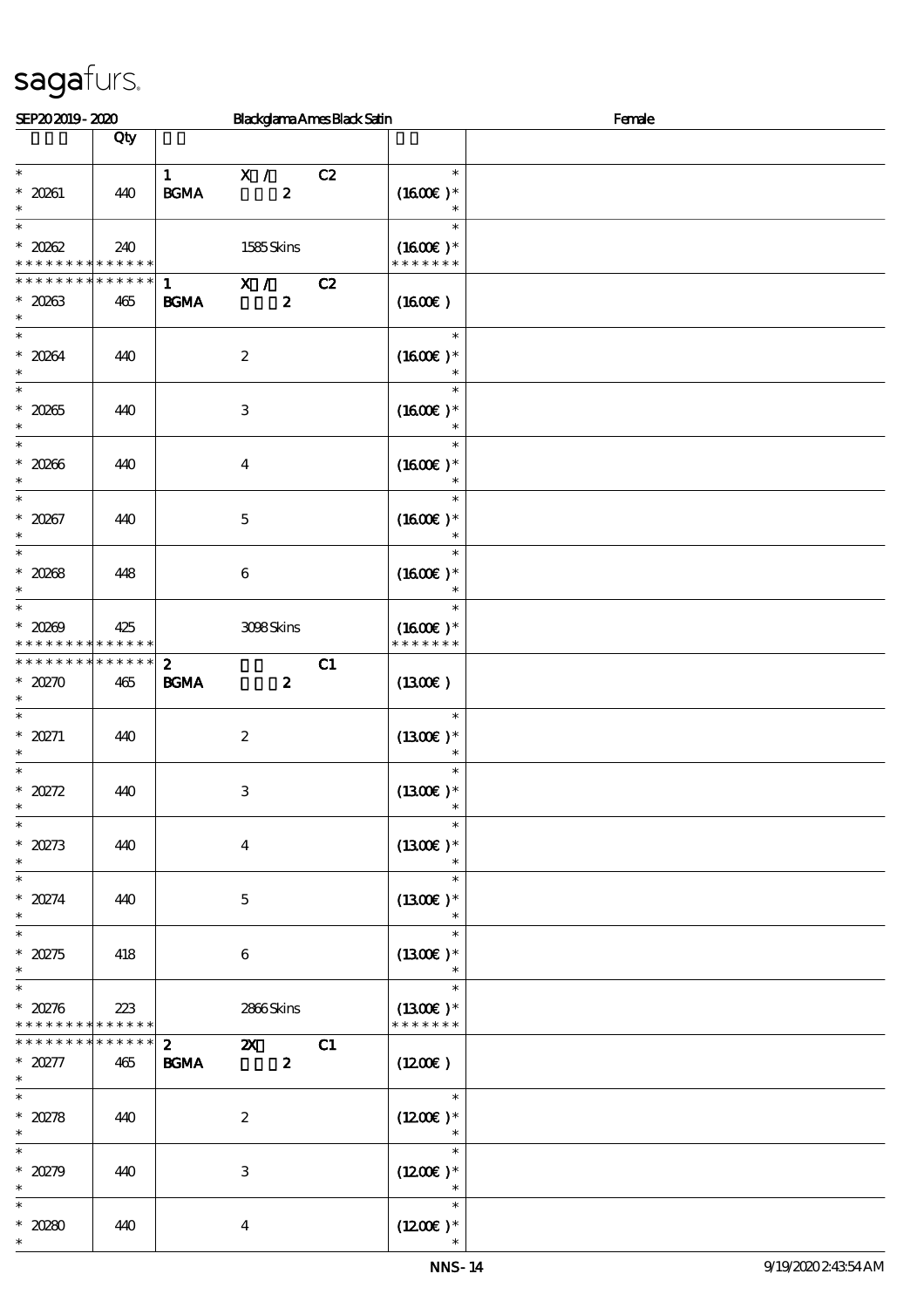| SEP202019-2020                                    |                                   | <b>Blackglama Ames Black Satin</b>                                           |                                       | Female |
|---------------------------------------------------|-----------------------------------|------------------------------------------------------------------------------|---------------------------------------|--------|
|                                                   | Qty                               |                                                                              |                                       |        |
| $\ast$<br>$\hspace{0.1cm}^*$ 20261                | 440                               | $\mathbf{1}$<br>X /<br>$\boldsymbol{z}$<br>$\mathbf{B G MA}$                 | C2<br>$\ast$<br>$(1600E)*$            |        |
| $\ast$<br>$\ast$                                  |                                   |                                                                              | $\ast$                                |        |
| $*20002$<br>* * * * * * * * * * * * * *           | 240                               | 1585Skins                                                                    | $(1600E)*$<br>* * * * * * *           |        |
| * * * *<br>$* 20263$<br>$\ast$                    | * * * * * *<br>465                | X /<br>$\mathbf{1}$<br>$\boldsymbol{z}$<br>$\mathbf{B G MA}$                 | C2<br>$(1600\varepsilon)$             |        |
| $\overline{\ast}$<br>$* 20264$<br>$\ast$          | 440                               | $\boldsymbol{2}$                                                             | $\ast$<br>$(1600E)*$<br>$\ast$        |        |
| $\ast$<br>$* 20265$<br>$\ast$                     | 440                               | $\,3$                                                                        | $\ast$<br>$(1600E)*$<br>$\ast$        |        |
| $\ast$<br>$*20266$<br>$\ast$                      | 440                               | $\boldsymbol{4}$                                                             | $\ast$<br>$(1600)$ *<br>$\ast$        |        |
| $\overline{\ast}$<br>$* 20267$<br>$\ast$          | 440                               | $\mathbf 5$                                                                  | $\ast$<br>$(1600E)*$                  |        |
| $\ast$<br>$* 20088$<br>$\ast$                     | 448                               | $\bf 6$                                                                      | $\ast$<br>$(1600E)*$                  |        |
| $\overline{\ast}$<br>$* 20009$<br>* * * * * * * * | 425<br>* * * * * *                | 308Skins                                                                     | $\ast$<br>$(1600E)*$<br>* * * * * * * |        |
| * * * * * * * * * * * * * *<br>$*20270$<br>$\ast$ | 465                               | $\mathbf{z}$<br>$\mathbf{B G MA}$<br>$\boldsymbol{z}$                        | C1<br>(1300)                          |        |
| $\ast$<br>$* 20271$<br>$\ast$                     | 440                               | $\boldsymbol{2}$                                                             | $\ast$<br>$(1300E)*$<br>$\ast$        |        |
| $\ast$<br>$*20272$<br>$\ast$                      | 440                               | $\,3$                                                                        | $\ast$<br>$(1300E)*$                  |        |
| $\overline{\ast}$<br>$*20273$<br>$\ast$           | 440                               | $\boldsymbol{4}$                                                             | $\ast$<br>$(1300E)*$                  |        |
| $\ast$<br>$*20274$<br>$\ast$                      | 440                               | $\mathbf 5$                                                                  | $\ast$<br>$(1300)$ *                  |        |
| $\overline{\phantom{a}^*}$<br>$*20275$<br>$\ast$  | 418                               | $\bf 6$                                                                      | $\ast$<br>$(1300)$ *<br>$\ast$        |        |
| $\overline{\ast}$<br>$*20276$<br>* * * * * * * *  | 223<br>$\ast\ast\ast\ast\ast\ast$ | 2866Skins                                                                    | $\ast$<br>$(1300E)*$<br>* * * * * * * |        |
| * * * * * * * *<br>$*20277$<br>$\ast$             | * * * * * *<br>465                | $\mathbf{2}$<br>$\boldsymbol{\mathsf{Z}}$<br><b>BGMA</b><br>$\boldsymbol{z}$ | C1<br>(1200E)                         |        |
| $\ast$<br>$*20278$<br>$\ast$                      | 440                               | $\boldsymbol{2}$                                                             | $\ast$<br>$(1200E)*$<br>$\ast$        |        |
| $\overline{\ast}$<br>$*20279$<br>$\ast$           | 440                               | $\ensuremath{\mathbf{3}}$                                                    | $\ast$<br>$(1200E)*$                  |        |
| $\ast$<br>$*20280$<br>$\ast$                      | 440                               | $\boldsymbol{4}$                                                             | $\ast$<br>$(1200E)*$                  |        |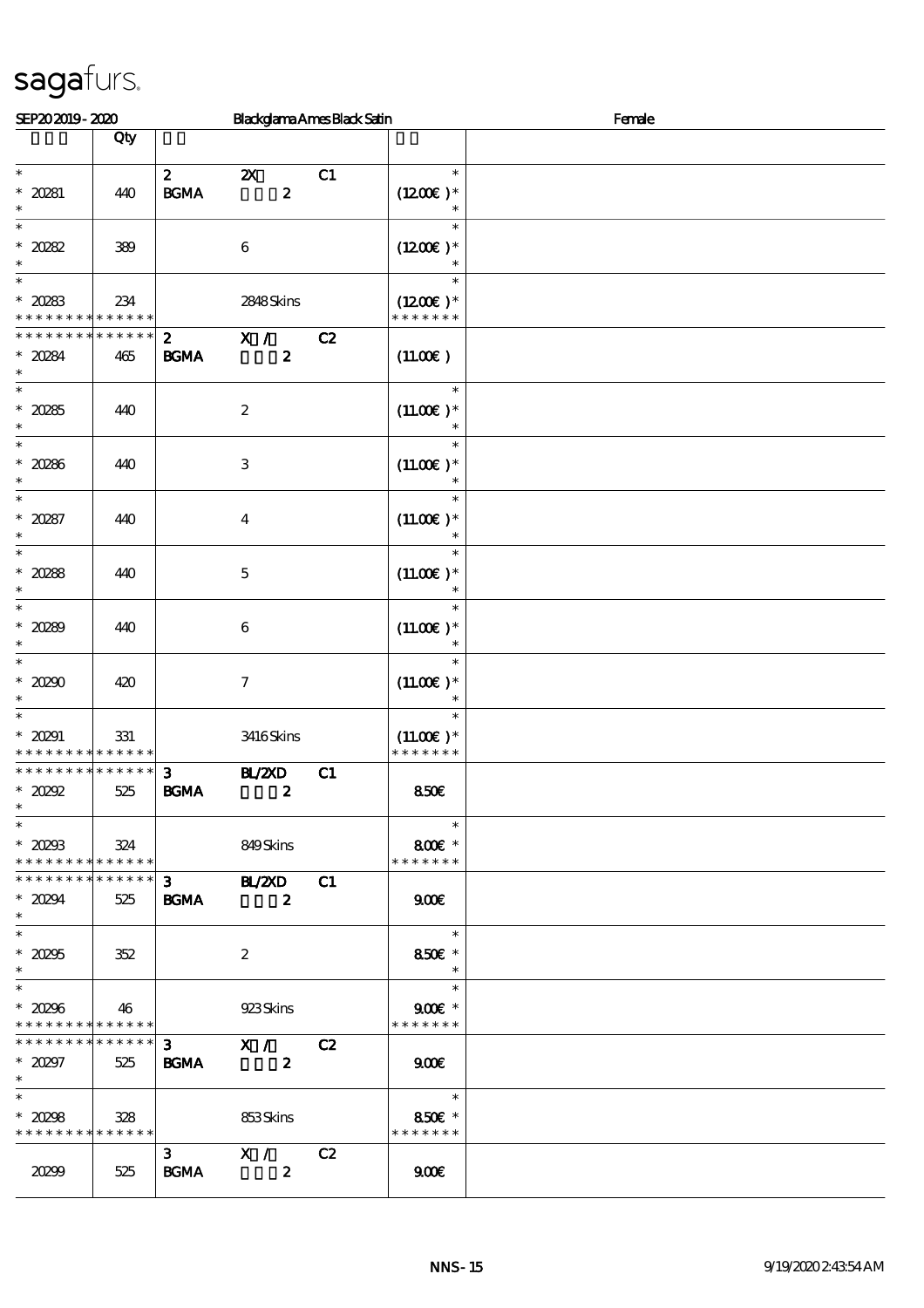| SEP202019-2020                                               |             |                   |                                                     | <b>Blackglama Ames Black Satin</b> |                              | Female |
|--------------------------------------------------------------|-------------|-------------------|-----------------------------------------------------|------------------------------------|------------------------------|--------|
|                                                              | Qty         |                   |                                                     |                                    |                              |        |
| $\ast$                                                       |             | $\boldsymbol{z}$  | $\boldsymbol{\mathsf{X}}$                           | C1                                 | $\ast$                       |        |
| $* 20281$                                                    | 440         | <b>BGMA</b>       | $\boldsymbol{z}$                                    |                                    | $(1200E)*$                   |        |
| $\ast$                                                       |             |                   |                                                     |                                    |                              |        |
| $\ast$<br>$*20282$                                           | 389         |                   | $\boldsymbol{6}$                                    |                                    | $\ast$<br>$(1200E)*$         |        |
| $\ast$                                                       |             |                   |                                                     |                                    |                              |        |
| $\ast$                                                       |             |                   |                                                     |                                    | $\ast$                       |        |
| $*20283$<br>* * * * * * * * * * * * * *                      | 234         |                   | 2848Skins                                           |                                    | $(1200E)*$<br>* * * * * * *  |        |
| * * * * * * * *                                              | * * * * * * | $\mathbf{2}$      | X /                                                 | C2                                 |                              |        |
| $* 20284$                                                    | 465         | $\mathbf{B G MA}$ | $\boldsymbol{z}$                                    |                                    | (11.00)                      |        |
| $\ast$<br>$\ast$                                             |             |                   |                                                     |                                    | $\ast$                       |        |
| $* 20285$                                                    | 440         |                   | $\boldsymbol{2}$                                    |                                    | $(11.00)$ *                  |        |
| $\ast$                                                       |             |                   |                                                     |                                    | $\ast$                       |        |
| $\ast$<br>$* 20286$                                          | 440         |                   | $\mathbf{3}$                                        |                                    | $\ast$<br>$(11.00E)*$        |        |
| $\ast$                                                       |             |                   |                                                     |                                    | $\ast$                       |        |
| $\ast$                                                       |             |                   |                                                     |                                    | $\ast$                       |        |
| $* 20287$<br>$\ast$                                          | 440         |                   | $\boldsymbol{4}$                                    |                                    | $(11.00)$ *                  |        |
| $\ast$                                                       |             |                   |                                                     |                                    | $\ast$                       |        |
| $*20288$                                                     | 440         |                   | $\mathbf{5}$                                        |                                    | $(11.00)$ *                  |        |
| $\ast$<br>$\ast$                                             |             |                   |                                                     |                                    | $\ast$                       |        |
| $* 20289$                                                    | 440         |                   | $\boldsymbol{6}$                                    |                                    | $(11.00)$ *                  |        |
| $\ast$                                                       |             |                   |                                                     |                                    | $\ast$                       |        |
| $\ast$                                                       |             |                   |                                                     |                                    | $\ast$                       |        |
| $*20290$<br>$\ast$                                           | 420         |                   | $\boldsymbol{7}$                                    |                                    | $(11.00)$ *<br>$\ast$        |        |
| $\ast$                                                       |             |                   |                                                     |                                    | $\ast$                       |        |
| $* 20291$<br>* * * * * * * * <mark>* * * * * * *</mark>      | 331         |                   | 3416Skins                                           |                                    | $(11.00)$ *<br>* * * * * * * |        |
| * * * * * * * * * * * * * *                                  |             | 3                 | BZCD                                                | C1                                 |                              |        |
| $*20292$                                                     | 525         | $\mathbf{B G MA}$ | $\boldsymbol{z}$                                    |                                    | 850E                         |        |
| $\ast$<br>$\overline{\phantom{a}^*}$                         |             |                   |                                                     |                                    | $\ast$                       |        |
| $* 20293$                                                    | 324         |                   | 849Skins                                            |                                    | 800€ *                       |        |
| * * * * * * * * * * * * * *                                  |             |                   |                                                     |                                    | * * * * * * *                |        |
| ******** <mark>*******</mark>                                |             | $3^{\circ}$       | $B \times 20$                                       | C1                                 |                              |        |
| $* 20294$<br>$\ast$                                          | 525         | <b>BGMA</b>       | $\overline{\mathbf{z}}$                             |                                    | 900                          |        |
| $\ast$                                                       |             |                   |                                                     |                                    | $\ast$                       |        |
| $^\ast$ 20295<br>$\ast$                                      | 352         |                   | $\boldsymbol{2}$                                    |                                    | 850€ *<br>$\ast$             |        |
| $\overline{\phantom{0}}$                                     |             |                   |                                                     |                                    | $\ast$                       |        |
| $* 20296$                                                    | 46          |                   | 923Skins                                            |                                    | $900E$ *                     |        |
| * * * * * * * * * * * * * *<br>* * * * * * * * * * * * * * * |             |                   |                                                     |                                    | * * * * * * *                |        |
| $* 20297$                                                    | 525         | <b>BGMA</b>       | $\overline{3}$ $\overline{X}$ /<br>$\boldsymbol{z}$ | C2                                 | 900                          |        |
| $\ast$                                                       |             |                   |                                                     |                                    |                              |        |
| $\ast$                                                       |             |                   |                                                     |                                    | an an an S<br>$\ast$         |        |
| $*20298$<br>* * * * * * * * * * * * * * *                    | 328         |                   | 853Skins                                            |                                    | 850€ *<br>* * * * * * *      |        |
|                                                              |             |                   | 3 $X / C2$                                          |                                    |                              |        |
| 20299                                                        | 525         | <b>BGMA</b>       | $\boldsymbol{z}$                                    |                                    | 900E                         |        |
|                                                              |             |                   |                                                     |                                    |                              |        |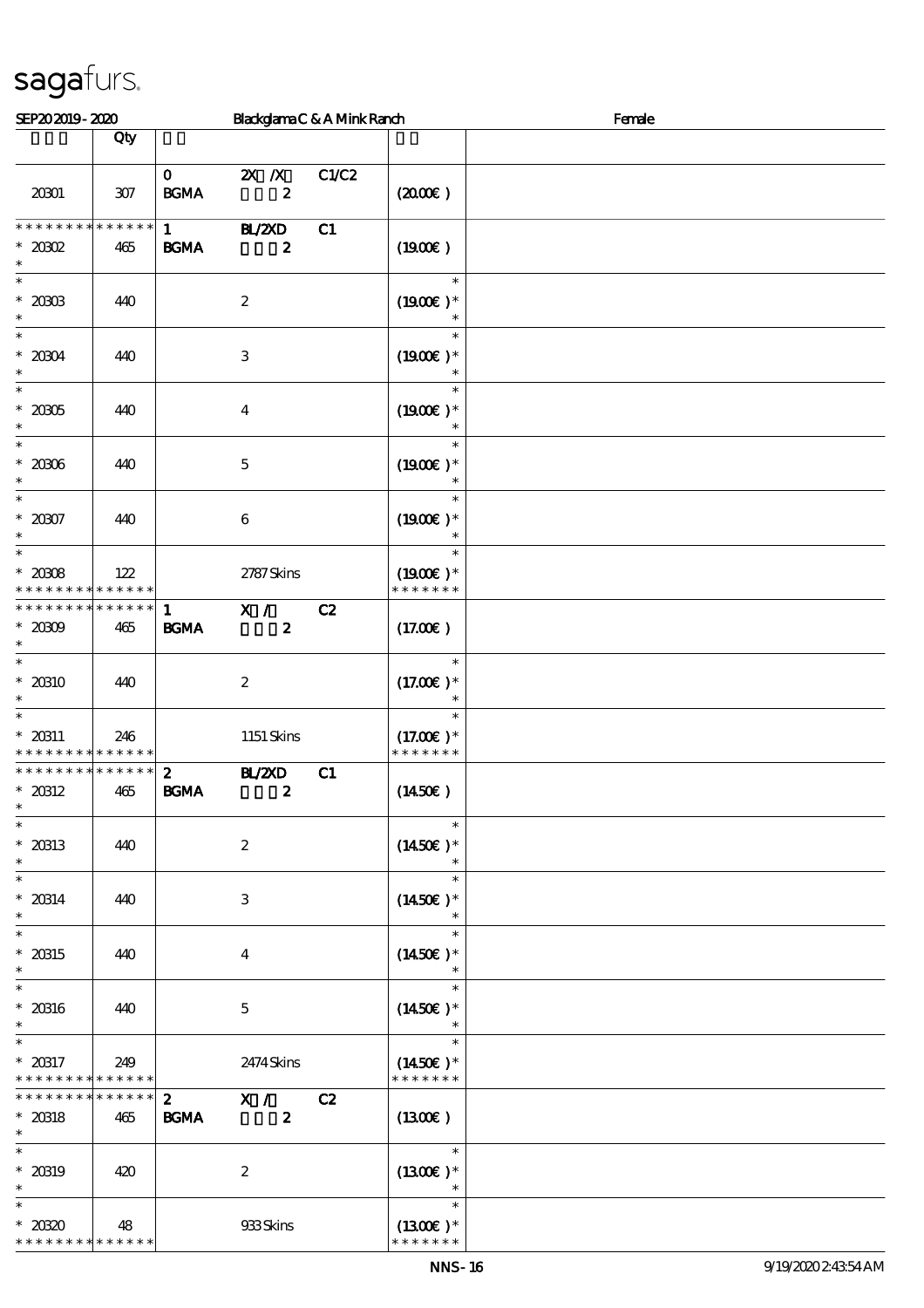| SEP202019-2020                                              |                    |                                             | BlackglamaC&AMinkRanch            |       |                                        | Female |
|-------------------------------------------------------------|--------------------|---------------------------------------------|-----------------------------------|-------|----------------------------------------|--------|
|                                                             | Qty                |                                             |                                   |       |                                        |        |
| 20001                                                       | $307$              | $\mathbf{0}$<br>$\mathbf{B G MA}$           | $X$ $X$<br>$\boldsymbol{z}$       | C1/C2 | $(2000\varepsilon)$                    |        |
| * * * * * * * *<br>$*20002$<br>$\ast$                       | $******$<br>465    | $1 \quad \blacksquare$<br>$\mathbf{B G MA}$ | <b>BL/2XD</b><br>$\boldsymbol{z}$ | C1    | (1900E)                                |        |
| $\ast$<br>$^\ast$ 2003<br>$\ast$                            | 440                |                                             | $\boldsymbol{2}$                  |       | $\ast$<br>$(1900E)*$<br>$\ast$         |        |
| $\ast$<br>$*20004$<br>$\ast$<br>$\ast$                      | 440                |                                             | $\,3$                             |       | $\ast$<br>$(1900E)*$<br>$\ast$         |        |
| $^\ast$ 20005<br>$\ast$                                     | 440                |                                             | $\boldsymbol{4}$                  |       | $\ast$<br>$(1900E)*$<br>$\ast$         |        |
| $\ast$<br>$*20006$<br>$\ast$                                | 440                |                                             | $\mathbf 5$                       |       | $\ast$<br>$(1900E)*$<br>$\ast$         |        |
| $\ast$<br>$* 20007$<br>$\ast$                               | 440                |                                             | $\boldsymbol{6}$                  |       | $\ast$<br>$(1900E)*$                   |        |
| $\overline{\phantom{0}}$<br>$*20008$<br>* * * * * * * *     | 122<br>* * * * * * |                                             | 2787Skins                         |       | $\ast$<br>$(1900E)*$<br>* * * * * * *  |        |
| * * * * * * * *<br>$*2000$<br>$\ast$                        | $******$<br>465    | $\mathbf{1}$<br><b>BGMA</b>                 | X /<br>$\boldsymbol{z}$           | C2    | (17.00)                                |        |
| $\ast$<br>$*$ 20310 $\,$<br>$\ast$                          | 440                |                                             | $\boldsymbol{2}$                  |       | $\ast$<br>$(17.00)$ *<br>$\ast$        |        |
| $\ast$<br>$* 20311$<br>* * * * * * * *                      | 246<br>* * * * * * |                                             | $1151$ Skins                      |       | $\ast$<br>$(17.00)$ *<br>* * * * * * * |        |
| * * * * * * * *<br>$*$ 20312<br>$\ast$<br>$\overline{\ast}$ | * * * * * *<br>465 | $\boldsymbol{z}$<br><b>BGMA</b>             | <b>H_/2XD</b><br>$\boldsymbol{z}$ | C1    | $(1450\varepsilon)$                    |        |
| $*20313$<br>$\ast$                                          | 440                |                                             | $\boldsymbol{2}$                  |       | $\ast$<br>$(1450E)^*$                  |        |
| $\ast$<br>$* 20314$<br>$\ast$                               | 440                |                                             | 3                                 |       | $\ast$<br>$(1450\text{E})*$<br>$\ast$  |        |
| $\ast$<br>$* 20315$<br>$\ast$                               | 440                |                                             | $\overline{\mathbf{4}}$           |       | $\ast$<br>$(1450E)*$<br>$\ast$         |        |
| $\ast$<br>$*$ 20316<br>$\ast$                               | 440                |                                             | $\mathbf{5}$                      |       | $\ast$<br>$(1450E)*$                   |        |
| $\ast$<br>$* 20317$<br>* * * * * * * *                      | 249<br>* * * * * * |                                             | 2474 Skins                        |       | $\ast$<br>$(1450E)*$<br>* * * * * * *  |        |
| * * * * * * * *<br>$*$ 20318<br>$\ast$                      | $******$<br>465    | $\mathbf{2}$<br><b>BGMA</b>                 | X /<br>$\boldsymbol{2}$           | C2    | $(1300\varepsilon)$                    |        |
| $\ast$<br>$* 20319$<br>$\ast$                               | 420                |                                             | $\boldsymbol{2}$                  |       | $\ast$<br>$(1300E)*$                   |        |
| $\ast$<br>$*2030$<br>* * * * * * * * * * * * * *            | 48                 |                                             | 933Skins                          |       | $\ast$<br>$(1300E)*$<br>* * * * * * *  |        |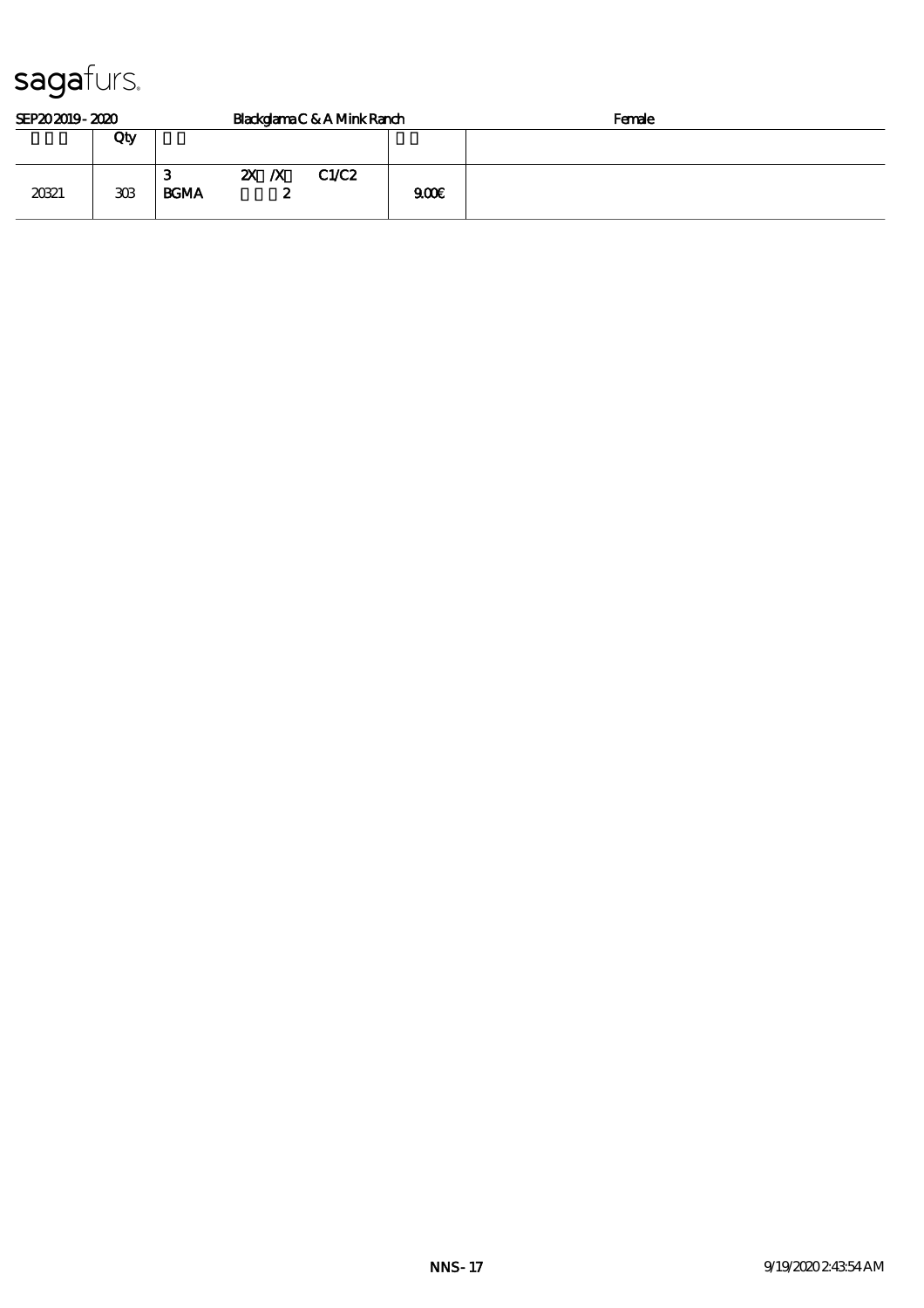| SEP202019-2020 |     |                  |                           |    | Blackglama C & A Mink Ranch |      | Female |
|----------------|-----|------------------|---------------------------|----|-----------------------------|------|--------|
|                | Qty |                  |                           |    |                             |      |        |
| 20321          | 308 | З<br><b>BGMA</b> | $\mathbf{X}$ $\mathbf{X}$ | s. | C1/C2                       | 900E |        |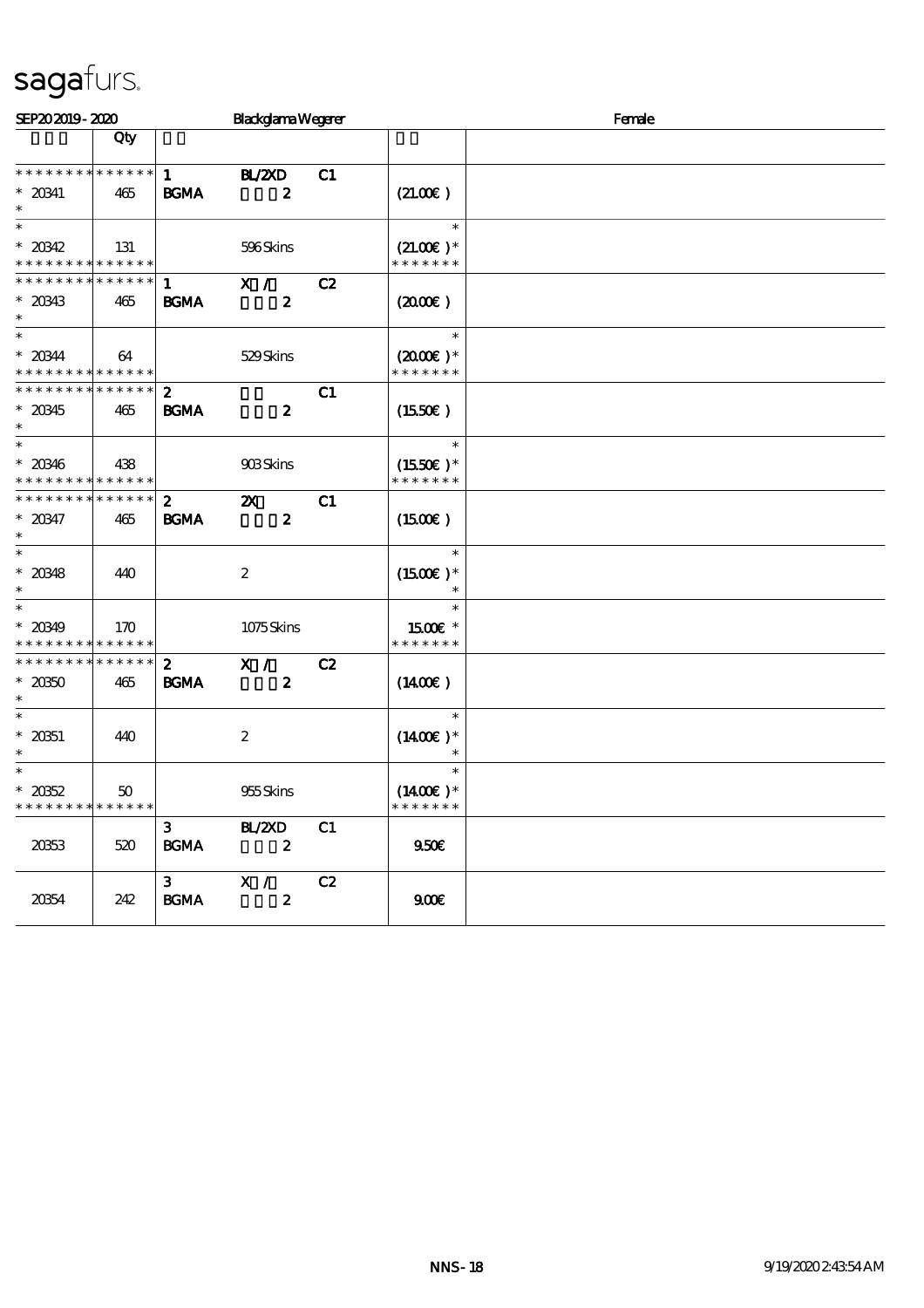| SEP202019-2020                                                    |     |                                 | <b>Blackglama Wegerer</b>                     |    |                                                  | Female |  |  |  |
|-------------------------------------------------------------------|-----|---------------------------------|-----------------------------------------------|----|--------------------------------------------------|--------|--|--|--|
|                                                                   | Qty |                                 |                                               |    |                                                  |        |  |  |  |
| * * * * * * * * * * * * * *<br>$* 20341$<br>$\ast$                | 465 | $\mathbf{1}$<br><b>BGMA</b>     | <b>HAZYD</b><br>$\boldsymbol{z}$              | C1 | (21.00)                                          |        |  |  |  |
| $\ast$<br>$* 20342$<br>* * * * * * * * <mark>* * * * * * *</mark> | 131 |                                 | 596Skins                                      |    | $\ast$<br>$(21.00)$ *<br>* * * * * * *           |        |  |  |  |
| * * * * * * * * * * * * * * *<br>$* 20343$<br>$\ast$              | 465 | -1<br><b>BGMA</b>               | X /<br>$\boldsymbol{z}$                       | C2 | (200E)                                           |        |  |  |  |
| $\ast$<br>$* 20344$<br>* * * * * * * * * * * * * *                | 64  |                                 | 529Skins                                      |    | $\ast$<br>$(2000\varepsilon)*$<br>* * * * * * *  |        |  |  |  |
| * * * * * * * * * * * * * * *<br>$* 20345$<br>$\ast$              | 465 | $\mathbf{2}$<br><b>BGMA</b>     | $\boldsymbol{z}$                              | C1 | $(1550\epsilon)$                                 |        |  |  |  |
| $\ast$<br>$* 20346$<br>* * * * * * * * <mark>* * * * * *</mark> * | 438 |                                 | 908Skins                                      |    | $\ast$<br>$(1550E)*$<br>* * * * * * *            |        |  |  |  |
| * * * * * * * * * * * * * *<br>$* 20347$<br>$\ast$                | 465 | $\mathbf{z}$<br><b>BGMA</b>     | $\boldsymbol{\mathsf{z}}$<br>$\boldsymbol{z}$ | C1 | $(1500\varepsilon)$                              |        |  |  |  |
| $\ast$<br>$* 20348$<br>$\ast$                                     | 440 |                                 | $\boldsymbol{2}$                              |    | $\ast$<br>$(1500E)*$<br>$\ast$                   |        |  |  |  |
| $\ast$<br>$* 20349$<br>* * * * * * * * * * * * * *                | 170 |                                 | 1075Skins                                     |    | $\ast$<br>1500E *<br>* * * * * * *               |        |  |  |  |
| * * * * * * * * * * * * * *<br>$* 20350$<br>$\ast$                | 465 | $\boldsymbol{2}$<br><b>BGMA</b> | X /<br>$\boldsymbol{z}$                       | C2 | $(1400\varepsilon)$                              |        |  |  |  |
| $\ast$<br>$* 2051$<br>$\ast$                                      | 440 |                                 | $\boldsymbol{z}$                              |    | $\ast$<br>$(1400E)*$<br>$\ast$                   |        |  |  |  |
| $\ast$<br>$* 2052$<br>* * * * * * * * * * * * * *                 | 50  |                                 | 955Skins                                      |    | $\ast$<br>$(1400\varepsilon)^*$<br>* * * * * * * |        |  |  |  |
| 2063                                                              | 520 | 3 <sup>7</sup><br><b>BGMA</b>   | BL/2XD<br>$\boldsymbol{z}$                    | C1 | 950E                                             |        |  |  |  |
| 20354                                                             | 242 | $3^{\circ}$<br><b>BGMA</b>      | X /<br>$\boldsymbol{z}$                       | C2 | 900E                                             |        |  |  |  |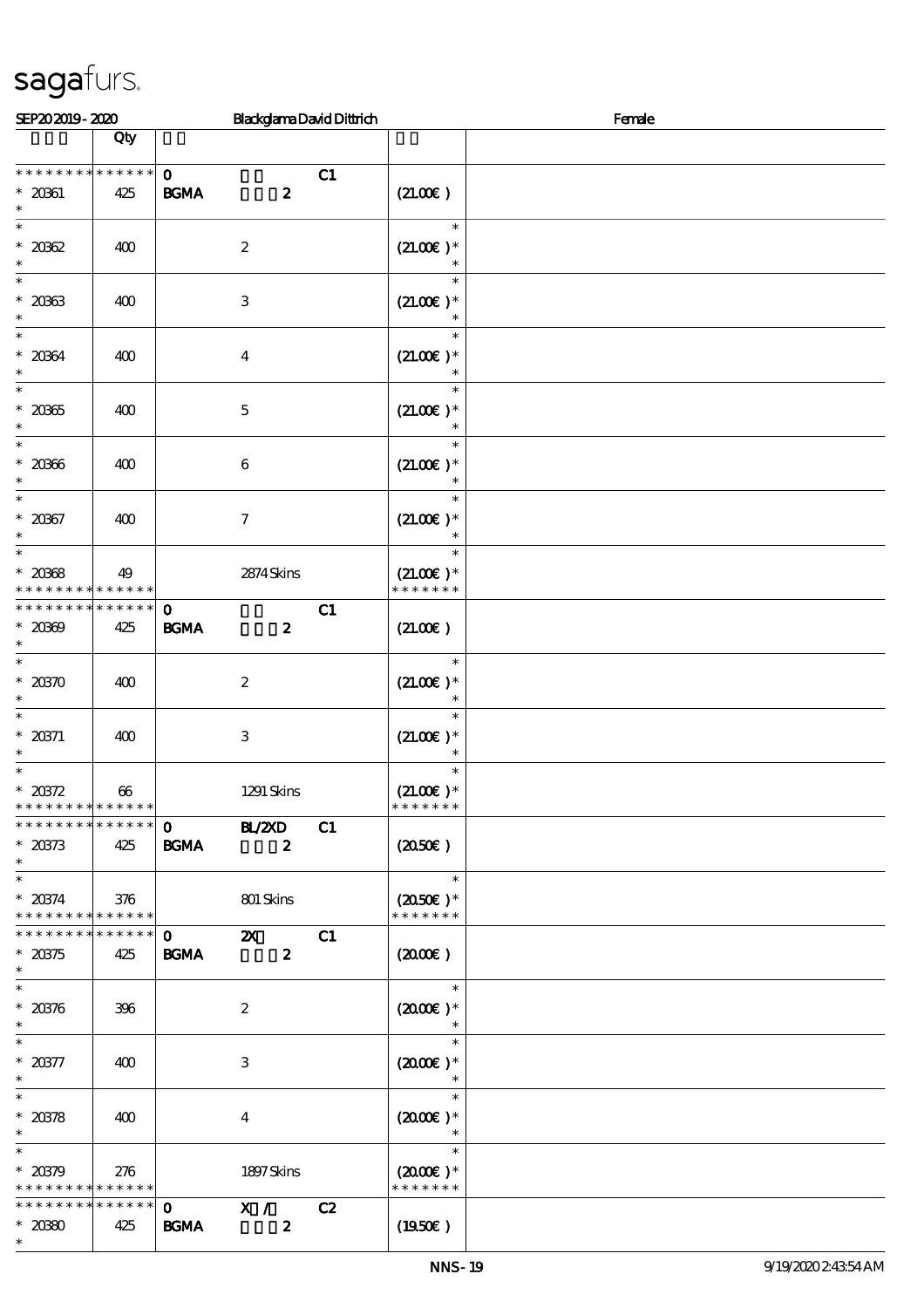| SEP202019-2020                                                        |                    |                                                                              | <b>BlackglamaDavidDittrich</b> |                                                         | Female |
|-----------------------------------------------------------------------|--------------------|------------------------------------------------------------------------------|--------------------------------|---------------------------------------------------------|--------|
|                                                                       | Qty                |                                                                              |                                |                                                         |        |
| * * * * * * * *<br>$* 20361$<br>$\ast$                                | * * * * * *<br>425 | $\mathbf{o}$<br>$\mathbf{B G MA}$<br>$\boldsymbol{z}$                        | C1                             | (21.00)                                                 |        |
| $* 20002$<br>$\ast$                                                   | 400                | $\boldsymbol{2}$                                                             |                                | $\ast$<br>$(21.00)$ *                                   |        |
| $\ast$<br>$* 20033$<br>$\ast$                                         | 400                | $\,3\,$                                                                      |                                | $\ast$<br>$(21.00)$ *                                   |        |
| $\ast$<br>$* 20064$<br>$\ast$                                         | 400                | $\boldsymbol{4}$                                                             |                                | $\ast$<br>$(21.00)$ *                                   |        |
| $\ast$<br>$^\ast$ 20365<br>$\ast$                                     | 400                | $\mathbf 5$                                                                  |                                | $\ast$<br>$(21.00)$ *<br>$\ast$                         |        |
| $\ast$<br>$* 20006$<br>$\ast$                                         | 400                | 6                                                                            |                                | $\ast$<br>$(21.00)$ *                                   |        |
| $\ast$<br>$* 20367$<br>$\ast$                                         | 400                | $\boldsymbol{7}$                                                             |                                | $\ast$<br>$(21.00)$ *                                   |        |
| $\ast$<br>$* 20008$<br>* * * * * * * * * * * * * *                    | 49                 | 2874 Skins                                                                   |                                | $\ast$<br>$(21.00)$ *<br>* * * * * * *                  |        |
| * * * * * * * *<br>$* 2000$<br>$\ast$                                 | * * * * * *<br>425 | $\mathbf{o}$<br>$\mathbf{B G MA}$<br>$\boldsymbol{z}$                        | C1                             | (21.00)                                                 |        |
| $\ast$<br>$* 20370$<br>$\ast$                                         | 400                | $\boldsymbol{2}$                                                             |                                | $\ast$<br>$(21.00)$ *<br>$\ast$                         |        |
| $\ast$<br>$* 20371$<br>$\ast$                                         | 400                | 3                                                                            |                                | $\ast$<br>$(21.00)$ *<br>$\ast$                         |        |
| $\ast$<br>$* 20372$<br>* * * * * * * * <mark>* * * * * *</mark>       | 66                 | 1291 Skins                                                                   |                                | $\ast$<br>$(21.00)$ *<br>* * * * * * *                  |        |
| * * * * * * * * * * * * * * *<br>$* 20373$<br>$\ast$<br>$_{\ast}^{-}$ | 425                | <b>HL/2XD</b><br>$\mathbf{O}$<br><b>BGMA</b><br>$\boldsymbol{z}$             | C1                             | (2050E)                                                 |        |
| $* 20374$<br>* * * * * * * * * * * * * * *                            | 376                | 801 Skins                                                                    |                                | $\overline{\phantom{a}}$<br>$(2050)$ *<br>* * * * * * * |        |
| * * * * * * * * * * * * * * *<br>$* 20375$<br>$\ast$                  | 425                | $\mathbf{O}$<br>$\boldsymbol{\mathsf{Z}}$<br><b>BGMA</b><br>$\boldsymbol{z}$ | C1                             | $(2000\varepsilon)$                                     |        |
| $\ast$<br>$* 20376$<br>$\ast$                                         | 396                | $\boldsymbol{2}$                                                             |                                | $\ast$<br>$(2000\varepsilon)*$<br>$\ast$                |        |
| $\ast$<br>$^\ast$ 20377<br>$\ast$                                     | 400                | 3                                                                            |                                | $\ast$<br>$(2000\varepsilon)*$<br>$\ast$                |        |
| $\ast$<br>$* 20378$<br>$\ast$<br>$\ast$                               | 400                | $\bf{4}$                                                                     |                                | $\ast$<br>$(2000)$ *                                    |        |
| $* 20379$<br>* * * * * * * * * * * * * *                              | 276                | 1897Skins                                                                    |                                | $\ast$<br>$(2000\varepsilon)*$<br>* * * * * * *         |        |
| * * * * * * * *<br>$* 2080$<br>$\ast$                                 | * * * * * *<br>425 | X /<br>$\mathbf{O}$<br><b>BGMA</b><br>$\boldsymbol{z}$                       | C2                             | $(1950\epsilon)$                                        |        |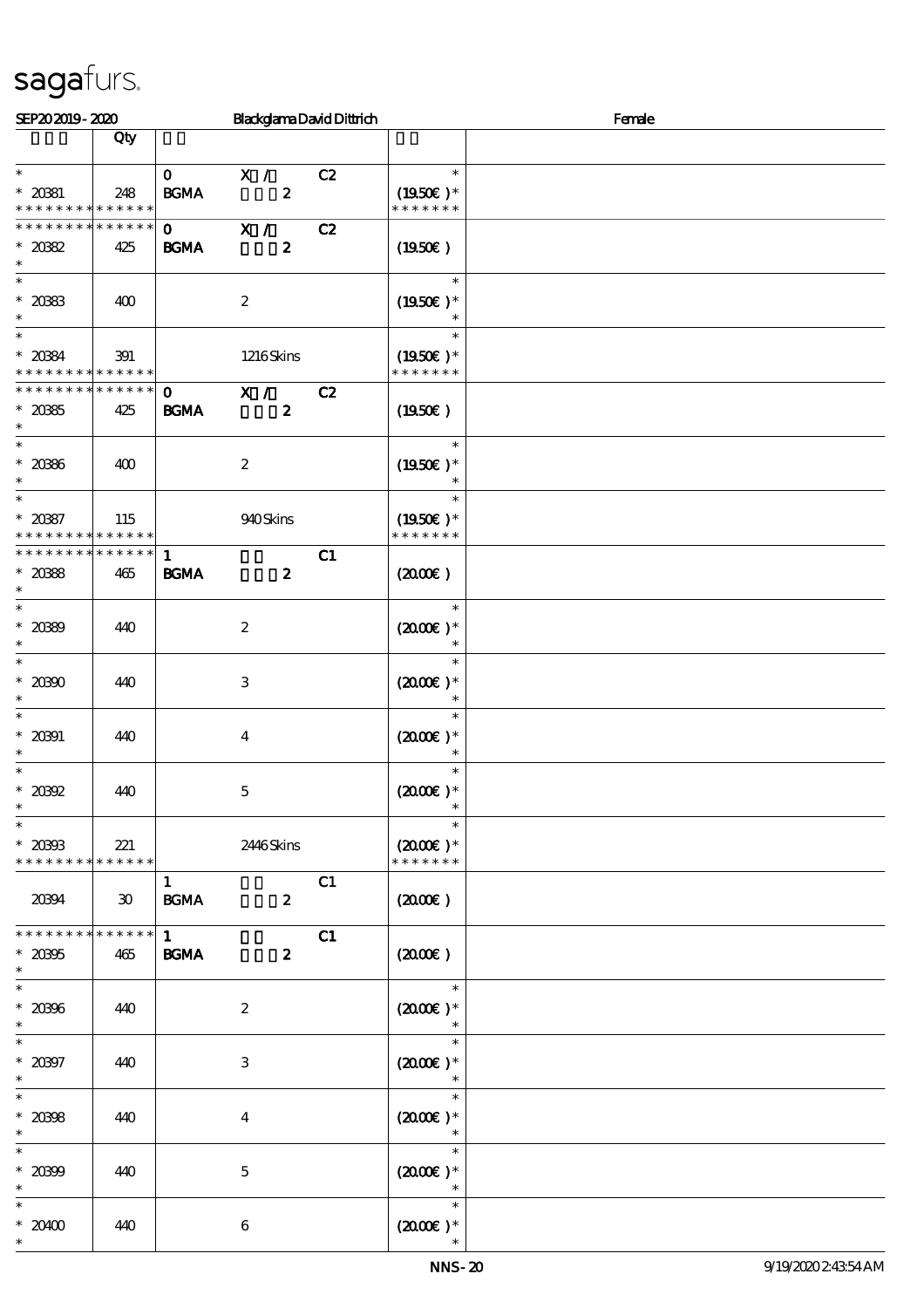| SEP202019-2020                           |                             |                                            | <b>BlackglamaDavidDittrich</b> |    | Female                         |  |  |  |  |
|------------------------------------------|-----------------------------|--------------------------------------------|--------------------------------|----|--------------------------------|--|--|--|--|
|                                          | Qty                         |                                            |                                |    |                                |  |  |  |  |
| $\ast$                                   |                             |                                            |                                |    | $\ast$                         |  |  |  |  |
| $* 20381$                                |                             | $\mathbf{O}$                               | X /<br>$\boldsymbol{z}$        | C2 | $(1950E)*$                     |  |  |  |  |
| * * * * * * * * * * * * * *              | 248                         | $\mathbf{B}\mathbf{G}\mathbf{M}\mathbf{A}$ |                                |    | * * * * * * *                  |  |  |  |  |
| * * * * * * *                            | * * * * * *                 | $\mathbf{O}$ and $\mathbf{O}$              | X /                            | C2 |                                |  |  |  |  |
| $*2082$                                  | 425                         | <b>BGMA</b>                                | $\boldsymbol{z}$               |    | (1950E)                        |  |  |  |  |
| $\ast$                                   |                             |                                            |                                |    |                                |  |  |  |  |
| $\ast$                                   |                             |                                            |                                |    | $\ast$                         |  |  |  |  |
| $^\ast$ 2083                             | 400                         |                                            | $\boldsymbol{2}$               |    | $(1950)$ *                     |  |  |  |  |
| $\ast$<br>$\overline{\ast}$              |                             |                                            |                                |    | $\ast$<br>$\ast$               |  |  |  |  |
| $* 2084$                                 | 391                         |                                            | 1216Skins                      |    | $(1950)$ *                     |  |  |  |  |
| * * * * * * * * * * * * * *              |                             |                                            |                                |    | * * * * * * *                  |  |  |  |  |
| * * * * * * * * * * * * * * *            |                             | $\mathbf{O}$                               | X /                            | C2 |                                |  |  |  |  |
| $^\ast$ 2085                             | 425                         | <b>BGMA</b>                                | $\boldsymbol{z}$               |    | (1950E)                        |  |  |  |  |
| $\ast$                                   |                             |                                            |                                |    |                                |  |  |  |  |
| $\ast$                                   |                             |                                            |                                |    | $\ast$                         |  |  |  |  |
| $^\ast$ 2086<br>$\ast$                   | 400                         |                                            | $\boldsymbol{2}$               |    | $(1950)$ *<br>$\ast$           |  |  |  |  |
| $\ast$                                   |                             |                                            |                                |    | $\ast$                         |  |  |  |  |
| $* 2087$                                 | 115                         |                                            | 940Skins                       |    | $(1950\text{E})*$              |  |  |  |  |
| * * * * * * * * <mark>* * * * * *</mark> |                             |                                            |                                |    | * * * * * * *                  |  |  |  |  |
| * * * * * * * * * * * * * *              |                             | $\mathbf{1}$                               |                                | C1 |                                |  |  |  |  |
| $* 2088$                                 | 465                         | <b>BGMA</b>                                | $\boldsymbol{z}$               |    | $(2000\varepsilon)$            |  |  |  |  |
| $\ast$                                   |                             |                                            |                                |    |                                |  |  |  |  |
| $\ast$                                   |                             |                                            |                                |    | $\ast$                         |  |  |  |  |
| $* 2089$<br>$\ast$                       | 440                         |                                            | $\boldsymbol{2}$               |    | $(2000\varepsilon)*$<br>$\ast$ |  |  |  |  |
| $\ast$                                   |                             |                                            |                                |    | $\ast$                         |  |  |  |  |
| $* 20300$                                | 440                         |                                            | $\,3$                          |    | $(2000\varepsilon)*$           |  |  |  |  |
| $\ast$                                   |                             |                                            |                                |    | $\ast$                         |  |  |  |  |
| $\ast$                                   |                             |                                            |                                |    | $\ast$                         |  |  |  |  |
| $* 20001$                                | 440                         |                                            | $\boldsymbol{4}$               |    | $(2000\text{E})$ *             |  |  |  |  |
| $\ast$<br>$\ast$                         |                             |                                            |                                |    | $\ast$<br>$\ast$               |  |  |  |  |
| $*20992$                                 | 440                         |                                            | $\mathbf 5$                    |    | $(2000\varepsilon)*$           |  |  |  |  |
| $\ast$                                   |                             |                                            |                                |    | $\ast$                         |  |  |  |  |
| $\ast$                                   |                             |                                            |                                |    | $\ast$                         |  |  |  |  |
| $^\ast$ 20393                            | 221                         |                                            | 2446Skins                      |    | $(2000)$ *                     |  |  |  |  |
| * * * * * * * * * * * * * *              |                             |                                            |                                |    | * * * * * * *                  |  |  |  |  |
|                                          |                             | $\mathbf{1}$                               |                                | C1 |                                |  |  |  |  |
| 20394                                    | $\boldsymbol{\mathfrak{D}}$ | $\mathbf{B G MA}$                          | $\boldsymbol{z}$               |    | $(2000\varepsilon)$            |  |  |  |  |
| * * * * * * * *                          | * * * * * *                 | $\mathbf{1}$                               |                                | C1 |                                |  |  |  |  |
| $* 20005$                                | 465                         | $\mathbf{B G MA}$                          | $\boldsymbol{z}$               |    | $(2000\varepsilon)$            |  |  |  |  |
| $\ast$                                   |                             |                                            |                                |    |                                |  |  |  |  |
| $\ast$                                   |                             |                                            |                                |    | $\ast$                         |  |  |  |  |
| $* 2096$                                 | 440                         |                                            | $\boldsymbol{2}$               |    | $(2000\varepsilon)*$           |  |  |  |  |
| $\ast$                                   |                             |                                            |                                |    | $\ast$                         |  |  |  |  |
| $\ast$                                   |                             |                                            |                                |    | $\ast$                         |  |  |  |  |
| $* 20007$<br>$\ast$                      | 440                         |                                            | $\,3$                          |    | $(2000\varepsilon)*$<br>$\ast$ |  |  |  |  |
| $\ast$                                   |                             |                                            |                                |    | $\ast$                         |  |  |  |  |
| $* 2098$                                 | 440                         |                                            | $\boldsymbol{4}$               |    | $(2000\varepsilon)*$           |  |  |  |  |
| $\ast$                                   |                             |                                            |                                |    | $\ast$                         |  |  |  |  |
| $\ast$                                   |                             |                                            |                                |    | $\ast$                         |  |  |  |  |
| $* 20899$                                | 440                         |                                            | $\mathbf{5}$                   |    | $(2000\varepsilon)*$           |  |  |  |  |
| $\ast$                                   |                             |                                            |                                |    |                                |  |  |  |  |
| $\ast$<br>$*20400$                       |                             |                                            |                                |    | $\ast$                         |  |  |  |  |
| $\ast$                                   | 440                         |                                            | $\boldsymbol{6}$               |    | $(2000\varepsilon)*$           |  |  |  |  |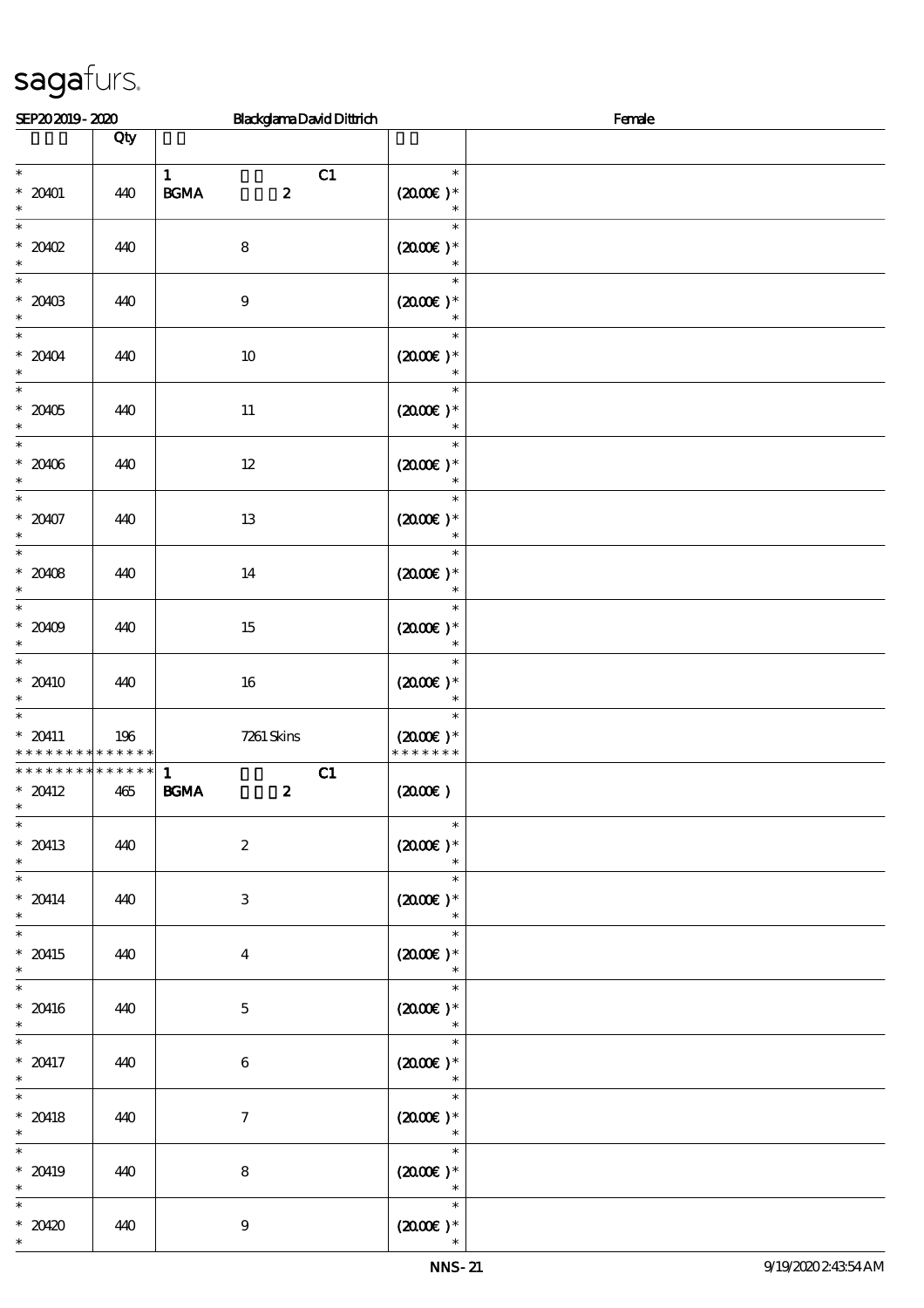| SEP202019-2020                                                     |                        | <b>BlackglamaDavidDittrich</b>                        | Female                                          |  |  |  |  |
|--------------------------------------------------------------------|------------------------|-------------------------------------------------------|-------------------------------------------------|--|--|--|--|
|                                                                    | Qty                    |                                                       |                                                 |  |  |  |  |
| $\ast$<br>$* 20001$<br>$\ast$                                      | 440                    | $\mathbf{1}$<br>C1<br><b>BGMA</b><br>$\boldsymbol{z}$ | $\ast$<br>$(2000)$ *                            |  |  |  |  |
| $\ast$<br>$*20002$<br>$\ast$                                       | 440                    | ${\bf 8}$                                             | $\ast$<br>$(2000\varepsilon)*$<br>$\ast$        |  |  |  |  |
| $\overline{\phantom{0}}$<br>$*20403$<br>$\ast$                     | 440                    | $\boldsymbol{9}$                                      | $\ast$<br>$(2000\varepsilon)*$<br>$\ast$        |  |  |  |  |
| $\overline{\ast}$<br>$* 20404$<br>$\ast$                           | 440                    | $10\,$                                                | $\ast$<br>$(2000)$ *<br>$\ast$                  |  |  |  |  |
| $\ast$<br>$^\ast$ 20405<br>$\ast$                                  | 440                    | $11\,$                                                | $\ast$<br>$(2000\varepsilon)*$<br>$\ast$        |  |  |  |  |
| $\overline{\ast}$<br>$* 20406$<br>$\ast$<br>$\overline{\ast}$      | 440                    | $12\,$                                                | $\ast$<br>$(2000\varepsilon)*$                  |  |  |  |  |
| $* 20407$<br>$\ast$                                                | 440                    | $13\,$                                                | $\ast$<br>$(2000\varepsilon)*$                  |  |  |  |  |
| $\overline{\phantom{0}}$<br>$* 20408$<br>$\ast$                    | 440                    | $14\,$                                                | $\ast$<br>$(200E)*$<br>$\ast$                   |  |  |  |  |
| $\overline{\ast}$<br>$* 20109$<br>$\ast$                           | 440                    | $15\,$                                                | $\ast$<br>$(200E)*$<br>$\ast$                   |  |  |  |  |
| $\overline{\ast}$<br>$* 20410$<br>$\ast$                           | 440                    | 16                                                    | $\ast$<br>$(2000)$ *<br>$\ast$                  |  |  |  |  |
| $\overline{\ast}$<br>$* 20411$<br>* * * * * * * * * * * * * *      | 196                    | 7261 Skins                                            | $\ast$<br>$(2000\varepsilon)*$<br>* * * * * * * |  |  |  |  |
| * * * * * * * *<br>$* 20412$<br>$\ast$<br>$\overline{\phantom{0}}$ | $* * * * * * *$<br>465 | C1<br>$\mathbf{1}$<br><b>BGMA</b><br>$\boldsymbol{z}$ | (200E)                                          |  |  |  |  |
| $* 20413$<br>$\ast$<br>$\overline{\phantom{0}}$                    | 440                    | $\boldsymbol{2}$                                      | $\ast$<br>$(2000\varepsilon)*$                  |  |  |  |  |
| $* 20414$<br>$\ast$<br>$\overline{\ast}$                           | 440                    | 3                                                     | $\ast$<br>$(200E)*$<br>$\ast$                   |  |  |  |  |
| $* 20415$<br>$\ast$<br>$\overline{\ast}$                           | 440                    | $\overline{\mathbf{4}}$                               | $\ast$<br>$(2000\varepsilon)*$<br>$\ast$        |  |  |  |  |
| $* 20416$<br>$\ast$                                                | 440                    | $\mathbf{5}$                                          | $\ast$<br>$(2000\text{E})$ *<br>$\ast$          |  |  |  |  |
| $\ast$<br>$* 20417$<br>$\ast$                                      | 440                    | $6\phantom{.}6$                                       | $\ast$<br>$(2000\varepsilon)*$<br>$\ast$        |  |  |  |  |
| $\ast$<br>$* 20418$<br>$\ast$                                      | 440                    | $\mathcal{I}$                                         | $\ast$<br>$(2000)$ *                            |  |  |  |  |
| $\ast$<br>$* 20419$<br>$\ast$                                      | 440                    | 8                                                     | $\ast$<br>$(2000E)*$<br>$\ast$                  |  |  |  |  |
| $*20420$<br>$\ast$                                                 | 440                    | $\boldsymbol{9}$                                      | $\ast$<br>$(2000\varepsilon)*$                  |  |  |  |  |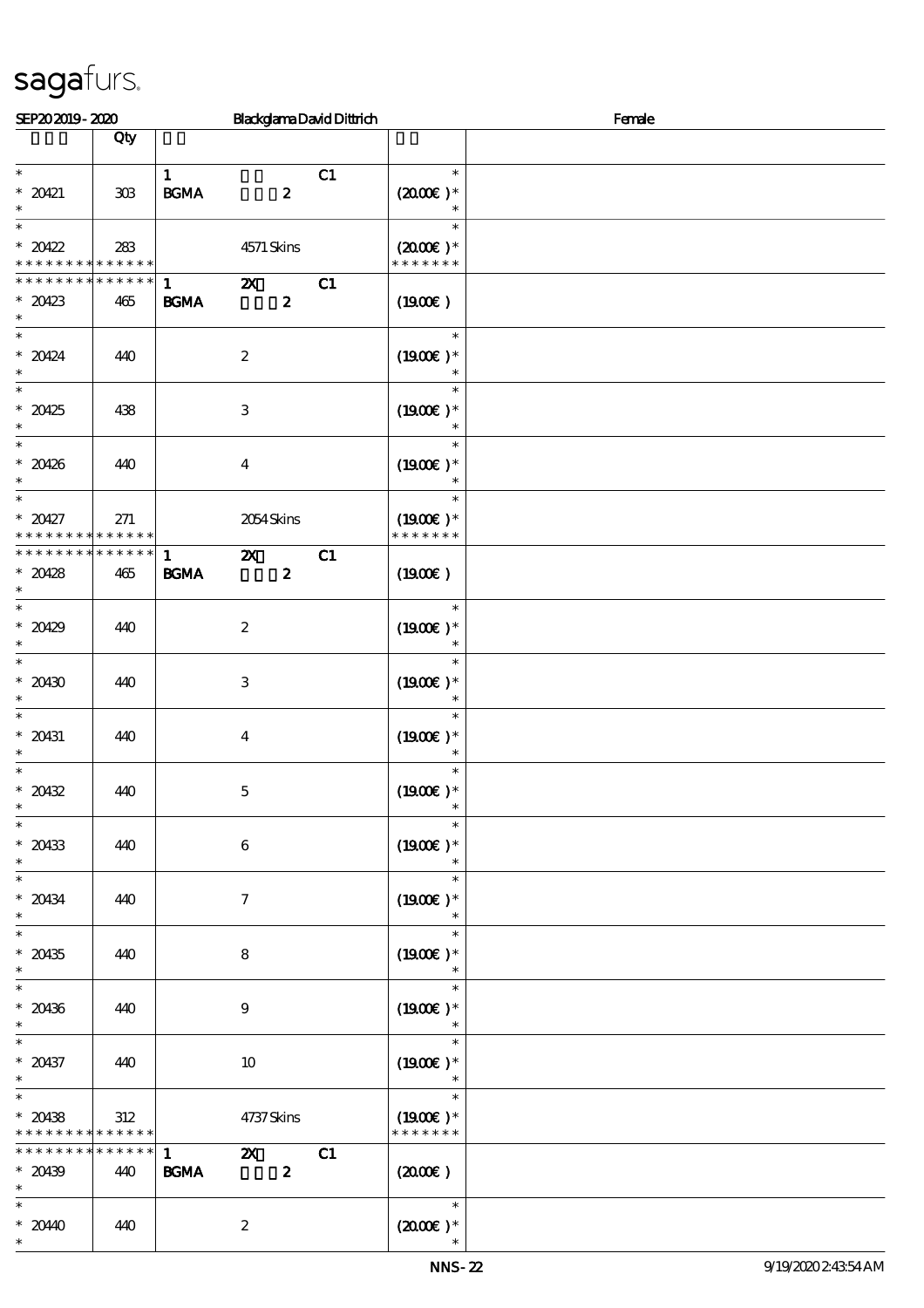| SEP202019-2020                          |                |                                            |                           | <b>BlackglamaDavidDittrich</b> | Female                      |  |  |  |
|-----------------------------------------|----------------|--------------------------------------------|---------------------------|--------------------------------|-----------------------------|--|--|--|
|                                         | Qty            |                                            |                           |                                |                             |  |  |  |
| $\ast$                                  |                | $\mathbf{1}$                               |                           | C1                             | $\ast$                      |  |  |  |
| $* 20421$<br>$\ast$                     | $30\!\!\!\;\,$ | $\mathbf{B}\mathbf{G}\mathbf{M}\mathbf{A}$ | $\boldsymbol{z}$          |                                | $(2000\text{E})$ *          |  |  |  |
| $\ast$                                  |                |                                            |                           |                                | $\ast$                      |  |  |  |
| $*20422$<br>* * * * * * * * * * * * * * | 283            |                                            | 4571 Skins                |                                | $(2000)$ *<br>* * * * * * * |  |  |  |
| * * * * * * *                           | * * * * * *    | $\mathbf{1}$                               | $\boldsymbol{\alpha}$     | C1                             |                             |  |  |  |
| $*20423$<br>$\ast$                      | 465            | <b>BGMA</b>                                | $\boldsymbol{z}$          |                                | (1900E)                     |  |  |  |
| $\overline{\phantom{0}}$<br>$* 20424$   | 440            |                                            | $\boldsymbol{2}$          |                                | $\ast$<br>$(1900E)*$        |  |  |  |
| $\ast$                                  |                |                                            |                           |                                | $\ast$                      |  |  |  |
| $\ast$                                  |                |                                            |                           |                                | $\ast$                      |  |  |  |
| $*20425$<br>$\ast$                      | 438            |                                            | $\,3$                     |                                | $(1900E)*$<br>$\ast$        |  |  |  |
| $\ast$<br>$* 20426$                     | 440            |                                            | $\boldsymbol{4}$          |                                | $\ast$<br>$(1900E)*$        |  |  |  |
| $\ast$                                  |                |                                            |                           |                                | $\ast$                      |  |  |  |
| $\overline{\ast}$<br>$*20427$           | 271            |                                            | 2054 Skins                |                                | $\ast$<br>$(1900E)^*$       |  |  |  |
| * * * * * * * *                         | * * * * * *    |                                            |                           |                                | * * * * * * *               |  |  |  |
| * * * * * * * * * * * * * *             |                | $\mathbf{1}$                               | $\boldsymbol{\mathsf{X}}$ | C1                             |                             |  |  |  |
| $*20428$<br>$\ast$                      | 465            | <b>BGMA</b>                                | $\boldsymbol{z}$          |                                | (1900E)                     |  |  |  |
| $\overline{\ast}$<br>$*20429$           | 440            |                                            | $\boldsymbol{2}$          |                                | $\ast$<br>$(1900)$ *        |  |  |  |
| $\ast$<br>$\overline{\phantom{0}}$      |                |                                            |                           |                                | $\ast$<br>$\ast$            |  |  |  |
| $* 20430$                               | 440            |                                            | $\,3$                     |                                | $(1900E)*$                  |  |  |  |
| $\ast$                                  |                |                                            |                           |                                | $\ast$                      |  |  |  |
| $\ast$<br>$* 20431$                     | 440            |                                            | $\boldsymbol{4}$          |                                | $\ast$<br>$(1900E)*$        |  |  |  |
| $\ast$                                  |                |                                            |                           |                                | $\ast$                      |  |  |  |
| $\ast$<br>$* 20432$                     | 440            |                                            | $\mathbf 5$               |                                | $\ast$<br>$(1900\epsilon)*$ |  |  |  |
| $\ast$                                  |                |                                            |                           |                                |                             |  |  |  |
| $\overline{\phantom{0}}$<br>$* 20433$   | 440            |                                            | $\bf 6$                   |                                | $\ast$<br>$(1900)$ *        |  |  |  |
| $\ast$                                  |                |                                            |                           |                                |                             |  |  |  |
| $\ast$                                  |                |                                            |                           |                                | $\ast$                      |  |  |  |
| $* 20434$<br>$\ast$                     | 440            |                                            | $\boldsymbol{7}$          |                                | $(1900E)*$                  |  |  |  |
| $\overline{\phantom{a}^*}$              |                |                                            |                           |                                | $\ast$                      |  |  |  |
| $* 20435$<br>$\ast$                     | 440            |                                            | $\bf 8$                   |                                | $(1900E)*$<br>$\ast$        |  |  |  |
| $\overline{\ast}$                       |                |                                            |                           |                                | $\ast$                      |  |  |  |
| $* 20436$<br>$\ast$                     | 440            |                                            | $\boldsymbol{9}$          |                                | $(1900E)*$<br>$\ast$        |  |  |  |
| $\ast$                                  |                |                                            |                           |                                | $\ast$                      |  |  |  |
| $* 20437$<br>$\ast$                     | 440            |                                            | 10                        |                                | $(1900E)*$<br>$\ast$        |  |  |  |
| $\ast$<br>$* 20438$                     | 312            |                                            |                           |                                | $\ast$<br>$(1900E)*$        |  |  |  |
| * * * * * * * *                         | * * * * * *    |                                            | 4737 Skins                |                                | * * * * * * *               |  |  |  |
| * * * * * * * *                         | * * * * * *    | $\mathbf{1}$                               | $\mathbf{z}$              | C1                             |                             |  |  |  |
| $* 20139$<br>$\ast$                     | 440            | <b>BGMA</b>                                | $\boldsymbol{z}$          |                                | $(2000\varepsilon)$         |  |  |  |
| $\ast$                                  |                |                                            |                           |                                | $\ast$                      |  |  |  |
| $* 2040$<br>$\ast$                      | 440            |                                            | $\boldsymbol{z}$          |                                | $(2000\varepsilon)*$        |  |  |  |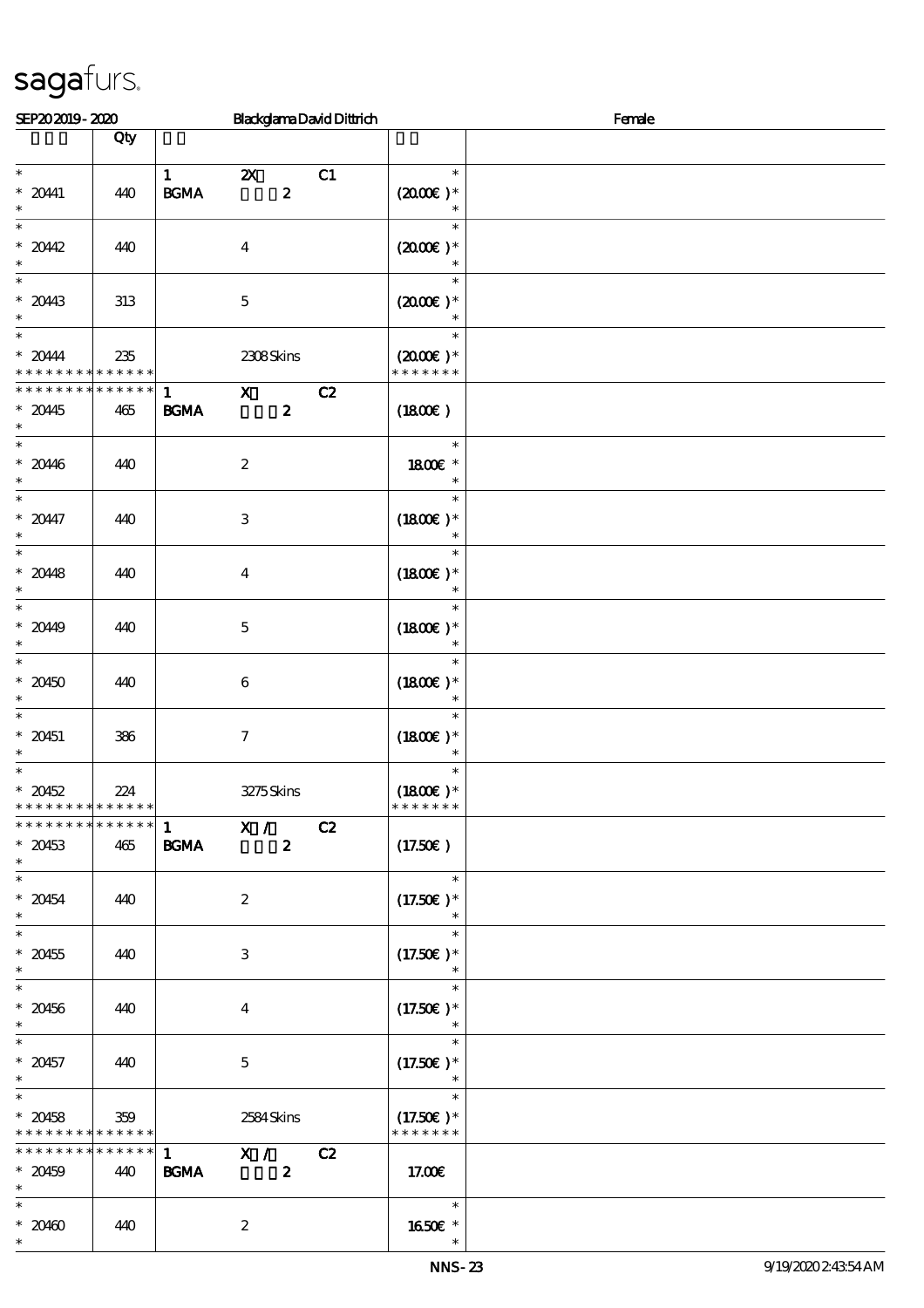| SEP202019-2020                                                  |                    |                                  |                         |                  | <b>BlackglamaDavidDittrich</b> | Female                                          |  |  |
|-----------------------------------------------------------------|--------------------|----------------------------------|-------------------------|------------------|--------------------------------|-------------------------------------------------|--|--|
|                                                                 | Qty                |                                  |                         |                  |                                |                                                 |  |  |
|                                                                 |                    |                                  |                         |                  |                                |                                                 |  |  |
| $\ast$<br>$* 2041$<br>$\ast$                                    | 440                | $\mathbf{1}$<br><b>BGMA</b>      | $\boldsymbol{\alpha}$   | $\boldsymbol{z}$ | C1                             | $\ast$<br>$(2000\varepsilon)*$                  |  |  |
| $\ast$<br>$*2042$<br>$\ast$                                     | 440                |                                  | $\boldsymbol{4}$        |                  |                                | $\ast$<br>$(2000\varepsilon)*$                  |  |  |
| $\ast$<br>$* 2043$<br>$\ast$                                    | 313                |                                  | $\mathbf{5}$            |                  |                                | $\ast$<br>$(2000\varepsilon)*$<br>$\ast$        |  |  |
| $\ast$<br>$*20444$<br>* * *                                     | 235<br>* * * * * * |                                  | 2308Skins               |                  |                                | $\ast$<br>$(2000\varepsilon)*$<br>* * * * * * * |  |  |
| * * * * * * * *                                                 | $******$           | $\mathbf{1}$                     | $\mathbf{X}$            |                  | C2                             |                                                 |  |  |
| $* 20445$<br>$\ast$                                             | 465                | <b>BGMA</b>                      |                         | $\boldsymbol{z}$ |                                | (1800)                                          |  |  |
| $\ast$<br>$* 2046$<br>$\ast$                                    | 440                |                                  | $\boldsymbol{2}$        |                  |                                | $\ast$<br>1800 £*<br>$\ast$                     |  |  |
| $\ast$<br>$* 20447$<br>$\ast$                                   | 440                |                                  | $\,3$                   |                  |                                | $\ast$<br>$(1800)$ *                            |  |  |
| $\overline{\ast}$<br>$* 2048$<br>$\ast$                         | 440                |                                  | $\overline{4}$          |                  |                                | $\ast$<br>$(1800E)*$                            |  |  |
| $\overline{\ast}$<br>$* 2049$<br>$\ast$                         | 440                |                                  | $\mathbf 5$             |                  |                                | $\ast$<br>$(1800)$ *<br>$\ast$                  |  |  |
| $\ast$<br>$*20450$<br>$\ast$                                    | 440                |                                  | $\bf 6$                 |                  |                                | $\ast$<br>$(1800)$ *<br>$\ast$                  |  |  |
| $\ast$<br>$* 20451$<br>$\ast$                                   | 386                |                                  | $\boldsymbol{7}$        |                  |                                | $\ast$<br>$(1800E)*$<br>$\ast$                  |  |  |
| $\ast$<br>$* 20452$<br>* * * * * * * * <mark>* * * * * *</mark> | 224                |                                  | 3275Skins               |                  |                                | $\ast$<br>$(1800)$ *<br>* * * * * * *           |  |  |
| * * * * * * * * * * * * * * *<br>$* 20453$<br>$\ast$            | 465                | $\frac{1}{1}$ X /<br><b>BGMA</b> |                         | $\boldsymbol{2}$ | C2                             | (17.50)                                         |  |  |
| $\ast$<br>$* 20454$<br>$\ast$                                   | 440                |                                  | $\boldsymbol{2}$        |                  |                                | $\ast$<br>$(17.50)$ *                           |  |  |
| $\overline{\phantom{a}^*}$<br>$* 20455$<br>$\ast$               | 440                |                                  | 3                       |                  |                                | $(17.50)$ *<br>$\ast$                           |  |  |
| $\overline{\ast}$<br>$* 20456$<br>$\ast$                        | 440                |                                  | $\overline{\mathbf{4}}$ |                  |                                | $\ast$<br>$(17.50)$ *                           |  |  |
| $\ast$<br>$* 20457$<br>$\ast$                                   | 440                |                                  | $\mathbf{5}$            |                  |                                | $\ast$<br>$(17.50)$ *<br>$\ast$                 |  |  |
| $\ast$<br>$* 20458$<br>* * * * * * * * * * * * * * *            | 359                |                                  | 2584Skins               |                  |                                | $\ast$<br>$(17.50)$ *<br>* * * * * * *          |  |  |
| * * * * * * * *<br>$* 20459$<br>$\ast$                          | ******<br>440      | $\mathbf{1}$<br><b>BGMA</b>      | X / C2                  | $\boldsymbol{2}$ |                                | 17.00E                                          |  |  |
| $\ast$<br>$* 20400$<br>$\ast$                                   | 440                |                                  | $\boldsymbol{z}$        |                  |                                | $\ast$<br>1650€ *<br>$\ast$                     |  |  |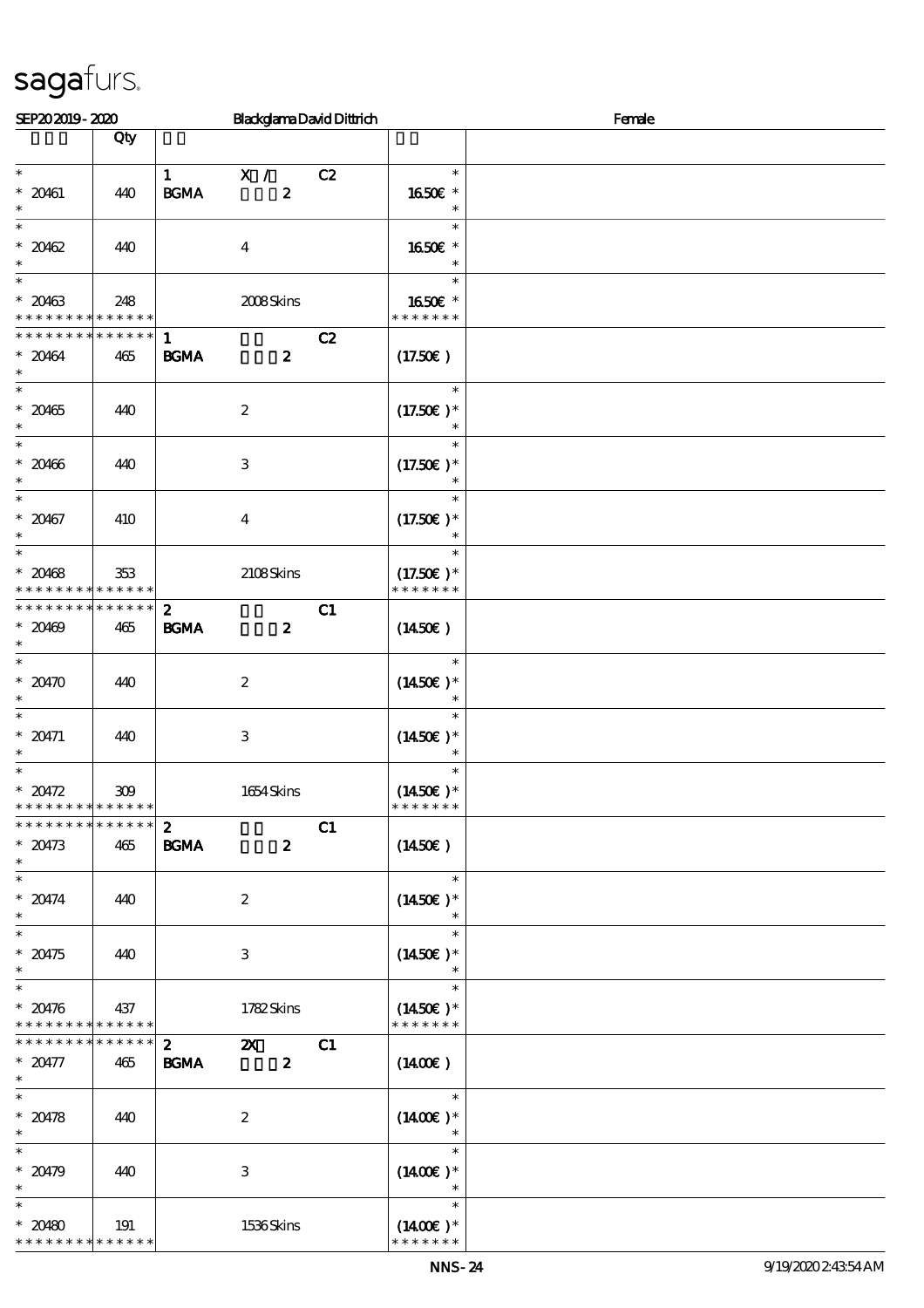| SEP202019-2020                                 |                    |                   | <b>BlackglamaDavidDittrich</b> |    | Female                      |  |  |  |
|------------------------------------------------|--------------------|-------------------|--------------------------------|----|-----------------------------|--|--|--|
|                                                | Qty                |                   |                                |    |                             |  |  |  |
| $\ast$                                         |                    | $\mathbf{1}$      | $\mathbf{X}$ /                 | C2 | $\ast$                      |  |  |  |
| $* 20461$                                      | 440                | <b>BGMA</b>       | $\boldsymbol{z}$               |    | 1650E *                     |  |  |  |
| $\ast$                                         |                    |                   |                                |    | $\ast$                      |  |  |  |
| $\ast$                                         |                    |                   |                                |    | $\ast$                      |  |  |  |
| $*20462$<br>$\ast$                             | 440                |                   | $\boldsymbol{4}$               |    | 1650€ *<br>$\ast$           |  |  |  |
| $\ast$                                         |                    |                   |                                |    | $\ast$                      |  |  |  |
| $* 20463$                                      | 248                |                   | 2008Skins                      |    | 1650€ *<br>* * * * * * *    |  |  |  |
| * * * * * * * * * * * * * *<br>* * * * * * * * | $******$           | $\mathbf{1}$      |                                | C2 |                             |  |  |  |
| $* 20464$                                      | 465                | $\mathbf{B G MA}$ | $\boldsymbol{z}$               |    | (17.50)                     |  |  |  |
| $\ast$                                         |                    |                   |                                |    |                             |  |  |  |
| $\ast$<br>$* 20465$                            | 440                |                   | $\boldsymbol{2}$               |    | $\ast$<br>$(17.50)$ *       |  |  |  |
| $\ast$                                         |                    |                   |                                |    | $\ast$                      |  |  |  |
| $\ast$                                         |                    |                   |                                |    | $\ast$                      |  |  |  |
| $* 20466$<br>$\ast$                            | 440                |                   | $\,3$                          |    | $(17.50)$ *<br>$\ast$       |  |  |  |
| $\ast$                                         |                    |                   |                                |    | $\ast$                      |  |  |  |
| $* 20467$                                      | 410                |                   | $\boldsymbol{4}$               |    | $(17.50)$ *                 |  |  |  |
| $\ast$<br>$\ast$                               |                    |                   |                                |    | $\ast$                      |  |  |  |
| $* 20468$                                      | 353                |                   | 2108Skins                      |    | $(17.50)$ *                 |  |  |  |
| * * * * * * * * <mark>* * * * * *</mark>       |                    |                   |                                |    | * * * * * * *               |  |  |  |
| * * * * * * * *                                | * * * * * *        | $\boldsymbol{z}$  |                                | C1 |                             |  |  |  |
| $* 20469$<br>$\ast$                            | 465                | $\mathbf{B G MA}$ | $\boldsymbol{z}$               |    | $(1450\varepsilon)$         |  |  |  |
| $\overline{\ast}$                              |                    |                   |                                |    | $\ast$                      |  |  |  |
| $*20470$                                       | 440                |                   | $\boldsymbol{2}$               |    | $(1450E)^*$                 |  |  |  |
| $\ast$<br>$\ast$                               |                    |                   |                                |    | $\ast$<br>$\ast$            |  |  |  |
| $* 20471$                                      | 440                |                   | $\,3\,$                        |    | $(1450E)*$                  |  |  |  |
| $\ast$                                         |                    |                   |                                |    | $\ast$                      |  |  |  |
| $\ast$<br>$* 20472$                            | 309                |                   | 1654Skins                      |    | $\ast$<br>$(1450E)^*$       |  |  |  |
| * * * * * * * * <mark>* * * * * * *</mark>     |                    |                   |                                |    | * * * * * * *               |  |  |  |
| * * * * * * * * * * * * * *                    |                    | $\boldsymbol{z}$  |                                | C1 |                             |  |  |  |
| $* 20473$<br>$\ast$                            | 465                | <b>BGMA</b>       | $\boldsymbol{z}$               |    | $(1450\epsilon)$            |  |  |  |
| $\ast$                                         |                    |                   |                                |    | $\ast$                      |  |  |  |
| $* 20474$                                      | 440                |                   | $\boldsymbol{2}$               |    | $(1450E)*$                  |  |  |  |
| $\ast$<br>$\overline{\ast}$                    |                    |                   |                                |    | $\ast$                      |  |  |  |
| $* 20475$                                      | 440                |                   | $\,3\,$                        |    | $(1450E)*$                  |  |  |  |
| $\ast$                                         |                    |                   |                                |    | $\ast$                      |  |  |  |
| $\ast$<br>$* 20476$                            | 437                |                   | 1782Skins                      |    | $\ast$<br>$(1450E)*$        |  |  |  |
| * * * * * * * * * * * * * *                    |                    |                   |                                |    | * * * * * * *               |  |  |  |
| * * * * * * * *                                | $******$           | $\mathbf{2}$      | $\boldsymbol{\mathsf{X}}$      | C1 |                             |  |  |  |
| $* 20477$<br>$\ast$                            | 465                | BGMA              | $\boldsymbol{z}$               |    | $(1400\varepsilon)$         |  |  |  |
| $\ast$                                         |                    |                   |                                |    | $\ast$                      |  |  |  |
| $* 20478$                                      | 440                |                   | $\boldsymbol{z}$               |    | $(1400E)*$                  |  |  |  |
| $\ast$<br>$\ast$                               |                    |                   |                                |    | $\ast$<br>$\ast$            |  |  |  |
| $* 20479$                                      | 440                |                   | $\,3$                          |    | $(1400E)*$                  |  |  |  |
| $\ast$                                         |                    |                   |                                |    |                             |  |  |  |
| $\ast$<br>$* 20480$                            |                    |                   |                                |    | $\ast$                      |  |  |  |
| * * * * * * * *                                | 191<br>* * * * * * |                   | 1536Skins                      |    | $(1400E)*$<br>* * * * * * * |  |  |  |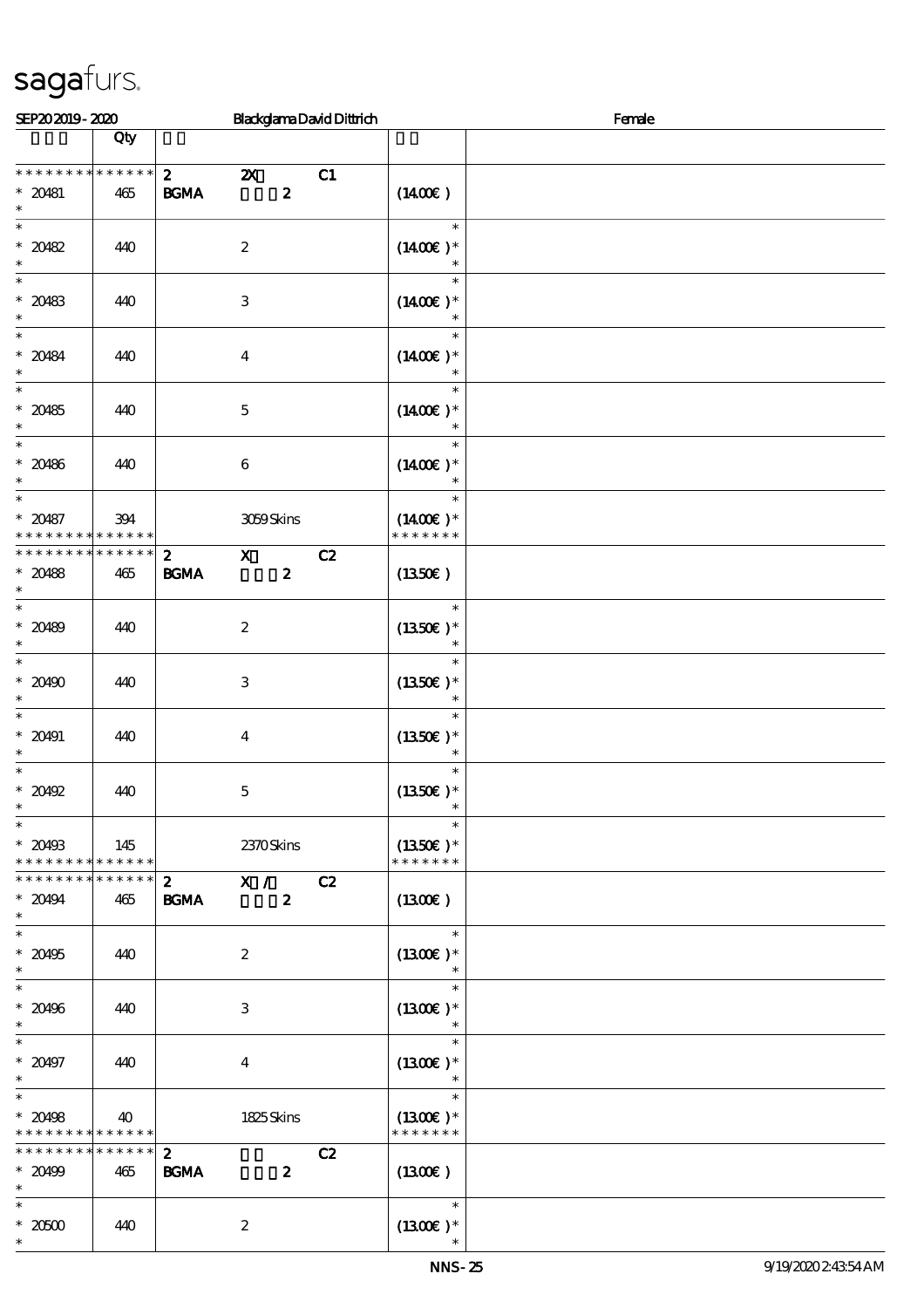| SEP202019-2020                                                                         |                    |                             |                           |                  | <b>BlackglamaDavidDittrich</b> | Female                                 |  |  |
|----------------------------------------------------------------------------------------|--------------------|-----------------------------|---------------------------|------------------|--------------------------------|----------------------------------------|--|--|
|                                                                                        | Qty                |                             |                           |                  |                                |                                        |  |  |
| * * * * * * * *<br>$* 20481$<br>$\ast$                                                 | * * * * * *<br>465 | $\mathbf{z}$<br>BGMA        | $\boldsymbol{\mathsf{z}}$ | $\boldsymbol{z}$ | C1                             | $(1400\varepsilon)$                    |  |  |
| $\ast$<br>$* 20482$<br>$\ast$                                                          | 440                |                             | $\boldsymbol{2}$          |                  |                                | $\ast$<br>$(1400E)*$<br>$\ast$         |  |  |
| $\overline{\ast}$<br>$* 20483$<br>$\ast$                                               | 440                |                             | $\,3$                     |                  |                                | $\ast$<br>$(1400E)*$<br>$\ast$         |  |  |
| $\ast$<br>$* 20484$<br>$\ast$                                                          | 440                |                             | $\boldsymbol{4}$          |                  |                                | $\ast$<br>$(1400E)*$<br>$\ast$         |  |  |
| $\ast$<br>$* 20485$<br>$\ast$                                                          | 440                |                             | $\mathbf 5$               |                  |                                | $\ast$<br>$(1400E)*$<br>$\ast$         |  |  |
| $\ast$<br>$* 20486$<br>$\ast$                                                          | 440                |                             | $\bf 6$                   |                  |                                | $\ast$<br>$(1400E)*$                   |  |  |
| $\ast$<br>$* 20487$<br>* * * * * * * *                                                 | 394<br>* * * * * * |                             | 3059Skins                 |                  |                                | $\ast$<br>$(1400E)^*$<br>* * * * * * * |  |  |
| * * * * * * * *<br>$* 20488$<br>$\ast$                                                 | * * * * * *<br>465 | $\mathbf{z}$<br><b>BGMA</b> | $\mathbf{x}$              | $\boldsymbol{z}$ | C2                             | (1350E)                                |  |  |
| $\overline{\ast}$<br>$* 20489$<br>$\ast$                                               | 440                |                             | $\boldsymbol{2}$          |                  |                                | $\ast$<br>$(1350)$ *<br>$\ast$         |  |  |
| $\ast$<br>$* 20490$<br>$\ast$                                                          | 440                |                             | $\,3$                     |                  |                                | $\ast$<br>$(1350E)*$<br>$\ast$         |  |  |
| $\ast$<br>$* 20491$<br>$\ast$                                                          | 440                |                             | $\boldsymbol{4}$          |                  |                                | $\ast$<br>$(1350E)*$<br>$\ast$         |  |  |
| $\ast$<br>$*20492$<br>$\ast$<br>$\overline{\phantom{0}}$                               | 440                |                             | $\mathbf 5$               |                  |                                | $\ast$<br>$(1350E)*$                   |  |  |
| $* 20493$<br>* * * * * * * * <mark>* * * * * * *</mark>                                | 145                |                             | 2370Skins                 |                  |                                | $\ast$<br>$(1350E)*$<br>* * * * * * *  |  |  |
| * * * * * * * * <mark>* * * * * * *</mark><br>$* 20494$<br>$\ast$<br>$\overline{\ast}$ | 465                | $\mathbf{2}$<br><b>BGMA</b> | X / C2                    | $\boldsymbol{z}$ |                                | (1300E)                                |  |  |
| $^\ast$ 20495<br>$\ast$                                                                | 440                |                             | $\boldsymbol{2}$          |                  |                                | $\ast$<br>$(1300E)*$<br>$\ast$         |  |  |
| $\overline{\ast}$<br>$* 20496$<br>$\ast$                                               | 440                |                             | 3                         |                  |                                | $\ast$<br>$(1300E)*$<br>$\ast$         |  |  |
| $\ast$<br>$* 20497$<br>$\ast$                                                          | 440                |                             | $\overline{\mathbf{4}}$   |                  |                                | $\ast$<br>$(1300E)*$<br>$\ast$         |  |  |
| $\ast$<br>$* 20498$<br>* * * * * * * * * * * * * *                                     | 40                 |                             | 1825Skins                 |                  |                                | $\ast$<br>$(1300E)*$<br>* * * * * * *  |  |  |
| * * * * * * * * * * * * * * *<br>$* 20499$<br>$\ast$                                   | 465                | $\mathbf{z}$<br><b>BGMA</b> |                           | $\boldsymbol{z}$ | C2                             | $(1300\varepsilon)$                    |  |  |
| $\ast$<br>$^\ast$ 20500<br>$\ast$                                                      | 440                |                             | $\boldsymbol{2}$          |                  |                                | $\ast$<br>$(1300E)*$                   |  |  |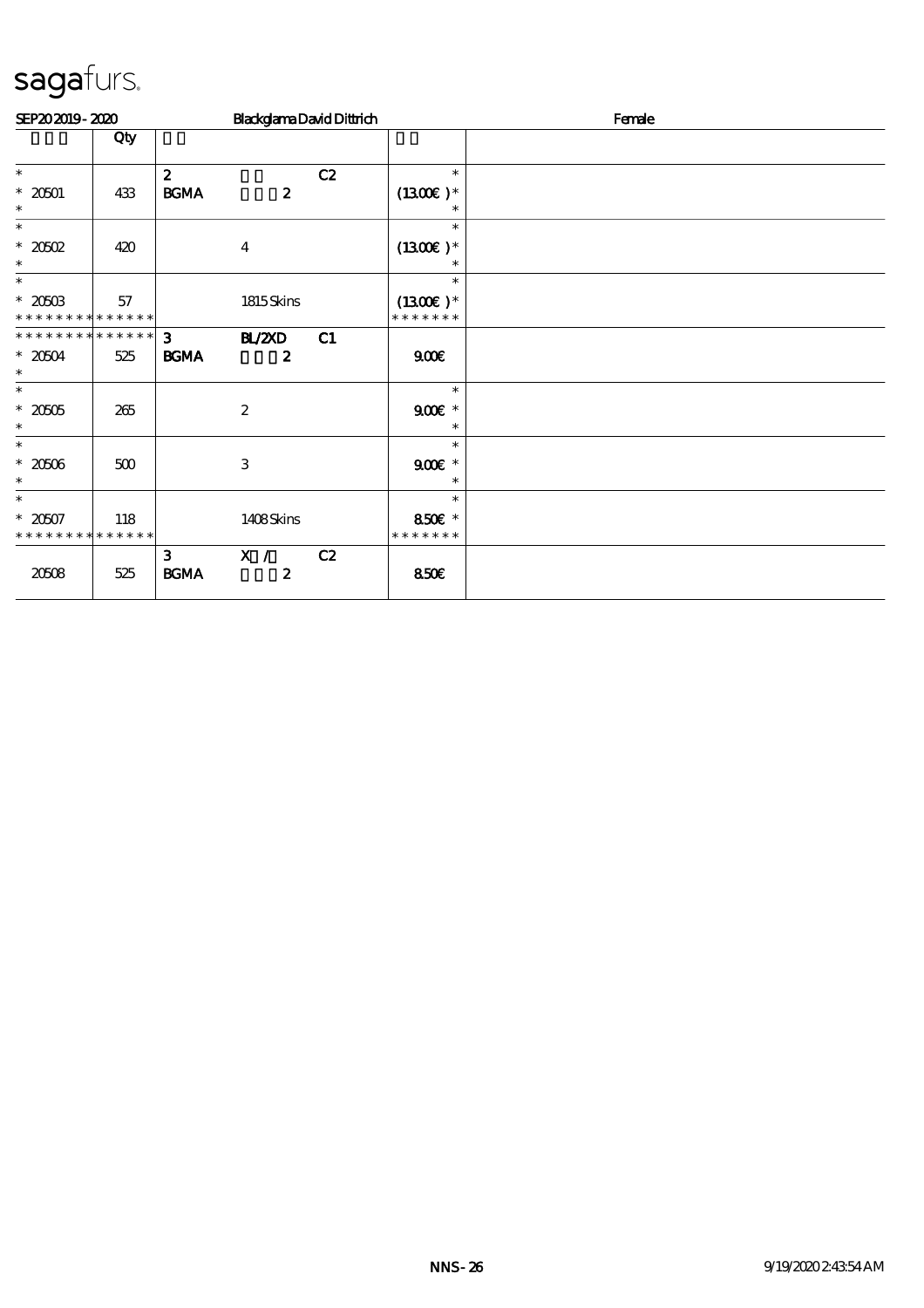| SEP202019-2020                           |     |                                     | <b>BlackglamaDavidDittrich</b> |    |                             | Female |  |  |
|------------------------------------------|-----|-------------------------------------|--------------------------------|----|-----------------------------|--------|--|--|
|                                          | Qty |                                     |                                |    |                             |        |  |  |
| $\ast$                                   |     | $\boldsymbol{z}$                    |                                | C2 | $\ast$                      |        |  |  |
| $* 20001$<br>$\ast$                      | 433 | <b>BGMA</b>                         | $\boldsymbol{z}$               |    | $(1300E)*$<br>$\ast$        |        |  |  |
| $\ast$                                   |     |                                     |                                |    | $\ast$                      |        |  |  |
| $*2002$<br>$\ast$                        | 420 |                                     | $\overline{4}$                 |    | $(1300E)*$<br>$\ast$        |        |  |  |
| $\ast$                                   |     |                                     |                                |    | $\ast$                      |        |  |  |
| $* 20503$<br>* * * * * * * * * * * * * * | 57  |                                     | 1815Skins                      |    | $(1300E)*$<br>* * * * * * * |        |  |  |
| **************                           |     | 3 <sup>1</sup>                      | <b>BL/ZXD</b>                  | C1 |                             |        |  |  |
| $*20504$<br>$\ast$                       | 525 | <b>BGMA</b>                         | $\boldsymbol{z}$               |    | 900                         |        |  |  |
| $\ast$                                   |     |                                     |                                |    | $\ast$                      |        |  |  |
| $*20005$<br>$\ast$                       | 265 |                                     | $\boldsymbol{2}$               |    | $900$ $*$<br>$\ast$         |        |  |  |
| $\ast$                                   |     |                                     |                                |    | $\ast$                      |        |  |  |
| $*20506$<br>$\ast$                       | 500 |                                     | 3                              |    | $900$ $*$<br>$\ast$         |        |  |  |
| $\ast$                                   |     |                                     |                                |    | $\ast$                      |        |  |  |
| $* 2007$<br>* * * * * * * * * * * * * *  | 118 |                                     | 1408Skins                      |    | 850€ *<br>* * * * * * *     |        |  |  |
| 20508                                    | 525 | 3 <sup>1</sup><br>$\mathbf{B G MA}$ | X / C2<br>$\boldsymbol{z}$     |    | 850E                        |        |  |  |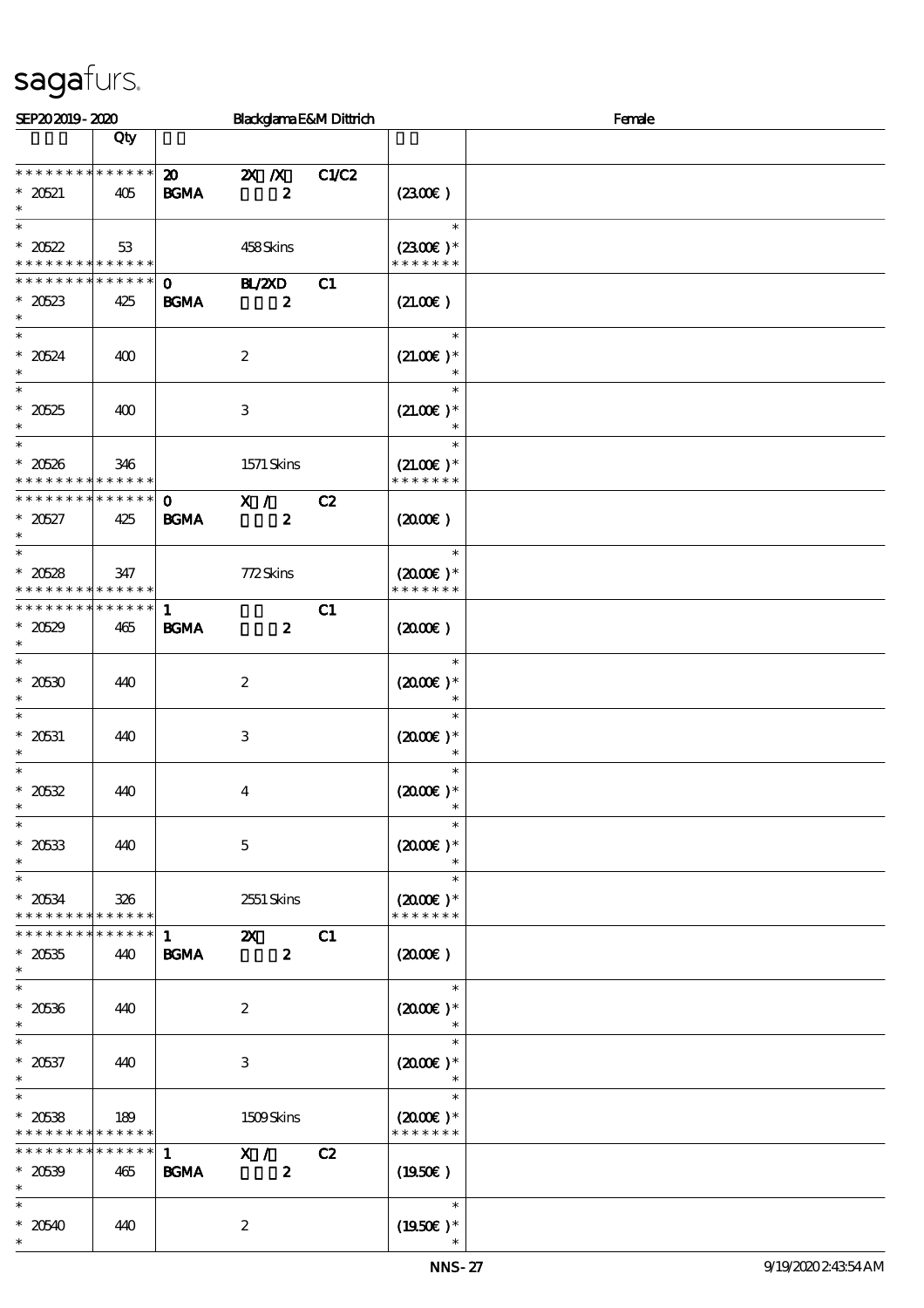| SEP202019-2020                                                  |                    |                                            | Blackglama E&M Dittrich                   |       | Female                                   |  |  |
|-----------------------------------------------------------------|--------------------|--------------------------------------------|-------------------------------------------|-------|------------------------------------------|--|--|
|                                                                 | Qty                |                                            |                                           |       |                                          |  |  |
| * * * * * * * * * * * * * *<br>$* 20521$<br>$\ast$              | 405                | $\boldsymbol{\mathfrak{D}}$<br><b>BGMA</b> | $X$ $N$<br>$\boldsymbol{z}$               | C1/C2 | (230E)                                   |  |  |
| $\ast$<br>$* 20522$<br>* * * * * * * * * * * * * *              | 53                 |                                            | 458Skins                                  |       | $\ast$<br>$(2300)$ *<br>* * * * * * *    |  |  |
| * * * * * * *<br>$* 20523$<br>$\ast$                            | * * * * * *<br>425 | $\mathbf{o}$<br>$\mathbf{B G MA}$          | <b>HAZD</b><br>$\boldsymbol{z}$           | C1    | (21.00)                                  |  |  |
| $\overline{\ast}$<br>$* 20524$<br>$\ast$                        | 400                |                                            | $\boldsymbol{2}$                          |       | $\ast$<br>$(21.00)$ *<br>$\ast$          |  |  |
| $\ast$<br>$* 20525$<br>$\ast$                                   | 400                |                                            | $\,3$                                     |       | $\ast$<br>$(21.00)$ *<br>$\ast$          |  |  |
| $\ast$<br>$* 20526$<br>* * * * * * * * <mark>* * * * * *</mark> | 346                |                                            | $1571$ Skins                              |       | $\ast$<br>$(21.00)$ *<br>* * * * * * *   |  |  |
| * * * * * * * * <mark>* * * * * *</mark><br>$*20527$<br>$\ast$  | 425                | $\mathbf 0$<br><b>BGMA</b>                 | X /<br>$\boldsymbol{z}$                   | C2    | (2000)                                   |  |  |
| $\ast$<br>$* 20528$<br>* * * * * * * * <mark>* * * * * *</mark> | 347                |                                            | 772Skins                                  |       | $\ast$<br>$(2000)$ *<br>* * * * * * *    |  |  |
| * * * * * * * * * * * * * *<br>$*20529$<br>$\ast$               | 465                | $\mathbf{1}$<br>$\mathbf{B G MA}$          | $\boldsymbol{z}$                          | C1    | (200E)                                   |  |  |
| $\overline{\ast}$<br>$^\ast$ 20530<br>$\ast$                    | 440                |                                            | $\boldsymbol{2}$                          |       | $\ast$<br>$(2000\varepsilon)*$<br>$\ast$ |  |  |
| $\ast$<br>$^\ast$ 20631<br>$\ast$                               | 440                |                                            | $\,3$                                     |       | $\ast$<br>$(2000\varepsilon)*$<br>$\ast$ |  |  |
| $\ast$<br>$* 20532$<br>$\ast$                                   | 440                |                                            | $\boldsymbol{4}$                          |       | $\ast$<br>$(2000\varepsilon)*$           |  |  |
| $\overline{\phantom{a}^*}$<br>$* 20533$<br>$\ast$               | 440                |                                            | $\mathbf 5$                               |       | $\ast$<br>$(2000\text{E})$ *             |  |  |
| $\ast$<br>$* 20534$<br>* * * * * * * * * * * * * *              | 326                |                                            | 2551 Skins                                |       | $\ast$<br>$(2000)$ *<br>* * * * * * *    |  |  |
| * * * * * * * *<br>$* 20535$<br>$\ast$                          | * * * * * *<br>440 | $\mathbf{1}$<br>$\mathbf{B G MA}$          | $\boldsymbol{\alpha}$<br>$\boldsymbol{z}$ | C1    | $(2000\varepsilon)$                      |  |  |
| $\overline{\ast}$<br>$^\ast$ 20536<br>$\ast$                    | 440                |                                            | $\boldsymbol{2}$                          |       | $\ast$<br>$(2000\varepsilon)*$<br>$\ast$ |  |  |
| $\ast$<br>$* 20537$<br>$\ast$                                   | 440                |                                            | $\,3$                                     |       | $\ast$<br>$(2000)$ *<br>$\ast$           |  |  |
| $\ast$<br>$* 20538$<br>* * * * * * * *                          | 189<br>* * * * * * |                                            | 1509Skins                                 |       | $\ast$<br>$(2000)$ *<br>* * * * * * *    |  |  |
| * * * * * * * *<br>$* 20539$<br>$\ast$                          | * * * * * *<br>465 | $\mathbf{1}$<br><b>BGMA</b>                | X /<br>$\boldsymbol{z}$                   | C2    | $(1950\epsilon)$                         |  |  |
| $\ast$<br>$* 20540$<br>$\ast$                                   | 440                |                                            | $\boldsymbol{2}$                          |       | $\ast$<br>$(1950)$ *                     |  |  |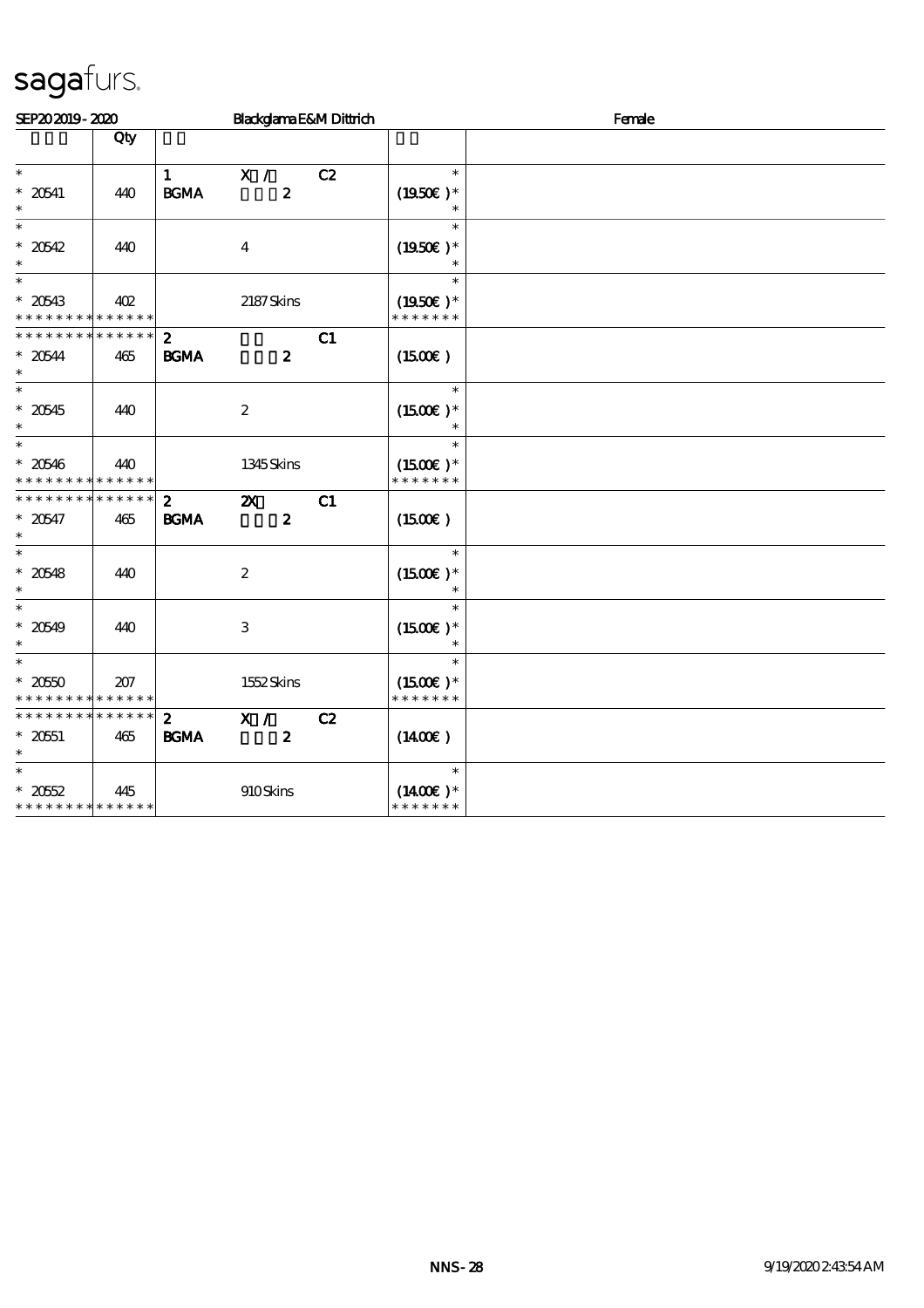| SEP202019-2020                                                       |     |                             |                                               | Blackglama E&M Dittrich |                                        | Female |
|----------------------------------------------------------------------|-----|-----------------------------|-----------------------------------------------|-------------------------|----------------------------------------|--------|
|                                                                      | Qty |                             |                                               |                         |                                        |        |
| $\ast$<br>$*$ 20541<br>$\ast$                                        | 440 | $\mathbf{1}$<br><b>BGMA</b> | X /<br>$\boldsymbol{z}$                       | C2                      | $\ast$<br>$(1950E)*$<br>$\ast$         |        |
| $\ast$<br>$* 20542$<br>$\ast$                                        | 440 |                             | $\overline{4}$                                |                         | $\ast$<br>$(1950E)*$                   |        |
| $\overline{\phantom{1}}$<br>$* 20543$<br>* * * * * * * * * * * * * * | 402 |                             | 2187Skins                                     |                         | $\ast$<br>$(1950E)*$<br>* * * * * * *  |        |
| * * * * * * * * * * * * * *<br>$* 20544$<br>$\ast$                   | 465 | $\mathbf{2}$<br><b>BGMA</b> | $\boldsymbol{z}$                              | C1                      | $(1500\varepsilon)$                    |        |
| $\ast$<br>$* 20545$<br>$\ast$                                        | 440 |                             | $\boldsymbol{2}$                              |                         | $\ast$<br>$(1500E)*$                   |        |
| $\ast$<br>$* 20546$<br>* * * * * * * * * * * * * *                   | 440 |                             | 1345 Skins                                    |                         | $\ast$<br>$(1500E)*$<br>* * * * * * *  |        |
| * * * * * * * * * * * * * *<br>$* 20547$<br>$\ast$                   | 465 | $\mathbf{z}$<br><b>BGMA</b> | $\boldsymbol{\mathsf{z}}$<br>$\boldsymbol{z}$ | C1                      | $(1500\varepsilon)$                    |        |
| $\ast$<br>$* 20548$<br>$\ast$                                        | 440 |                             | $\boldsymbol{2}$                              |                         | $\ast$<br>$(1500E)*$                   |        |
| $\ast$<br>$* 20549$<br>$\ast$                                        | 440 |                             | 3                                             |                         | $\ast$<br>$(1500E)*$<br>$\ast$         |        |
| $\overline{\ast}$<br>$* 2050$<br>* * * * * * * * * * * * * *         | 207 |                             | 1552Skins                                     |                         | $\ast$<br>$(1500E)^*$<br>* * * * * * * |        |
| * * * * * * * * * * * * * *<br>$* 2051$<br>$\ast$                    | 465 | $\mathbf{z}$<br><b>BGMA</b> | X /<br>$\boldsymbol{z}$                       | C2                      | $(1400\varepsilon)$                    |        |
| $\ast$<br>$* 2052$<br>* * * * * * * * * * * * * *                    | 445 |                             | 910Skins                                      |                         | $\ast$<br>$(1400E)^*$<br>* * * * * * * |        |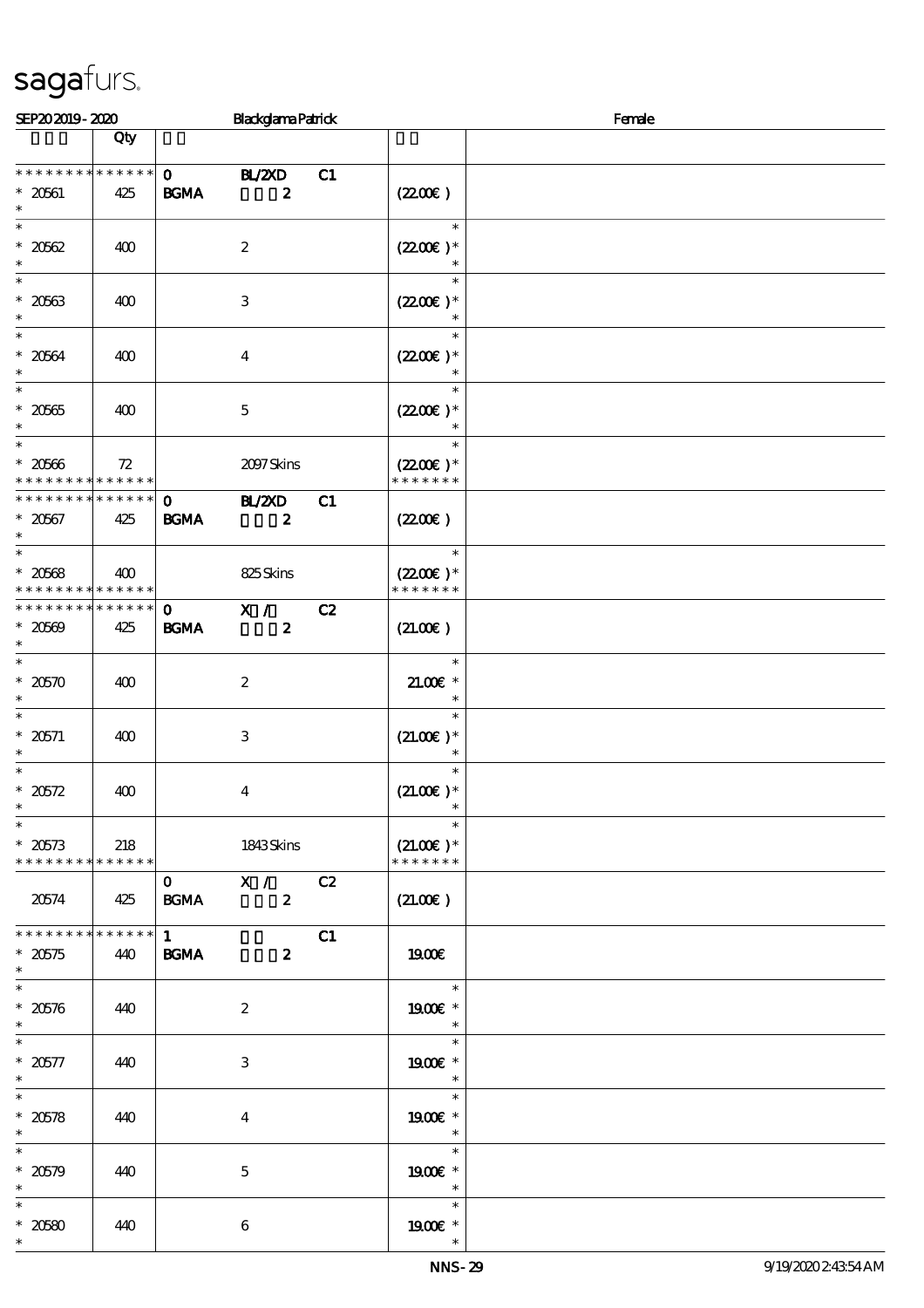| SEP202019-2020                                                             |                    |                                   | <b>Blackglama Patrick</b>         |    |                                        | Female |
|----------------------------------------------------------------------------|--------------------|-----------------------------------|-----------------------------------|----|----------------------------------------|--------|
|                                                                            | Qty                |                                   |                                   |    |                                        |        |
| * * * * * * * * * * * * * *<br>$* 20661$<br>$\ast$                         | 425                | $\mathbf{o}$<br><b>BGMA</b>       | <b>BL/2XD</b><br>$\boldsymbol{z}$ | C1 | (220E)                                 |        |
| $\ast$<br>$* 2062$<br>$\ast$                                               | 400                |                                   | $\boldsymbol{2}$                  |    | $\ast$<br>$(2200)$ *                   |        |
| $\ast$<br>$* 20563$<br>$\ast$                                              | 400                |                                   | $\ensuremath{\mathsf{3}}$         |    | $(2200\varepsilon)*$                   |        |
| $\ast$<br>$* 2064$<br>$\ast$                                               | 400                |                                   | $\bf{4}$                          |    | $\ast$<br>$(2200)$ *<br>$\ast$         |        |
| $\ast$<br>$^\ast$ 20565<br>$\ast$                                          | 400                |                                   | $\mathbf 5$                       |    | $\ast$<br>$(2200)$ *<br>$\ast$         |        |
| $\ast$<br>$* 20506$<br>* * * * * * * * <mark>* * * * * *</mark>            | 72                 |                                   | 2097Skins                         |    | $\ast$<br>$(2200)$ *<br>* * * * * * *  |        |
| * * * * * * * *<br>$* 20567$<br>$\ast$                                     | * * * * * *<br>425 | $\mathbf{O}$<br><b>BGMA</b>       | <b>HL/2XD</b><br>$\boldsymbol{z}$ | C1 | $(2200\varepsilon)$                    |        |
| $\overline{\ast}$<br>$* 20568$<br>* * * * * * * * <mark>* * * * * *</mark> | 400                |                                   | 825Skins                          |    | $\ast$<br>$(2200)$ *<br>* * * * * * *  |        |
| * * * * * * * *<br>$* 20569$<br>$\ast$                                     | * * * * * *<br>425 | $\mathbf{o}$<br>$\mathbf{B G MA}$ | X /<br>$\boldsymbol{z}$           | C2 | (21.00)                                |        |
| $\ast$<br>$* 20570$<br>$\ast$                                              | 400                |                                   | $\boldsymbol{2}$                  |    | $\ast$<br>$21.00E*$<br>$\ast$          |        |
| $\ast$<br>* $20571$<br>$\ast$                                              | 400                |                                   | $\,3$                             |    | $\ast$<br>$(21.00)$ *<br>$\ast$        |        |
| $\ast$<br>$* 20572$<br>$\ast$                                              | 400                |                                   | $\boldsymbol{4}$                  |    | $\ast$<br>$(21.00)$ *<br>$\ast$        |        |
| $\ast$<br>$* 20573$<br>* * * * * * * * * * * * * *                         | 218                |                                   | 1843Skins                         |    | $\ast$<br>$(21.00)$ *<br>* * * * * * * |        |
| 20574                                                                      | 425                | $\mathbf 0$<br><b>BGMA</b>        | X /<br>$\boldsymbol{z}$           | C2 | (21.00)                                |        |
| * * * * * * * *<br>$*20575$<br>$\ast$                                      | * * * * * *<br>440 | $1 \quad$<br><b>BGMA</b>          | $\boldsymbol{z}$                  | C1 | 1900E                                  |        |
| $\overline{\ast}$<br>$* 20576$<br>$\ast$                                   | 440                |                                   | $\boldsymbol{2}$                  |    | $\ast$<br>1900€ *<br>$\ast$            |        |
| $\ast$<br>$* 20577$<br>$\ast$                                              | 440                |                                   | 3                                 |    | $\ast$<br>1900 *<br>$\ast$             |        |
| $\ast$<br>$* 20578$<br>$\ast$                                              | 440                |                                   | $\bf{4}$                          |    | $\ast$<br>1900E *<br>$\ast$            |        |
| $\ast$<br>$* 20579$<br>$\ast$                                              | 440                |                                   | $\mathbf 5$                       |    | $\ast$<br>1900€ *<br>$\ast$            |        |
| $\ast$<br>$* 20580$<br>$\ast$                                              | 440                |                                   | 6                                 |    | $\ast$<br>1900 *<br>$\ast$             |        |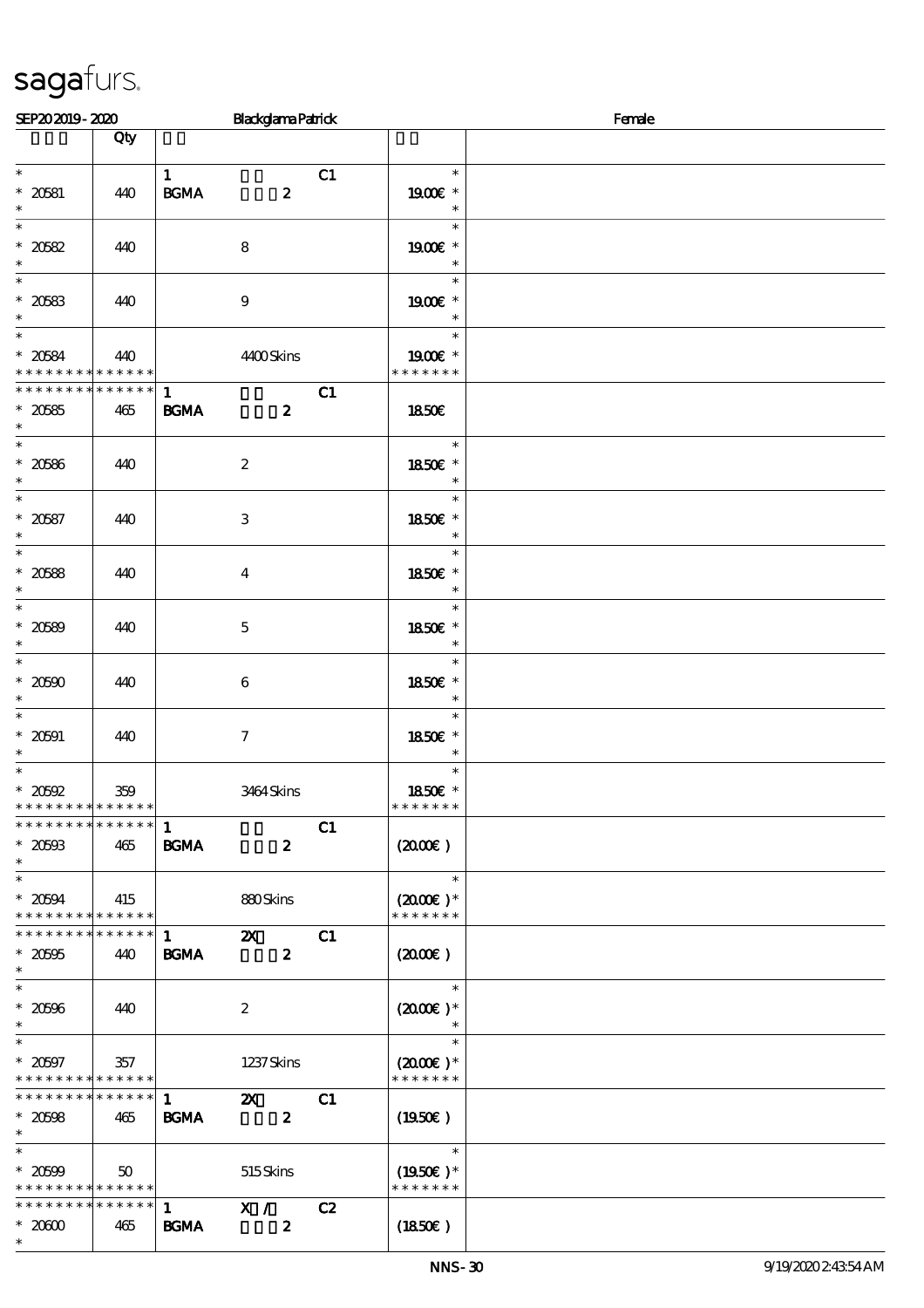| SEP202019-2020                                             |               |                                   | <b>Blackglama Patrick</b>                     |    |                      | Female |  |  |
|------------------------------------------------------------|---------------|-----------------------------------|-----------------------------------------------|----|----------------------|--------|--|--|
|                                                            | Qty           |                                   |                                               |    |                      |        |  |  |
| $\ast$                                                     |               |                                   |                                               |    |                      |        |  |  |
| $* 20581$                                                  | 440           | $\mathbf{1}$<br>$\mathbf{B G MA}$ | $\boldsymbol{z}$                              | C1 | $\ast$<br>1900E *    |        |  |  |
| $\ast$                                                     |               |                                   |                                               |    | $\ast$               |        |  |  |
| $\ast$                                                     |               |                                   |                                               |    | $\ast$               |        |  |  |
| $* 20582$<br>$\ast$                                        | 440           |                                   | 8                                             |    | 1900€ *<br>$\ast$    |        |  |  |
| $\overline{\phantom{0}}$                                   |               |                                   |                                               |    | $\ast$               |        |  |  |
| $* 20583$                                                  | 440           |                                   | $\boldsymbol{9}$                              |    | 1900 *               |        |  |  |
| $\ast$<br>$\overline{\ast}$                                |               |                                   |                                               |    | $\ast$<br>$\ast$     |        |  |  |
| $* 20584$                                                  | 440           |                                   | 4400Skins                                     |    | 1900E *              |        |  |  |
| * * * * * * * * <mark>* * * * * *</mark>                   |               |                                   |                                               |    | * * * * * * *        |        |  |  |
| * * * * * * * *                                            | * * * * * *   | $\mathbf{1}$                      |                                               | C1 |                      |        |  |  |
| $* 20585$                                                  | 465           | <b>BGMA</b>                       | $\boldsymbol{z}$                              |    | <b>1850€</b>         |        |  |  |
| $\ast$<br>$\ast$                                           |               |                                   |                                               |    | $\ast$               |        |  |  |
|                                                            | 440           |                                   | $\boldsymbol{2}$                              |    | 1850E *              |        |  |  |
| $^\ast$ 20586 $^\ast$                                      |               |                                   |                                               |    | $\ast$               |        |  |  |
| $\overline{\ast}$                                          |               |                                   |                                               |    | $\ast$               |        |  |  |
| $* 20587$<br>$\ast$                                        | 440           |                                   | $\,3$                                         |    | 1850E *<br>$\ast$    |        |  |  |
| $\ast$                                                     |               |                                   |                                               |    | $\ast$               |        |  |  |
| $* 20588$                                                  | 440           |                                   | $\bf{4}$                                      |    | 1850€ *              |        |  |  |
| $\ast$<br>$\overline{\phantom{0}}$                         |               |                                   |                                               |    | $\ast$<br>$\ast$     |        |  |  |
| $* 20589$                                                  | 440           |                                   | $\mathbf 5$                                   |    | 1850E *              |        |  |  |
| $\ast$                                                     |               |                                   |                                               |    | $\ast$               |        |  |  |
| $\overline{\ast}$                                          |               |                                   |                                               |    | $\ast$               |        |  |  |
| $* 20500$<br>$\ast$                                        | 440           |                                   | 6                                             |    | 1850E *<br>$\ast$    |        |  |  |
| $\ast$                                                     |               |                                   |                                               |    | $\ast$               |        |  |  |
| $* 20591$                                                  | 440           |                                   | $\boldsymbol{7}$                              |    | 1850€ *              |        |  |  |
| $\ast$<br>$\ast$                                           |               |                                   |                                               |    | $\ast$               |        |  |  |
| $*20592$                                                   | 359           |                                   | 3464Skins                                     |    | $\ast$<br>1850E *    |        |  |  |
| * * * * * * * * <mark>* * * * * * *</mark>                 |               |                                   |                                               |    | * * * * * * *        |        |  |  |
| * * * * * * * * * * * * * * *                              |               | $\mathbf{1}$                      |                                               | C1 |                      |        |  |  |
| $*20503$<br>$\ast$                                         | 465           | <b>BGMA</b>                       | $\boldsymbol{z}$                              |    | $(2000\varepsilon)$  |        |  |  |
| $\overline{\ast}$                                          |               |                                   |                                               |    | $\ast$               |        |  |  |
| $* 20594$                                                  | 415           |                                   | 880Skins                                      |    | $(2000)$ *           |        |  |  |
| * * * * * * * * * * * * * *                                |               |                                   |                                               |    | * * * * * * *        |        |  |  |
| * * * * * * * *<br>$* 20505$                               | ******<br>440 | $\mathbf{1}$<br><b>BGMA</b>       | $\boldsymbol{\mathsf{Z}}$<br>$\boldsymbol{z}$ | C1 | $(2000\varepsilon)$  |        |  |  |
| $\ast$                                                     |               |                                   |                                               |    |                      |        |  |  |
| $\overline{\ast}$                                          |               |                                   |                                               |    | $\ast$               |        |  |  |
| $^\ast$ 20596                                              | 440           |                                   | $\boldsymbol{2}$                              |    | $(2000\text{E})*$    |        |  |  |
| $\ast$<br>$\ast$                                           |               |                                   |                                               |    | $\ast$<br>$\ast$     |        |  |  |
| $* 20597$                                                  | 357           |                                   | 1237 Skins                                    |    | $(2000\varepsilon)*$ |        |  |  |
| * * * * * * * * * * * * * *                                |               |                                   |                                               |    | * * * * * * *        |        |  |  |
| * * * * * * * *                                            | * * * * * *   | $\mathbf{1}$                      | $\boldsymbol{\mathsf{Z}}$                     | C1 |                      |        |  |  |
| $* 20508$<br>$\ast$                                        | 465           | <b>BGMA</b>                       | $\boldsymbol{z}$                              |    | $(1950\epsilon)$     |        |  |  |
| $\ast$                                                     |               |                                   |                                               |    | $\ast$               |        |  |  |
| $* 20509$                                                  | 50            |                                   | 515Skins                                      |    | $(1950\text{E})*$    |        |  |  |
| * * * * * * * * * * * * * *<br>* * * * * * * * * * * * * * |               | 1                                 | X /                                           | C2 | * * * * * * *        |        |  |  |
| $*2000$                                                    | 465           | <b>BGMA</b>                       | $\boldsymbol{z}$                              |    | (1850)               |        |  |  |
| $\ast$                                                     |               |                                   |                                               |    |                      |        |  |  |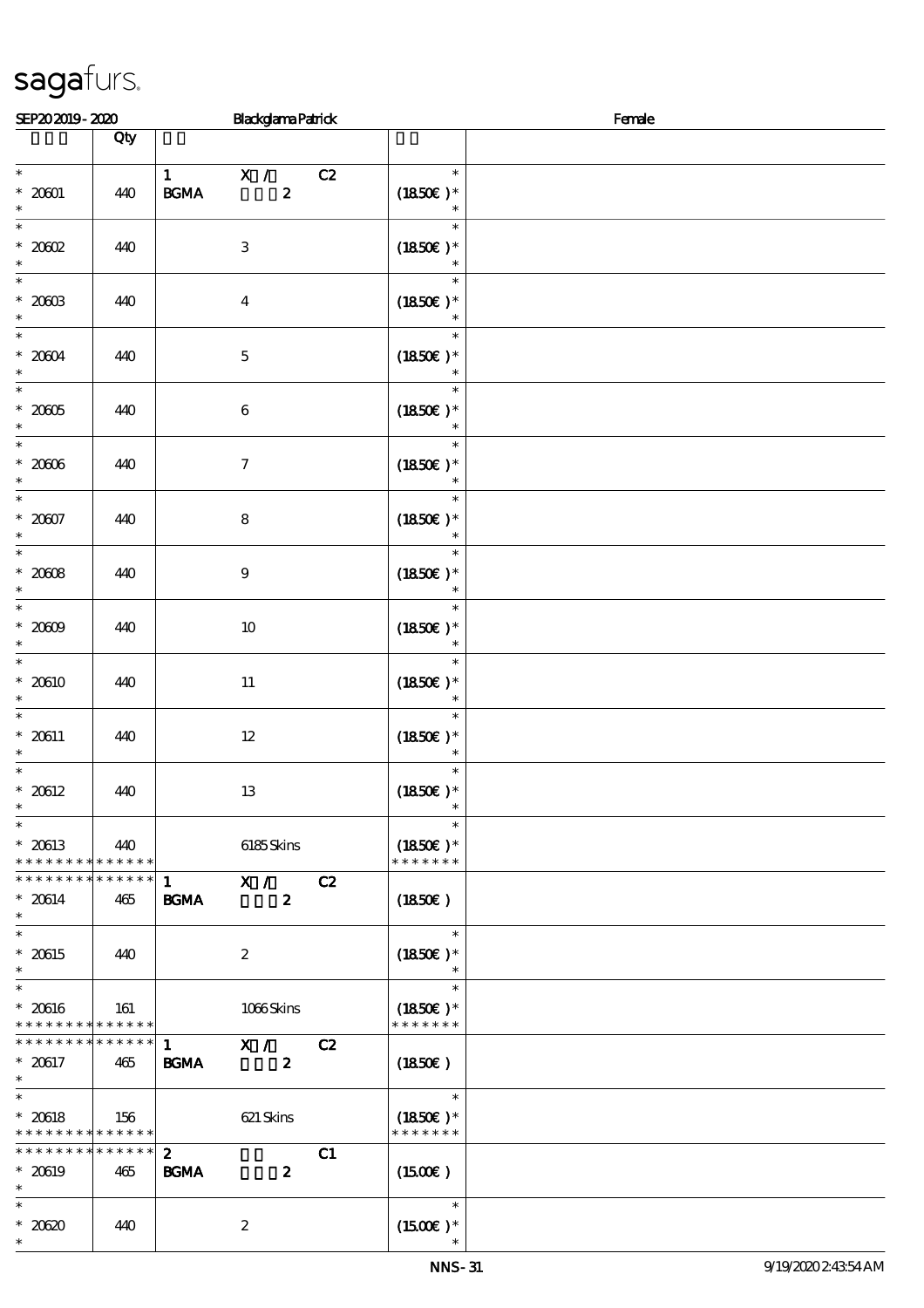| SEP202019-2020                                                       |                    | <b>Blackglama Patrick</b>                                    | Female                                |
|----------------------------------------------------------------------|--------------------|--------------------------------------------------------------|---------------------------------------|
|                                                                      | Qty                |                                                              |                                       |
| $\ast$                                                               |                    | C2<br>$1$ $X /$                                              | $\ast$                                |
| $^\ast$ 2001<br>$\ast$                                               | 440                | $\boldsymbol{z}$<br>$\mathbf{B G MA}$                        | $(1850)$ *                            |
| $\ast$<br>$^\ast$ 2002<br>$\ast$                                     | 440                | $\ensuremath{\mathsf{3}}$                                    | $\ast$<br>$(1850)$ *                  |
| $\overline{\ast}$<br>$^\ast$ 2003<br>$\ast$                          | 440                | $\boldsymbol{4}$                                             | $\ast$<br>$(1850)$ *<br>$\ast$        |
| $\overline{\phantom{0}}$<br>$^\ast$ 2004<br>$\ast$                   | 440                | $\mathbf 5$                                                  | $\ast$<br>$(1850)$ *<br>$\ast$        |
| $\ast$<br>$^\ast$ 2005<br>$\ast$                                     | 440                | $\,6\,$                                                      | $\ast$<br>$(1850)$ *<br>$\ast$        |
| $\ast$<br>$^\ast$ 2006<br>$\ast$                                     | 440                | $\boldsymbol{7}$                                             | $\ast$<br>$(1850)$ *<br>$\ast$        |
| $\ast$<br>$* 20007$<br>$\ast$                                        | 440                | $\bf 8$                                                      | $\ast$<br>$(1850)$ *                  |
| $\ast$<br>$*2008$<br>$\ast$                                          | 440                | $\boldsymbol{9}$                                             | $\ast$<br>$(1850)$ *                  |
| $\overline{\ast}$<br>$^\ast$ 2009<br>$\ast$                          | 440                | $10$                                                         | $\ast$<br>$(1850)$ *<br>$\ast$        |
| $\overline{\ast}$<br>$* 20610$<br>$\ast$                             | 440                | $11\,$                                                       | $\ast$<br>$(1850)$ *<br>$\ast$        |
| $\ast$<br>$* 20611$<br>$\ast$                                        | 440                | $12\,$                                                       | $\ast$<br>$(1850)$ *<br>$\ast$        |
| $\ast$<br>$* 20612$<br>$\ast$                                        | 440                | 13                                                           | $\ast$<br>$(1850)$ *<br>$\ast$        |
| $\overline{\phantom{0}}$<br>$* 20613$<br>* * * * * * * * * * * * * * | 440                | 6185Skins                                                    | $\ast$<br>$(1850)$ *<br>* * * * * * * |
| * * * * * * * * <mark>* * * * * * *</mark><br>$* 20614$<br>$\ast$    | 465                | X /<br>C2<br>$\mathbf{1}$<br>BGMA<br>$\boldsymbol{z}$        | (1850)                                |
| $\overline{\ast}$<br>$* 20615$<br>$\ast$                             | 440                | $\boldsymbol{2}$                                             | $\ast$<br>$(1850)$ *<br>$\ast$        |
| $\overline{\ast}$<br>$* 20616$<br>* * * * * * * *                    | 161<br>* * * * * * | 1066Skins                                                    | $\ast$<br>$(1850)$ *<br>* * * * * * * |
| * * * * * * * *<br>$* 20617$<br>$\ast$                               | * * * * * *<br>465 | X /<br>$\mathbf{1}$<br>C2<br><b>BGMA</b><br>$\boldsymbol{z}$ | (1850)                                |
| $\ast$<br>$* 20618$<br>* * * * * * * *                               | 156<br>******      | 621 Skins                                                    | $\ast$<br>$(1850)$ *<br>* * * * * * * |
| * * * * * * * *<br>$* 20619$<br>$\ast$                               | * * * * * *<br>465 | $\mathbf{z}$<br>C1<br><b>BGMA</b><br>$\boldsymbol{z}$        | $(1500\varepsilon)$                   |
| $\ast$<br>$*20620$<br>$\ast$                                         | 440                | $\boldsymbol{2}$                                             | $\ast$<br>$(1500E)*$                  |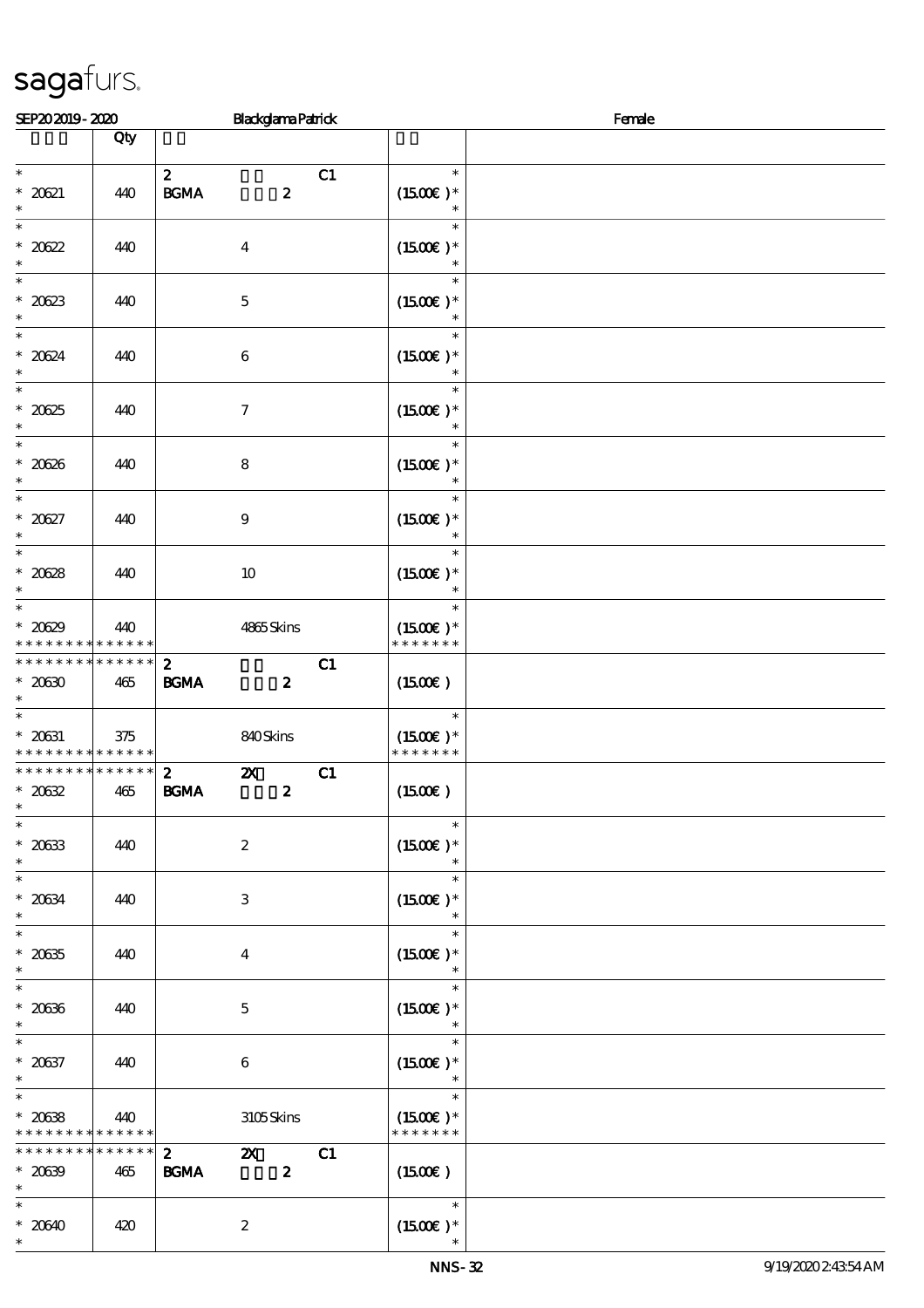| SEP202019-2020                                                    |                    | <b>Blackglama Patrick</b>                                                              |                             | Female           |  |  |
|-------------------------------------------------------------------|--------------------|----------------------------------------------------------------------------------------|-----------------------------|------------------|--|--|
|                                                                   | Qty                |                                                                                        |                             |                  |  |  |
| $\ast$<br>$* 2021$<br>$\ast$                                      | 440                | $\boldsymbol{z}$<br>$\mathbf{B G MA}$<br>$\boldsymbol{z}$                              | C1<br>$(1500E)*$            | $\ast$           |  |  |
| $\ast$<br>$* 20622$<br>$\ast$                                     | 440                | $\boldsymbol{4}$                                                                       | $(1500E)*$                  | $\ast$           |  |  |
| $\overline{\phantom{0}}$<br>$* 20623$<br>$\ast$                   | 440                | $\mathbf 5$                                                                            | $(1500E)*$                  | $\ast$<br>$\ast$ |  |  |
| $\overline{\phantom{0}}$<br>$* 20624$<br>$\ast$                   | 440                | $\,6\,$                                                                                | $(1500E)*$                  | $\ast$<br>$\ast$ |  |  |
| $\ast$<br>$* 2025$<br>$\ast$                                      | 440                | $\boldsymbol{7}$                                                                       | $(1500E)*$                  | $\ast$<br>$\ast$ |  |  |
| $\ast$<br>$* 20626$<br>$\ast$                                     | 440                | $\bf 8$                                                                                | $(1500E)*$                  | $\ast$<br>$\ast$ |  |  |
| $\overline{\phantom{0}}$<br>$* 20627$<br>$\ast$                   | 440                | $\boldsymbol{9}$                                                                       | $(1500E)*$                  | $\ast$           |  |  |
| $\ast$<br>$* 20628$<br>$\ast$                                     | 440                | $10$                                                                                   | $(1500E)*$                  | $\ast$           |  |  |
| $\overline{\phantom{0}}$<br>$* 20629$<br>* * * * * * * *          | 440<br>* * * * * * | 4865Skins                                                                              | $(1500E)*$<br>* * * * * * * | $\ast$           |  |  |
| * * * * * * * * * * * * * *<br>$*2030$<br>$\ast$                  | 465                | $\mathbf{z}$<br>$\mathbf{B G MA}$<br>$\boldsymbol{z}$                                  | C1<br>$(1500\varepsilon)$   |                  |  |  |
| $\overline{\ast}$<br>$^\ast$ 20631<br>* * * * * * * * * * * * * * | 375                | 840Skins                                                                               | $(1500E)*$<br>* * * * * * * | $\ast$           |  |  |
| * * * * * * * * * * * * * *<br>$*20632$<br>$\ast$                 | 465                | $\boldsymbol{\mathsf{z}}$<br>$\boldsymbol{2}$<br>$\mathbf{B G MA}$<br>$\boldsymbol{z}$ | C1<br>$(1500\varepsilon)$   |                  |  |  |
| $\ast$<br>$* 20633$<br>$\ast$                                     | 440                | $\boldsymbol{2}$                                                                       | $(1500E)*$                  | $\ast$           |  |  |
| $\ast$<br>$* 20634$<br>$\ast$                                     | 440                | 3                                                                                      | $(1500E)*$                  | $\ast$           |  |  |
| $\ast$<br>$^\ast$ 20635<br>$\ast$                                 | 440                | $\bf{4}$                                                                               | $(1500E)*$                  | $\ast$<br>$\ast$ |  |  |
| $\ast$<br>$^\ast$ 20636<br>$\ast$                                 | 440                | $\mathbf 5$                                                                            | $(1500E)*$                  | $\ast$<br>$\ast$ |  |  |
| $\ast$<br>$* 20637$<br>$\ast$                                     | 440                | $\boldsymbol{6}$                                                                       | $(1500E)*$                  | $\ast$<br>$\ast$ |  |  |
| $\ast$<br>$* 20638$<br>* * * * * * * *                            | 440<br>* * * * * * | 3105Skins                                                                              | $(1500E)*$<br>* * * * * * * | $\ast$           |  |  |
| * * * * * * *<br>$* 20639$<br>$\ast$                              | * * * * * *<br>465 | $\mathbf{2}$<br>$\mathbf{x}$<br>$\boldsymbol{z}$<br><b>BGMA</b>                        | C1<br>$(1500\varepsilon)$   |                  |  |  |
| $\ast$<br>$* 20640$<br>$\ast$                                     | 420                | $\boldsymbol{z}$                                                                       | $(1500)$ *                  | $\ast$           |  |  |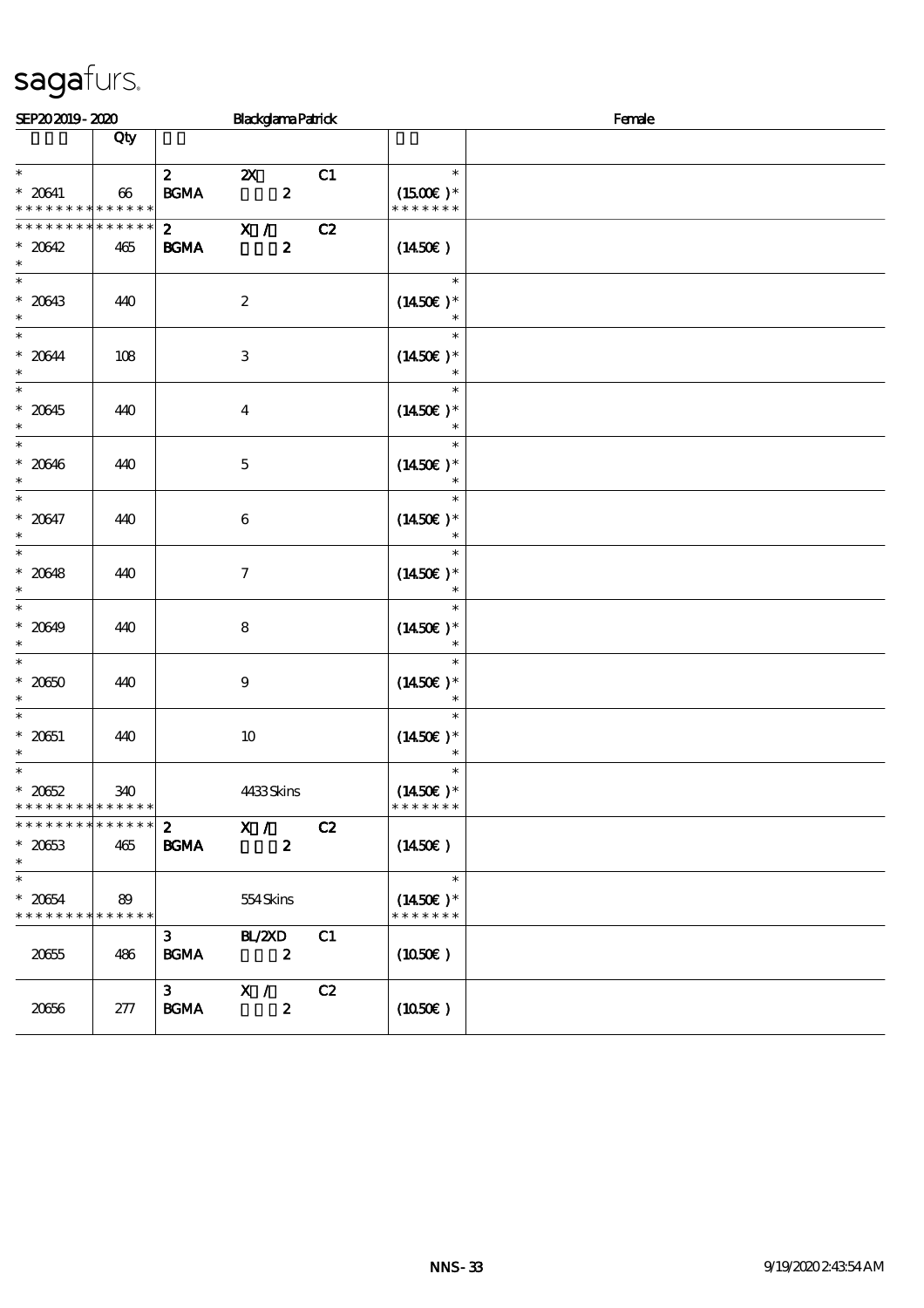| SEP202019-2020                                                   |                   | <b>Blackglama Patrick</b>                                              |                                                  | Female |
|------------------------------------------------------------------|-------------------|------------------------------------------------------------------------|--------------------------------------------------|--------|
|                                                                  | Qty               |                                                                        |                                                  |        |
| $\ast$                                                           |                   | $\mathbf{z}$<br>C1<br>$\boldsymbol{\mathsf{X}}$                        | $\ast$                                           |        |
| $* 20641$<br>* * * * * * * *                                     | 66<br>* * * * * * | $\mathbf{B G MA}$<br>$\boldsymbol{z}$                                  | $(1500E)*$<br>* * * * * * *                      |        |
| * * * * * * *                                                    | * * * * * *       | $\overline{\mathbf{x}}$ /<br>C2<br>$\mathbf{2}$                        |                                                  |        |
| $* 20642$<br>$\ast$                                              | 465               | $\mathbf{z}$<br><b>BGMA</b>                                            | $(1450\epsilon)$                                 |        |
| $\ast$<br>$* 20643$<br>$\ast$                                    | 440               | $\boldsymbol{z}$                                                       | $\ast$<br>$(1450E)*$                             |        |
| $\ast$<br>$* 20644$<br>$\ast$                                    | 108               | 3                                                                      | $\ast$<br>$(1450E)*$<br>$\ast$                   |        |
| $\overline{\phantom{0}}$<br>$* 20645$<br>$\ast$                  | 440               | $\bf{4}$                                                               | $\ast$<br>$(1450E)*$<br>$\ast$                   |        |
| $\ast$<br>$* 20646$<br>$\ast$                                    | 440               | $\mathbf 5$                                                            | $\ast$<br>$(1450\varepsilon)*$<br>$\ast$         |        |
| $\ast$<br>$* 20647$<br>$\ast$                                    | 440               | $\boldsymbol{6}$                                                       | $\ast$<br>$(1450E)^*$<br>$\ast$                  |        |
| $\overline{\ast}$<br>$* 20648$<br>$\ast$                         | 440               | $\tau$                                                                 | $\ast$<br>$(1450E)*$                             |        |
| $\ast$<br>$* 20649$<br>$\ast$                                    | 440               | 8                                                                      | $\ast$<br>$(1450E)*$                             |        |
| $\overline{\ast}$<br>$* 2060$<br>$\ast$                          | 440               | $\boldsymbol{9}$                                                       | $\ast$<br>$(1450\varepsilon)^*$<br>$\ast$        |        |
| $\ast$<br>$^\ast$ 20651<br>$\ast$                                | 440               | $10\,$                                                                 | $\ast$<br>$(1450E)*$<br>$\ast$                   |        |
| $\ast$<br>$* 2062$<br>* * * * * * * * <mark>* * * * * *</mark> * | 340               | 4433Skins                                                              | $\ast$<br>$(1450\varepsilon)^*$<br>* * * * * * * |        |
| * * * * * * * * * * * * * *<br>$* 2063$<br>$\ast$                | 465               | X /<br>$\mathbf{z}$<br>C2<br><b>BGMA</b><br>$\boldsymbol{z}$           | (1450E)                                          |        |
| $\ast$<br>$* 20654$<br>* * * * * * * *                           | 89<br>* * * * * * | 554Skins                                                               | $\ast$<br>$(1450E)*$<br>* * * * * * *            |        |
| 20655                                                            | 486               | C1<br><b>BL/2XD</b><br>$\mathbf{3}$<br><b>BGMA</b><br>$\boldsymbol{z}$ | (1050)                                           |        |
| 20666                                                            | 277               | $\mathbf{3}$<br>X /<br>C2<br><b>BGMA</b><br>$\boldsymbol{z}$           | (1050)                                           |        |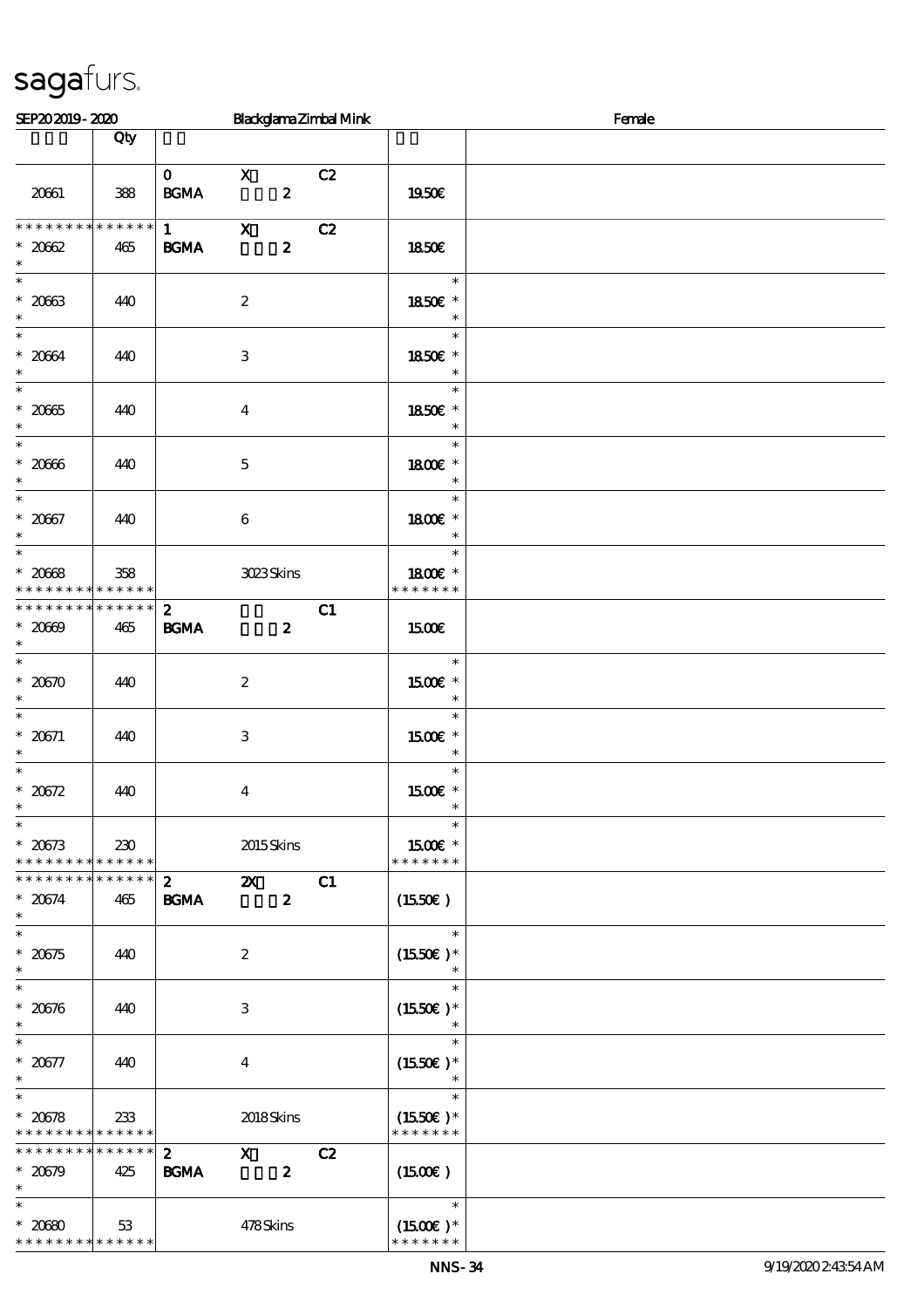| Blackglama Zimbal Mink<br>SEP202019-2020                 |               |                                        |                                               | Female |                                       |  |
|----------------------------------------------------------|---------------|----------------------------------------|-----------------------------------------------|--------|---------------------------------------|--|
|                                                          | Qty           |                                        |                                               |        |                                       |  |
| 20661                                                    | 388           | $\mathbf{0}$<br>$\mathbf{B G MA}$      | $\mathbf{X}$<br>$\boldsymbol{z}$              | C2     | <b>1950€</b>                          |  |
| **************<br>$* 2062$                               | 465           | $1 \qquad \qquad$<br>$\mathbf{B G MA}$ | $\mathbf{x}$<br>$\boldsymbol{z}$              | C2     | <b>1850€</b>                          |  |
| $\ast$                                                   |               |                                        |                                               |        |                                       |  |
| $\overline{\phantom{0}}$<br>$* 2063$<br>$\ast$           | 440           |                                        | $\boldsymbol{2}$                              |        | $\ast$<br>1850E *<br>$\ast$           |  |
| $\ast$<br>$* 2064$<br>$\ast$                             | 440           |                                        | $\,3$                                         |        | $\ast$<br>1850€ *<br>$\ast$           |  |
| $\ast$<br>$^\ast$ 2065<br>$\ast$                         | 440           |                                        | $\boldsymbol{4}$                              |        | $\ast$<br>1850€ *<br>$\ast$           |  |
| $* 20006$<br>$\ast$                                      | 440           |                                        | $\mathbf 5$                                   |        | $\ast$<br>1800 £*<br>$\ast$           |  |
| $\overline{\ast}$<br>$* 2067$<br>$\ast$                  | 440           |                                        | 6                                             |        | $\ast$<br>1800 £*<br>$\ast$           |  |
| $\overline{\phantom{0}}$<br>$* 20008$<br>* * * * * * * * | 358<br>****** |                                        | 3023Skins                                     |        | $\ast$<br>1800 £*<br>* * * * * * *    |  |
| * * * * * * * * * * * * * *<br>$* 2000$<br>$\ast$        | 465           | $\mathbf{2}$<br><b>BGMA</b>            | $\boldsymbol{z}$                              | C1     | 1500                                  |  |
| $\ast$<br>$* 20570$<br>$\ast$                            | 440           |                                        | $\boldsymbol{2}$                              |        | $\ast$<br>1500€ *<br>$\ast$           |  |
| $\ast$<br>$* 20671$<br>$\ast$                            | 440           |                                        | 3                                             |        | $\ast$<br>1500€ *<br>$\ast$           |  |
| $\ast$<br>$* 20572$<br>$\ast$<br>$\overline{\ast}$       | 440           |                                        | $\boldsymbol{4}$                              |        | $\ast$<br>1500E *                     |  |
| $* 20673$<br>* * * * * * * * * * * * * *                 | 230           |                                        | 2015Skins                                     |        | $\ast$<br>$1500E$ *<br>* * * * * * *  |  |
| * * * * * * * * * * * * * *<br>$* 20674$<br>$\ast$       | 465           | $\mathbf{2}$<br><b>BGMA</b>            | $\mathbf{X}$<br>$\boldsymbol{z}$              | C1     | (1550E)                               |  |
| $\ast$<br>$* 20575$<br>$\ast$                            | 440           |                                        | $\boldsymbol{z}$                              |        | $\ast$<br>$(1550E)*$<br>$\ast$        |  |
| $\ast$<br>$* 20576$<br>$\ast$                            | 440           |                                        | 3                                             |        | $\ast$<br>$(1550E)*$<br>$\ast$        |  |
| $\ast$<br>$* 20577$<br>$\ast$                            | 440           |                                        | $\bf{4}$                                      |        | $\ast$<br>$(1550E)*$<br>$\ast$        |  |
| $\ast$<br>$* 20578$<br>* * * * * * * * * * * * * *       | 233           |                                        | 2018Skins                                     |        | $\ast$<br>$(1550E)*$<br>* * * * * * * |  |
| * * * * * * * * * * * * * *<br>$* 20679$<br>$\ast$       | 425           | $2^{\circ}$<br><b>BGMA</b>             | $\boldsymbol{\mathrm{X}}$<br>$\boldsymbol{z}$ | C2     | (1500E)                               |  |
| $\ast$<br>$* 2000$<br>* * * * * * * * * * * * * *        | 53            |                                        | 478Skins                                      |        | $\ast$<br>$(1500E)*$<br>* * * * * * * |  |